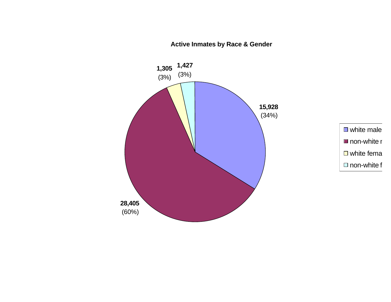**Active Inmates by Race & Gender**



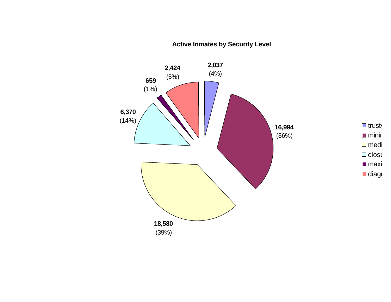**Active Inmates by Security Level**

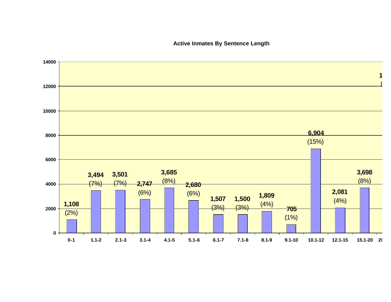## **Active Inmates By Sentence Length**

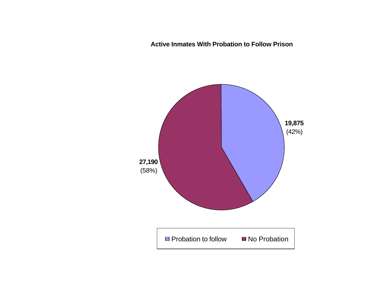**Active Inmates With Probation to Follow Prison**

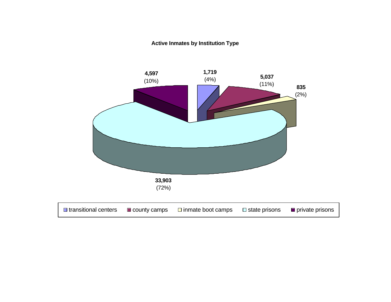## **Active Inmates by Institution Type**

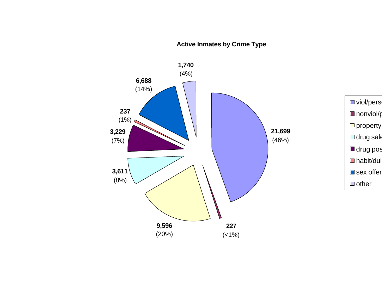# **Active Inmates by Crime Type**

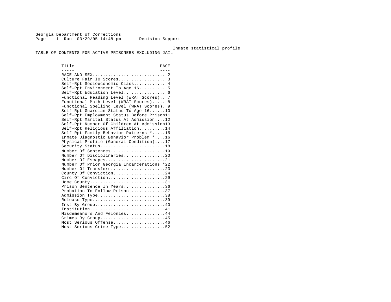Georgia Department of Corrections Page 1 Run 03/29/05 14:48 pm Decision Support

Inmate statistical profile

TABLE OF CONTENTS FOR ACTIVE PRISONERS EXCLUDING JAIL

Title PAGE ----- ---- RACE AND SEX............................ 2 Culture Fair IQ Scores.................. 3 Self-Rpt Socioeconomic Class............ 4 Self-Rpt Environment To Age 16.......... 5 Self-Rpt Education Level................... 6 Functional Reading Level (WRAT Scores).. 7 Functional Math Level (WRAT Scores)..... 8 Functional Spelling Level (WRAT Scores). 9 Self-Rpt Guardian Status To Age 16......10 Self-Rpt Employment Status Before Prison11 Self-Rpt Marital Status At Admission....12 Self-Rpt Number Of Children At Admission13 Self-Rpt Religious Affiliation..........14 Self-Rpt Family Behavior Patterns \*.....15 Inmate Diagnostic Behavior Problem \*....16 Physical Profile (General Condition)....17 Security Status............................18 Number Of Sentences......................19 Number Of Disciplinaries................20 Number Of Escapes.........................21 Number Of Prior Georgia Incarcerations \*22 Number Of Transfers.......................23 County Of Conviction....................24 Circ Of Conviction.........................29 Home County.............................31 Prison Sentence In Years................36 Probation To Follow Prison..............37 Admission Type.............................38 Release Type...............................39 Inst By Group.............................40 Institution.............................41 Misdemeanors And Felonies...............44 Crimes By Group...........................45 Most Serious Offense....................46 Most Serious Crime Type..................52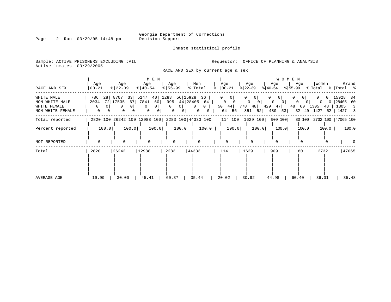Inmate statistical profile

Sample: ACTIVE PRISONERS EXCLUDING JAIL **Requestor:** OFFICE OF PLANNING & ANALYSIS Active inmates 03/29/2005

RACE AND SEX by current age & sex

| RACE AND SEX                                                     | Age<br>$00 - 21$       |                       | Age<br>$8 22-39$                                 |                                                   | Age<br>$8   40 - 54$            | M E N         | Age<br>$8 55-99$                                                     |                                  | Men<br>% Total      |                                   | Age<br>$8   00 - 21$ |                                            | Age<br>$ 22-39 $ |                                               | Age<br>୫∣40-54                                                     |                | <b>WOMEN</b><br>Age |                               | Women                          |             | Grand<br>$ \$ 55-99$ $ \$ Total \$ $ \$ Total \$ |       |
|------------------------------------------------------------------|------------------------|-----------------------|--------------------------------------------------|---------------------------------------------------|---------------------------------|---------------|----------------------------------------------------------------------|----------------------------------|---------------------|-----------------------------------|----------------------|--------------------------------------------|------------------|-----------------------------------------------|--------------------------------------------------------------------|----------------|---------------------|-------------------------------|--------------------------------|-------------|--------------------------------------------------|-------|
| WHITE MALE<br>NON WHITE MALE<br>WHITE FEMALE<br>NON WHITE FEMALE | 786<br>2034<br>$\circ$ | 281<br>0 <sup>1</sup> | 8707<br>72 17535<br>$\mathbf{0}$<br>$\mathbf{0}$ | 33 5147<br>67<br>0 <sup>1</sup><br>0 <sup>1</sup> | 7841<br>$\mathbf{0}$<br>$\circ$ | $\circ$<br> 0 | 40 1288 56 15928<br>60 995 44 28405 64<br>$\Omega$<br>$\mathbf{0}$   | 0 <sup>1</sup><br>0 <sup>1</sup> | $\Omega$<br>$\circ$ | 36  <br>0 <sup>1</sup><br>$\circ$ | $\overline{0}$       | 0<br>$\begin{bmatrix} 0 & 0 \end{bmatrix}$ | $\overline{0}$   | $0 \mid$<br>$0 \qquad 0 \mid$<br>64 56 851 52 | $\mathbf{0}$<br>$0 \qquad 0 \mid$<br>50 44 778 48 429 47<br>480 53 | 0 <sup>1</sup> |                     | 0 <sup>1</sup><br>$0 \quad 0$ | 48 60 1305 48<br>32 40 1427 52 | $0\qquad 0$ | 0 15928<br>28405 60<br>1305 3<br>$1427$ 3        | - 34  |
| Total reported                                                   |                        |                       |                                                  |                                                   |                                 |               | 2820 100 26242 100 12988 100 2283 100 44333 100   114 100   1629 100 |                                  |                     |                                   |                      |                                            |                  |                                               | 909 100                                                            |                |                     |                               |                                |             | 80 100 2732 100 47065 100                        |       |
| Percent reported                                                 |                        | 100.0                 |                                                  | 100.0                                             |                                 | 100.0         |                                                                      | 100.0                            |                     | 100.0                             |                      | 100.0                                      |                  | 100.0                                         |                                                                    | 100.0          |                     | 100.0                         |                                | 100.0       |                                                  | 100.0 |
| NOT REPORTED                                                     |                        |                       | $\Omega$                                         |                                                   | $\Omega$                        |               |                                                                      |                                  | <sup>0</sup>        |                                   |                      | $\Omega$                                   | <sup>0</sup>     |                                               | $\Omega$                                                           |                |                     | $\Omega$                      |                                |             |                                                  |       |
| Total                                                            | 2820                   |                       | 26242                                            |                                                   | 12988                           |               | 2283                                                                 |                                  | 44333               |                                   | 114                  |                                            | 1629             |                                               | 909                                                                |                | 80                  |                               | 2732                           |             |                                                  | 47065 |
| AVERAGE AGE                                                      | 19.99                  |                       | 30.00                                            |                                                   | 45.41                           |               | 60.37                                                                |                                  | 35.44               |                                   | 20.02                |                                            | 30.92            |                                               | 44.98                                                              |                | $60.40$             |                               | 36.01                          |             |                                                  | 35.48 |

### Page 2 Run 03/29/05 14:48 pm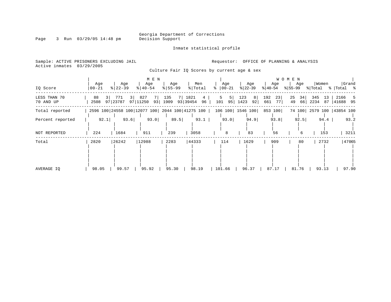Inmate statistical profile

Sample: ACTIVE PRISONERS EXCLUDING JAIL **Requestor:** OFFICE OF PLANNING & ANALYSIS Active inmates 03/29/2005

Culture Fair IQ Scores by current age & sex

| IQ Score                  | Age<br>  00-21               | Age<br>$ 22-39 $      | M E N<br>Age<br>$8   40 - 54$                   | Age<br>$8 55-99$ | Men<br>% Total                              | Age<br>$ 00-21$<br>៖  | Age<br>$ 22-39 $                    | Age<br>$ 40-54 $         | W O M E N<br>Age<br>$ 55-99$ | Women<br>% Total        | Grand                     |
|---------------------------|------------------------------|-----------------------|-------------------------------------------------|------------------|---------------------------------------------|-----------------------|-------------------------------------|--------------------------|------------------------------|-------------------------|---------------------------|
| LESS THAN 70<br>70 AND UP | 88<br>3 <sup>1</sup><br>2508 | 3 <br>771<br>97 23787 | 827<br>7 I<br>97 11250<br>93                    | 135<br>1909      | 7 1821<br>$4\overline{ }$<br>93 39454<br>96 | 5  <br>5<br>101<br>95 | 123<br>8 <sup>1</sup><br>1423<br>92 | 192<br>23<br>77 I<br>661 | 25<br>34<br>66<br>49         | 345<br>13<br>2234<br>87 | 2166<br>5<br> 41688<br>95 |
| Total reported            |                              |                       | 2596 100 24558 100 12077 100 2044 100 41275 100 |                  |                                             |                       | 106 100 1546 100                    | 853 100                  |                              |                         | 74 100 2579 100 43854 100 |
| Percent reported          | 92.1                         | 93.6                  | 93.0                                            | 89.5             | 93.1                                        | 93.0                  | 94.9                                | 93.8                     | 92.5                         | 94.4                    | 93.2                      |
| NOT REPORTED              | 224                          | 1684                  | 911                                             | 239              | 3058                                        | 8                     | 83                                  | 56                       | 6                            | 153                     | 3211                      |
| Total                     | 2820                         | 26242                 | 12988                                           | 2283             | 44333                                       | 114                   | 1629                                | 909                      | 80                           | 2732                    | 47065                     |
| AVERAGE IQ                | 98.05                        | 99.57                 | 95.92                                           | 95.30            | 98.19                                       | 101.66                | 96.37                               | 87.17                    | 81.76                        | 93.13                   | 97.90                     |

### Page 3 Run 03/29/05 14:48 pm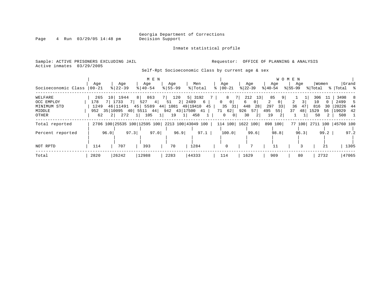Inmate statistical profile

Page 4 Run 03/29/05 14:48 pm

### Sample: ACTIVE PRISONERS EXCLUDING JAIL **Requestor:** OFFICE OF PLANNING & ANALYSIS Active inmates 03/29/2005

Self-Rpt Socioeconomic Class by current age & sex

| Socioeconomic Class                                     | Aqe<br>$00 - 21$                |                | Age<br>$8 22-39$                                      |      | M E N<br>Age<br>$8   40 - 54$                             | Age<br>$8155 - 99$                                                           |                  | Men<br>% Total            |    | Age<br>$8   00 - 21$                                                             |           | Age<br>$ 22-39 $                                                           | $ 40-54$              | Age                                                        | W O M E N<br>$ 55-99 $     | Age                        | % Total                        | Women                           | %   Total %                           | Grand           |
|---------------------------------------------------------|---------------------------------|----------------|-------------------------------------------------------|------|-----------------------------------------------------------|------------------------------------------------------------------------------|------------------|---------------------------|----|----------------------------------------------------------------------------------|-----------|----------------------------------------------------------------------------|-----------------------|------------------------------------------------------------|----------------------------|----------------------------|--------------------------------|---------------------------------|---------------------------------------|-----------------|
| WELFARE<br>OCC EMPLOY<br>MINIMUM STD<br>MIDDLE<br>OTHER | 265<br>178<br>1249<br>952<br>62 | 2 <sub>1</sub> | 10 1944<br>7 1733<br>46   11491<br>35 10095 40<br>272 | 7 I  | 863<br>8<br>$527 \t 4$<br>45 5589<br>44<br>5511 44<br>105 | 120<br>7 L<br>$\overline{2}$<br>51<br>1081 49 19410<br>942 43 17500 41<br>19 | 2489<br>$1\vert$ | $5 \mid 3192$<br>6<br>458 | 45 | 8<br>0<br>0 <sup>1</sup><br>$35 \quad 31$<br>71 62<br>$\Omega$<br>0 <sup>1</sup> | 71<br>926 | $212$ 13<br>6<br>0 <sup>1</sup><br>28<br>448<br>57 I<br>30<br><sup>2</sup> | 2<br>297<br>495<br>19 | 85<br>9 <br>0 <sup>1</sup><br>33<br>55  <br>2 <sup>1</sup> | $\overline{2}$<br>36<br>37 | 3 <sup>1</sup><br>47<br>48 | 306<br>10<br>816<br>1529<br>50 | 11<br>$\Omega$<br>30<br>56<br>2 | 3498<br>2499<br>20226<br>19029<br>508 | -8<br>-44<br>42 |
| Total reported                                          |                                 |                |                                                       |      | 2706 100 25535 100 12595 100 2213 100 43049 100           |                                                                              |                  |                           |    | 114 100  1622 100                                                                |           |                                                                            |                       | 898 100                                                    |                            |                            | 77 100 2711 100                |                                 | 45760 100                             |                 |
| Percent reported                                        |                                 | 96.0           |                                                       | 97.3 | 97.0                                                      | 96.9                                                                         |                  | 97.1                      |    | 100.0                                                                            |           | 99.6                                                                       |                       | 98.8                                                       |                            | 96.3                       |                                | 99.2                            |                                       | 97.2            |
| NOT RPTD                                                | 114                             |                | 707                                                   |      | 393                                                       | 70                                                                           |                  | 1284                      |    | 0                                                                                |           |                                                                            |                       | 11                                                         |                            |                            |                                | 21                              |                                       | 1305            |
| Total                                                   | 2820                            |                | 26242                                                 |      | 12988                                                     | 2283                                                                         |                  | 44333                     |    | 114                                                                              |           | 1629                                                                       |                       | 909                                                        |                            | 80                         |                                | 2732                            |                                       | 47065           |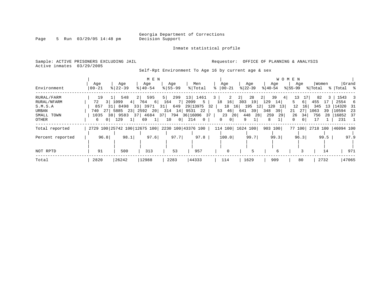Inmate statistical profile

Page 5 Run 03/29/05 14:48 pm

Active inmates 03/29/2005

Sample: ACTIVE PRISONERS EXCLUDING JAIL **Requestor:** OFFICE OF PLANNING & ANALYSIS

Self-Rpt Environment To Age 16 by current age & sex

|                  |                     |                       | M E N                   |                                                 |                       |                              |           |               | W O M E N                  |            |                      |
|------------------|---------------------|-----------------------|-------------------------|-------------------------------------------------|-----------------------|------------------------------|-----------|---------------|----------------------------|------------|----------------------|
|                  | Age                 | Age                   | Age                     | Age                                             | Men                   | Age                          | Age       | Age           | Age                        | Women      | Grand                |
| Environment      | $00 - 21$           | $8$   22-39           | $8 40-54$               | $8155 - 99$                                     | % Total               | $ 00-21 $                    | $ 22-39 $ | $8 40-54$     | $ 55-99 $                  | % Total    | %   Total %          |
| RURAL/FARM       | 19                  | 548                   | 595<br>2 <sup>1</sup>   | 299<br>$5 \mid$                                 | 13 <br>1461           | 2                            | 2 <br>28  | 39<br>2 <br>4 | 17<br>13                   | 82<br>3    | 1543<br>-3           |
| RURAL/NFARM      | 72                  | 3 1099<br>4           | 764<br>6                | 164<br>- 7 I                                    | 2099<br>5             | 16 <br>18                    | 303<br>19 | 129<br>14     | 6                          | 455<br>17  | 2554<br>6            |
| S.M.S.A          | 857                 | 31 8498               | 33 3971                 | 649<br>31                                       | 29 13975<br>32        | 18<br>16                     | 195<br>12 | 120<br>13     | 12<br>16                   | 345<br>13  | 14320<br>- 31        |
| URBAN            | 27<br>740           | 5885<br>23            | 2592<br>20 <sup>1</sup> | 14 9531<br>314                                  | 22                    | 53<br>46                     | 641<br>39 | 39<br>348     | 27<br>21                   | 1063<br>39 | 10594<br>-23         |
| SMALL TOWN       | 1035                | 38 9583<br>371        | 4684                    | 37  <br>794                                     | 36 16096 37           | - 20  <br>23                 | 448<br>28 | 259<br>29     | 26<br>34                   | 756<br>28  | 16852 37             |
| OTHER            | 0 <sup>1</sup><br>6 | 129<br>1 <sup>1</sup> | 1 <br>69                | $0$  <br>10                                     | 214<br>$\overline{0}$ | $\mathbf{0}$<br>$\mathbf{0}$ | 9         | 8             | $\Omega$<br>$\overline{0}$ | 17         | 231                  |
| Total reported   |                     |                       |                         | 2729 100 25742 100 12675 100 2230 100 43376 100 |                       | 114 100   1624 100           |           | 903 100       | 77 100                     |            | 2718 100   46094 100 |
|                  |                     |                       |                         |                                                 |                       |                              |           |               |                            |            |                      |
| Percent reported | 96.8                | 98.1                  | 97.6                    | 97.7                                            | 97.8                  | 100.0                        | 99.7      | 99.3          | 96.3                       | 99.5       | 97.9                 |
|                  |                     |                       |                         |                                                 |                       |                              |           |               |                            |            |                      |
| NOT RPTD         | 91                  | 500                   | 313                     | 53                                              | 957                   |                              | 5         | 6             |                            | 14         | 971                  |
| Total            | 2820                | 26242                 | 12988                   | 2283                                            | 44333                 | 114                          | 1629      | 909           | 80                         | 2732       | 47065                |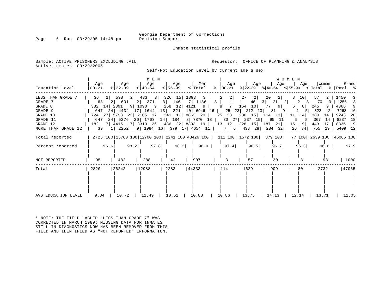Page 6 Run  $03/29/05$  14:48 pm

Inmate statistical profile

Sample: ACTIVE PRISONERS EXCLUDING JAIL **Requestor:** OFFICE OF PLANNING & ANALYSIS Active inmates 03/29/2005

Self-Rpt Education Level by current age & sex

| Education Level                                                                                              | Aqe<br>$ 00 - 21$ | Age<br>$ 22-39 $                                                                                                                                                                                                                                                                        | M E N<br>  Age<br>$ 40-54 $ | Age<br>% 55-99  | Men            | Age                                                | Age                                                                   | WOMEN<br>Age   Age                                                                                                                               | Women<br>$ \gamma $ Total $ \gamma $   00-21 $ \gamma $   22-39 $ \gamma $   40-54 $ \gamma $   55-99 $ \gamma $   Total $ \gamma $                                                                   | Grand                                                                                 |
|--------------------------------------------------------------------------------------------------------------|-------------------|-----------------------------------------------------------------------------------------------------------------------------------------------------------------------------------------------------------------------------------------------------------------------------------------|-----------------------------|-----------------|----------------|----------------------------------------------------|-----------------------------------------------------------------------|--------------------------------------------------------------------------------------------------------------------------------------------------|-------------------------------------------------------------------------------------------------------------------------------------------------------------------------------------------------------|---------------------------------------------------------------------------------------|
| LESS THAN GRADE 7<br>GRADE 7<br>GRADE 8<br>GRADE 9<br>GRADE 10<br>GRADE 11<br>GRADE 12<br>MORE THAN GRADE 12 | 36<br>68          | 598<br>$2 \mid$<br>2 601 2 371 3 146<br>382 14 2391 9 1090 9 258 12 4121 9<br>724 27   5793 22   2105 17   241 11  <br>647 24 5276 20 1763 14 184 8 7870 18 30 27 237 15 95 11<br>182 7 4415 17 3310 26 486 22 8393 19<br>39 1   2252 9   1984 16   379 17   4654 11   1   7   438   28 | 433 3                       | 326 15 1393 3   |                | 2 <br>$\overline{\phantom{a}}$<br>7   1186   3   1 | 27<br>$\left 2\right $<br>46<br>8 7   154 10  <br>13 12 228 15 187 21 | 20<br>2 <br>3  21 2 <br>77 9<br>647 24 4434 17 1644 13 221 10 6946 16 25 23 212 13 81 9<br>8863 20   25 23   230 15   114 13   11 14  <br>284 32 | 57<br>10 <sup>1</sup><br>2<br>3 70<br>3<br>$6 \quad 8$<br>245<br>9<br>$4 \quad 5$<br>322<br>-12<br>380<br>14<br>367<br>5<br>- 6  <br>- 14<br>$15 \quad 19$<br>443<br>17<br>$26 \quad 34$<br>755<br>29 | 1450<br>1256 3<br>4366 9<br>7268 16<br>9243<br>20<br>18<br>8237<br>8836 19<br>5409 12 |
| Total reported<br>Percent reported                                                                           | 96.6              | 2725 100   25760 100   12700 100   2241 100   43426 100   111 100   1572 100   879 100                                                                                                                                                                                                  | 98.2 97.8                   | 98.2            | 98.0           | 97.4                                               | 96.5                                                                  | 96.7                                                                                                                                             | 77 100 2639 100 46065 100<br>96.3<br>96.6                                                                                                                                                             | 97.9                                                                                  |
| NOT REPORTED                                                                                                 | 95                | 482                                                                                                                                                                                                                                                                                     | 288                         | 42              | 907            | 3                                                  | 57                                                                    | 30                                                                                                                                               | 93                                                                                                                                                                                                    | 1000                                                                                  |
| Total<br>AVG EDUCATION LEVEL                                                                                 | 2820<br>9.84      | 26242<br>10.72                                                                                                                                                                                                                                                                          | 12988<br>11.49              | 2283<br>$10.52$ | 44333<br>10.88 | 114<br>10.86                                       | 1629<br>$13.75$                                                       | 909<br>14.13                                                                                                                                     | 2732<br>80<br>12.14<br>13.71                                                                                                                                                                          | 47065<br>11.05                                                                        |

\* NOTE: THE FIELD LABLED "LESS THAN GRADE 7" WAS CORRECTED IN MARCH 1989: MISSING DATA FOR INMATES STILL IN DIAGNOSTICS NOW HAS BEEN REMOVED FROM THIS FIELD AND IDENTIFIED AS "NOT REPORTED" INFORMATION.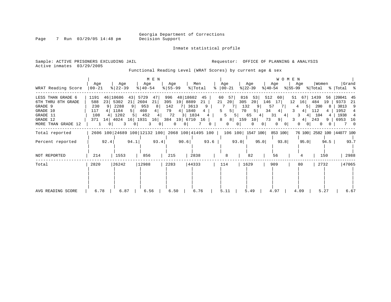Inmate statistical profile

Page 7 Run 03/29/05 14:48 pm

Active inmates 03/29/2005

Sample: ACTIVE PRISONERS EXCLUDING JAIL **Requestor:** OFFICE OF PLANNING & ANALYSIS

Functional Reading Level (WRAT Scores) by current age & sex

| WRAT Reading Score                                                                                           | Age<br>$ 00 - 21$                       |               | Age<br>$ 22-39 $                                        |                                                              | Age<br>$ 40-54 $                                | M E N                                        | Age<br>$8 55-99$                                            |                                                  | Men<br>% Total |                                                        | Age<br>$\frac{1}{6}$   00-21                                                    |                                                 | Age<br>$ 22-39 $                                           |                                          | Age<br>$ 40-54 $                                         | WOMEN                                | Age                                       | Women                                               |                                       | $ \$$  55-99 $ \$$  Total $ \$$  Total $ \$$              | Grand          |
|--------------------------------------------------------------------------------------------------------------|-----------------------------------------|---------------|---------------------------------------------------------|--------------------------------------------------------------|-------------------------------------------------|----------------------------------------------|-------------------------------------------------------------|--------------------------------------------------|----------------|--------------------------------------------------------|---------------------------------------------------------------------------------|-------------------------------------------------|------------------------------------------------------------|------------------------------------------|----------------------------------------------------------|--------------------------------------|-------------------------------------------|-----------------------------------------------------|---------------------------------------|-----------------------------------------------------------|----------------|
| LESS THAN GRADE 6<br>6TH THRU 8TH GRADE<br>GRADE 9<br>GRADE 10<br>GRADE 11<br>GRADE 12<br>MORE THAN GRADE 12 | 1191<br>588<br>230<br>117<br>108<br>371 | 23<br>4<br>14 | 46 10686<br>5302<br>2288<br>4 1184<br>1202<br>4024<br>3 | 43<br>21<br>9  <br>5 <sup>1</sup><br>51<br>16 1931<br>$\cup$ | 5729<br>2604<br>953<br>460<br>452<br>3          | 47<br>21<br>8<br>4<br>16  <br>0 <sup>1</sup> | 996<br>395<br>142<br>79<br>72<br>384 19 6710 16<br>$\Omega$ | 48 18602<br>19 8889<br><b>7</b>  <br>4 1840<br>0 | 3613<br>3 1834 | 45<br>21<br>9 <sup>1</sup><br>4<br>$\overline{4}$<br>0 | 60<br>57<br>21<br>20<br>7<br>5<br>5 <sup>1</sup><br>$8 \quad 8$<br>$\mathbf{0}$ | 816<br>305<br>5 <sup>1</sup><br>$5 \mid$<br>159 | 53 <br>20 <br>132<br>70<br>5  <br>65<br>10<br>$\mathbf{0}$ | 512<br>146<br>9  <br>34<br>4<br>73<br>01 | 60<br>17 <br>57<br>4 <br>31<br>4<br>$9 \mid$<br>$\Omega$ | 51<br>12<br>3<br>0 <sup>1</sup><br>0 | 67<br>16<br>5 <br>4<br>3<br>4<br>4 <br>01 | 1439<br>484<br>200<br>112<br>104<br>243<br>$\Omega$ | 56<br>19  <br>8<br>4<br>4<br>$\Omega$ | 20041 45<br>9373<br>3813<br>1952<br>1938 4<br>9   6953 16 | -21<br>9<br>70 |
| Total reported                                                                                               |                                         |               |                                                         |                                                              | 2606 100 24689 100 12132 100 2068 100 41495 100 |                                              |                                                             |                                                  |                |                                                        |                                                                                 | 106 100  1547 100                               |                                                            |                                          | 853 100                                                  |                                      |                                           |                                                     |                                       | 76 100 2582 100 44077 100                                 |                |
| Percent reported                                                                                             |                                         | 92.4          |                                                         | 94.1                                                         |                                                 | 93.4                                         |                                                             | 90.6                                             |                | 93.6                                                   |                                                                                 | 93.0                                            |                                                            | 95.0                                     | 93.8                                                     |                                      | 95.0                                      |                                                     | 94.5                                  |                                                           | 93.7           |
| NOT REPORTED                                                                                                 | 214                                     |               | 1553                                                    |                                                              | 856                                             |                                              | 215                                                         |                                                  | 2838           |                                                        | 8                                                                               |                                                 | 82                                                         |                                          | 56                                                       |                                      |                                           | 150                                                 |                                       |                                                           | 2988           |
| Total                                                                                                        | 2820                                    |               | 26242                                                   |                                                              | 12988                                           |                                              | 2283                                                        |                                                  | 44333          |                                                        | 114                                                                             |                                                 | 1629                                                       |                                          | 909                                                      |                                      | 80                                        | 2732                                                |                                       |                                                           | 47065          |
| AVG READING SCORE                                                                                            | 6.78                                    |               | 6.87                                                    |                                                              | 6.56                                            |                                              | 6.50                                                        |                                                  | 6.76           |                                                        | 5.11                                                                            |                                                 | 5.49                                                       |                                          | 4.97                                                     |                                      | 4.09                                      | 5.27                                                |                                       |                                                           | 6.67           |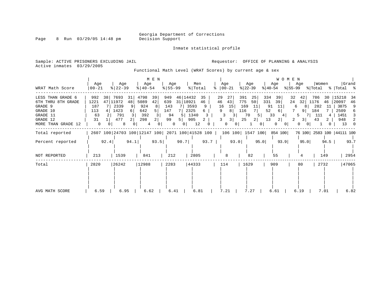Inmate statistical profile

Page 8 Run 03/29/05 14:48 pm

Sample: ACTIVE PRISONERS EXCLUDING JAIL **Requestor:** OFFICE OF PLANNING & ANALYSIS Active inmates 03/29/2005

Functional Math Level (WRAT Scores) by current age & sex

|                                                                                                              | Age                                                     |          | Age                                              |                      | Age                                             | M E N               | Age                                       |                                            | Men                               |                              |                     | Age                                       |                                      | Age                       |                                    | WOMEN<br>Age                                    |                           | Age                                                   | Women                                  |               |                                                     | Grand                        |
|--------------------------------------------------------------------------------------------------------------|---------------------------------------------------------|----------|--------------------------------------------------|----------------------|-------------------------------------------------|---------------------|-------------------------------------------|--------------------------------------------|-----------------------------------|------------------------------|---------------------|-------------------------------------------|--------------------------------------|---------------------------|------------------------------------|-------------------------------------------------|---------------------------|-------------------------------------------------------|----------------------------------------|---------------|-----------------------------------------------------|------------------------------|
| WRAT Math Score                                                                                              | 00-21                                                   |          | $ 22-39 $                                        |                      | $ 40-54 $                                       |                     | $8 55-99$                                 |                                            | % Total                           |                              | °≈                  | $ 00-21$                                  | $ 22-39 $                            |                           | ୫∣40-54                            |                                                 | %∣55-99                   |                                                       | % Total                                |               | %   Total %                                         |                              |
| LESS THAN GRADE 6<br>6TH THRU 8TH GRADE<br>GRADE 9<br>GRADE 10<br>GRADE 11<br>GRADE 12<br>MORE THAN GRADE 12 | 992<br>1221<br>187<br>113<br>63<br>31<br>$\overline{0}$ | 38<br>47 | 7693<br>11972<br>2339<br>1423<br>791<br>477<br>8 | 31<br>48<br>$6 \mid$ | 4798<br>5089<br>924<br>642<br>392<br>298<br>4   | 39<br>42<br>8<br>01 | 949<br>639<br>143<br>147<br>94<br>99<br>0 | 46 14432<br>31   18921<br>5  <br>5 I<br>01 | 3593<br>2325<br>1340<br>905<br>12 | 35<br>46<br>9<br>6<br>3<br>0 | 29<br>46<br>16<br>9 | 27<br>43 <br>15<br>8<br>3<br>3 <br>0<br>0 | 391<br>775<br>169<br>116<br>70<br>25 | 25<br>50<br>11<br>51<br>2 | 334<br>331<br>91<br>52<br>33<br>13 | 39<br>39<br>11<br>6<br>4 <sup>1</sup><br>2<br>0 | 32<br>24<br>6<br>5.<br>2. | 42<br>32<br>8<br>9 <sup>1</sup><br>3<br>0<br>$\Omega$ | 786<br>1176<br>282<br>184<br>111<br>43 | 30<br>46<br>4 | 15218<br>20097<br>3875<br>2509<br>1451<br>948<br>13 | 34<br>46<br>9<br>6<br>3<br>2 |
| Total reported                                                                                               |                                                         |          |                                                  |                      | 2607 100 24703 100 12147 100 2071 100 41528 100 |                     |                                           |                                            |                                   |                              |                     | 106 100   1547 100                        |                                      |                           |                                    | 854 100                                         |                           |                                                       |                                        |               | 76 100 2583 100 44111 100                           |                              |
| Percent reported                                                                                             |                                                         | 92.4     |                                                  | 94.1                 |                                                 | 93.5                |                                           | 90.7                                       |                                   | $93.7$                       |                     | 93.0                                      |                                      | 95.0                      |                                    | 93.9                                            |                           | 95.0                                                  |                                        | $94.5$        |                                                     | 93.7                         |
| NOT REPORTED                                                                                                 | 213                                                     |          | 1539                                             |                      | 841                                             |                     | 212                                       |                                            | 2805                              |                              |                     | 8                                         |                                      | 82                        |                                    | 55                                              |                           |                                                       |                                        | 149           |                                                     | 2954                         |
| Total                                                                                                        | 2820                                                    |          | 26242                                            |                      | 12988                                           |                     | 2283                                      |                                            | 44333                             |                              | 114                 |                                           | 1629                                 |                           |                                    | 909                                             |                           | 80                                                    | 2732                                   |               |                                                     | 47065                        |
| AVG MATH SCORE                                                                                               | 6.59                                                    |          | 6.95                                             |                      | 6.62                                            |                     | 6.41                                      |                                            | 6.81                              |                              |                     | 7.21                                      |                                      | 7.27                      |                                    | 6.61                                            |                           | 6.19                                                  | 7.01                                   |               |                                                     | 6.82                         |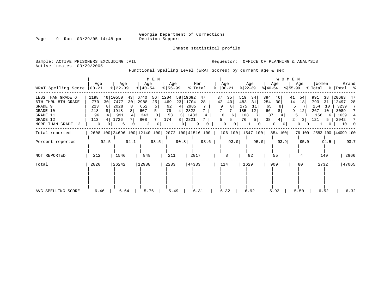Inmate statistical profile

Page 9 Run 03/29/05 14:48 pm

Active inmates 03/29/2005

Sample: ACTIVE PRISONERS EXCLUDING JAIL **Requestor:** OFFICE OF PLANNING & ANALYSIS

Functional Spelling Level (WRAT Scores) by current age & sex

| WRAT Spelling Score                                                                                          | Age<br>$00 - 21$                            |          | Age<br>$ 22-39 $                                  |          | Age<br>$ 40-54 $                                | M E N         | Age<br>$ 55 - 99 $                   |                                | Men<br>% Total                             |               | ៖                   | Age<br>$ 00-21$                                     |                                       | Age<br>$ 22-39 $      | $ 40-54 $                               | Age                | WOMEN<br>$ 55-99 $      | Age                                                  | Women<br>% Total                       |                                     | %  Total %                                           | Grand                     |
|--------------------------------------------------------------------------------------------------------------|---------------------------------------------|----------|---------------------------------------------------|----------|-------------------------------------------------|---------------|--------------------------------------|--------------------------------|--------------------------------------------|---------------|---------------------|-----------------------------------------------------|---------------------------------------|-----------------------|-----------------------------------------|--------------------|-------------------------|------------------------------------------------------|----------------------------------------|-------------------------------------|------------------------------------------------------|---------------------------|
| LESS THAN GRADE 6<br>6TH THRU 8TH GRADE<br>GRADE 9<br>GRADE 10<br>GRADE 11<br>GRADE 12<br>MORE THAN GRADE 12 | 1198<br>770<br>213<br>218<br>96<br>113<br>0 | 46<br>30 | 10550<br>7477<br>2028<br>1918<br>991<br>1726<br>6 | 43<br>30 | 6740<br>2988<br>652<br>607<br>343<br>808<br>2   | 56<br>25<br>0 | 1204<br>469<br>92<br>79<br>53<br>174 | 58 19692<br>23<br>4<br>4<br>81 | 11704<br>2985<br>2822<br>1483<br>2821<br>9 | 47<br>28<br>4 | 37<br>42<br>9<br>5. | 35<br>40<br>8<br>6<br>6<br>5  <br>0<br>$\mathbf{0}$ | 519<br>483<br>175<br>185<br>108<br>76 | 34<br>31<br>-11<br>12 | 394<br>254<br>65<br>66<br>37<br>38<br>0 | 46<br>30<br>4<br>0 | 41<br>14<br>5<br>9<br>2 | 54<br>18<br>12<br>5<br>3 <sup>1</sup><br>$\mathbf 0$ | 991<br>793<br>254<br>267<br>156<br>121 | 38<br>31<br>10<br>10<br>6<br>5<br>Ü | 20683<br>12497<br>3239<br>3089<br>1639<br>2942<br>10 | 47<br>28<br>7<br>4<br>- 0 |
| Total reported                                                                                               |                                             |          |                                                   |          | 2608 100 24696 100 12140 100 2072 100 41516 100 |               |                                      |                                |                                            |               |                     | 106 100 1547 100                                    |                                       |                       |                                         | 854 100            |                         |                                                      |                                        |                                     | 76 100 2583 100 44099 100                            |                           |
| Percent reported                                                                                             |                                             | 92.5     |                                                   | 94.1     |                                                 | 93.5          |                                      | 90.8                           |                                            | 93.6          |                     | 93.0                                                |                                       |                       | 95.0                                    | 93.9               |                         | 95.0                                                 |                                        | 94.5                                |                                                      | 93.7                      |
| NOT REPORTED                                                                                                 | 212                                         |          | 1546                                              |          | 848                                             |               | 211                                  |                                | 2817                                       |               |                     | 8                                                   |                                       | 82                    |                                         | 55                 |                         |                                                      |                                        | 149                                 |                                                      | 2966                      |
| Total                                                                                                        | 2820                                        |          | 26242                                             |          | 12988                                           |               | 2283                                 |                                | 44333                                      |               |                     | 114                                                 |                                       | 1629                  |                                         | 909                |                         | 80                                                   | 2732                                   |                                     |                                                      | 47065                     |
| AVG SPELLING SCORE                                                                                           | 6.46                                        |          | 6.64                                              |          | 5.76                                            |               | 5.49                                 |                                | 6.31                                       |               |                     | 6.32                                                |                                       | 6.92                  |                                         | 5.92               |                         | 5.50                                                 |                                        | 6.52                                |                                                      | 6.32                      |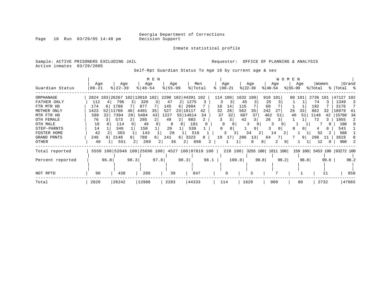Inmate statistical profile

Sample: ACTIVE PRISONERS EXCLUDING JAIL **Requestor:** OFFICE OF PLANNING & ANALYSIS

Active inmates 03/29/2005

Self-Rpt Guardian Status To Age 16 by current age & sex

|                  |          |      |          |      |                              | M E N |                    |              |                    |      |    |          |       |           |                   |           |      | W O M E N |         |          |      |                     |       |
|------------------|----------|------|----------|------|------------------------------|-------|--------------------|--------------|--------------------|------|----|----------|-------|-----------|-------------------|-----------|------|-----------|---------|----------|------|---------------------|-------|
|                  | Age      |      | Age      |      | Age                          |       | Age                |              | Men                |      |    | Age      |       | Age       |                   | Age       |      |           | Age     | Women    |      |                     | Grand |
| Guardian Status  | $ 00-21$ |      | $ 22-39$ |      | $8   40 - 54$                |       | $8 55-99$          |              | % Total            |      |    | $ 00-21$ |       | $ 22-39 $ |                   | $ 40-54 $ |      | $ 55-99 $ |         | % Total  |      | %   Total %         |       |
| ORPHANAGE        |          |      |          |      | 2824 103 26267 102 13010 102 |       | 2290 102 44391 102 |              |                    |      |    | 114 100  |       | 1632 100  |                   | 910 101   |      | 80 101    |         | 2736 101 |      | 47127 102           |       |
| FATHER ONLY      | 112      |      | 796      |      | 320                          |       | 47                 |              | 1275               |      |    |          | 45    |           |                   | 25        |      |           |         | 74       |      | 1349                | -3    |
| FTR MTR HD       | 174      | 6    | 1788     |      | 877                          |       | 145                | 6            | 2984               |      | 16 | 14       | 115   |           | 60                |           |      |           |         | 192      |      | 3176                |       |
| MOTHER ONLY      | 1423     | 52   | 11766    | 46   | 4401                         | 35    | 527                | 231<br>18117 |                    | 42   | 32 | 28       | 562   | 35        | 242               |           |      | 26        | 33      | 862      | 32   | 18979               | 41    |
| MTR FTR HD       | 589      | 22   | 7394     | 29   | 5404                         | 43    | 1227               | 55           | 14614              | 34   | 37 | 32       | 607   | 37        | 462               |           | 51   | 40        | 51      | 1146     | 42   | 15760               | -34   |
| OTH FEMALE       | 76       |      | 573      |      | 285                          |       | 49                 | 2            | 983                | 2    | 3  |          | 42    | 3         | 26                |           |      |           |         | 72       |      | 1055                | 2     |
| OTH MALE         | 10       |      | 114      |      | 49                           |       | 8                  | $\Omega$     | 181                |      |    | $\Omega$ |       |           |                   | 3         |      |           |         |          |      | 188                 |       |
| STEP-PARNTS      | 14       |      | 346      |      | 150                          |       | 29                 |              | 539                |      |    | 0        |       | 0         |                   | 3         |      |           |         |          |      | 543                 |       |
| FOSTER HOME      | 42       |      | 303      |      | 143                          |       | 28                 |              | 516                |      |    | 3        | 3.    | 34        |                   | 14        | 2    |           |         | 52       |      | 568                 |       |
| GRAND PRNTS      | 246      |      | 2148     | 8    | 788                          | 61    | 141                | 6            | 3323               | 8    | 19 | 171      | 206   | 13        | 64                |           |      |           | 9       | 296      |      | 3619                |       |
| OTHER            | 40       |      | 551      |      | 269                          |       | 36                 | 2            | 896                |      |    |          |       | 8         |                   |           | 0    |           |         | 12       |      | 908                 |       |
| Total reported   |          |      |          |      | 5550 100 52046 100 25696 100 |       |                    |              | 4527 100 87819 100 |      |    | 228 100  |       |           | 3255 100 1811 100 |           |      |           | 159 100 |          |      | 5453 100  93272 100 |       |
| Percent reported |          | 96.8 |          | 98.3 |                              | 97.8  |                    | 98.3         |                    | 98.1 |    |          | 100.0 |           | 99.8              |           | 99.2 |           | 98.8    |          | 99.6 |                     | 98.2  |
|                  |          |      |          |      |                              |       |                    |              |                    |      |    |          |       |           |                   |           |      |           |         |          |      |                     |       |
| NOT RPTD         | 90       |      | 438      |      | 280                          |       | 39                 |              | 847                |      |    | O        |       |           |                   |           |      |           |         |          |      |                     | 858   |
| Total            | 2820     |      | 26242    |      | 12988                        |       | 2283               |              | 44333              |      |    | 114      |       | 1629      |                   | 909       |      |           | 80      |          | 2732 |                     | 47065 |

Page 10 Run 03/29/05 14:48 pm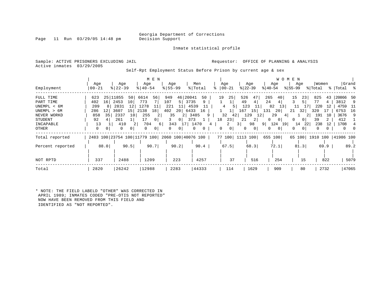Inmate statistical profile

Page 11 Run 03/29/05 14:48 pm

Active inmates 03/29/2005

Sample: ACTIVE PRISONERS EXCLUDING JAIL **Requestor:** OFFICE OF PLANNING & ANALYSIS

Self-Rpt Employment Status Before Prison by current age & sex

| Employment                                                                                           | Age<br>$00 - 21$                                                              | Age<br>$8$   22 – 39                                                                                           | M E N<br>Age<br>$8140 - 54$                                                                                                   | Age<br>$8 55-99$                                                                                                                                                              | Men<br>% Total                                                     | Age<br>$ 00 - 21$                                                    | Age<br>$ 22-39 $                                                                                    | W O M E N<br>Age<br>$ 40-54 $                                                                                    | Age<br>$8155 - 99$                                         | Women<br>% Total                                                              | Grand<br>%   Total %                                                                              |
|------------------------------------------------------------------------------------------------------|-------------------------------------------------------------------------------|----------------------------------------------------------------------------------------------------------------|-------------------------------------------------------------------------------------------------------------------------------|-------------------------------------------------------------------------------------------------------------------------------------------------------------------------------|--------------------------------------------------------------------|----------------------------------------------------------------------|-----------------------------------------------------------------------------------------------------|------------------------------------------------------------------------------------------------------------------|------------------------------------------------------------|-------------------------------------------------------------------------------|---------------------------------------------------------------------------------------------------|
| FULL TIME<br>PART TIME<br>UNEMPL < 6M<br>UNEMPL > 6M<br>NEVER WORKD<br>STUDENT<br>INCAPABLE<br>OTHER | 623<br>25<br>16<br>402<br>209<br>286<br>12<br>35<br>858<br>92<br>13<br>0<br>0 | 11855<br>50<br>2453<br>10<br>2831<br>12<br>15<br>3607<br>2337<br>10<br>261<br>410<br>2<br>$\Omega$<br>$\Omega$ | 6614<br>56<br>773<br>1278<br>2138<br>18 <sup>1</sup><br>255<br>17<br>0 <sup>1</sup><br>704<br>6<br>$\Omega$<br>0 <sup>1</sup> | 20041<br>949<br>46<br>3735<br>107<br>5 <sup>1</sup><br>221<br>11<br>402<br>20 <sup>1</sup><br>6433<br>35<br>$\overline{2}$<br>01<br>343<br>$\perp$ 7 $\perp$<br>$\Omega$<br>0 | 50<br>9<br>4539<br>16<br>3485<br>9<br>373<br>1470<br>$\Omega$<br>0 | 25<br>19<br>32<br>42<br>18<br>23 <br>2<br>0 <sup>1</sup><br>$\Omega$ | 526<br>47<br>49<br>4<br>123<br>167<br>15<br>129<br>12<br>21<br>2<br>98<br>3 <br>0<br>0 <sup>1</sup> | 265<br>40 l<br>24<br>4<br>82<br>13<br>131<br>20 <sub>1</sub><br>29<br>4<br>0<br>124<br>9 <sup>1</sup><br>19<br>0 | 15<br>23<br>11<br>32<br>21<br>0<br>U<br>14<br>22<br>0<br>0 | 825<br>43<br>77<br>4<br>220<br>12<br>320<br>191<br>10<br>39<br>238<br>12<br>0 | 20866<br>50<br>3812<br>-9<br>4759<br>- 11<br>6753<br>-16<br>3676<br>-9<br>412<br>1708<br>$\Omega$ |
| Total reported<br>Percent reported<br>NOT RPTD                                                       | 88.0<br>337                                                                   | 90.5<br>2488                                                                                                   | 2483 100 23754 100 11779 100 2060 100 40076 100<br>90.7<br>1209                                                               | 90.2<br>223                                                                                                                                                                   | 90.4<br>4257                                                       | 77 100 1113 100<br>67.5<br>37                                        | 68.3<br>516                                                                                         | 655 100<br>72.1<br>254                                                                                           | 65 100<br>81.3<br>15                                       | 69.9<br>822                                                                   | 1910 100  41986 100<br>89.2<br>5079                                                               |
| Total                                                                                                | 2820                                                                          | 26242                                                                                                          | 12988                                                                                                                         | 2283                                                                                                                                                                          | 44333                                                              | 114                                                                  | 1629                                                                                                | 909                                                                                                              | 80                                                         | 2732                                                                          | 47065                                                                                             |

\* NOTE: THE FIELD LABELD "OTHER" WAS CORRECTED IN APRIL 1989; INMATES CODED "PRE-OTIS NOT REPORTED" NOW HAVE BEEN REMOVED FROM THIS FIELD AND IDENTIFIED AS "NOT REPORTED".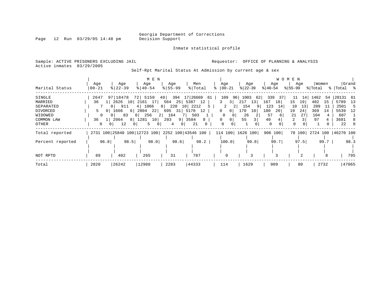Inmate statistical profile

Page 12 Run 03/29/05 14:48 pm

Active inmates 03/29/2005

Sample: ACTIVE PRISONERS EXCLUDING JAIL **Requestor:** OFFICE OF PLANNING & ANALYSIS

Self-Rpt Marital Status At Admission by current age & sex

|                  |                                                                              |                       |                | M E N               |                |             |                |              |    |               |       |             |                 |             |                 | <b>WOMEN</b> |                |         |       |                      |       |
|------------------|------------------------------------------------------------------------------|-----------------------|----------------|---------------------|----------------|-------------|----------------|--------------|----|---------------|-------|-------------|-----------------|-------------|-----------------|--------------|----------------|---------|-------|----------------------|-------|
|                  | Age                                                                          | Age                   |                | Age                 |                | Age         |                | Men          |    | Age           |       | Age         |                 |             | Age             |              | Age            |         | Women |                      | Grand |
| Marital Status   | $00 - 21$                                                                    | $8 22-39$             |                | $8   40 - 54$       |                | $8155 - 99$ |                | %   Total    |    | $8   00 - 21$ |       | $ 22 - 39 $ |                 | $ 40-54 $   |                 | % 55-99      |                | % Total |       | %   Total %          |       |
| SINGLE           | 2647                                                                         | 97   18478            | 72             | 5150                | 40             |             |                | 394 17 26669 | 61 | 109           | 96    | 1003        | 62              | 339         | 37              | 11           | 14             | 1462    | -54   | 28131 61             |       |
| MARRIED          | 36                                                                           | 1   2626 10           |                | 2161 17             | 564            |             | 25 5387        | 12           |    | 3             | 3     | 217         | 13              | 167         | 18              | 15           | 19             | 402     | 15    | 5789                 | 13    |
| SEPARATED        |                                                                              | 911<br>0 <sup>1</sup> |                | 1066<br>4           |                | 8 228       |                | 10 2212      |    | 2             |       | 154         |                 | 123         | 14              | 10           | 13             | 289     | -11   | 2501                 | -5    |
| DIVORCED         | 5.<br>$\Omega$                                                               | 1666                  | 61             | 2804<br>22          |                | 695 31 5170 |                | 12           |    | $\Omega$      | 0     | 170         | 10 <sup>1</sup> | 180         | 20 <sup>1</sup> | 19           | 24             | 369     | 14    | 5539                 | 12    |
| WIDOWED          |                                                                              | 83<br>0 <sup>1</sup>  | 0 <sup>1</sup> | 256                 | 2 <sup>1</sup> | 164         |                | 503          |    | 0             |       | 26          | 2               | 57          | 6               | 21           | 27             | 104     |       | 607                  |       |
| COMMON LAW       | 36<br>$1\vert$                                                               | 2064                  |                | 8 1281<br>10        | 203            |             | 9 3584         | 8            |    | $\Omega$      | 0     | 55          | $\overline{3}$  | 40          |                 | 2            |                | 97      |       | 3681                 | 8     |
| OTHER            | 0                                                                            | 12                    | 0 <sup>1</sup> | 5<br>0 <sup>1</sup> |                | 4           | 0 <sup>1</sup> | 21           | 0  | $\Omega$      |       |             | $\Omega$        | $\mathbf 0$ |                 | 0            | 0 <sup>1</sup> |         |       | 22                   |       |
| Total reported   | 2731 100   25840 100   12723 100   2252 100   43546 100   114 100   1626 100 |                       |                |                     |                |             |                |              |    |               |       |             |                 |             | 906 100         | 78 100       |                |         |       | 2724 100   46270 100 |       |
| Percent reported | 96.8                                                                         |                       | 98.5           | 98.0                |                | 98.6        |                | 98.2         |    |               | 100.0 |             | 99.8            |             | 99.7            |              | 97.5           |         | 99.7  |                      | 98.3  |
|                  |                                                                              |                       |                |                     |                |             |                |              |    |               |       |             |                 |             |                 |              |                |         |       |                      |       |
| NOT RPTD         | 89                                                                           | 402                   |                | 265                 |                | 31          |                | 787          |    |               | 0     |             |                 |             |                 |              |                |         |       |                      | 795   |
| Total            | 2820                                                                         | 26242                 |                | 12988               |                | 2283        |                | 44333        |    | 114           |       | 1629        |                 |             | 909             |              | 80             |         | 2732  |                      | 47065 |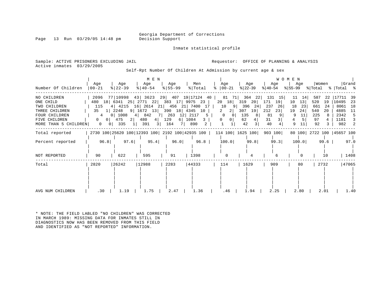Inmate statistical profile

Page 13 Run  $03/29/05$  14:48 pm

Sample: ACTIVE PRISONERS EXCLUDING JAIL **Requestor:** OFFICE OF PLANNING & ANALYSIS Active inmates 03/29/2005

Self-Rpt Number Of Children At Admission by current age & sex

|                                        |                                 |                                                                                   | M E N                |                                           |                |                                                                                |                                     | <b>WOMEN</b>           |                      |                           |                             |
|----------------------------------------|---------------------------------|-----------------------------------------------------------------------------------|----------------------|-------------------------------------------|----------------|--------------------------------------------------------------------------------|-------------------------------------|------------------------|----------------------|---------------------------|-----------------------------|
| Number Of Children                     | Age<br>$ 00-21 $                | Age<br>$ 22-39 $                                                                  | Age<br>$8   40 - 54$ | Age<br>$8 55-99$                          | Men<br>% Total | Age<br>$ 00-21 $<br>ႜ                                                          | Age<br>% 22−39                      | Age<br>୫∣40-54         | Age<br>%∣55-99       | Women<br>% Total          | Grand<br>%   Total %        |
| NO CHILDREN                            |                                 | 2096 77 10998 43 3623 29 407 19 17124 40                                          |                      |                                           |                |                                                                                |                                     | 81 71 364 22 131 15    | 14<br>11             | 587<br>22                 | 17711<br>-39                |
| ONE CHILD<br>TWO CHILDREN              | 115                             | 480 18 6341 25 2771 22 383 17 9975 23<br>4   4215 16   2614 21   456 21   7400 17 |                      |                                           |                | 20 18<br>10<br>- 91                                                            | 319<br>20 <sub>1</sub><br>396<br>24 | 19<br>171<br>237<br>26 | 13<br>10<br>23<br>18 | 520<br>19<br>661<br>24    | 10495<br>-23<br>8061<br>18  |
| THREE CHILDREN<br><b>FOUR CHILDREN</b> | 35                              | 1 2248<br>0   1008                                                                | 4 842                | 9 1672 13 390 18 4345 10<br>7 263 12 2117 | 5              | 2<br>2 <br>$\overline{0}$<br>$\overline{0}$                                    | 307<br>19<br>135                    | 212<br>23<br>81        | 19<br>24<br>11<br>9  | 540<br>20<br>225          | 4885<br>-11<br>2342<br>$-5$ |
| FIVE CHILDREN                          | 4<br>0 <sup>1</sup><br>$\Omega$ | 475<br>$2 \mid$                                                                   | 480                  | 4 129<br>6 1084                           | 3 I            | 0 <br>$\mathbf{0}$                                                             | 62<br>4                             | 3 <sup>1</sup><br>31   | 5<br>4               | 97                        | 1181                        |
| MORE THAN 5 CHILDREN                   | $\circ$<br>0 <sub>1</sub>       | 335                                                                               | 391<br>3             | 164<br>$7 \mid$                           | 2<br>890       | $\mathbf{1}$                                                                   | 42<br>$\overline{3}$                | 40                     | 9<br>11              | 92                        | 982<br>2                    |
| Total reported                         |                                 |                                                                                   |                      |                                           |                | 2730 100 25620 100 12393 100 2192 100 42935 100   114 100   1625 100   903 100 |                                     |                        |                      | 80 100 2722 100 45657 100 |                             |
| Percent reported                       | 96.8                            | 97.6                                                                              | 95.4                 | 96.0                                      | 96.8           | 100.0                                                                          | 99.8                                | 99.3                   | 100.0                | 99.6                      | 97.0                        |
| NOT REPORTED                           | 90                              | 622                                                                               | 595                  | 91                                        | 1398           | $\Omega$                                                                       |                                     |                        | $\Omega$             | 10                        | 1408                        |
| Total                                  | 2820                            | 26242                                                                             | 12988                | 2283                                      | 44333          | 114                                                                            | 1629                                | 909                    | 80                   | 2732                      | 47065                       |
|                                        |                                 |                                                                                   |                      |                                           |                |                                                                                |                                     |                        |                      |                           |                             |
|                                        |                                 |                                                                                   |                      |                                           |                |                                                                                |                                     |                        |                      |                           |                             |
| AVG NUM CHILDREN                       | .30                             | 1.19                                                                              | 1.75                 | 2.47                                      | 1.36           | .46                                                                            | 1.94                                | 2.25                   | 2.80                 | 2.01                      | 1.40                        |

\* NOTE: THE FIELD LABLED "NO CHILDREN" WAS CORRECTED IN MARCH 1989: MISSING DATA FOR INMATES STILL IN DIAGNOSTICS NOW HAS BEEN REMOVED FROM THIS FIELD AND IDENTIFIED AS "NOT REPORTED" INFORMATION.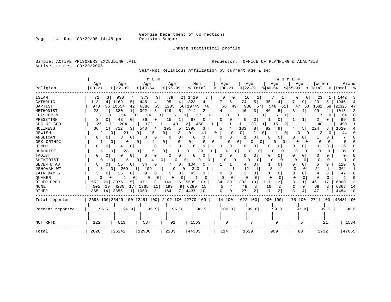Inmate statistical profile

Sample: ACTIVE PRISONERS EXCLUDING JAIL **Requestor:** OFFICE OF PLANNING & ANALYSIS Active inmates 03/29/2005

Self-Rpt Religious Affiliation by current age & sex

|                  |                   |               | M E N          |                     |                                                 |                          |                     | WOMEN     |                      |                 |                    |
|------------------|-------------------|---------------|----------------|---------------------|-------------------------------------------------|--------------------------|---------------------|-----------|----------------------|-----------------|--------------------|
|                  | Age               | Age           | Age            | Age                 | Men                                             | Age                      | Age                 | Age       | Age                  | Women           | Grand              |
| Religion         | $00 - 21$         | $8   22 - 39$ | $8140 - 54$    | $8155 - 99$         | % Total                                         | $ 00-21$<br>⊱            | $ 22-39$            | $ 40-54$  | $ 55-99$             | % Total         | %   Total<br>ႜ     |
| ISLAM            | 71                | 930<br>4      | 379<br>3       | 39<br>2             | 1419                                            | 0                        | 16                  |           |                      | 23              | 1442               |
| CATHOLIC         | 113<br>4          | 1169<br>5     | 446<br>4       | 95<br>4             | 1823<br>4                                       | 6                        | 74<br>5             | 35        | 9                    | 123<br>5        | 1946<br>4          |
| <b>BAPTIST</b>   | 970<br>36         | 10654<br>42   | 6886<br>55     | 1235                | 56 19745<br>46                                  | 56<br>49                 | 930<br>57           | 548<br>61 | 47<br>63             | 1581<br>58      | 21326<br>47        |
| METHODIST        | 23                | 380<br>1.     | 3<br>392       | 119<br>5            | 914<br>2                                        | 4                        | 46<br>3             | 46<br>5.  | 3<br>4               | 99              | 1013<br>2          |
| EPISCOPLN        | 3<br><sup>0</sup> | 24<br>0       | 24<br>0        | 6                   | 57                                              | <sup>0</sup><br>0        | 0                   |           |                      | O               | 64                 |
| PRESBYTRN        | 3                 | 43<br>0       | 36<br>0        | 15                  | 97                                              | O                        | 0<br>O              |           |                      | 2               | 99                 |
| CHC OF GOD       | 25                | 204           | 172            | 49                  | $\overline{2}$<br>450                           |                          | 23<br>1             | 15        |                      | 40              | 490                |
| HOLINESS         | 36<br>ΙI          | 712<br>31     | 543<br>4       | 105<br>5            | 1396<br>3                                       | 4                        | 133<br>8            | 82<br>9   | 5                    | 224<br>8        | 1620               |
| JEWISH           | 2                 | 21            | 15<br>$\Omega$ | 3<br>0 <sup>1</sup> | $\overline{0}$<br>41                            | 0<br>$\Omega$            | $\circ$<br>2        | 0<br>0    |                      | O               | 44                 |
| ANGLICAN         | 0<br>0            | 3<br>0        | 0              | 0<br>$\Omega$       | 6<br>$\Omega$                                   | $\mathbf{0}$<br>∩        | 0                   | 0<br>O    |                      |                 |                    |
| GRK ORTHDX       |                   | 0<br>0        | 0<br>4         | 0 <sup>1</sup><br>O | $\overline{0}$                                  | 0<br>O                   | $\overline{0}$<br>0 | 0<br>0    | 0<br>0               | ∩               |                    |
| HINDU            | 0<br>0            | 0<br>4        | 0              | 0                   | 6                                               | 0<br>n                   | 0<br>0              | 0         | 0                    |                 |                    |
| <b>BUDDHIST</b>  | 5                 | 28<br>O       | 5<br>$\Omega$  | 0 <sup>1</sup>      | $\overline{0}$<br>39                            | <sup>0</sup><br>$\Omega$ | 0<br>$\Omega$       | O<br>0    | $\Omega$             | O<br>n          | 39                 |
| TAOIST           | 0                 | O<br>0        | 0<br>0         | 0<br>0              | 0<br>$\Omega$                                   | $\Omega$                 | 0<br>0              | U<br>0    | <sup>0</sup><br>U    | O               |                    |
| SHINTOIST        | U                 | 5             | $\Omega$       | 0<br>O              | 9<br>0                                          | O                        | <sup>0</sup><br>0   | 0<br>0    | 0                    | $\Omega$<br>∩   |                    |
| SEVEN D AD       | 8<br>0            | 55<br>0       | 34<br>0        | 0                   | 104<br>0                                        |                          | 0<br>4              | 0         | 0<br>0               | 6<br>0          | 110                |
| JEHOVAH WT       | 13                | 209<br>0      | 109<br>1       | 9<br>0              | 340                                             |                          | 12<br>1             | 8<br>1    | $\Omega$<br>$\Omega$ | 21<br>1         | 361                |
| LATR DAY S       | 3<br>0            | 26<br>0       | 9<br>0         | 0                   | 43<br>0                                         | 0                        | 3<br>0              | 0         | 0<br>U               | 4<br>0          | 47<br><sup>0</sup> |
| QUAKER           | 0                 | 0             | 0              | 0                   | <sup>0</sup>                                    | $\Omega$<br>0            | $\Omega$<br>0       | $\Omega$  | 0<br>C               | $\Omega$<br>0   |                    |
| OTHER PROD       | 20<br>552         | 3876<br>15    | 971<br>8       | 140<br>6            | 5539<br>13                                      | 30<br>34                 | 302<br>19           | 117<br>13 | 11<br>8              | 461<br>17       | 6000<br>13         |
| <b>NONE</b>      | 19<br>505         | 4230<br>17    | 1365<br>11     | 9<br>199            | 6299<br>15                                      | 4                        | 48<br>3             | 16<br>2   | $\Omega$<br>$\Omega$ | 69<br>3         | 14<br>6368         |
| <b>OTHER</b>     | 365<br>14         | 2855<br>11    | 1053<br>8      | 164                 | 4437<br>10                                      | $\mathbf 0$<br>0         | 27<br>2             | 17<br>2   | ζ<br>4               | 47<br>2         | 4484<br>10         |
| Total reported   |                   |               |                |                     | 2698 100 25429 100 12451 100 2192 100 42770 100 |                          | 114 100 1622 100    | 900 100   |                      | 75 100 2711 100 | 45481 100          |
|                  |                   |               |                |                     |                                                 |                          |                     |           |                      |                 |                    |
| Percent reported | 95.7              | 96.9          | 95.9           | 96.0                | 96.5                                            | 100.0                    | 99.6                | 99.0      | 93.8                 | 99.2            | 96.6               |
|                  |                   |               |                |                     |                                                 |                          |                     |           |                      |                 |                    |
|                  |                   |               |                |                     |                                                 |                          |                     |           |                      |                 |                    |
| NOT RPTD         | 122               | 813           | 537            | 91                  | 1563                                            | 0                        |                     | 9         | 5                    | 21              | 1584               |
| Total            | 2820              | 26242         | 12988          | 2283                | 44333                                           | 114                      | 1629                | 909       | 80                   | 2732            | 47065              |

Page 14 Run 03/29/05 14:48 pm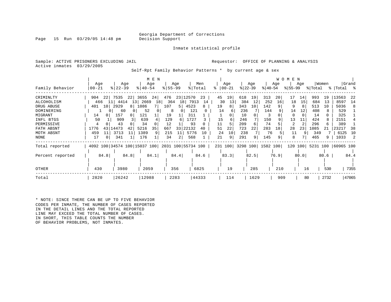Page 15 Run  $03/29/05$  14:48 pm

Inmate statistical profile

Sample: ACTIVE PRISONERS EXCLUDING JAIL **Requestor:** OFFICE OF PLANNING & ANALYSIS Active inmates 03/29/2005

Self-Rpt Family Behavior Patterns \* by current age & sex

|                                                                                                                       |                                                                            |                                                                                                                     | M E N                                                                          |                                                                                                    |                                                                                           |                                                                                |                                                                                         |                                                                                   | W O M E N                                                                                              |                                                                                                     |                                                                                                   |
|-----------------------------------------------------------------------------------------------------------------------|----------------------------------------------------------------------------|---------------------------------------------------------------------------------------------------------------------|--------------------------------------------------------------------------------|----------------------------------------------------------------------------------------------------|-------------------------------------------------------------------------------------------|--------------------------------------------------------------------------------|-----------------------------------------------------------------------------------------|-----------------------------------------------------------------------------------|--------------------------------------------------------------------------------------------------------|-----------------------------------------------------------------------------------------------------|---------------------------------------------------------------------------------------------------|
| Family Behavior                                                                                                       | Age<br>  00-21                                                             | Age<br>$8$   22-39                                                                                                  | Age<br>$8140 - 54$                                                             | Age<br>$8 55-99$                                                                                   | Men<br>% Total                                                                            | Age<br>$00 - 21$                                                               | Age<br>$ 22-39 $                                                                        | Age<br>$ 40-54 $                                                                  | Age<br>$ 55-99 $                                                                                       | Women<br>% Total                                                                                    | Grand<br>%  Total                                                                                 |
| CRIMINLTY<br>ALCOHOLISM<br>DRUG ABUSE<br>DOMINERING<br>MIGRANT<br>INFL BTGS<br>PERMISSIVE<br>FATH ABSNT<br>MOTH ABSNT | 904<br>22<br>11<br>466<br>10<br>401<br>14<br>50<br>43<br>1776<br>459<br>11 | 7535<br>22 3655<br>13<br>4414<br>8 <sup>1</sup><br>2929<br>60<br>157<br>0<br>909<br>43<br>14473<br>42<br>3713<br>11 | 24 <br>2669<br>18<br>1086<br>52<br>121<br>639<br>34<br>5216<br>35<br>1389<br>9 | 476<br>23 12570<br>364<br>107<br>5  <br>8<br>$\Omega$<br>19<br>129<br>12<br>33<br>667<br>215<br>11 | 23<br>18 7913<br>14<br>4523<br>8<br>121<br>311<br>1727<br>93<br>22132<br>40<br>5776<br>10 | 45<br>19<br>30<br>13<br>19<br>8<br>14<br>15<br>6<br>11<br>22<br>51<br>24<br>10 | 618<br>19<br>384<br>12<br>343<br>10<br>236<br>10<br>246<br>209<br>6<br>723<br>22<br>238 | 313<br>20 <sup>1</sup><br>252<br>16<br>142<br>144<br>150<br>74<br>283<br>18<br>76 | 14<br>17<br>15<br>18<br>9<br>14<br>12<br>$\Omega$<br>13<br>11<br>$\mathfrak{D}$<br>28<br>23<br>11<br>9 | 993<br>19<br>684<br>13<br>513<br>10<br>408<br>8<br>14<br>424<br>8<br>296<br>6.<br>1085<br>21<br>349 | 13563<br>-22<br>8597<br>14<br>5036<br>8<br>529<br>325<br>2151<br>389<br>23217<br>38<br>6125<br>10 |
| NONE<br>Total reported                                                                                                | 17<br>4092 100 34574 100 15037 100                                         | 341                                                                                                                 | 176                                                                            | 34<br>2<br>2031 100 55734 100                                                                      | 568                                                                                       | 9<br>21<br>231 100 3298 100 1582 100                                           | 291<br>9                                                                                | 145                                                                               | 8                                                                                                      | 465<br>9<br>120 100 5231 100 60965 100                                                              | 1033<br>-2                                                                                        |
| Percent reported                                                                                                      | 84.8                                                                       | 84.8                                                                                                                | 84.1                                                                           | 84.4                                                                                               | 84.6                                                                                      | 83.3                                                                           | 82.5                                                                                    | 76.9                                                                              | 80.0                                                                                                   | 80.6                                                                                                | 84.4                                                                                              |
| OTHER                                                                                                                 | 430                                                                        | 3980                                                                                                                | 2059                                                                           | 356                                                                                                | 6825                                                                                      | 19                                                                             | 285                                                                                     | 210                                                                               | 16                                                                                                     | 530                                                                                                 | 7355                                                                                              |
| Total                                                                                                                 | 2820                                                                       | 26242                                                                                                               | 12988                                                                          | 2283                                                                                               | 44333                                                                                     | 114                                                                            | 1629                                                                                    | 909                                                                               | 80                                                                                                     | 2732                                                                                                | 47065                                                                                             |

\* NOTE: SINCE THERE CAN BE UP TO FIVE BEHAVIOR CODES PER INMATE, THE NUMBER OF CASES REPORTED IN THE DETAIL LINES AND THE TOTAL REPORTED LINE MAY EXCEED THE TOTAL NUMBER OF CASES. IN SHORT, THIS TABLE COUNTS THE NUMBER OF BEHAVIOR PROBLEMS, NOT INMATES.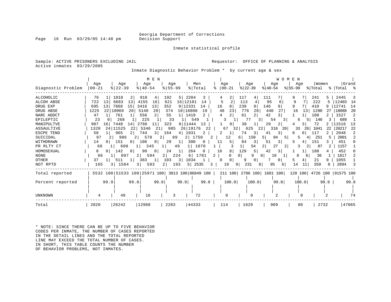Page 16 Run  $03/29/05$  14:48 pm

Inmate statistical profile

Sample: ACTIVE PRISONERS EXCLUDING JAIL **Requestor:** OFFICE OF PLANNING & ANALYSIS Active inmates 03/29/2005

Inmate Diagnostic Behavior Problem \* by current age & sex

| Diagnostic Problem | Age<br>$ 00 - 21$ | Age<br>$ 22-39$ | M E N<br>Age<br>$8   40 - 54$ | Age<br>$8155 - 99$    | Men<br>% Total              | Aqe<br>$ 00-21 $ | Age<br>$ 22-39 $  | <b>WOMEN</b><br>Age<br>$8140 - 54$<br>$8155 - 99$ | Aqe                   | Women<br>% Total  | Grand<br>%  Total %        |
|--------------------|-------------------|-----------------|-------------------------------|-----------------------|-----------------------------|------------------|-------------------|---------------------------------------------------|-----------------------|-------------------|----------------------------|
| ALCOHOLIC          | 76                | 1018<br>2       | 918<br>4                      | 192<br>5              | 2204<br>3                   | 2                | 117<br>4          | 111                                               |                       | 241<br>5.         | 2445                       |
| ALCOH ABSE         | 722<br>13         | 6683<br>13      | 4155<br>16                    | 621                   | 16   12181<br>14            | 2                | 113<br>4          | 95<br>6                                           | 9                     | 222<br>5          | 12403<br>14                |
| DRUG EXP           | 13<br>695         | 7868<br>15      | 3416<br>13                    | 352                   | 9 12331<br>14               | 16<br>8          | 239<br>9          | 146<br>9                                          |                       | 410<br>9          | 12741<br>14                |
| DRUG ABSE          | 1225              | 22 10069<br>20  | 20<br>5140                    | 374                   | 10 16808<br>19              | 48<br>23         | 776<br>28         | 440<br>27                                         | 13 <sup>1</sup><br>16 | 1280<br>27        | 18088<br>20                |
| NARC ADDCT         | 47                | 761             | 556<br>2                      | 55                    | 1419                        | 2<br>4           | 61                | 42<br>3                                           |                       | 108               | 2<br>1527                  |
| EPILEPTIC          | 23                | 268             | 225                           | 33                    | 549                         |                  | 77<br>.3 I        | 54<br>3.                                          |                       | 140               | 689                        |
| MANIPULTVE         | 907<br>16         | 7448<br>14      | 2766                          | 323                   | 8   11444<br>13             | 0                | 38                | 29<br>2                                           | 3                     | 72                | 11516<br>13                |
| ASSAULTIVE         | 1320<br>24        | 11525<br>22     | 5346                          | 985                   | 26 19176<br>22              | 67<br>32         | 625<br>22         | 316<br>201                                        | 33<br>26              | 22<br>1041        | 22<br>20217                |
| <b>ESCPE TEND</b>  | 58                | 965             | 31<br>744                     | 164<br>4 <sup>1</sup> | 1931                        | 2                | 3<br>74           | 41<br>3                                           | $\Omega$              | 117               | 2048<br>2                  |
| SUICIDAL           | 97<br>2.          | 986             | 578                           | 89                    | 2 <sup>1</sup><br>1750<br>2 | 12               | 150<br>5<br>6     | 84<br>5 I                                         |                       | 251               | 2001                       |
| WITHDRAWN          | 14                | 151<br>$\Omega$ | 106<br>0                      | 29<br>1               | 300<br>0                    | 5<br>11          | 3<br>84           | 51<br>3                                           | 5                     | 151               | 451                        |
| PR RLTY CT         | 68                | 608             | 345                           | 49                    | 1070                        |                  | 54<br>2<br>ᆚᅵ     | 27<br>2                                           |                       | -87               | 1157                       |
| HOMOSEXUAL         |                   | 142<br>0        | 90<br>0                       | 24<br>1               | 264<br>$\Omega$             | 8<br>16          | 129<br>5          | 42<br>3                                           |                       | 188               | 452                        |
| <b>NONE</b>        | 66                | 897             | 594<br>2                      | 2 <br>224             | 1781<br>6 I                 | 2                | 9<br>0<br>0       | 19                                                | 8<br>6                | 36                | 1817                       |
| <b>OTHER</b>       | 37                | 511             | 383                           | 103<br>3              | 1034                        | 0<br>$\Omega$    | 9<br>0            | 0                                                 | 5                     | 21                | 1055                       |
| NOT RPTD           | 165               | 1584<br>3 I     | 3 I<br>593                    | 193<br>2 <sub>1</sub> | 2535<br>5 <sup>1</sup><br>3 | 19<br>9          | 231<br>8          | 95<br>6                                           | 14                    | 359<br>8          | 2894                       |
| Total reported     |                   |                 | 5532 100 51533 100 25971 100  |                       | 3813 100 86849 100          | 211 100          | 2786 100 1601 100 |                                                   |                       |                   | 128 100 4726 100 91575 100 |
| Percent reported   | 99.9              | 99.8            | 99.9                          | 99.9                  | 99.8                        | 100.0            | 100.0             | 99.8                                              | 100.0                 | 99.9 <sub>1</sub> | 99.8                       |
| UNKNOWN            | 4                 | 49              | 16                            |                       | 72                          | O                | <sup>0</sup>      | $\mathfrak{D}$                                    |                       |                   | 74                         |
| Total              | 2820              | 26242           | 12988                         | 2283                  | 44333                       | 114              | 1629              | 909                                               | 80                    | 2732              | 47065                      |

\* NOTE: SINCE THERE CAN BE UP TO FIVE BEHAVIOR CODES PER INMATE, THE NUMBER OF CASES REPORTED IN THE DETAIL LINES AND THE TOTAL REPORTED LINE MAY EXCEED THE TOTAL NUMBER OF CASES. IN SHORT, THIS TABLE COUNTS THE NUMBER OF BEHAVIOR PROBLEMS, NOT INMATES.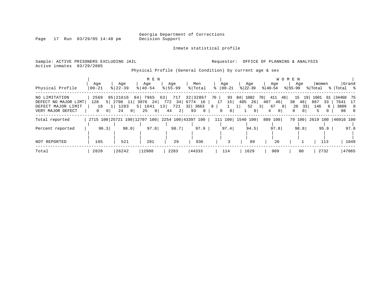Inmate statistical profile

Page 17 Run 03/29/05 14:48 pm

Active inmates 03/29/2005

Sample: ACTIVE PRISONERS EXCLUDING JAIL **Requestor:** OFFICE OF PLANNING & ANALYSIS

Physical Profile (General Condition) by current age & sex

|                      |          |                                                 | M E N         |             |                    |                               |                  |                     | W O M E N                  |                      |                |
|----------------------|----------|-------------------------------------------------|---------------|-------------|--------------------|-------------------------------|------------------|---------------------|----------------------------|----------------------|----------------|
|                      | Age      | Age                                             | Age           | Age         | Men                | Age                           | Age              | Age                 | Aqe                        | Women                | Grand          |
| Physical Profile     | 00-21    | $8   22 - 39$                                   | $8   40 - 54$ | $8155 - 99$ | % Total            | $ 00-21$                      | $ 22 - 39 $      | $ 40-54 $           | $8155 - 99$                | % Total              | %  Total %     |
| NO LIMITATION        | 2569     | 95 21616                                        | 84 7965       | 717<br>63   | 32 32867           | 93<br>76                      | 84 1082          | 411<br>70  <br>46   | $15 \quad 19$              | 1601<br>61           | 34468 75       |
| DEFECT NO MAJOR LIMT | 128      | 5 2798 11                                       | 3076<br>24    | 772 34      | 6774 16            | 15<br>17                      | 26<br>405        | 407 46              | 38 48                      | 867<br>33            | 7641<br>17     |
| DEFECT MAJOR LIMIT   | 18       | 1283                                            | 5 1641        | 13<br>721   | 32 3663            | 8 <sup>°</sup>                | 52               | 67<br>81<br>3 I     | 26<br>33                   | 146<br>-6            | 3809<br>- 8    |
| VERY MAJOR DEFECT    | 0 I<br>0 | 24<br>0 <sup>1</sup>                            | 25<br>$\circ$ | 2 <br>44    | 93<br>$\mathbf{0}$ | $\mathbf 0$<br>0 <sup>1</sup> | 0 <sup>1</sup>   | 4<br>0 <sup>1</sup> | $\Omega$<br>0 <sup>1</sup> | 5                    | 98<br>$\Omega$ |
| Total reported       |          | 2715 100 25721 100 12707 100 2254 100 43397 100 |               |             |                    |                               | 111 100 1540 100 | 889 100             | 79 100                     | 2619 100   46016 100 |                |
| Percent reported     | 96.3     | 98.0                                            | 97.8          | 98.7        | 97.9               | 97.4                          | 94.5             | 97.8                | 98.8                       | 95.9                 | 97.8           |
|                      |          |                                                 |               |             |                    |                               |                  |                     |                            |                      |                |
| NOT REPORTED         | 105      | 521                                             | 281           | 29          | 936                |                               | 89               | 20                  |                            | 113                  | 1049           |
| Total                | 2820     | 26242                                           | 12988         | 2283        | 44333              | 114                           | 1629             | 909                 | 80                         | 2732                 | 47065          |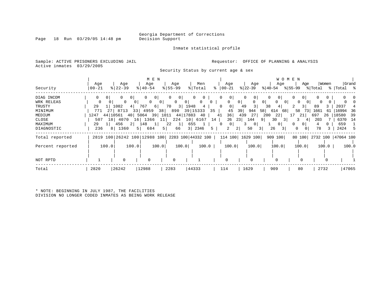Inmate statistical profile

Sample: ACTIVE PRISONERS EXCLUDING JAIL **Requestor:** OFFICE OF PLANNING & ANALYSIS Active inmates 03/29/2005

Security Status by current age & sex

| Security         | Age<br>$00 - 21$ | Age<br>$8$   22-39                | M E N<br>Age<br>$8 40-54$                   | Age<br>$8155 - 99$             | Men<br>% Total           | Age<br>$ 00-21 $           | Age<br>$ 22-39 $               | W O M E N<br>Age<br>୫∣40-54       | Age                  | Women      | Grand<br>$ \$ 55-99$ $ \$ Total$ $ \$ Total$ $ \$$ |
|------------------|------------------|-----------------------------------|---------------------------------------------|--------------------------------|--------------------------|----------------------------|--------------------------------|-----------------------------------|----------------------|------------|----------------------------------------------------|
| DIAG INCOM       | 0<br>01          | 0<br>0                            | 0<br>$\circ$                                | $\mathbf{0}$<br>0 <sup>1</sup> | $\mathbf{0}$             | 0<br>0                     | 0<br>0 <sub>1</sub>            | 0<br>0 <sup>1</sup>               | $\sigma$<br>0        | 0          |                                                    |
| WRK RELEAS       | $\Omega$         | $\mathbf{0}$<br>0 <sup>1</sup>    | $\circ$<br>0 <sup>1</sup><br>0 <sup>1</sup> | $\overline{0}$                 | 0<br>$\overline{0}$      | 0<br>$\Omega$              | 0 <sup>1</sup><br>$\mathbf{0}$ | 0 <sup>1</sup><br>$\Omega$<br>0 I | $\Omega$<br>$\Omega$ | 0          |                                                    |
| TRUSTY           | 29               | 1 1082<br>4                       | 767<br>6                                    | 70                             | 3 1948<br>$\overline{4}$ | $\overline{0}$<br>0        | 3 <br>49                       | 38<br>4                           | 3 <sup>1</sup>       | 89<br>3    | 2037                                               |
| MINIMUM          | 771              | 27 8713                           | 33 4959                                     | 38<br>890                      | 39 15333                 | 35<br>45                   | 39<br>944                      | 58 614<br>68                      | 58<br>73             | 1661<br>61 | 16994<br>36                                        |
| MEDIUM           | 1247             | 44 10561<br>40                    | 5064<br>39                                  | 1011                           | 44   17883<br>40         | 36<br>41                   | 439<br>27                      | 200<br>22                         | 21                   | 697<br>26  | 18580<br>39                                        |
| CLOSE            | 507              | 18 4070                           | 1366<br>16                                  | 224<br>11                      | 10 <sup>1</sup><br>6167  | 26<br>14                   | 23 <br>144<br>9                | 30<br>3                           |                      | 203        | 6370<br>- 14                                       |
| MAXIMUM          | 29               | 456<br>$\overline{2}$<br>$1 \mid$ | 148<br>1 <sub>1</sub>                       | 22<br>$\vert$ 1                | 655                      | $\overline{0}$<br>$\Omega$ | 0 <sup>1</sup><br>3.           | 0 I                               | $\Omega$<br>O        |            | 659                                                |
| DIAGNOSTIC       | 236              | 8 1360                            | $5 \mid$<br>684                             | 5 <br>66                       | 3   2346                 | 5<br>2                     | 2 <br>50<br>3                  | 26<br>3                           | 0<br>0               | 78<br>3    | 2424                                               |
| Total reported   |                  | 2819 100 26242 100 12988 100      |                                             |                                | 2283 100 44332 100       |                            | 114 100 1629 100               | 909 100                           |                      |            | 80 100 2732 100 47064 100                          |
| Percent reported | 100.0            | 100.0                             | 100.0                                       | 100.0                          | 100.0                    | 100.0                      | 100.0                          | 100.0                             | 100.0                | 100.0      | 100.0                                              |
| NOT RPTD         |                  |                                   | $\Omega$                                    | $\Omega$                       |                          | 0                          | $\Omega$                       |                                   |                      |            |                                                    |
|                  |                  |                                   |                                             |                                |                          |                            |                                |                                   |                      |            |                                                    |
| Total            | 2820             | 26242                             | 12988                                       | 2283                           | 44333                    | 114                        | 1629                           | 909                               | 80                   | 2732       | 47065                                              |

\* NOTE: BEGINNING IN JULY 1987, THE FACILITIES DIVISION NO LONGER CODED INMATES AS BEING WORK RELEASE

Page 18 Run 03/29/05 14:48 pm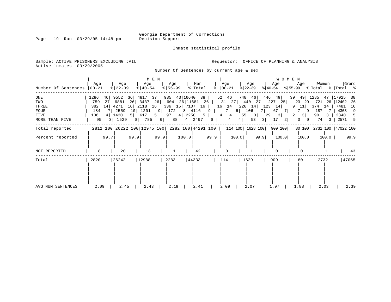Inmate statistical profile

Sample: ACTIVE PRISONERS EXCLUDING JAIL **Requestor:** OFFICE OF PLANNING & ANALYSIS Active inmates 03/29/2005

Number Of Sentences by current age & sex

| Number Of Sentences                                   | Age<br>$ 00-21 $                       |                | Age<br>$ 22-39$                                      |                                                  | M E N<br>Age<br>$8   40 - 54$      |                                  | Age<br>$ 55 - 99 $                                                                                           |       | Men<br>% Total           |        | Age<br>$\frac{1}{6}$   00-21          |                                      | Age<br>$ 22-39 $                                                |                 | Age<br>$ 40-54 $                                                                | W O M E N<br>Age<br>$ \$ 55-99 \$ \total \times \text{ Total \times |                                               | Women                                        |                             |                                              | Grand                |
|-------------------------------------------------------|----------------------------------------|----------------|------------------------------------------------------|--------------------------------------------------|------------------------------------|----------------------------------|--------------------------------------------------------------------------------------------------------------|-------|--------------------------|--------|---------------------------------------|--------------------------------------|-----------------------------------------------------------------|-----------------|---------------------------------------------------------------------------------|---------------------------------------------------------------------|-----------------------------------------------|----------------------------------------------|-----------------------------|----------------------------------------------|----------------------|
| ONE<br>TWO<br>THREE<br>FOUR<br>FIVE<br>MORE THAN FIVE | 1286<br>759<br>382<br>184<br>106<br>95 | 46<br>27<br>14 | 9552<br>6881<br>4271<br>2559<br>4   1430<br>3   1529 | 36 4817<br>26<br>16 2118<br>$5 \mid$<br>$6 \mid$ | 3437<br>10 1201<br>617<br>785      | 37<br>26<br>16<br>5 <br>$6 \mid$ | 985 43 16640 38<br>604 26 11681 26  <br>336 15 7107 16<br>9 172<br>$97 \quad 4 \mid 2250 \quad 5 \mid$<br>88 |       | 8 4116<br>4   2497       | 9<br>6 | $52 \quad 46$<br>16 14<br>7<br>4<br>4 | 31 27 440 27<br>6  <br>4 <br>55<br>4 | 748 46<br>$226$ 14<br>106<br>$\left  \frac{3}{2} \right $<br>53 | 7 I<br>29<br>31 | 446 49<br>227 25<br>$123 \quad 14$<br>67<br>7 I<br>3 <br>17<br>$\left 2\right $ | 39<br>23<br>9<br>7<br>2<br>0                                        | 49 1285<br>11  <br>91<br>3 <br>0 <sup>1</sup> | 29 721 26 12402 26<br>374<br>187<br>90<br>74 | 14<br>3 <sup>1</sup><br>3 I | 47   17925<br>7481<br>4303<br>2340<br>2571 5 | - 38<br>16<br>9<br>5 |
| Total reported<br>Percent reported<br>NOT REPORTED    | 8                                      | 99.7           | 20                                                   | 99.9                                             | 2812 100 26222 100 12975 100<br>13 | 99.9                             |                                                                                                              | 100.0 | 2282 100 44291 100<br>42 | 99.9   |                                       | 114 100 1628 100<br>100.0            |                                                                 | 99.9            | 909 100<br>100.0                                                                |                                                                     | 100.0<br>$\Omega$                             | 80 100 2731 100 47022 100                    | $100.0$                     |                                              | 99.9<br>43           |
| Total<br>AVG NUM SENTENCES                            | 2820<br>2.09                           |                | 26242<br>2.45                                        |                                                  | 12988<br>2.43                      |                                  | 2283<br>2.19                                                                                                 |       | 44333<br>2.41            |        | 114<br>2.09                           |                                      | 1629<br>2.07                                                    |                 | 909<br>1.97                                                                     | 80<br>1.88                                                          |                                               | 2732<br>2.03                                 |                             | 47065                                        | 2.39                 |

Page 19 Run 03/29/05 14:48 pm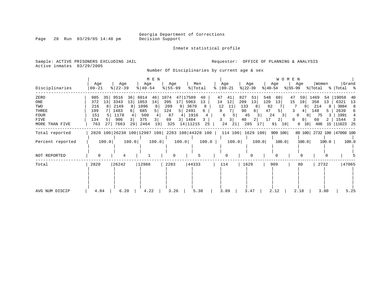Inmate statistical profile

Page 20 Run 03/29/05 14:48 pm

Sample: ACTIVE PRISONERS EXCLUDING JAIL **Requestor:** OFFICE OF PLANNING & ANALYSIS

Active inmates 03/29/2005

Number Of Disciplinaries by current age & sex

| Disciplinaries                                                       | Age<br>$ 00-21$                                                              | Age<br>$ 22-39 $                                                                 | M E N<br>Age<br>$\frac{1}{6}$   40-54                               | Age<br>$8 55-99$                                                                                                                           | Men<br>Age<br>% Total<br>ႜ                                       | Age<br>$ 22-39 $<br>$ 00-21$                                                                     | WOMEN<br>Age<br>Age<br>$ 55-99 $<br>$ 40-54 $                                                                                                                  | Women<br>Grand<br>% Total<br>%   Total %                                                                                                                                 |
|----------------------------------------------------------------------|------------------------------------------------------------------------------|----------------------------------------------------------------------------------|---------------------------------------------------------------------|--------------------------------------------------------------------------------------------------------------------------------------------|------------------------------------------------------------------|--------------------------------------------------------------------------------------------------|----------------------------------------------------------------------------------------------------------------------------------------------------------------|--------------------------------------------------------------------------------------------------------------------------------------------------------------------------|
| ZERO<br>ONE<br>TWO<br>THREE<br><b>FOUR</b><br>FIVE<br>MORE THAN FIVE | 985<br>35<br>13<br>372<br>216<br>199<br>151<br>134<br>763<br>27 <sub>1</sub> | 9516<br>36<br>3343<br>13<br>2149<br>1483<br>6<br>1178<br>906<br>3 <br>29<br>7663 | 6014<br>46<br>1853<br>14<br>1096<br>685<br>500<br>375<br>2464<br>19 | 1074<br>17589<br>47<br>17<br>5963<br>395<br>3670<br>209<br>9<br>5  <br>2491<br>124<br>87<br>4 1916<br>1484<br>69<br>3 I<br>14 11215<br>325 | 47<br>40<br>14<br>13<br>12<br>8<br>6<br>6<br>3<br>3.<br>25<br>24 | 827<br>41<br>51<br>12<br>13<br>209<br>11<br>133<br>90<br>45<br>5.<br>3 <br>40<br>285<br>21<br>17 | 548<br>60<br>47<br>59<br>13<br>120<br>15<br>19<br>62<br>47<br>5<br>4<br>24<br>3.<br>17<br>2<br>0 <sup>1</sup><br>91<br>8<br>10 <sup>1</sup><br>10 <sub>1</sub> | 19058<br>1469<br>54<br>40<br>358<br>6321<br>13<br>13<br>214<br>3884<br>8<br>8<br>148<br>5.<br>2639<br>75<br>1991<br>0 <sup>1</sup><br>1544<br>60<br>408<br>15   11623 25 |
| Total reported                                                       |                                                                              |                                                                                  |                                                                     | 2820 100 26238 100 12987 100 2283 100 44328 100                                                                                            |                                                                  | 114 100   1629 100                                                                               | 909 100                                                                                                                                                        | 80 100 2732 100 47060 100                                                                                                                                                |
| Percent reported                                                     | 100.0                                                                        | 100.0                                                                            | 100.0                                                               | 100.0                                                                                                                                      | 100.0                                                            | 100.0<br>100.0                                                                                   | 100.0<br>100.0                                                                                                                                                 | 100.0<br>100.0                                                                                                                                                           |
| NOT REPORTED                                                         | 0                                                                            |                                                                                  |                                                                     | 0                                                                                                                                          |                                                                  | 0                                                                                                |                                                                                                                                                                |                                                                                                                                                                          |
| Total                                                                | 2820                                                                         | 26242                                                                            | 12988                                                               | 2283                                                                                                                                       | 44333<br>114                                                     | 1629                                                                                             | 909<br>80                                                                                                                                                      | 47065<br>2732                                                                                                                                                            |
| AVG NUM DISCIP                                                       | 4.84                                                                         | 6.20                                                                             | 4.22                                                                | 3.26                                                                                                                                       | 3.89<br>5.38                                                     | 3.47                                                                                             | 2.12<br>2.18                                                                                                                                                   | 5.25<br>3.00                                                                                                                                                             |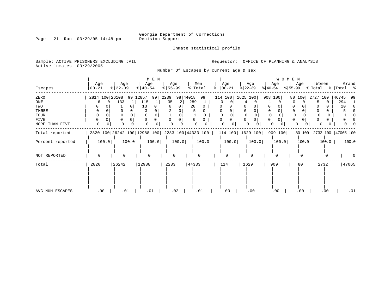Inmate statistical profile

Sample: ACTIVE PRISONERS EXCLUDING JAIL **Requestor:** OFFICE OF PLANNING & ANALYSIS

Active inmates 03/29/2005

Page 21 Run 03/29/05 14:48 pm

Number Of Escapes by current age & sex

|                  |                   | M E N |                  |         |                                                 |          |                  |       |                |              |   |                    |                  |       |           |         | <b>WOMEN</b> |       |                  |       |                           |       |
|------------------|-------------------|-------|------------------|---------|-------------------------------------------------|----------|------------------|-------|----------------|--------------|---|--------------------|------------------|-------|-----------|---------|--------------|-------|------------------|-------|---------------------------|-------|
| Escapes          | Age<br>$ 00 - 21$ |       | Age<br>$ 22-39 $ |         | Age<br>$\frac{1}{6}$   40-54                    |          | Age<br>$8 55-99$ |       | Men<br>% Total |              | ႜ | Age<br>$ 00-21$    | Age<br>$ 22-39 $ |       | $ 40-54 $ | Age     | $ 55-99 $    | Age   | Women<br>% Total |       | %   Total %               | Grand |
| ZERO             | 2814 100 26108    |       |                  |         | 99   12857                                      | 99       | 2239             |       | 98 44018       | 99           |   | 114 100            | 1625 100         |       | 908 100   |         | 80           | 100   | 2727             | 100   | 46745                     | 99    |
| ONE              | 6                 |       | 133              | $\perp$ | 115                                             |          | 35               |       | 289            |              |   |                    |                  |       |           |         |              | 0     |                  |       | 294                       |       |
| TWO              |                   |       |                  |         | 13                                              |          | 6                |       | 20             |              |   |                    |                  |       |           |         |              |       |                  |       | 20                        |       |
| THREE            |                   |       |                  |         |                                                 |          |                  |       |                |              |   |                    |                  |       |           |         |              |       |                  |       |                           |       |
| FOUR             | 0                 |       |                  |         |                                                 |          |                  |       |                | <sup>0</sup> |   |                    |                  |       | $\Omega$  |         |              |       |                  |       |                           |       |
| FIVE             | 0                 |       | 0                |         |                                                 |          | $\Omega$         |       | $\Omega$       |              |   | 0                  | 0                |       | 0         | 0       | 0            |       |                  |       |                           |       |
| MORE THAN FIVE   | 0                 |       | $\Omega$         | 0       |                                                 | $\Omega$ | $\Omega$         |       |                |              |   | 0                  | 0                | 0     | 0         |         |              | 0     | 0                |       |                           |       |
| Total reported   |                   |       |                  |         | 2820 100 26242 100 12988 100 2283 100 44333 100 |          |                  |       |                |              |   | 114 100   1629 100 |                  |       |           | 909 100 |              |       |                  |       | 80 100 2732 100 47065 100 |       |
| Percent reported |                   | 100.0 |                  | 100.0   |                                                 | 100.0    |                  | 100.0 |                | 100.0        |   | 100.0              |                  | 100.0 |           | 100.0   |              | 100.0 |                  | 100.0 |                           | 100.0 |
|                  |                   |       |                  |         |                                                 |          |                  |       |                |              |   |                    |                  |       |           |         |              |       |                  |       |                           |       |
| NOT REPORTED     | 0                 |       | $\Omega$         |         | <sup>0</sup>                                    |          |                  |       |                |              |   | 0                  |                  |       |           |         |              |       |                  |       |                           |       |
| Total            | 2820              |       | 26242            |         | 12988                                           |          | 2283             |       | 44333          |              |   | 114                | 1629             |       |           | 909     |              | 80    | 2732             |       |                           | 47065 |
|                  |                   |       |                  |         |                                                 |          |                  |       |                |              |   |                    |                  |       |           |         |              |       |                  |       |                           |       |
| AVG NUM ESCAPES  | .00               |       | .01              |         | .01                                             |          |                  | .02   |                | .01          |   | .00                |                  | .00   |           | .00     |              | .00   |                  | .00   |                           | .01   |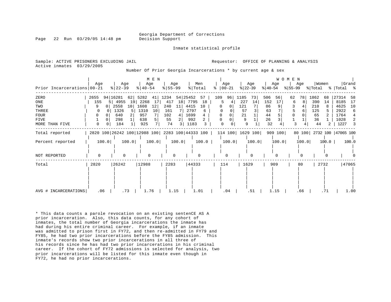Georgia Department of Corrections

Inmate statistical profile

Page 22 Run 03/29/05 14:48 pm Decision Support

Sample: ACTIVE PRISONERS EXCLUDING JAIL **Analysis** Requestor: OFFICE OF PLANNING & ANALYSIS Active inmates 03/29/2005

Number Of Prior Georgia Incarcerations \* by current age & sex

|                            | Age  | M E N<br>Age<br>Age<br>Men<br>Age |           |       |                                                 |       |                        |          |          |            |     | Age      |      | Age               |           | Age      | <b>WOMEN</b> | Age   | Women   |       |                           | Grand |
|----------------------------|------|-----------------------------------|-----------|-------|-------------------------------------------------|-------|------------------------|----------|----------|------------|-----|----------|------|-------------------|-----------|----------|--------------|-------|---------|-------|---------------------------|-------|
| Prior Incarcerations 00-21 |      |                                   | $ 22-39 $ |       | $ 40-54 $                                       |       | $\frac{8}{55}$ 55 - 99 |          |          | % Total    | ៖   | $ 00-21$ |      | $ 22-39 $         | $ 40-54 $ |          | $ 55-99 $    |       | % Total |       | %   Total %               |       |
| ZERO                       | 2655 |                                   | 94 16281  |       | 62 5282                                         | 41    | 1234                   |          | 54 25452 | 57         | 109 | 96       | 1185 | 731               | 506       | 56       | 62           | 78    | 1862    | 68    | 27314                     | 58    |
| ONE                        | 155  |                                   | 4955      | 19    | 2268                                            | 17    | 417                    | 18       |          | 7795<br>18 | 5   |          | 227  | 14                | 152       | 17       | 6            | 8     | 390     | 14    | 8185                      | 17    |
| TWO                        |      | 0                                 | 2558      | 10    | 1608                                            | 12    | 240                    | 11       | 4415     | 10         |     | 0        | 121  |                   | 86        |          |              |       | 210     |       | 4625                      | 10    |
| THREE                      | 0    |                                   | 1326      | .5    | 1310                                            | 10    | 161                    |          | 2797     | 6          |     |          | 57   |                   | 63        |          |              | 6     | 125     |       | 2922                      | 6     |
| <b>FOUR</b>                |      |                                   | 640       |       | 957                                             |       | 102                    | 4        | 1699     |            |     |          | 21   |                   | 44        |          |              |       | 65      |       | 1764                      | 4     |
| FIVE                       |      |                                   | 298       |       | 638                                             |       | 55                     |          | 992      |            |     |          | 9    |                   | 26        |          |              |       | 36      |       | 1028                      | 2     |
| MORE THAN FIVE             | 0    |                                   | 184       |       | 925                                             | 7     | 74                     |          | 1183     |            |     |          |      | 9                 | 32        |          | 3            |       | 44      | 2     | 1227                      | 3     |
| Total reported             |      |                                   |           |       | 2820 100 26242 100 12988 100 2283 100 44333 100 |       |                        |          |          |            |     |          |      | 114 100  1629 100 |           | 909 100  |              |       |         |       | 80 100 2732 100 47065 100 |       |
| Percent reported           |      | 100.0                             |           | 100.0 |                                                 | 100.0 |                        | 100.0    |          | 100.0      |     | 100.0    |      | 100.0             |           | 100.0    |              | 100.0 |         | 100.0 |                           | 100.0 |
| NOT REPORTED               |      |                                   | $\Omega$  |       | $\Omega$                                        |       |                        | $\Omega$ |          |            |     |          |      |                   |           | $\Omega$ |              |       |         |       |                           |       |
| Total                      | 2820 |                                   | 26242     |       | 12988                                           |       | 2283                   |          |          | 44333      |     | 114      |      | 1629              |           | 909      |              | 80    |         | 2732  |                           | 47065 |
| AVG # INCARCERATIONS       | .06  |                                   | .73       |       | 1.76                                            |       |                        | 1.15     |          | 1.01       |     | .04      |      | .51               |           | 1.15     |              | .66   |         | .71   |                           | 1.00  |

\* This data counts a parole revocation on an existing sentenCE AS A prior incarceration. Also, this data counts, for any cohort of inmates, the total number of Georgia incarcerations the inmate has had during his entire criminal career. For example, if an inmate was admitted to prison first in FY72, and then re-admitted in FY79 and FY85, he had two prior incarcerations before the FY85 admission. This inmate's records show two prior incarcerations in all three of his records since he has had two prior incarcerations in his criminal career. If the cohort of FY72 admissions is selected for analysis, two prior incarcerations will be listed for this inmate even though in FY72, he had no prior incarcerations.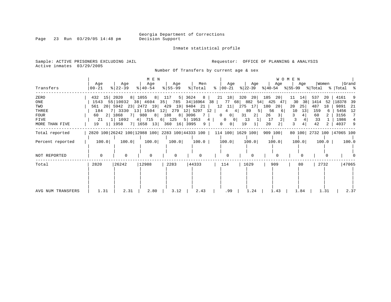Page 23 Run 03/29/05 14:48 pm

Inmate statistical profile

Sample: ACTIVE PRISONERS EXCLUDING JAIL **Requestor:** OFFICE OF PLANNING & ANALYSIS Active inmates 03/29/2005

Number Of Transfers by current age & sex

|                   |                |                                                    | M E N                |                  |                           |                                |                            |                                                                                | WOMEN           |           |                           |
|-------------------|----------------|----------------------------------------------------|----------------------|------------------|---------------------------|--------------------------------|----------------------------|--------------------------------------------------------------------------------|-----------------|-----------|---------------------------|
| Transfers         | Age<br>  00-21 | Age<br>$8 22-39$                                   | Age<br>$8   40 - 54$ | Age<br>$8 55-99$ | Men<br>% Total            | Age                            | Age                        | Age                                                                            | Age             | Women     | Grand                     |
| ZERO              | 432 15         | 2020                                               | 8   1055   8   117   |                  | $5 \mid 3624$<br>$8-1$    | 21 18                          | $320 \quad 20$             | 185<br>-20                                                                     | 11<br>14        | 537<br>20 | 4161                      |
| ONE               |                | 1543 55 10032 38 4604 35 785 34 16964 38           |                      |                  |                           |                                |                            | 77 68 882 54 425 47                                                            | $30 \quad 38$   | 1414 52   | - 39<br>18378             |
| TWO               |                | 561 20 5942 23 2472 19 429 19 9404 21              |                      |                  |                           |                                | 12 11 275 17 180           | 20                                                                             | 20<br>$25 \mid$ | 487<br>18 | 9891<br>- 21              |
| THREE             | 184            | 7 3330 13 1504 12 279 12 5297 12                   |                      |                  |                           | $4 \quad 4$                    | 89<br>51                   | 56<br>-61                                                                      | 13<br>10        | 159       | 5456<br>12                |
| FOUR              | 60 -           | 2   1868    7    980    8    188    8    3096    7 |                      |                  |                           | $0$  <br>$\overline{0}$        | 2 <br>31                   | 3 <br>26                                                                       | 4 <br>3         | 60        | 3156<br>$\overline{7}$    |
| FIVE              | 21             | 1 1092                                             | 4 715 6 125          |                  | $5 \mid 1953 \mid 4 \mid$ | $\overline{0}$                 | 13<br>$\overline{0}$<br>11 | 17                                                                             | 3               | 33        | 1986<br>4                 |
| MORE THAN FIVE    |                | 19 1 1958 7 1658 13 360 16 3995                    |                      |                  | $9+$                      | $\mathbf{0}$<br>$\overline{0}$ | 19                         | 2 <sup>1</sup><br>20                                                           |                 | 42        | 4037<br>- 9               |
| Total reported    |                |                                                    |                      |                  |                           |                                |                            | 2820 100 26242 100 12988 100 2283 100 44333 100   114 100   1629 100   909 100 |                 |           | 80 100 2732 100 47065 100 |
| Percent reported  | 100.0          | 100.0                                              | 100.0                | 100.0            | 100.0                     | 100.0                          | 100.0                      | 100.0                                                                          | 100.0           | $100.0$   | 100.0                     |
|                   |                |                                                    |                      |                  |                           |                                |                            |                                                                                |                 |           |                           |
| NOT REPORTED      | $\mathbf 0$    | $\Omega$                                           | $\Omega$             | 0                | $\Omega$                  | $\Omega$                       | $\Omega$                   | <sup>0</sup>                                                                   |                 |           |                           |
| Total             | 2820           | 26242                                              | 12988                | 2283             | 44333                     | 114                            | 1629                       | 909                                                                            | 80              | 2732      | 47065                     |
|                   |                |                                                    |                      |                  |                           |                                |                            |                                                                                |                 |           |                           |
| AVG NUM TRANSFERS | 1.31           | 2.31                                               | 2.80                 | 3.12             | 2.43                      | .99                            | 1.24                       | 1.43                                                                           | 1.84            | 1.31      | 2.37                      |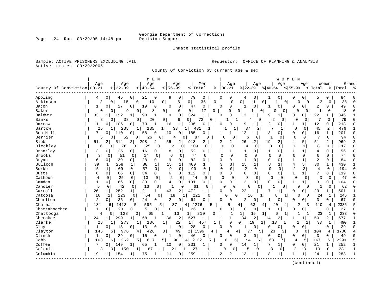Page 24 Run 03/29/05 14:48 pm

### Inmate statistical profile

Sample: ACTIVE PRISONERS EXCLUDING JAIL **Requestor:** OFFICE OF PLANNING & ANALYSIS Active inmates 03/29/2005

County Of Conviction by current age & sex

| Age<br>Age<br>Men<br>Age<br>Women<br>  Grand<br>Age<br>Age<br>Age<br>Age<br>Age<br>$00 - 21$<br>$ 22-39 $<br>County Of Conviction 00-21<br>$ 22-39$<br>$8   40 - 54$<br>$8155 - 99$<br>% Total<br>$ 40-54$<br>$8155 - 99$<br>% Total<br>ిక<br>%   Total<br>్య<br>Appling<br>21<br>79<br>$\mathbf 0$<br>0<br>4<br>0<br>45<br>0<br>0<br>9<br>0<br>$\Omega$<br>0<br>0<br>5<br>0<br>84<br>4<br>0<br>0<br>38<br>Atkinson<br>2<br>18<br>0<br>0<br>$\Omega$<br>$\overline{0}$<br>$\mathbf{1}$<br>0<br>2<br>$\Omega$<br>$\Omega$<br>10<br>0<br>6<br>36<br>$\overline{0}$<br>O<br>$\Omega$<br>0<br>$\mathsf{O}$<br>$\mathbf 0$<br>27<br>19<br>0<br>0<br>$\mathbf 0$<br>2<br>49<br>1<br>$\mathbf 0$<br>$\Omega$<br>$\Omega$<br>47<br>$\Omega$<br>$\mathbf{1}$<br>0<br>$\Omega$<br>0<br>$\Omega$<br>$\Omega$<br>Bacon<br>1<br>0 <sup>1</sup><br>Baker<br>$\Omega$<br>9<br>8<br>18<br>0<br>$\Omega$<br>17<br>0<br>$\Omega$<br>$\Omega$<br>$\mathbf 0$<br>O<br>0<br>$\Omega$<br>0<br>1<br>$\Omega$<br>$\Omega$<br>0<br>∩<br>$\overline{1}$<br>Baldwin<br>192<br>$\mathbf{1}$<br>$\mathbf 0$<br>324<br>$\Omega$<br>0<br>13<br>$\mathbf{1}$<br>22<br>33<br>90<br>9<br>9<br>0<br>0<br>346<br>79<br>Banks<br>20<br>0<br>7<br>8<br>38<br>$\Omega$<br>$\mathbf{0}$<br>6<br>72<br>$\Omega$<br>$\mathbf{1}$<br>$\Omega$<br>2<br>$\Omega$<br>$\Omega$<br>$\Omega$<br>0<br>4<br>0<br>206<br>12<br>106<br>0<br>73<br>1<br>1<br>$\Omega$<br>O<br>9<br>1<br>2<br>0<br>1<br>0<br>218<br>Barrow<br>11<br>0<br>16<br>0<br>1<br><sup>0</sup><br>$\overline{c}$<br>37<br>7<br>$\mathbf 0$<br>45<br>476<br>Bartow<br>25<br>238<br>1<br>135<br>1 <br>33<br>1 <sup>1</sup><br>431<br>$\mathbf{1}$<br>0<br>1<br>2<br>$\mathbf{1}$<br>Ben Hill<br>7<br>58<br>185<br>12<br>3<br>$\Omega$<br>16<br>201<br>110<br>0<br>10<br>1<br>1<br>0<br>0<br>1<br>$\Omega$<br>0 <sup>1</sup><br>0<br>0<br>O<br>-1<br>Berrien<br>5<br>94<br>52<br>0<br>26<br>0<br>87<br>U<br>6<br>-1<br>0<br>$\Omega$<br>0<br>0<br>0<br>4<br>0<br>O<br>0<br>0<br>2<br><b>Bibb</b><br>298<br>2<br>$\overline{2}$<br>$\overline{2}$<br>2<br>19<br>2<br>5<br>51<br>51<br>2<br>514<br>2 <br>55<br>918<br>2<br>2<br>26<br>4<br>969<br>$\mathcal{D}$<br>3<br>Bleckley<br>76<br>25<br>2<br>109<br>$\mathbf 0$<br>$\mathbf{1}$<br>8<br>0 <sup>1</sup><br>0<br>$\mathbf 0$<br>$\Omega$<br>4<br>$\circ$<br>0<br>1<br>0<br>117<br>$\Omega$<br>6<br>0<br>$\Omega$<br>Brantley<br>3<br>16<br>52<br>$\Omega$<br>56<br>$\Omega$<br>25<br>0<br>0<br>8<br>0<br>0<br>1<br>1<br>0<br>1<br>$\Omega$<br>1<br>$\mathbf{1}$<br>$\overline{4}$<br>$\Omega$<br>1<br>Brooks<br>3<br>51<br>6<br>74<br>$\Omega$<br>$\mathbf 0$<br>$\Omega$<br>14<br>$\mathbf 0$<br>$\mathbf 0$<br>$\Omega$<br>$\Omega$<br>$\Omega$<br>$\Omega$<br>$\Omega$<br>74<br>$\Omega$<br>0<br>$\mathbf 0$<br>0<br>$\Omega$<br>0<br>28<br>82<br>$\overline{2}$<br>6<br>39<br>0<br>9<br>$\Omega$<br>$\Omega$<br>$\mathbf{1}$<br>$\Omega$<br>$\Omega$<br>$\mathbf{1}$<br>$\mathbf{1}$<br>84<br>$\Omega$<br>Bryan<br>$\Omega$<br>$\Omega$<br>$\Omega$<br>$\Omega$<br>$\Omega$<br>0<br>3<br>$\overline{4}$<br>5<br>30<br>Bulloch<br>39<br>258<br>88<br>1<br>15<br>400<br>ζ<br>15<br>8<br>$\mathbf{1}$<br>430<br>1<br>1<br>1<br>1<br>$\overline{2}$<br>Burke<br>$\Omega$<br>$\overline{a}$<br>$\Omega$<br>3<br>15<br>$\mathbf{1}$<br>109<br>57<br>9<br>$\Omega$<br>190<br>$\Omega$<br>$\Omega$<br>$\Omega$<br>$\Omega$<br>194<br>$\Omega$<br>$\Omega$<br>$\Omega$<br>4<br>$\cap$<br>$\Omega$<br>$\mathbf{0}$<br>34<br>0<br>6<br>$\mathbf 0$<br>112<br>$\mathbf 0$<br>6<br>0<br>$\mathbf{1}$<br>7<br>0<br>119<br><b>Butts</b><br>6<br>$\Omega$<br>66<br>0<br>$\Omega$<br>$\Omega$<br>1<br>$\Omega$<br>Calhoun<br>$\mathbf 0$<br>$\overline{2}$<br>$\Omega$<br>$\overline{4}$<br>$\mathbf 0$<br>25<br>$\mathbf 0$<br>13<br>$\mathbf 0$<br>44<br>$\Omega$<br>$\mathbf 0$<br>3<br>0<br>0<br>$\mathbf 0$<br>$\mathbf 0$<br>47<br>$\Omega$<br>$\mathbf{0}$<br>3<br>Camden<br>$\overline{2}$<br>1<br>0<br>66<br>$\Omega$<br>30<br>0<br>101<br>$\mathbf{0}$<br>$\Omega$<br>$\Omega$<br>3<br>104<br>4<br>$\Omega$<br>0<br>$\Omega$<br>0<br>1<br>1 <sup>1</sup><br>0<br>$\Omega$<br>Candler<br>5<br>42<br>61<br>62<br>0<br>13<br>$\mathbf{0}$<br>1<br>$\circ$<br>$\Omega$<br>$\Omega$<br><sup>0</sup><br>0<br>1<br>$\Omega$<br>$\Omega$<br>0<br>0<br>0<br>$\Omega$<br>$\cap$<br>Carroll<br>472<br>26<br>282<br>121<br>2 <br>$\Omega$<br>22<br>7<br>29<br>501<br>$1\vert$<br>$1\vert$<br>43<br>0<br>1<br>O<br>0<br>1<br>-1<br>221<br>Catoosa<br>16<br>24<br>245<br>1<br>123<br>64<br>18<br>U<br>$\Omega$<br>$\mathbf 1$<br>8<br>$\Omega$<br>0<br>1<br>∩<br>16<br>1<br>$\Omega$<br>1<br>Charlton<br>2<br>3<br>36<br>24<br>2<br>64<br>$\overline{2}$<br>67<br>$\circ$<br>0<br>0<br>0<br>$\Omega$<br>0<br>0<br>O<br>0<br>0<br>$\Omega$<br>O<br>0<br>Chatham<br>181<br>2276<br>2<br>6<br>1413<br>5<br>595<br>5<br>87<br>4<br>5<br>4<br>63<br>40<br>110<br>2386<br>5<br>4<br>4<br>3<br>4<br>Chattahoochee<br>$\mathbf{1}$<br>5<br>26<br>$\mathbf{1}$<br>27<br>0<br>20<br>0 <sup>1</sup><br>0<br>$\Omega$<br>$\mathbf{0}$<br>$\Omega$<br>0<br>$\mathbf 0$<br>$\Omega$<br>0<br>$\Omega$<br>0<br>0<br>0<br>0<br>210<br>15<br>23<br>233<br>Chattooga<br>128<br>65<br>13<br>0<br>6<br>$0 \cdot$<br>1<br>1<br>1<br>1<br>$\Omega$<br>4<br>$\Omega$<br>$\mathbf{1}$<br>1<br>1<br>Cherokee<br>299<br>2<br>$\mathbf 1$<br>2<br>2<br>577<br>168<br>36<br>527<br>34<br>50<br>$\overline{2}$<br>24<br>1 <sup>1</sup><br>1<br>1<br>14<br>1<br>1<br>Clarke<br>26<br>273<br>22<br>1 <br>457<br>$\Omega$<br>$\overline{0}$<br>19<br>33<br>490<br>$1\vert$<br>1<br>.36<br>1<br>1<br>1 <sup>1</sup><br>13<br>$\mathbf{1}$<br>1<br>$\mathbf{1}$<br>$\mathbf 0$<br>Clay<br>13<br>13<br>0<br>0<br>28<br>$\mathbf 0$<br>0<br>$\Omega$<br>$\Omega$<br>29<br>$\Omega$<br>$\Omega$<br>$\Omega$<br>-1<br>0<br>0<br>1<br>$\Omega$<br>$\Omega$<br>1<br>2  <br>23<br>Clayton<br>145<br>976<br>426<br>3<br>49<br>1596<br>104<br>1700<br>5 <sub>1</sub><br>4<br>4<br>4<br>77<br>5 <sub>1</sub><br>3 <sup>1</sup><br>0<br>$\overline{0}$<br>4<br>4<br>29<br>3<br>Clinch<br>$\Omega$<br>15<br>0<br>$\mathbf 0$<br>46<br>$\Omega$<br>3<br>0<br>0<br>$\mathbf 0$<br>$\Omega$<br>$\Omega$<br>49<br>$\Omega$<br>1<br>$\Omega$<br>$\Omega$<br>$\Omega$<br>$\Omega$<br>1<br>Cobb<br>2132<br>163<br>1262<br>5<br>90<br>63<br>2299<br>6  <br>617<br>5.<br>4 <br>5<br>б<br>5<br>94<br>7<br>4<br>5<br>167<br>6<br>5<br>6<br>Coffee<br>7<br>$\mathbf{1}$<br>10<br>0<br>231<br>$\Omega$<br>14<br>$\mathbf{1}$<br>7<br>21<br>252<br>$\mathbf{1}$<br>149<br>65<br>$\Omega$<br>1<br>$\Omega$<br>$\Omega$<br>1<br>$\Omega$<br>$\overline{a}$<br>Colquit<br>21<br>271<br>5<br>3<br>$\Omega$<br>3<br>281<br>13<br>150<br>87<br>U<br>0<br>0<br>10<br>$\Omega$<br>$\Omega$<br>1<br>1 <sup>1</sup><br>Columbia<br>2<br>8<br>283<br>19<br>154<br>75<br>11<br>259<br>2<br>13<br>1<br>1<br>$\mathbf{1}$<br>24<br>1<br>1<br>0<br>1<br>1 |  |  | M E N |  |  |  |  | WOMEN |  |  |  |
|-------------------------------------------------------------------------------------------------------------------------------------------------------------------------------------------------------------------------------------------------------------------------------------------------------------------------------------------------------------------------------------------------------------------------------------------------------------------------------------------------------------------------------------------------------------------------------------------------------------------------------------------------------------------------------------------------------------------------------------------------------------------------------------------------------------------------------------------------------------------------------------------------------------------------------------------------------------------------------------------------------------------------------------------------------------------------------------------------------------------------------------------------------------------------------------------------------------------------------------------------------------------------------------------------------------------------------------------------------------------------------------------------------------------------------------------------------------------------------------------------------------------------------------------------------------------------------------------------------------------------------------------------------------------------------------------------------------------------------------------------------------------------------------------------------------------------------------------------------------------------------------------------------------------------------------------------------------------------------------------------------------------------------------------------------------------------------------------------------------------------------------------------------------------------------------------------------------------------------------------------------------------------------------------------------------------------------------------------------------------------------------------------------------------------------------------------------------------------------------------------------------------------------------------------------------------------------------------------------------------------------------------------------------------------------------------------------------------------------------------------------------------------------------------------------------------------------------------------------------------------------------------------------------------------------------------------------------------------------------------------------------------------------------------------------------------------------------------------------------------------------------------------------------------------------------------------------------------------------------------------------------------------------------------------------------------------------------------------------------------------------------------------------------------------------------------------------------------------------------------------------------------------------------------------------------------------------------------------------------------------------------------------------------------------------------------------------------------------------------------------------------------------------------------------------------------------------------------------------------------------------------------------------------------------------------------------------------------------------------------------------------------------------------------------------------------------------------------------------------------------------------------------------------------------------------------------------------------------------------------------------------------------------------------------------------------------------------------------------------------------------------------------------------------------------------------------------------------------------------------------------------------------------------------------------------------------------------------------------------------------------------------------------------------------------------------------------------------------------------------------------------------------------------------------------------------------------------------------------------------------------------------------------------------------------------------------------------------------------------------------------------------------------------------------------------------------------------------------------------------------------------------------------------------------------------------------------------------------------------------------------------------------------------------------------------------------------------------------------------------------------------------------------------------------------------------------------------------------------------------------------------------------------------------------------------------------------------------------------------------------------------------------------------------------------------------------------------------------------------------------------------------------------------------------------------------------------------------------------------------------------------------------------------------------------------------------------------------------------------------------------------------------------------------------------------------------------------------------------------------------------------------------------------------------------------------------------------------------------------------------------------------------------------------------------------------------------------------------------------------------------------------------------------------------------------------------------------------------------------------------------------------------------------------------------------------------------------------------------------------------------------------------------------------------------------------------------------------------------------------------------------------------------------------------------------------------------------------------------------------------------------------------------------------------------|--|--|-------|--|--|--|--|-------|--|--|--|
|                                                                                                                                                                                                                                                                                                                                                                                                                                                                                                                                                                                                                                                                                                                                                                                                                                                                                                                                                                                                                                                                                                                                                                                                                                                                                                                                                                                                                                                                                                                                                                                                                                                                                                                                                                                                                                                                                                                                                                                                                                                                                                                                                                                                                                                                                                                                                                                                                                                                                                                                                                                                                                                                                                                                                                                                                                                                                                                                                                                                                                                                                                                                                                                                                                                                                                                                                                                                                                                                                                                                                                                                                                                                                                                                                                                                                                                                                                                                                                                                                                                                                                                                                                                                                                                                                                                                                                                                                                                                                                                                                                                                                                                                                                                                                                                                                                                                                                                                                                                                                                                                                                                                                                                                                                                                                                                                                                                                                                                                                                                                                                                                                                                                                                                                                                                                                                                                                                                                                                                                                                                                                                                                                                                                                                                                                                                                                                                                                                                                                                                                                                                                                                                                                                                                                                                                                                                                                                                               |  |  |       |  |  |  |  |       |  |  |  |
|                                                                                                                                                                                                                                                                                                                                                                                                                                                                                                                                                                                                                                                                                                                                                                                                                                                                                                                                                                                                                                                                                                                                                                                                                                                                                                                                                                                                                                                                                                                                                                                                                                                                                                                                                                                                                                                                                                                                                                                                                                                                                                                                                                                                                                                                                                                                                                                                                                                                                                                                                                                                                                                                                                                                                                                                                                                                                                                                                                                                                                                                                                                                                                                                                                                                                                                                                                                                                                                                                                                                                                                                                                                                                                                                                                                                                                                                                                                                                                                                                                                                                                                                                                                                                                                                                                                                                                                                                                                                                                                                                                                                                                                                                                                                                                                                                                                                                                                                                                                                                                                                                                                                                                                                                                                                                                                                                                                                                                                                                                                                                                                                                                                                                                                                                                                                                                                                                                                                                                                                                                                                                                                                                                                                                                                                                                                                                                                                                                                                                                                                                                                                                                                                                                                                                                                                                                                                                                                               |  |  |       |  |  |  |  |       |  |  |  |
|                                                                                                                                                                                                                                                                                                                                                                                                                                                                                                                                                                                                                                                                                                                                                                                                                                                                                                                                                                                                                                                                                                                                                                                                                                                                                                                                                                                                                                                                                                                                                                                                                                                                                                                                                                                                                                                                                                                                                                                                                                                                                                                                                                                                                                                                                                                                                                                                                                                                                                                                                                                                                                                                                                                                                                                                                                                                                                                                                                                                                                                                                                                                                                                                                                                                                                                                                                                                                                                                                                                                                                                                                                                                                                                                                                                                                                                                                                                                                                                                                                                                                                                                                                                                                                                                                                                                                                                                                                                                                                                                                                                                                                                                                                                                                                                                                                                                                                                                                                                                                                                                                                                                                                                                                                                                                                                                                                                                                                                                                                                                                                                                                                                                                                                                                                                                                                                                                                                                                                                                                                                                                                                                                                                                                                                                                                                                                                                                                                                                                                                                                                                                                                                                                                                                                                                                                                                                                                                               |  |  |       |  |  |  |  |       |  |  |  |
|                                                                                                                                                                                                                                                                                                                                                                                                                                                                                                                                                                                                                                                                                                                                                                                                                                                                                                                                                                                                                                                                                                                                                                                                                                                                                                                                                                                                                                                                                                                                                                                                                                                                                                                                                                                                                                                                                                                                                                                                                                                                                                                                                                                                                                                                                                                                                                                                                                                                                                                                                                                                                                                                                                                                                                                                                                                                                                                                                                                                                                                                                                                                                                                                                                                                                                                                                                                                                                                                                                                                                                                                                                                                                                                                                                                                                                                                                                                                                                                                                                                                                                                                                                                                                                                                                                                                                                                                                                                                                                                                                                                                                                                                                                                                                                                                                                                                                                                                                                                                                                                                                                                                                                                                                                                                                                                                                                                                                                                                                                                                                                                                                                                                                                                                                                                                                                                                                                                                                                                                                                                                                                                                                                                                                                                                                                                                                                                                                                                                                                                                                                                                                                                                                                                                                                                                                                                                                                                               |  |  |       |  |  |  |  |       |  |  |  |
|                                                                                                                                                                                                                                                                                                                                                                                                                                                                                                                                                                                                                                                                                                                                                                                                                                                                                                                                                                                                                                                                                                                                                                                                                                                                                                                                                                                                                                                                                                                                                                                                                                                                                                                                                                                                                                                                                                                                                                                                                                                                                                                                                                                                                                                                                                                                                                                                                                                                                                                                                                                                                                                                                                                                                                                                                                                                                                                                                                                                                                                                                                                                                                                                                                                                                                                                                                                                                                                                                                                                                                                                                                                                                                                                                                                                                                                                                                                                                                                                                                                                                                                                                                                                                                                                                                                                                                                                                                                                                                                                                                                                                                                                                                                                                                                                                                                                                                                                                                                                                                                                                                                                                                                                                                                                                                                                                                                                                                                                                                                                                                                                                                                                                                                                                                                                                                                                                                                                                                                                                                                                                                                                                                                                                                                                                                                                                                                                                                                                                                                                                                                                                                                                                                                                                                                                                                                                                                                               |  |  |       |  |  |  |  |       |  |  |  |
|                                                                                                                                                                                                                                                                                                                                                                                                                                                                                                                                                                                                                                                                                                                                                                                                                                                                                                                                                                                                                                                                                                                                                                                                                                                                                                                                                                                                                                                                                                                                                                                                                                                                                                                                                                                                                                                                                                                                                                                                                                                                                                                                                                                                                                                                                                                                                                                                                                                                                                                                                                                                                                                                                                                                                                                                                                                                                                                                                                                                                                                                                                                                                                                                                                                                                                                                                                                                                                                                                                                                                                                                                                                                                                                                                                                                                                                                                                                                                                                                                                                                                                                                                                                                                                                                                                                                                                                                                                                                                                                                                                                                                                                                                                                                                                                                                                                                                                                                                                                                                                                                                                                                                                                                                                                                                                                                                                                                                                                                                                                                                                                                                                                                                                                                                                                                                                                                                                                                                                                                                                                                                                                                                                                                                                                                                                                                                                                                                                                                                                                                                                                                                                                                                                                                                                                                                                                                                                                               |  |  |       |  |  |  |  |       |  |  |  |
|                                                                                                                                                                                                                                                                                                                                                                                                                                                                                                                                                                                                                                                                                                                                                                                                                                                                                                                                                                                                                                                                                                                                                                                                                                                                                                                                                                                                                                                                                                                                                                                                                                                                                                                                                                                                                                                                                                                                                                                                                                                                                                                                                                                                                                                                                                                                                                                                                                                                                                                                                                                                                                                                                                                                                                                                                                                                                                                                                                                                                                                                                                                                                                                                                                                                                                                                                                                                                                                                                                                                                                                                                                                                                                                                                                                                                                                                                                                                                                                                                                                                                                                                                                                                                                                                                                                                                                                                                                                                                                                                                                                                                                                                                                                                                                                                                                                                                                                                                                                                                                                                                                                                                                                                                                                                                                                                                                                                                                                                                                                                                                                                                                                                                                                                                                                                                                                                                                                                                                                                                                                                                                                                                                                                                                                                                                                                                                                                                                                                                                                                                                                                                                                                                                                                                                                                                                                                                                                               |  |  |       |  |  |  |  |       |  |  |  |
|                                                                                                                                                                                                                                                                                                                                                                                                                                                                                                                                                                                                                                                                                                                                                                                                                                                                                                                                                                                                                                                                                                                                                                                                                                                                                                                                                                                                                                                                                                                                                                                                                                                                                                                                                                                                                                                                                                                                                                                                                                                                                                                                                                                                                                                                                                                                                                                                                                                                                                                                                                                                                                                                                                                                                                                                                                                                                                                                                                                                                                                                                                                                                                                                                                                                                                                                                                                                                                                                                                                                                                                                                                                                                                                                                                                                                                                                                                                                                                                                                                                                                                                                                                                                                                                                                                                                                                                                                                                                                                                                                                                                                                                                                                                                                                                                                                                                                                                                                                                                                                                                                                                                                                                                                                                                                                                                                                                                                                                                                                                                                                                                                                                                                                                                                                                                                                                                                                                                                                                                                                                                                                                                                                                                                                                                                                                                                                                                                                                                                                                                                                                                                                                                                                                                                                                                                                                                                                                               |  |  |       |  |  |  |  |       |  |  |  |
|                                                                                                                                                                                                                                                                                                                                                                                                                                                                                                                                                                                                                                                                                                                                                                                                                                                                                                                                                                                                                                                                                                                                                                                                                                                                                                                                                                                                                                                                                                                                                                                                                                                                                                                                                                                                                                                                                                                                                                                                                                                                                                                                                                                                                                                                                                                                                                                                                                                                                                                                                                                                                                                                                                                                                                                                                                                                                                                                                                                                                                                                                                                                                                                                                                                                                                                                                                                                                                                                                                                                                                                                                                                                                                                                                                                                                                                                                                                                                                                                                                                                                                                                                                                                                                                                                                                                                                                                                                                                                                                                                                                                                                                                                                                                                                                                                                                                                                                                                                                                                                                                                                                                                                                                                                                                                                                                                                                                                                                                                                                                                                                                                                                                                                                                                                                                                                                                                                                                                                                                                                                                                                                                                                                                                                                                                                                                                                                                                                                                                                                                                                                                                                                                                                                                                                                                                                                                                                                               |  |  |       |  |  |  |  |       |  |  |  |
|                                                                                                                                                                                                                                                                                                                                                                                                                                                                                                                                                                                                                                                                                                                                                                                                                                                                                                                                                                                                                                                                                                                                                                                                                                                                                                                                                                                                                                                                                                                                                                                                                                                                                                                                                                                                                                                                                                                                                                                                                                                                                                                                                                                                                                                                                                                                                                                                                                                                                                                                                                                                                                                                                                                                                                                                                                                                                                                                                                                                                                                                                                                                                                                                                                                                                                                                                                                                                                                                                                                                                                                                                                                                                                                                                                                                                                                                                                                                                                                                                                                                                                                                                                                                                                                                                                                                                                                                                                                                                                                                                                                                                                                                                                                                                                                                                                                                                                                                                                                                                                                                                                                                                                                                                                                                                                                                                                                                                                                                                                                                                                                                                                                                                                                                                                                                                                                                                                                                                                                                                                                                                                                                                                                                                                                                                                                                                                                                                                                                                                                                                                                                                                                                                                                                                                                                                                                                                                                               |  |  |       |  |  |  |  |       |  |  |  |
|                                                                                                                                                                                                                                                                                                                                                                                                                                                                                                                                                                                                                                                                                                                                                                                                                                                                                                                                                                                                                                                                                                                                                                                                                                                                                                                                                                                                                                                                                                                                                                                                                                                                                                                                                                                                                                                                                                                                                                                                                                                                                                                                                                                                                                                                                                                                                                                                                                                                                                                                                                                                                                                                                                                                                                                                                                                                                                                                                                                                                                                                                                                                                                                                                                                                                                                                                                                                                                                                                                                                                                                                                                                                                                                                                                                                                                                                                                                                                                                                                                                                                                                                                                                                                                                                                                                                                                                                                                                                                                                                                                                                                                                                                                                                                                                                                                                                                                                                                                                                                                                                                                                                                                                                                                                                                                                                                                                                                                                                                                                                                                                                                                                                                                                                                                                                                                                                                                                                                                                                                                                                                                                                                                                                                                                                                                                                                                                                                                                                                                                                                                                                                                                                                                                                                                                                                                                                                                                               |  |  |       |  |  |  |  |       |  |  |  |
|                                                                                                                                                                                                                                                                                                                                                                                                                                                                                                                                                                                                                                                                                                                                                                                                                                                                                                                                                                                                                                                                                                                                                                                                                                                                                                                                                                                                                                                                                                                                                                                                                                                                                                                                                                                                                                                                                                                                                                                                                                                                                                                                                                                                                                                                                                                                                                                                                                                                                                                                                                                                                                                                                                                                                                                                                                                                                                                                                                                                                                                                                                                                                                                                                                                                                                                                                                                                                                                                                                                                                                                                                                                                                                                                                                                                                                                                                                                                                                                                                                                                                                                                                                                                                                                                                                                                                                                                                                                                                                                                                                                                                                                                                                                                                                                                                                                                                                                                                                                                                                                                                                                                                                                                                                                                                                                                                                                                                                                                                                                                                                                                                                                                                                                                                                                                                                                                                                                                                                                                                                                                                                                                                                                                                                                                                                                                                                                                                                                                                                                                                                                                                                                                                                                                                                                                                                                                                                                               |  |  |       |  |  |  |  |       |  |  |  |
|                                                                                                                                                                                                                                                                                                                                                                                                                                                                                                                                                                                                                                                                                                                                                                                                                                                                                                                                                                                                                                                                                                                                                                                                                                                                                                                                                                                                                                                                                                                                                                                                                                                                                                                                                                                                                                                                                                                                                                                                                                                                                                                                                                                                                                                                                                                                                                                                                                                                                                                                                                                                                                                                                                                                                                                                                                                                                                                                                                                                                                                                                                                                                                                                                                                                                                                                                                                                                                                                                                                                                                                                                                                                                                                                                                                                                                                                                                                                                                                                                                                                                                                                                                                                                                                                                                                                                                                                                                                                                                                                                                                                                                                                                                                                                                                                                                                                                                                                                                                                                                                                                                                                                                                                                                                                                                                                                                                                                                                                                                                                                                                                                                                                                                                                                                                                                                                                                                                                                                                                                                                                                                                                                                                                                                                                                                                                                                                                                                                                                                                                                                                                                                                                                                                                                                                                                                                                                                                               |  |  |       |  |  |  |  |       |  |  |  |
|                                                                                                                                                                                                                                                                                                                                                                                                                                                                                                                                                                                                                                                                                                                                                                                                                                                                                                                                                                                                                                                                                                                                                                                                                                                                                                                                                                                                                                                                                                                                                                                                                                                                                                                                                                                                                                                                                                                                                                                                                                                                                                                                                                                                                                                                                                                                                                                                                                                                                                                                                                                                                                                                                                                                                                                                                                                                                                                                                                                                                                                                                                                                                                                                                                                                                                                                                                                                                                                                                                                                                                                                                                                                                                                                                                                                                                                                                                                                                                                                                                                                                                                                                                                                                                                                                                                                                                                                                                                                                                                                                                                                                                                                                                                                                                                                                                                                                                                                                                                                                                                                                                                                                                                                                                                                                                                                                                                                                                                                                                                                                                                                                                                                                                                                                                                                                                                                                                                                                                                                                                                                                                                                                                                                                                                                                                                                                                                                                                                                                                                                                                                                                                                                                                                                                                                                                                                                                                                               |  |  |       |  |  |  |  |       |  |  |  |
|                                                                                                                                                                                                                                                                                                                                                                                                                                                                                                                                                                                                                                                                                                                                                                                                                                                                                                                                                                                                                                                                                                                                                                                                                                                                                                                                                                                                                                                                                                                                                                                                                                                                                                                                                                                                                                                                                                                                                                                                                                                                                                                                                                                                                                                                                                                                                                                                                                                                                                                                                                                                                                                                                                                                                                                                                                                                                                                                                                                                                                                                                                                                                                                                                                                                                                                                                                                                                                                                                                                                                                                                                                                                                                                                                                                                                                                                                                                                                                                                                                                                                                                                                                                                                                                                                                                                                                                                                                                                                                                                                                                                                                                                                                                                                                                                                                                                                                                                                                                                                                                                                                                                                                                                                                                                                                                                                                                                                                                                                                                                                                                                                                                                                                                                                                                                                                                                                                                                                                                                                                                                                                                                                                                                                                                                                                                                                                                                                                                                                                                                                                                                                                                                                                                                                                                                                                                                                                                               |  |  |       |  |  |  |  |       |  |  |  |
|                                                                                                                                                                                                                                                                                                                                                                                                                                                                                                                                                                                                                                                                                                                                                                                                                                                                                                                                                                                                                                                                                                                                                                                                                                                                                                                                                                                                                                                                                                                                                                                                                                                                                                                                                                                                                                                                                                                                                                                                                                                                                                                                                                                                                                                                                                                                                                                                                                                                                                                                                                                                                                                                                                                                                                                                                                                                                                                                                                                                                                                                                                                                                                                                                                                                                                                                                                                                                                                                                                                                                                                                                                                                                                                                                                                                                                                                                                                                                                                                                                                                                                                                                                                                                                                                                                                                                                                                                                                                                                                                                                                                                                                                                                                                                                                                                                                                                                                                                                                                                                                                                                                                                                                                                                                                                                                                                                                                                                                                                                                                                                                                                                                                                                                                                                                                                                                                                                                                                                                                                                                                                                                                                                                                                                                                                                                                                                                                                                                                                                                                                                                                                                                                                                                                                                                                                                                                                                                               |  |  |       |  |  |  |  |       |  |  |  |
|                                                                                                                                                                                                                                                                                                                                                                                                                                                                                                                                                                                                                                                                                                                                                                                                                                                                                                                                                                                                                                                                                                                                                                                                                                                                                                                                                                                                                                                                                                                                                                                                                                                                                                                                                                                                                                                                                                                                                                                                                                                                                                                                                                                                                                                                                                                                                                                                                                                                                                                                                                                                                                                                                                                                                                                                                                                                                                                                                                                                                                                                                                                                                                                                                                                                                                                                                                                                                                                                                                                                                                                                                                                                                                                                                                                                                                                                                                                                                                                                                                                                                                                                                                                                                                                                                                                                                                                                                                                                                                                                                                                                                                                                                                                                                                                                                                                                                                                                                                                                                                                                                                                                                                                                                                                                                                                                                                                                                                                                                                                                                                                                                                                                                                                                                                                                                                                                                                                                                                                                                                                                                                                                                                                                                                                                                                                                                                                                                                                                                                                                                                                                                                                                                                                                                                                                                                                                                                                               |  |  |       |  |  |  |  |       |  |  |  |
|                                                                                                                                                                                                                                                                                                                                                                                                                                                                                                                                                                                                                                                                                                                                                                                                                                                                                                                                                                                                                                                                                                                                                                                                                                                                                                                                                                                                                                                                                                                                                                                                                                                                                                                                                                                                                                                                                                                                                                                                                                                                                                                                                                                                                                                                                                                                                                                                                                                                                                                                                                                                                                                                                                                                                                                                                                                                                                                                                                                                                                                                                                                                                                                                                                                                                                                                                                                                                                                                                                                                                                                                                                                                                                                                                                                                                                                                                                                                                                                                                                                                                                                                                                                                                                                                                                                                                                                                                                                                                                                                                                                                                                                                                                                                                                                                                                                                                                                                                                                                                                                                                                                                                                                                                                                                                                                                                                                                                                                                                                                                                                                                                                                                                                                                                                                                                                                                                                                                                                                                                                                                                                                                                                                                                                                                                                                                                                                                                                                                                                                                                                                                                                                                                                                                                                                                                                                                                                                               |  |  |       |  |  |  |  |       |  |  |  |
|                                                                                                                                                                                                                                                                                                                                                                                                                                                                                                                                                                                                                                                                                                                                                                                                                                                                                                                                                                                                                                                                                                                                                                                                                                                                                                                                                                                                                                                                                                                                                                                                                                                                                                                                                                                                                                                                                                                                                                                                                                                                                                                                                                                                                                                                                                                                                                                                                                                                                                                                                                                                                                                                                                                                                                                                                                                                                                                                                                                                                                                                                                                                                                                                                                                                                                                                                                                                                                                                                                                                                                                                                                                                                                                                                                                                                                                                                                                                                                                                                                                                                                                                                                                                                                                                                                                                                                                                                                                                                                                                                                                                                                                                                                                                                                                                                                                                                                                                                                                                                                                                                                                                                                                                                                                                                                                                                                                                                                                                                                                                                                                                                                                                                                                                                                                                                                                                                                                                                                                                                                                                                                                                                                                                                                                                                                                                                                                                                                                                                                                                                                                                                                                                                                                                                                                                                                                                                                                               |  |  |       |  |  |  |  |       |  |  |  |
|                                                                                                                                                                                                                                                                                                                                                                                                                                                                                                                                                                                                                                                                                                                                                                                                                                                                                                                                                                                                                                                                                                                                                                                                                                                                                                                                                                                                                                                                                                                                                                                                                                                                                                                                                                                                                                                                                                                                                                                                                                                                                                                                                                                                                                                                                                                                                                                                                                                                                                                                                                                                                                                                                                                                                                                                                                                                                                                                                                                                                                                                                                                                                                                                                                                                                                                                                                                                                                                                                                                                                                                                                                                                                                                                                                                                                                                                                                                                                                                                                                                                                                                                                                                                                                                                                                                                                                                                                                                                                                                                                                                                                                                                                                                                                                                                                                                                                                                                                                                                                                                                                                                                                                                                                                                                                                                                                                                                                                                                                                                                                                                                                                                                                                                                                                                                                                                                                                                                                                                                                                                                                                                                                                                                                                                                                                                                                                                                                                                                                                                                                                                                                                                                                                                                                                                                                                                                                                                               |  |  |       |  |  |  |  |       |  |  |  |
|                                                                                                                                                                                                                                                                                                                                                                                                                                                                                                                                                                                                                                                                                                                                                                                                                                                                                                                                                                                                                                                                                                                                                                                                                                                                                                                                                                                                                                                                                                                                                                                                                                                                                                                                                                                                                                                                                                                                                                                                                                                                                                                                                                                                                                                                                                                                                                                                                                                                                                                                                                                                                                                                                                                                                                                                                                                                                                                                                                                                                                                                                                                                                                                                                                                                                                                                                                                                                                                                                                                                                                                                                                                                                                                                                                                                                                                                                                                                                                                                                                                                                                                                                                                                                                                                                                                                                                                                                                                                                                                                                                                                                                                                                                                                                                                                                                                                                                                                                                                                                                                                                                                                                                                                                                                                                                                                                                                                                                                                                                                                                                                                                                                                                                                                                                                                                                                                                                                                                                                                                                                                                                                                                                                                                                                                                                                                                                                                                                                                                                                                                                                                                                                                                                                                                                                                                                                                                                                               |  |  |       |  |  |  |  |       |  |  |  |
|                                                                                                                                                                                                                                                                                                                                                                                                                                                                                                                                                                                                                                                                                                                                                                                                                                                                                                                                                                                                                                                                                                                                                                                                                                                                                                                                                                                                                                                                                                                                                                                                                                                                                                                                                                                                                                                                                                                                                                                                                                                                                                                                                                                                                                                                                                                                                                                                                                                                                                                                                                                                                                                                                                                                                                                                                                                                                                                                                                                                                                                                                                                                                                                                                                                                                                                                                                                                                                                                                                                                                                                                                                                                                                                                                                                                                                                                                                                                                                                                                                                                                                                                                                                                                                                                                                                                                                                                                                                                                                                                                                                                                                                                                                                                                                                                                                                                                                                                                                                                                                                                                                                                                                                                                                                                                                                                                                                                                                                                                                                                                                                                                                                                                                                                                                                                                                                                                                                                                                                                                                                                                                                                                                                                                                                                                                                                                                                                                                                                                                                                                                                                                                                                                                                                                                                                                                                                                                                               |  |  |       |  |  |  |  |       |  |  |  |
|                                                                                                                                                                                                                                                                                                                                                                                                                                                                                                                                                                                                                                                                                                                                                                                                                                                                                                                                                                                                                                                                                                                                                                                                                                                                                                                                                                                                                                                                                                                                                                                                                                                                                                                                                                                                                                                                                                                                                                                                                                                                                                                                                                                                                                                                                                                                                                                                                                                                                                                                                                                                                                                                                                                                                                                                                                                                                                                                                                                                                                                                                                                                                                                                                                                                                                                                                                                                                                                                                                                                                                                                                                                                                                                                                                                                                                                                                                                                                                                                                                                                                                                                                                                                                                                                                                                                                                                                                                                                                                                                                                                                                                                                                                                                                                                                                                                                                                                                                                                                                                                                                                                                                                                                                                                                                                                                                                                                                                                                                                                                                                                                                                                                                                                                                                                                                                                                                                                                                                                                                                                                                                                                                                                                                                                                                                                                                                                                                                                                                                                                                                                                                                                                                                                                                                                                                                                                                                                               |  |  |       |  |  |  |  |       |  |  |  |
|                                                                                                                                                                                                                                                                                                                                                                                                                                                                                                                                                                                                                                                                                                                                                                                                                                                                                                                                                                                                                                                                                                                                                                                                                                                                                                                                                                                                                                                                                                                                                                                                                                                                                                                                                                                                                                                                                                                                                                                                                                                                                                                                                                                                                                                                                                                                                                                                                                                                                                                                                                                                                                                                                                                                                                                                                                                                                                                                                                                                                                                                                                                                                                                                                                                                                                                                                                                                                                                                                                                                                                                                                                                                                                                                                                                                                                                                                                                                                                                                                                                                                                                                                                                                                                                                                                                                                                                                                                                                                                                                                                                                                                                                                                                                                                                                                                                                                                                                                                                                                                                                                                                                                                                                                                                                                                                                                                                                                                                                                                                                                                                                                                                                                                                                                                                                                                                                                                                                                                                                                                                                                                                                                                                                                                                                                                                                                                                                                                                                                                                                                                                                                                                                                                                                                                                                                                                                                                                               |  |  |       |  |  |  |  |       |  |  |  |
|                                                                                                                                                                                                                                                                                                                                                                                                                                                                                                                                                                                                                                                                                                                                                                                                                                                                                                                                                                                                                                                                                                                                                                                                                                                                                                                                                                                                                                                                                                                                                                                                                                                                                                                                                                                                                                                                                                                                                                                                                                                                                                                                                                                                                                                                                                                                                                                                                                                                                                                                                                                                                                                                                                                                                                                                                                                                                                                                                                                                                                                                                                                                                                                                                                                                                                                                                                                                                                                                                                                                                                                                                                                                                                                                                                                                                                                                                                                                                                                                                                                                                                                                                                                                                                                                                                                                                                                                                                                                                                                                                                                                                                                                                                                                                                                                                                                                                                                                                                                                                                                                                                                                                                                                                                                                                                                                                                                                                                                                                                                                                                                                                                                                                                                                                                                                                                                                                                                                                                                                                                                                                                                                                                                                                                                                                                                                                                                                                                                                                                                                                                                                                                                                                                                                                                                                                                                                                                                               |  |  |       |  |  |  |  |       |  |  |  |
|                                                                                                                                                                                                                                                                                                                                                                                                                                                                                                                                                                                                                                                                                                                                                                                                                                                                                                                                                                                                                                                                                                                                                                                                                                                                                                                                                                                                                                                                                                                                                                                                                                                                                                                                                                                                                                                                                                                                                                                                                                                                                                                                                                                                                                                                                                                                                                                                                                                                                                                                                                                                                                                                                                                                                                                                                                                                                                                                                                                                                                                                                                                                                                                                                                                                                                                                                                                                                                                                                                                                                                                                                                                                                                                                                                                                                                                                                                                                                                                                                                                                                                                                                                                                                                                                                                                                                                                                                                                                                                                                                                                                                                                                                                                                                                                                                                                                                                                                                                                                                                                                                                                                                                                                                                                                                                                                                                                                                                                                                                                                                                                                                                                                                                                                                                                                                                                                                                                                                                                                                                                                                                                                                                                                                                                                                                                                                                                                                                                                                                                                                                                                                                                                                                                                                                                                                                                                                                                               |  |  |       |  |  |  |  |       |  |  |  |
|                                                                                                                                                                                                                                                                                                                                                                                                                                                                                                                                                                                                                                                                                                                                                                                                                                                                                                                                                                                                                                                                                                                                                                                                                                                                                                                                                                                                                                                                                                                                                                                                                                                                                                                                                                                                                                                                                                                                                                                                                                                                                                                                                                                                                                                                                                                                                                                                                                                                                                                                                                                                                                                                                                                                                                                                                                                                                                                                                                                                                                                                                                                                                                                                                                                                                                                                                                                                                                                                                                                                                                                                                                                                                                                                                                                                                                                                                                                                                                                                                                                                                                                                                                                                                                                                                                                                                                                                                                                                                                                                                                                                                                                                                                                                                                                                                                                                                                                                                                                                                                                                                                                                                                                                                                                                                                                                                                                                                                                                                                                                                                                                                                                                                                                                                                                                                                                                                                                                                                                                                                                                                                                                                                                                                                                                                                                                                                                                                                                                                                                                                                                                                                                                                                                                                                                                                                                                                                                               |  |  |       |  |  |  |  |       |  |  |  |
|                                                                                                                                                                                                                                                                                                                                                                                                                                                                                                                                                                                                                                                                                                                                                                                                                                                                                                                                                                                                                                                                                                                                                                                                                                                                                                                                                                                                                                                                                                                                                                                                                                                                                                                                                                                                                                                                                                                                                                                                                                                                                                                                                                                                                                                                                                                                                                                                                                                                                                                                                                                                                                                                                                                                                                                                                                                                                                                                                                                                                                                                                                                                                                                                                                                                                                                                                                                                                                                                                                                                                                                                                                                                                                                                                                                                                                                                                                                                                                                                                                                                                                                                                                                                                                                                                                                                                                                                                                                                                                                                                                                                                                                                                                                                                                                                                                                                                                                                                                                                                                                                                                                                                                                                                                                                                                                                                                                                                                                                                                                                                                                                                                                                                                                                                                                                                                                                                                                                                                                                                                                                                                                                                                                                                                                                                                                                                                                                                                                                                                                                                                                                                                                                                                                                                                                                                                                                                                                               |  |  |       |  |  |  |  |       |  |  |  |
|                                                                                                                                                                                                                                                                                                                                                                                                                                                                                                                                                                                                                                                                                                                                                                                                                                                                                                                                                                                                                                                                                                                                                                                                                                                                                                                                                                                                                                                                                                                                                                                                                                                                                                                                                                                                                                                                                                                                                                                                                                                                                                                                                                                                                                                                                                                                                                                                                                                                                                                                                                                                                                                                                                                                                                                                                                                                                                                                                                                                                                                                                                                                                                                                                                                                                                                                                                                                                                                                                                                                                                                                                                                                                                                                                                                                                                                                                                                                                                                                                                                                                                                                                                                                                                                                                                                                                                                                                                                                                                                                                                                                                                                                                                                                                                                                                                                                                                                                                                                                                                                                                                                                                                                                                                                                                                                                                                                                                                                                                                                                                                                                                                                                                                                                                                                                                                                                                                                                                                                                                                                                                                                                                                                                                                                                                                                                                                                                                                                                                                                                                                                                                                                                                                                                                                                                                                                                                                                               |  |  |       |  |  |  |  |       |  |  |  |
|                                                                                                                                                                                                                                                                                                                                                                                                                                                                                                                                                                                                                                                                                                                                                                                                                                                                                                                                                                                                                                                                                                                                                                                                                                                                                                                                                                                                                                                                                                                                                                                                                                                                                                                                                                                                                                                                                                                                                                                                                                                                                                                                                                                                                                                                                                                                                                                                                                                                                                                                                                                                                                                                                                                                                                                                                                                                                                                                                                                                                                                                                                                                                                                                                                                                                                                                                                                                                                                                                                                                                                                                                                                                                                                                                                                                                                                                                                                                                                                                                                                                                                                                                                                                                                                                                                                                                                                                                                                                                                                                                                                                                                                                                                                                                                                                                                                                                                                                                                                                                                                                                                                                                                                                                                                                                                                                                                                                                                                                                                                                                                                                                                                                                                                                                                                                                                                                                                                                                                                                                                                                                                                                                                                                                                                                                                                                                                                                                                                                                                                                                                                                                                                                                                                                                                                                                                                                                                                               |  |  |       |  |  |  |  |       |  |  |  |
|                                                                                                                                                                                                                                                                                                                                                                                                                                                                                                                                                                                                                                                                                                                                                                                                                                                                                                                                                                                                                                                                                                                                                                                                                                                                                                                                                                                                                                                                                                                                                                                                                                                                                                                                                                                                                                                                                                                                                                                                                                                                                                                                                                                                                                                                                                                                                                                                                                                                                                                                                                                                                                                                                                                                                                                                                                                                                                                                                                                                                                                                                                                                                                                                                                                                                                                                                                                                                                                                                                                                                                                                                                                                                                                                                                                                                                                                                                                                                                                                                                                                                                                                                                                                                                                                                                                                                                                                                                                                                                                                                                                                                                                                                                                                                                                                                                                                                                                                                                                                                                                                                                                                                                                                                                                                                                                                                                                                                                                                                                                                                                                                                                                                                                                                                                                                                                                                                                                                                                                                                                                                                                                                                                                                                                                                                                                                                                                                                                                                                                                                                                                                                                                                                                                                                                                                                                                                                                                               |  |  |       |  |  |  |  |       |  |  |  |
|                                                                                                                                                                                                                                                                                                                                                                                                                                                                                                                                                                                                                                                                                                                                                                                                                                                                                                                                                                                                                                                                                                                                                                                                                                                                                                                                                                                                                                                                                                                                                                                                                                                                                                                                                                                                                                                                                                                                                                                                                                                                                                                                                                                                                                                                                                                                                                                                                                                                                                                                                                                                                                                                                                                                                                                                                                                                                                                                                                                                                                                                                                                                                                                                                                                                                                                                                                                                                                                                                                                                                                                                                                                                                                                                                                                                                                                                                                                                                                                                                                                                                                                                                                                                                                                                                                                                                                                                                                                                                                                                                                                                                                                                                                                                                                                                                                                                                                                                                                                                                                                                                                                                                                                                                                                                                                                                                                                                                                                                                                                                                                                                                                                                                                                                                                                                                                                                                                                                                                                                                                                                                                                                                                                                                                                                                                                                                                                                                                                                                                                                                                                                                                                                                                                                                                                                                                                                                                                               |  |  |       |  |  |  |  |       |  |  |  |
|                                                                                                                                                                                                                                                                                                                                                                                                                                                                                                                                                                                                                                                                                                                                                                                                                                                                                                                                                                                                                                                                                                                                                                                                                                                                                                                                                                                                                                                                                                                                                                                                                                                                                                                                                                                                                                                                                                                                                                                                                                                                                                                                                                                                                                                                                                                                                                                                                                                                                                                                                                                                                                                                                                                                                                                                                                                                                                                                                                                                                                                                                                                                                                                                                                                                                                                                                                                                                                                                                                                                                                                                                                                                                                                                                                                                                                                                                                                                                                                                                                                                                                                                                                                                                                                                                                                                                                                                                                                                                                                                                                                                                                                                                                                                                                                                                                                                                                                                                                                                                                                                                                                                                                                                                                                                                                                                                                                                                                                                                                                                                                                                                                                                                                                                                                                                                                                                                                                                                                                                                                                                                                                                                                                                                                                                                                                                                                                                                                                                                                                                                                                                                                                                                                                                                                                                                                                                                                                               |  |  |       |  |  |  |  |       |  |  |  |
|                                                                                                                                                                                                                                                                                                                                                                                                                                                                                                                                                                                                                                                                                                                                                                                                                                                                                                                                                                                                                                                                                                                                                                                                                                                                                                                                                                                                                                                                                                                                                                                                                                                                                                                                                                                                                                                                                                                                                                                                                                                                                                                                                                                                                                                                                                                                                                                                                                                                                                                                                                                                                                                                                                                                                                                                                                                                                                                                                                                                                                                                                                                                                                                                                                                                                                                                                                                                                                                                                                                                                                                                                                                                                                                                                                                                                                                                                                                                                                                                                                                                                                                                                                                                                                                                                                                                                                                                                                                                                                                                                                                                                                                                                                                                                                                                                                                                                                                                                                                                                                                                                                                                                                                                                                                                                                                                                                                                                                                                                                                                                                                                                                                                                                                                                                                                                                                                                                                                                                                                                                                                                                                                                                                                                                                                                                                                                                                                                                                                                                                                                                                                                                                                                                                                                                                                                                                                                                                               |  |  |       |  |  |  |  |       |  |  |  |
|                                                                                                                                                                                                                                                                                                                                                                                                                                                                                                                                                                                                                                                                                                                                                                                                                                                                                                                                                                                                                                                                                                                                                                                                                                                                                                                                                                                                                                                                                                                                                                                                                                                                                                                                                                                                                                                                                                                                                                                                                                                                                                                                                                                                                                                                                                                                                                                                                                                                                                                                                                                                                                                                                                                                                                                                                                                                                                                                                                                                                                                                                                                                                                                                                                                                                                                                                                                                                                                                                                                                                                                                                                                                                                                                                                                                                                                                                                                                                                                                                                                                                                                                                                                                                                                                                                                                                                                                                                                                                                                                                                                                                                                                                                                                                                                                                                                                                                                                                                                                                                                                                                                                                                                                                                                                                                                                                                                                                                                                                                                                                                                                                                                                                                                                                                                                                                                                                                                                                                                                                                                                                                                                                                                                                                                                                                                                                                                                                                                                                                                                                                                                                                                                                                                                                                                                                                                                                                                               |  |  |       |  |  |  |  |       |  |  |  |
|                                                                                                                                                                                                                                                                                                                                                                                                                                                                                                                                                                                                                                                                                                                                                                                                                                                                                                                                                                                                                                                                                                                                                                                                                                                                                                                                                                                                                                                                                                                                                                                                                                                                                                                                                                                                                                                                                                                                                                                                                                                                                                                                                                                                                                                                                                                                                                                                                                                                                                                                                                                                                                                                                                                                                                                                                                                                                                                                                                                                                                                                                                                                                                                                                                                                                                                                                                                                                                                                                                                                                                                                                                                                                                                                                                                                                                                                                                                                                                                                                                                                                                                                                                                                                                                                                                                                                                                                                                                                                                                                                                                                                                                                                                                                                                                                                                                                                                                                                                                                                                                                                                                                                                                                                                                                                                                                                                                                                                                                                                                                                                                                                                                                                                                                                                                                                                                                                                                                                                                                                                                                                                                                                                                                                                                                                                                                                                                                                                                                                                                                                                                                                                                                                                                                                                                                                                                                                                                               |  |  |       |  |  |  |  |       |  |  |  |
|                                                                                                                                                                                                                                                                                                                                                                                                                                                                                                                                                                                                                                                                                                                                                                                                                                                                                                                                                                                                                                                                                                                                                                                                                                                                                                                                                                                                                                                                                                                                                                                                                                                                                                                                                                                                                                                                                                                                                                                                                                                                                                                                                                                                                                                                                                                                                                                                                                                                                                                                                                                                                                                                                                                                                                                                                                                                                                                                                                                                                                                                                                                                                                                                                                                                                                                                                                                                                                                                                                                                                                                                                                                                                                                                                                                                                                                                                                                                                                                                                                                                                                                                                                                                                                                                                                                                                                                                                                                                                                                                                                                                                                                                                                                                                                                                                                                                                                                                                                                                                                                                                                                                                                                                                                                                                                                                                                                                                                                                                                                                                                                                                                                                                                                                                                                                                                                                                                                                                                                                                                                                                                                                                                                                                                                                                                                                                                                                                                                                                                                                                                                                                                                                                                                                                                                                                                                                                                                               |  |  |       |  |  |  |  |       |  |  |  |
|                                                                                                                                                                                                                                                                                                                                                                                                                                                                                                                                                                                                                                                                                                                                                                                                                                                                                                                                                                                                                                                                                                                                                                                                                                                                                                                                                                                                                                                                                                                                                                                                                                                                                                                                                                                                                                                                                                                                                                                                                                                                                                                                                                                                                                                                                                                                                                                                                                                                                                                                                                                                                                                                                                                                                                                                                                                                                                                                                                                                                                                                                                                                                                                                                                                                                                                                                                                                                                                                                                                                                                                                                                                                                                                                                                                                                                                                                                                                                                                                                                                                                                                                                                                                                                                                                                                                                                                                                                                                                                                                                                                                                                                                                                                                                                                                                                                                                                                                                                                                                                                                                                                                                                                                                                                                                                                                                                                                                                                                                                                                                                                                                                                                                                                                                                                                                                                                                                                                                                                                                                                                                                                                                                                                                                                                                                                                                                                                                                                                                                                                                                                                                                                                                                                                                                                                                                                                                                                               |  |  |       |  |  |  |  |       |  |  |  |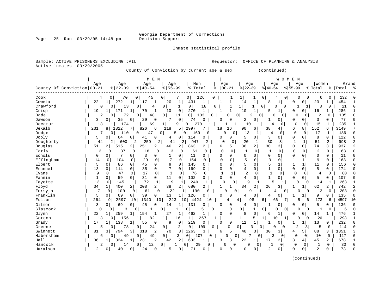Page 25 Run 03/29/05 14:48 pm

### Inmate statistical profile

| Active inmates<br>03/29/2005<br>County Of Conviction by current age & sex<br>(continued)<br>M E N<br>W O M<br>E N                                                                                                                                    |                |
|------------------------------------------------------------------------------------------------------------------------------------------------------------------------------------------------------------------------------------------------------|----------------|
|                                                                                                                                                                                                                                                      |                |
| Women<br>Grand<br>Age<br>Age<br>Age<br>Age<br>Men<br>Age<br>Age<br>Age<br>Age<br>County Of Conviction 00-21<br>$8   22 - 39$<br>$8 55-99$<br>$ 22-39$<br>$8   40 - 54$<br>% Total<br>$ 00-21$<br>$ 40-54$<br>$8 55-99$<br>နွ<br>% Total<br>%   Total |                |
|                                                                                                                                                                                                                                                      |                |
| Cook<br>70<br>0<br>0<br>126<br>0<br>0<br>132<br>0<br>45<br>7<br>0<br>0<br>6<br>4<br>0<br>0<br>ı                                                                                                                                                      |                |
| 272<br>1<br>1<br>Coweta<br>22<br>$1\vert$<br>117<br>1<br>20<br>1<br>431<br>$\mathbf{1}$<br>1<br>14<br>8<br>1<br>23<br>454<br>$\mathbf{1}$<br>0<br>1<br>$\Omega$                                                                                      |                |
| Crawford<br>0 <sup>1</sup><br>18<br>21<br>$\Omega$<br>13<br>0<br>4<br>0<br>1<br>0<br>1<br>1<br>0<br>0<br>3<br>0<br>0<br>1<br>$\Omega$<br>-1                                                                                                          | $\Omega$       |
| $\mathbf{1}$<br>1<br>Crisp<br>19<br>171<br>70<br>$\mathbf{1}$<br>10<br>$\mathbf 0$<br>270<br>10<br>1<br>5<br>286<br>$1\vert$<br>$\mathbf{1}$<br>$\mathbf{1}$<br>$\Omega$<br>U<br>16<br>1                                                             |                |
| $\overline{0}$<br>133<br>$\mathbf 0$<br>Dade<br>$\overline{0}$<br>48<br>0 <sup>1</sup><br>0<br>U<br>0<br>$\Omega$<br>2<br>0<br>135<br>2<br>$\Omega$<br>72<br>11<br>2<br>O<br>0<br>Ω                                                                  | $\cap$         |
| 29<br>7<br>3<br>77<br>$\mathbf 0$<br>$\mathbf 0$<br>0<br>$\Omega$<br>Dawson<br>3<br>$\Omega$<br>35<br>$\Omega$<br>74<br>$\Omega$<br>$\Omega$<br>2<br>0<br>$\Omega$<br>0<br>1<br>O                                                                    | C              |
| 9<br>15<br>285<br>18<br>174<br>$1\vert$<br>270<br>0<br>$\mathbf{1}$<br>Decatur<br>$\mathbf{1}$<br>69<br>0  <br>10<br>1<br>$\Omega$<br>0                                                                                                              |                |
| 152<br>DeKalb<br>1822<br>826<br>б<br>5<br>2997<br>18<br>90<br>38<br>6<br>8<br>6<br>3149<br>231<br>118<br>7<br>16<br>81<br>6<br>4                                                                                                                     | 7              |
| $\mathbf 0$<br>17<br>$\mathbf{1}$<br>110<br>0 <sup>1</sup><br>0<br>5<br>169<br>$\Omega$<br>13<br>0<br>186<br>Dodge<br>7<br>0<br>47<br>0<br>0<br>$\overline{0}$<br>1<br>4<br>0                                                                        | $\cap$         |
| 0<br>114<br>0<br>5<br>3<br>$\mathbf 0$<br>8<br>0<br>122<br>Dooly<br>5<br>64<br>0<br>41<br>0<br>0<br>$\Omega$<br>0<br>0<br>0<br>0<br>4                                                                                                                | $\Omega$       |
| $\overline{2}$<br>259<br>2<br>30<br>51<br>998<br>Dougherty<br>2<br>600<br>$\overline{2}$<br>2<br>2<br>947<br>$\Omega$<br>$\Omega$<br>20<br>$\mathbf{1}$<br>3<br>$\mathbf{1}$<br>$\mathbf 1$<br>44<br>44                                              |                |
| Douglas<br>515<br>251<br>$\overline{2}$  <br>863<br>5<br>38<br>2<br>30<br>3<br>$\mathbf 0$<br>0<br>74<br>3<br>937<br>51<br>2 <br>2<br>46<br>2<br>2<br>6                                                                                              |                |
| $\overline{c}$<br>$\Omega$<br>Early<br>3<br>37<br>0<br>0<br>3<br>0<br>$\Omega$<br>$\Omega$<br>0<br>$\Omega$<br>$\mathbf 1$<br>$\Omega$<br>0<br>63<br>0<br>18<br>61<br>0<br>1                                                                         |                |
| 7<br>3<br>0<br>$\Omega$<br>11<br>Echols<br>0<br>0<br>1<br>0<br>11<br>0<br>0<br>$\Omega$<br>$\Omega$<br>$\Omega$<br>$\Omega$<br>$\Omega$<br>0<br>0<br>$\Omega$<br>0                                                                                   | $\Omega$       |
| Effingham<br>104<br>29<br>$\Omega$<br>7<br>154<br>$\Omega$<br>5<br>$\Omega$<br>3<br>$\mathbf{1}$<br>$\Omega$<br>163<br>14<br>$\Omega$<br>0<br>$\Omega$<br>$\cap$<br>$\Omega$<br>1<br>9<br>0                                                          | C              |
| 5<br>5<br>5<br>45<br>0<br>9<br>0<br>$\Omega$<br>$\mathbf{1}$<br>$\mathbf{1}$<br>156<br>Elbert<br>$\mathbf 0$<br>86<br>$\mathbf 0$<br>145<br>$\Omega$<br>$\mathbf 1$<br>11<br>$\Omega$<br>0<br>0                                                      | O              |
| $\mathbf 1$<br>$\Omega$<br>13<br>$\mathbf 0$<br>$\Omega$<br>35<br>0<br>7<br>0<br>169<br>$\Omega$<br>0<br>4<br>0<br>$\mathbf 0$<br>0<br>5<br>0<br>174<br>Emanuel<br>114<br>0                                                                          | C              |
| 3<br>76<br>$\overline{c}$<br>9<br>47<br>17<br>$\mathbf 0$<br>$\mathbf{1}$<br>0<br>$\mathbf{1}$<br>$\Omega$<br>0<br>80<br>Evans<br>$\Omega$<br>0<br>$\Omega$<br>$\Omega$<br>$\mathbf{1}$<br>$\Omega$<br>$\Omega$<br>4                                 | O              |
| 31<br>Fannin<br>1<br>0<br>59<br>0<br>$\overline{0}$<br>11<br>0<br>102<br>0<br>0<br>4<br>$\Omega$<br>1<br>$\Omega$<br>0<br>5<br>107<br>0<br>0<br>0                                                                                                    | C              |
| 72<br>13<br>$\mathbf 0$<br>$\mathbf{1}$<br>19<br>249<br>$\Omega$<br>263<br>Fayette<br>145<br>1<br>$\mathbf{1}$<br>1<br>0<br>9<br>5<br>$\Omega$<br>14<br>1<br>0                                                                                       | -1             |
| $\overline{2}$<br>38<br>34<br>400<br>$\overline{2}$<br>208<br>680<br>62<br>742<br>Floyd<br>2<br>2<br>1<br>2<br>26<br>3<br>2<br>$1\vert$<br>1<br>34<br>$\mathbf{1}$                                                                                   | $\overline{a}$ |
| Forsyth<br>7<br>22<br>203<br>0<br>100<br>0<br>61<br>0<br>190<br>$\Omega$<br>9<br>13<br>0<br>O<br>U<br>$\Omega$<br>0                                                                                                                                  | O              |
| 5<br>126<br>Franklin<br>$\Omega$<br>69<br>39<br>13<br>0<br>9<br>135<br>0<br>0  <br>0<br>0<br>4<br>$\Omega$<br>1<br>0<br>4<br>0                                                                                                                       | C              |
| 264<br>223<br>98<br>173<br>4597<br>Fulton<br>2597<br>1340<br>10<br>4424<br>6<br>5<br>9<br>10<br>10<br>10<br>4<br>66<br>7 I<br>6<br>6<br>4                                                                                                            | 10             |
| 69<br>5<br>Gilmer<br>3<br>$\Omega$<br>45<br>$\mathbf 0$<br>131<br>0<br>136<br>0<br>14<br>1<br>0<br>$\Omega$<br>0<br>1<br>$\Omega$<br>0<br>0<br>4<br>∩                                                                                                | $\bigcap$      |
| Glascock<br>$\Omega$<br>3<br>5<br>$\Omega$<br>0<br>$\Omega$<br>6<br>0<br>0<br>1<br>0<br>$\Omega$<br>$\Omega$<br>1<br>0<br>0<br>0<br>$\Omega$                                                                                                         |                |
| 27<br>0<br>476<br>Glynn<br>22<br>259<br>462<br>$\mathbf{1}$<br>$\Omega$<br>0<br>8<br><sup>0</sup><br>11<br>1<br>154<br>1<br>1<br>б<br>1<br>∩<br>14                                                                                                   |                |
| 267<br>26<br>Gordon<br>13<br>82<br>16<br>$\mathbf{1}$<br>$\mathbf{1}$<br>1 <br>15<br>293<br>156<br>1<br>$\mathbf{1}$<br>$\mathbf{1}$<br>1<br>10<br>1<br>$\Omega$<br>1<br>0<br>O                                                                      | $\overline{1}$ |
| 0<br>138<br>55<br>9<br>0<br>219<br>13<br>232<br>Grady<br>17<br>0<br>0<br>$\Omega$<br>11<br>1<br>$\mathbf{1}$<br>0<br>0<br>1<br>1<br>-1                                                                                                               | U              |
| 78<br>24<br>0 <sup>1</sup><br>2<br>0 <sup>1</sup><br>$\Omega$<br>$\Omega$<br>2<br>5<br>$\mathbf 0$<br>114<br>Greene<br>5<br>$\Omega$<br>109<br>$\Omega$<br>ζ<br>0<br>$\cap$<br>$\Omega$<br>3<br>U                                                    | U              |
| 2<br>3<br>5<br>3<br>88<br>1351<br>Gwinnett<br>794<br>3<br>318<br>70<br>1263<br>3<br>48<br>30<br>3<br>5<br>3<br>81<br>3<br>6<br>4                                                                                                                     | 3              |
| 3<br>0<br>7<br>ς<br>$\Omega$<br>10<br>$\Omega$<br>Habersham<br>6<br>49<br>$\Omega$<br>49<br>$\overline{0}$<br>107<br>$\Omega$<br>U<br>0<br>0<br>$\Omega$<br>$\circ$<br>117<br>0                                                                      | $\Omega$       |
| 2<br>3<br>Hall<br>324<br>231<br>42<br>2<br>633<br>22<br>2<br>3<br>4<br>45<br>2<br>678<br>36<br>$\mathbf{1}$<br>3<br>1<br>17<br>1                                                                                                                     |                |
| $\Omega$<br>$\mathbf{1}$<br>30<br>Hancock<br>12<br>0 <sup>1</sup><br>$\Omega$<br>29<br>$\Omega$<br>$\Omega$<br>2<br>0<br>14<br>0<br>$\Omega$<br>∩<br>0<br><sup>0</sup>                                                                               |                |
| 2<br>73<br>Haralson<br>71<br>2<br>$\Omega$<br>$\Omega$<br>2<br>40<br>$\Omega$<br>24<br>$\Omega$<br>0<br>$\Omega$<br>O<br>$\Omega$<br>$\Omega$<br>O<br>O<br>$\Omega$<br>$\Omega$                                                                      |                |

------------------------------------------------------------------------------------------------------------------------------------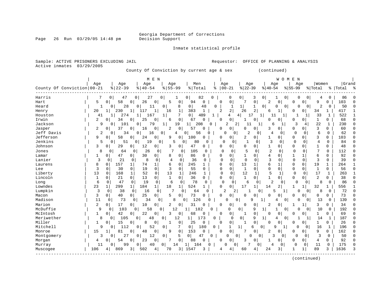Page 26 Run 03/29/05 14:48 pm

### Inmate statistical profile

| County Of Conviction by current age & sex<br>(continued)<br>M E N<br>W O M E N<br>Women<br>Age<br>Age<br>Age<br>Age<br>Men<br>Age<br>Age<br>Age<br>Age<br>County Of Conviction   00-21<br>$ 22-39$<br>$8122 - 39$<br>$8155 - 99$<br>$00 - 21$<br>$8140 - 54$<br>% Total<br>$ 40-54$<br>% Total<br>%   Total<br>ႜ<br>$8155 - 99$<br>0<br>0<br>0<br>0<br>0<br>Harris<br>0<br>47<br>0<br>27<br>0 <sup>1</sup><br>82<br>3<br>0<br>0<br>86<br>4<br>0<br>5<br>58<br>$\mathbf 0$<br>2<br>103<br>Hart<br>0<br>26<br>0<br>5<br>0<br>94<br>$\Omega$<br>$\Omega$<br>0<br>0<br>0<br>9<br>0<br>0<br>O<br>$\overline{0}$<br>2<br>50<br>28<br>0<br>0<br>8<br>48<br>0<br> 1 <br>1<br>$\mathbf 0$<br>0<br>0 <sup>1</sup><br>0<br>Heard<br>1<br>0<br>11<br>1<br>0<br>O<br>$\overline{a}$<br>$\overline{2}$<br>$\mathbf{1}$<br>26<br>417<br>20<br>$\mathbf{1}$<br>230<br>$1\vert$<br>117<br>1<br>16<br>1<br>383<br>2<br>$\mathbf{1}$<br>0 I<br>34<br>1<br>Henry<br>6<br>O<br>7<br>$\overline{0}$<br>33<br>522<br>274<br>$\mathbf{1}$<br>167<br>1<br>489<br>1<br>4<br>17<br>1<br>11<br>$\mathbf{1}$<br>Houston<br>41<br>41<br>1<br>-1<br>1<br>0<br>2<br>25<br>0<br>67<br>$\mathbf 0$<br>$\overline{0}$<br>$\mathbf{1}$<br>68<br>Irwin<br>34<br>0<br>0<br>6<br>0<br>0<br>0<br>0<br>$\Omega$<br>0<br>0<br>22<br>Jackson<br>101<br>79<br>$\mathbf{1}$<br>1 <br>208<br>2<br>$\overline{a}$<br>11<br>3<br>$\mathbf 1$<br>230<br>9<br>$\mathbf{0}$<br>0<br>19<br>0<br>1<br>6<br>1<br>4<br>37<br>3<br>$\overline{a}$<br>0<br>$\overline{2}$<br>$\mathbf 0$<br>57<br>0<br>$\overline{0}$<br>0<br>60<br>Jasper<br>0<br>0<br>0<br>0<br>O<br>0<br>3<br>0<br>$\Omega$<br>16<br>Jeff Davis<br>2<br>2<br>0<br>0<br>$\mathbf 0$<br>0<br>$\Omega$<br>6<br>$\mathbf 0$<br>62<br>34<br>16<br>0<br>56<br>0<br>4<br>$\mathbf 0$<br>0<br>0<br>4                                                                                                                                                                                                                                                                                                                                                                                                                                                                                                                                                                                                                                                                                                                                                                                                                                                                                                                                                                                                                                                                                                                                                                                                                                                                                                                                                                                                                                                                                                                                                                                                                                                                                                                                                                                                                                                                                                                                                                                                                                                                                                                                                                                                                                                                                                                                                                                                                                              | Sample: ACTIVE PRISONERS EXCLUDING JAIL<br>Active inmates<br>03/29/2005 |                                      |                                     | OFFICE OF PLANNING & ANALYSIS<br>Requestor: |                                                                                                                                                                                                                                                      |
|-----------------------------------------------------------------------------------------------------------------------------------------------------------------------------------------------------------------------------------------------------------------------------------------------------------------------------------------------------------------------------------------------------------------------------------------------------------------------------------------------------------------------------------------------------------------------------------------------------------------------------------------------------------------------------------------------------------------------------------------------------------------------------------------------------------------------------------------------------------------------------------------------------------------------------------------------------------------------------------------------------------------------------------------------------------------------------------------------------------------------------------------------------------------------------------------------------------------------------------------------------------------------------------------------------------------------------------------------------------------------------------------------------------------------------------------------------------------------------------------------------------------------------------------------------------------------------------------------------------------------------------------------------------------------------------------------------------------------------------------------------------------------------------------------------------------------------------------------------------------------------------------------------------------------------------------------------------------------------------------------------------------------------------------------------------------------------------------------------------------------------------------------------------------------------------------------------------------------------------------------------------------------------------------------------------------------------------------------------------------------------------------------------------------------------------------------------------------------------------------------------------------------------------------------------------------------------------------------------------------------------------------------------------------------------------------------------------------------------------------------------------------------------------------------------------------------------------------------------------------------------------------------------------------------------------------------------------------------------------------------------------------------------------------------------------------------------------------------------------------------------------------------------------------------------------------------------------------------------------------------------------------------------------------------------------------------------------------------------------------------------------------------------------------------------------------------------------------------------------------------------------------------------------------------------------------------------------------------------------------------------------------------------------------------------------------------------------------------------------------------------------------------------------------------------------------------------------------------------------------------------------------------------------------------------------------------------------------------------------------------------------------------------------------------------------------------------------------------------------------------------------------------------------------------------------------------------------------------------------------------------|-------------------------------------------------------------------------|--------------------------------------|-------------------------------------|---------------------------------------------|------------------------------------------------------------------------------------------------------------------------------------------------------------------------------------------------------------------------------------------------------|
|                                                                                                                                                                                                                                                                                                                                                                                                                                                                                                                                                                                                                                                                                                                                                                                                                                                                                                                                                                                                                                                                                                                                                                                                                                                                                                                                                                                                                                                                                                                                                                                                                                                                                                                                                                                                                                                                                                                                                                                                                                                                                                                                                                                                                                                                                                                                                                                                                                                                                                                                                                                                                                                                                                                                                                                                                                                                                                                                                                                                                                                                                                                                                                                                                                                                                                                                                                                                                                                                                                                                                                                                                                                                                                                                                                                                                                                                                                                                                                                                                                                                                                                                                                                                                                                     |                                                                         |                                      |                                     |                                             |                                                                                                                                                                                                                                                      |
|                                                                                                                                                                                                                                                                                                                                                                                                                                                                                                                                                                                                                                                                                                                                                                                                                                                                                                                                                                                                                                                                                                                                                                                                                                                                                                                                                                                                                                                                                                                                                                                                                                                                                                                                                                                                                                                                                                                                                                                                                                                                                                                                                                                                                                                                                                                                                                                                                                                                                                                                                                                                                                                                                                                                                                                                                                                                                                                                                                                                                                                                                                                                                                                                                                                                                                                                                                                                                                                                                                                                                                                                                                                                                                                                                                                                                                                                                                                                                                                                                                                                                                                                                                                                                                                     |                                                                         |                                      |                                     |                                             | Grand                                                                                                                                                                                                                                                |
| $\overline{0}$<br>Jenkins<br>5<br>51<br>0<br>19<br>5<br>80<br>C<br>3<br>4<br>$\mathbf 0$<br>84<br>0<br>0<br>$\Omega$<br>$\mathbf 0$<br>$\mathbf 0$<br>0<br>0<br>0<br>0<br>12<br>47<br>$\mathbf 0$<br>0<br>Johnson<br>3<br>29<br>0<br>3<br>0<br>0<br>1<br>1<br>48<br>0<br>0<br>0<br>0<br>0<br>0<br>0<br>$\circ$<br>$\overline{2}$<br>5<br>$\mathbf 0$<br>$\mathbf 0$<br>Jones<br>8<br>0<br>$\mathbf 0$<br>26<br>0<br>7<br>$\mathbf 0$<br>105<br>$\mathbf 0$<br>$\mathbf 0$<br>0<br>0<br>0<br>$\Omega$<br>112<br>64<br>30<br>8<br>86<br>6<br>92<br>47<br>0<br>0<br>0<br>4<br>$\mathbf{1}$<br>1<br>0<br>Lamar<br>1<br>0<br>$\circ$<br>0<br>0<br>1<br>0<br>0<br>Lanier<br>3<br>21<br>8<br>$\Omega$<br>3<br>$\Omega$<br>0<br>3<br>$\Omega$<br>39<br>0<br>0<br>4<br>$\Omega$<br>36<br>$\Omega$<br>$\Omega$<br>$\Omega$<br>$\Omega$<br>0<br>0<br>157<br>13<br>6<br>19<br>8<br>0<br>74<br>$\mathbf{1}$<br>6<br>0<br>245<br>$\mathbf{1}$<br>0<br>1<br>1<br>0<br>$\Omega$<br>1<br>264<br>Laurens<br>0<br>1<br>3<br>$\mathbf 0$<br>$\mathbf 0$<br>0<br>19<br>3<br>$\mathbf 0$<br>55<br>0<br>$\mathbf{1}$<br>0<br>$\mathbf 0$<br>$\mathbf 0$<br>1<br>$\mathbf 0$<br>56<br>Lee<br>$\Omega$<br>30<br>$\Omega$<br>U<br>0<br>$\mathbf 0$<br>5<br>13<br>52<br>13<br>$\mathbf 1$<br>$\Omega$<br>$\mathbf 0$<br>12<br>$\mathbf{1}$<br>$\mathbf 0$<br>17<br>$\mathbf{1}$<br>Liberty<br>0<br>168<br>1<br>246<br>1<br>0<br>263<br>1<br>2<br>$\overline{0}$<br>13<br>0<br>$\mathbf{1}$<br>36<br>0<br>$\Omega$<br>$\mathbf{1}$<br>$\Omega$<br>$\Omega$<br>$\overline{0}$<br>0<br>38<br>Lincoln<br>1<br>0<br>21<br>$\mathbf{0}$<br>0<br>$\Omega$<br>1<br>6<br>0<br>19<br>$\Omega$<br>6<br>78<br>$\Omega$<br>$\Omega$<br>6<br>$\overline{c}$<br>8<br>$\Omega$<br>86<br>0<br>47<br>0<br>$\mathbf 0$<br>0<br>0<br>$\Omega$<br>$\mathbf 0$<br>Long<br>Lowndes<br>184<br>1 <sup>1</sup><br>18<br>0<br>17<br>$\overline{2}$<br>556<br>23<br>$\mathbf{1}$<br>299<br>$\mathbf 1$<br>$\mathbf{1}$<br>524<br>0<br>14<br>1<br>32<br>1<br>1<br>1<br>1<br>7<br>72<br>Lumpkin<br>3<br>$\mathbf 0$<br>38<br>$\mathbf 0$<br>$\overline{2}$<br>2<br>5<br>$\overline{0}$<br>8<br>$\mathbf 0$<br>0<br>16<br>0<br>64<br>$\Omega$<br>$\Omega$<br>0<br>1<br>3<br>73<br>0<br>40<br>$\overline{0}$<br>25<br>$\mathbf{0}$<br>5<br>$\mathbf 0$<br>0<br>$\mathbf 0$<br>$\mathbf 0$<br>$\mathbf{0}$<br>$\overline{0}$<br>0<br>0<br>73<br>Macon<br>0<br>0<br>$\cap$<br>0<br>Madison<br>11<br>73<br>34<br>8<br>126<br>$\Omega$<br>0<br>9<br>13<br>139<br>0<br>0<br>0<br>0<br>0<br>0<br>0<br>0<br>4<br>Marion<br>2<br>17<br>10<br>0<br>2<br>$\mathbf 0$<br>31<br>2<br>3<br>$\Omega$<br>34<br>0<br>0<br>$\Omega$<br>0<br>0<br>$\Omega$<br>$\Omega$<br>0<br>1<br>1<br>McDuffie<br>9<br>103<br>58<br>0<br>9<br>$\overline{0}$<br>10<br>192<br>0<br>0<br>0 <sup>1</sup><br>12<br>182<br>0<br>0<br>1<br>0<br>$\Omega$<br>0<br>$\mathbf{1}$<br>42<br>22<br>$\mathbf 0$<br>69<br>McIntosh<br>0<br>3<br>68<br>0<br>$\overline{0}$<br>$\mathbf{1}$<br>1<br>0<br>0 <sup>1</sup><br>0<br>0<br>$\Omega$<br>0<br>0<br>$\Omega$<br>0<br>-1<br>Meriwether<br>9<br>187<br>8<br>105<br>48<br>12<br>$\mathbf 1$<br>173<br>0<br>$\cap$<br>$\overline{0}$<br>1<br>14<br>0<br>0<br>0<br>0<br>1<br>1<br>4<br>$\mathbf 0$<br>Miller<br>0<br>26<br>15<br>$\circ$<br>8<br>0<br>0<br>25<br>0<br>0<br>0<br>0<br>0<br>0<br>1<br>0<br>1<br>0<br>1<br>Mitchell<br>112<br>7<br>180<br>9<br>0<br>52<br>0<br>0 <sup>1</sup><br>0<br>1<br>1<br>$\cap$<br>16<br>1<br>196<br>0<br>6<br>0<br>q<br>1<br>0<br>0<br>$\mathbf 0$<br>153<br>0<br>2<br>$\Omega$<br>9<br>162<br>15<br>81<br>0<br>48<br>9<br>0<br><sup>0</sup><br>$\Omega$<br>0<br>$\Omega$<br>0<br>Monroe<br>1<br>27<br>0<br>12<br>3<br>50<br>3<br>0<br>5<br>0 <sup>1</sup><br>47<br>0<br>0<br>3<br>$\mathbf{0}$<br>$\Omega$<br>0<br>0<br>Montgomery<br>0<br>0<br>0<br>0<br>23<br>0<br>0<br>88<br>$\mathbf 0$<br>$\Omega$<br>92<br>54<br>$\overline{0}$<br>7<br>0<br>0<br>3<br>0<br>0<br>0 <sup>1</sup><br>4<br>Morgan<br>4<br>0<br>U<br>1<br>11<br>99<br>0<br>40<br>14<br>1<br>164<br>$\Omega$<br>0<br>$\Omega$<br>0<br>0<br>11<br>0<br>175<br>Murray<br>O<br>0<br>0<br>89<br>3<br>1636<br>106<br>869<br>502<br>1547<br>24<br>3<br>3.<br>4<br>70<br>3<br>4<br>1<br>Muscogee<br>60<br>1 | Jefferson<br>9<br>0                                                     | 58<br>0 <sup>1</sup><br>24<br>0<br>9 | $\mathbf 0$<br>100<br>$\Omega$<br>0 | 0<br>$\overline{2}$<br>0 <sup>1</sup><br>1  | C<br>$\cap$<br>$\mathbf{1}$<br>$\mathbf{1}$<br>$\Omega$<br>$\Omega$<br>n<br>$\Omega$<br>3<br>0<br>$\Omega$<br>103<br>O<br>C<br>C<br>U<br>$\Omega$<br>-1<br>$\Omega$<br>O<br>$\Omega$<br>C<br>O<br>C<br>$\Omega$<br>$\Omega$<br>U<br>U<br>n<br>∩<br>C |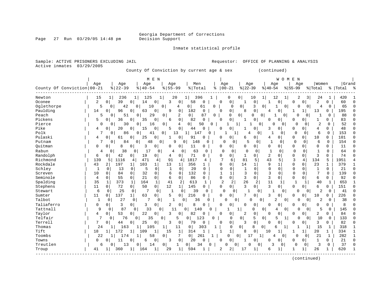Page 27 Run 03/29/05 14:48 pm

### Inmate statistical profile

| Active inmates             | 03/29/2005     |                     | County Of Conviction by current age & sex |                    |                       |              |                              |                      |                     | (continued)                |                          |                |                  |              |                      |                |
|----------------------------|----------------|---------------------|-------------------------------------------|--------------------|-----------------------|--------------|------------------------------|----------------------|---------------------|----------------------------|--------------------------|----------------|------------------|--------------|----------------------|----------------|
|                            |                |                     | M E N                                     |                    |                       |              |                              |                      |                     |                            | WOMEN                    |                |                  |              |                      |                |
| County Of Conviction 00-21 | Age            | Age<br>$ 22-39$     | Age<br>$8   40 - 54$                      | Age<br>$8 55-99$   | Men<br>% Total        | ႜ            | Age<br>$00 - 21$             | Age<br>$ 22-39$      |                     | Age<br>$ 40-54$            | $8155 - 99$              | Age            | Women<br>% Total |              | Grand<br>%   Total % |                |
| Newton                     | 15             | 1<br>236            | 1<br>125                                  | 20<br>1            | $1\vert$<br>396       | 1            | 0                            | 0                    | 10<br>$1\vert$      | 12                         | $\mathbf{1}$<br>2        | $\vert$ 3      | 24               | 1            | 420                  |                |
| Oconee                     | 2              | 39<br>$\Omega$      | 0<br>0<br>14                              | 3<br>0             | 58                    | $\mathbf 0$  | 0<br>0                       | 1                    | 0 <sup>1</sup>      | 0<br>1                     | 0                        | 0              | 2                | 0            | 60                   | $\Omega$       |
| Oglethorpe                 | 5              | $\Omega$<br>42      | 10<br>$\Omega$                            | 0<br>4             | 0<br>61               | $\Omega$     | $\Omega$                     | 0                    | 3<br>$\mathbf 0$    | 1                          | 0<br>0                   | 0              | 4                | 0            | 65                   | U              |
| Paulding                   | 14             | 96<br>0             | 0<br>0<br>63                              | 9<br>0             | 182                   | 0            | 0<br>0                       | 8                    | 0 <sup>1</sup>      | 0<br>4                     | 1                        | 1              | 13               | 0            | 195                  | U              |
| Peach                      | 5              | 51<br>0             | 29<br>0                                   | 2<br>0             | 0                     | 87<br>0      | 0                            | 0                    | 0<br>$\overline{0}$ | 1                          | 0<br>$\Omega$            | $\Omega$       | 1                | 0            | 88                   | O              |
| Pickens                    | 5              | 36<br>0             | 0<br>35<br>$\Omega$                       | 6<br>$\mathbf 0$   | 82                    | 0            | 0<br>0                       | 1                    | $\mathbf 0$         | $\mathbf 0$<br>0           | 0                        | 0              | $\mathbf{1}$     | $\Omega$     | 83                   | C              |
| Pierce                     | 0              | 0<br>30             | 0<br>16                                   | 0<br>4             | $\overline{0}$<br>50  | $\mathbf 0$  | 1                            | $\mathbf 1$          | 0                   | <sup>0</sup>               | $\Omega$<br>0            | 0              | $\overline{2}$   | 0            | 52                   | U              |
| Pike                       | 4              | 20<br>$\Omega$      | 0<br>15<br>$\mathbf 0$                    | $\mathbf 0$<br>5   | 44                    | $\Omega$     | $\Omega$<br>0                | 1                    | 0 <sup>1</sup>      | 3<br>0                     | $\Omega$                 | 0              | 4                | $\Omega$     | 48                   | C              |
| Polk                       | 7              | 86<br>0             | 0<br>41                                   | 13<br>0            | 147                   | 0            |                              | 4                    | 0                   | -1                         | 0<br>0                   | 0              | 6                | $\Omega$     | 153                  | O              |
| Pulaski                    | 4              | 61<br>0             | 25<br>$\mathbf 0$<br>0                    | $\Omega$<br>1      | 91                    | O            | 0<br>0                       | 6                    | 0 <sup>1</sup>      | 4<br>0                     | $\mathbf 0$              | 0              | 10               | 0            | 101                  | O              |
| Putnam                     | 7              | 84<br>$\mathbf{0}$  | $\Omega$<br>48                            | 9<br>$\Omega$      | 148<br>$\Omega$       | 0            | $\Omega$<br>0                | 5                    | $\mathbf{0}$        | $\mathbf 1$<br>0           | $\mathbf{0}$             | $\mathbf 0$    | 6                | $\Omega$     | 154                  | $\Omega$       |
| Quitman                    | $\Omega$       | 8<br>0              | 0<br>3<br>0                               | 0<br>$\mathbf 0$   | 11                    | $\Omega$     | 0<br>0                       | $\Omega$             | 0 <sup>1</sup>      | 0<br>0                     | $\mathbf 0$              | 0              | 0                | 0            | 11                   | $\Omega$       |
| Rabun                      | 4              | 38<br>0             | 17<br>0<br>0                              | 4                  | 0<br>63               | 0            | 0<br>0                       | $\Omega$             | 0                   | $\mathbf 1$<br>0           | 0                        | $\mathbf 0$    |                  | $\Omega$     | 64                   | O              |
| Randolph                   | 6              | 42<br>0             | 19<br>$\overline{0}$<br>0                 | 4<br>$\circ$       | 71                    | 0            | 0<br>0                       | 1                    | 0                   | 2<br>0                     | $\mathbf 0$              | 0              | 3                | 0            | 74                   | $\sqrt{ }$     |
| Richmond                   | 139            | 1116<br>5           | 471<br>4<br>4                             | 91                 | 1817<br> 4            | 4            | 7<br>6                       | 81                   | 5                   | 43<br>5                    | 3                        | 4              | 134              | 5            | 1951                 |                |
| Rockdale                   | 43             | 197<br>2            | 103<br>1<br>1                             | 13<br>$1\vert$     | 356                   |              | 0<br>0                       | 14                   | 1                   | 9<br>$\mathbf 1$           | $\mathbf 0$              | 0              | 23               | $\mathbf{1}$ | 379                  | -1             |
| Schley                     | $\mathbf{1}$   | 0<br>13             | 5<br>$\mathbf 0$<br>0                     | $\mathbf{1}$<br>0  | 20                    | 0            | $\mathbf 0$<br>$\mathbf 0$   | 1                    | $\Omega$            | $\mathbf 0$<br>0           | $\mathbf 0$              | 0              | 1                | $\mathbf 0$  | 21                   | $\Omega$       |
| Screven                    | 10             | 0<br>84             | 32<br>$\mathbf 0$<br>0                    | 6<br>0             | 132                   | $\mathbf 0$  | $\mathbf{1}$<br>$\mathbf{1}$ | 3                    | $\Omega$            | 3<br>$\mathbf 0$           | 0                        | 0              | 7                | $\Omega$     | 139                  | $\Omega$       |
| Seminole                   | $\overline{4}$ | 55<br>$\Omega$      | $\mathbf 0$<br>0<br>21                    | 6<br>$\mathbf 0$   | 86                    | 0            | 0<br>0                       | 3                    | $\Omega$            | 3<br>0                     | $\mathbf 0$              | 0              | 6                | $\Omega$     | 92                   | 0              |
| Spalding                   | 35             | $\mathbf 1$<br>373  | $\mathbf{1}$<br>1<br>164                  | 41                 | 2<br>613              | 1            | $\overline{c}$<br>2          | 26                   | $\overline{2}$      | 11<br>1                    | $\mathbf{1}$             | 1              | 40               | $\mathbf{1}$ | 653                  | -1             |
| Stephens                   | 11             | 0<br>72             | $\mathsf{O}$<br>0<br>50                   | 12<br>$1\vert$     | 145                   | 0            | 0<br>0                       | 3                    | $\overline{0}$      | 3<br>$\Omega$              | $\mathbf 0$              | 0              | 6                | 0            | 151                  | $\bigcap$      |
| Stewart                    | 6              | 25<br>0             | 7<br>$\mathbf 0$<br>0                     | 1                  | 39<br>0               | 0            | $\Omega$<br>$\Omega$         | $\mathbf{1}$         | 0                   | 1                          | 0<br>0                   | 0              | $\overline{2}$   | $\mathbf 0$  | 41                   | $\Omega$       |
| Sumter                     | 11             | 137<br>0            | $\mathbf{1}$<br>63<br>$\mathbf 0$         | 5<br>$\mathbf{0}$  | 216                   | $\Omega$     | 0<br>U                       | 7                    | 0                   | 3<br>0                     | $\Omega$                 | 0              | 10               | 0            | 226                  | C              |
| Talbot                     | 1              | 27<br>0             | 7<br>0<br>0                               | $\mathbf{1}$       | 36<br>$\Omega$        | 0            | 0                            | 0<br>N               | 0                   | 2                          | 0<br>0                   | $\overline{0}$ | 2                | 0            | 38                   |                |
| Taliaferro                 | $\mathbf 0$    | 3<br>$\Omega$       | 0<br>3<br>0                               | 2<br>0             | 8                     | $\Omega$     | 0<br>O                       | 0                    | $\mathsf 0$         | 0<br>0                     | $\Omega$                 | 0              | 0                | $\Omega$     | 8                    |                |
| Tattnall                   | 9              | 87<br>0             | 33<br>0                                   | 11<br>$\mathbf 0$  | 0<br>14<br>0          | U            | 1                            |                      | 0<br>0              | 4                          | U<br>0                   | 0              | 5                | 0            | 145                  | O              |
| Taylor                     | 4              | 53<br>0             | 22<br>0<br>0                              | 3<br>$\mathbf 0$   | 82                    | $\Omega$     | 0<br>0                       | 2                    | 0                   | 0<br>0                     | 0                        | 0              | 2                | 0            | 84                   | U              |
| Telfair                    |                | 76<br>$\mathbf{0}$  | 35<br>0                                   | $\mathbf 0$<br>5   | $\mathbf 0$<br>123    | 0            | $\mathbf 0$                  | $\mathbf 0$          | 5<br>0 <sup>1</sup> | 5                          | $\mathbf{1}$<br>$\Omega$ | $\overline{0}$ | 10               | $\mathbf 0$  | 133                  | U              |
| Terrell                    | 7              | 44<br>0             | 0<br>25<br>0                              | 3<br>0             | 79                    | 0            | 0<br>0                       | 3                    | $\mathbf 0$         | $\mathbf 0$<br>$\mathbf 0$ | 0                        | 0              | 3                | 0            | 82                   | $\Omega$       |
| Thomas                     | 24             | 163<br>1            | 1 <br>105                                 | $\mathbf 1$<br>11  | 0<br>303              | 1            | $\mathbf 0$                  | 0                    | 8<br>0              | 6                          | 1                        |                | 15               | $\mathbf{1}$ | 318                  | $\overline{1}$ |
| Tift                       | 18             | 172<br>$\mathbf{1}$ | 1<br>109<br>1                             | $\mathbf{1}$<br>15 | 314                   | $\mathbf{1}$ | $\mathbf{1}$<br>$\mathbf{1}$ | 8                    | 0 <sup>1</sup>      | 10<br>$\mathbf{1}$         | 1                        | 1              | 20               | 1            | 334                  | $\mathbf{1}$   |
| Toombs                     | 22             | 174<br>1            | 58<br>$\mathbf{1}$                        | 0<br>7             | $\overline{0}$<br>261 | 1            | $\Omega$                     | 17<br>0 <sup>1</sup> | 1                   | 4                          | $\Omega$<br>$\Omega$     | 0              | 21               | 1            | 282                  | $\mathbf{1}$   |
| Towns                      | $\Omega$       | 11<br>0             | 0<br>0<br>6                               | $\mathbf 0$<br>3   | 20                    | $\Omega$     | $\mathbf 0$<br>0             | 1                    | $\mathbf 0$         | 0<br>0                     | 0                        | 0              | $\mathbf{1}$     | 0            | 21                   | $\Omega$       |
| Treutlen                   | 6              | 0<br>13             | 0<br>14                                   | 0                  | $\Omega$<br>34        | 0            | $\Omega$                     | 0<br>0               | 0                   | ς                          | 0<br>$\Omega$            | 0              | 3                | $\Omega$     | 37                   | $\cap$         |
| Troup                      | 41             | 1<br>360            | 1<br>1<br>164                             | 29<br>1            | 594                   |              | 2<br>2                       | 17                   | 1                   | 1<br>6                     | -1                       | 1              | 26               | $\mathbf{1}$ | 620                  | -1             |
|                            |                |                     |                                           |                    |                       |              |                              |                      |                     |                            |                          | (continued)    |                  |              |                      |                |

(continued)

Sample: ACTIVE PRISONERS EXCLUDING JAIL **Analysis** Requestor: OFFICE OF PLANNING & ANALYSIS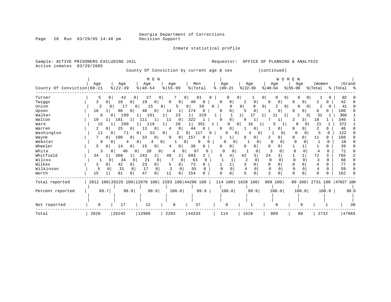Inmate statistical profile

| Sample: ACTIVE PRISONERS EXCLUDING JAIL |               |                      |                               |                            |                                                 | Requestor:           | OFFICE                     | PLANNING & ANALYSIS<br>OF       |                          |                   |                           |
|-----------------------------------------|---------------|----------------------|-------------------------------|----------------------------|-------------------------------------------------|----------------------|----------------------------|---------------------------------|--------------------------|-------------------|---------------------------|
| Active inmates                          | 03/29/2005    |                      |                               |                            | County Of Conviction by current age & sex       |                      |                            | (continued)                     |                          |                   |                           |
| County Of Conviction 00-21              | Age           | Age<br>$8   22 - 39$ | M E N<br>Age<br>$8   40 - 54$ | Age<br>$8155 - 99$         | Men<br>% Total                                  | Age<br>$ 00-21$      | Age<br>$ 22-39$            | <b>WOMEN</b><br>Age<br>$ 40-54$ | Age<br>$8155 - 99$       | Women<br>% Total  | Grand<br>%   Total        |
| Turner                                  | O             | 42<br>0              | 27<br>0                       | 7                          | 81<br>O                                         |                      | 0                          | 0<br>0<br>0                     | $\sigma$                 |                   | 82                        |
| Twiggs                                  | 3<br>0 I      | 18<br>0              | 19<br>0                       | 0<br>0                     | 40                                              | 0<br>0               | 0                          | 0<br>O                          |                          |                   | 42                        |
| Union                                   | 2<br>0        | 17                   | 15<br>0                       | 0<br>5                     | 39<br>0                                         | $\Omega$<br>0        | 0<br>0                     | 2<br>0<br>0                     | 0                        | 2                 | 41                        |
| Upson                                   | 16            | 96<br>0              | 48<br>0                       | 14<br>1                    | 174<br>0                                        | 0<br>0               | 0<br>5                     | 0                               | 0                        | 6                 | 180                       |
| Walker                                  | 6             | 199<br>0             | 101                           | 23                         | 329<br>1                                        |                      | 17                         | 11                              | 2                        | 31                | 360                       |
| Walton                                  | 19            | 181<br>$\mathbf{1}$  | 111<br>1                      | $\mathbf 0$<br>11          | 322<br>1                                        | 0<br>$\Omega$        | 9<br>1                     | 7                               | 3<br>2                   | 18                | 340                       |
| Ware                                    | 15            | 200                  | 116                           | 20                         | 1 <br>351                                       | 1<br>O               | $\Omega$<br>16             | 5                               | U<br>∩                   | 21                | 372                       |
| Warren                                  | 2<br>0        | 25<br>0              | 13<br>0                       | $\mathbf 0$<br>4           | 44<br>n                                         | 0<br>$\Omega$        | 0                          |                                 | $\Omega$                 | 2<br>U            | 46                        |
| Washington                              | 11            | 71<br>0              | 33<br>0                       | 2<br>$\overline{0}$        | 117<br>$\Omega$                                 | 0<br>$\Omega$<br>0   | 0                          | 0                               | 0                        | $\Omega$          | 122                       |
| Wayne                                   | 7<br>01       | 108<br>0             | 33<br>0                       | 0<br>9                     | 157<br>0                                        | 1                    | 0                          | 2<br>0                          | 0<br>0                   | 11<br>0           | 168<br><sup>0</sup>       |
| Webster                                 | $\Omega$      | 0<br>4               | 0<br>4                        | 0<br>-1                    | 9<br>0                                          | O<br>0               | $\Omega$                   | $\Omega$<br>0                   | 0                        | 1<br><sup>0</sup> | 10<br><sup>n</sup>        |
| Wheeler                                 | 5<br>0        | 14<br>0              | 15<br>0                       | 0                          | 38                                              | 0<br>O               | 0                          | 0                               |                          | U                 | 39                        |
| White                                   | 3             | 40<br>0<br>0         | 20<br>0                       | 4                          | 67<br>0                                         | 0<br>$\Omega$        | 0                          | 3<br>0                          | $\Omega$<br><sup>0</sup> | $\Omega$<br>4     | 71                        |
| Whitfield                               | 34            | 368<br>1             | $\overline{2}$<br>243         | 48<br>2                    | 693                                             | 5                    | 3<br>42                    | 24<br>3                         |                          | 72<br>3           | 765                       |
| Wilcox                                  |               | 34<br>0              | 21<br>0                       | $\Omega$                   | 63<br>$\Omega$                                  |                      | $\overline{2}$<br>$\Omega$ | $\Omega$<br>$\Omega$            | $\Omega$<br>$\Omega$     | 3<br>$\Omega$     | 66                        |
| Wilkes                                  | 3<br>0        | 42<br>0              | 23<br>$\overline{0}$          | 5<br>0                     | 73<br>0                                         |                      | 3<br>0                     | $\Omega$<br>$\Omega$            | $\Omega$<br>$\Omega$     | 0<br>4            | 77                        |
| Wilkinson                               | 5<br>$\Omega$ | 31<br>0              | 17<br>$\mathbf 0$             | $\overline{c}$<br>$\Omega$ | 55<br>0                                         | $\Omega$<br>$\Omega$ | $\Omega$<br>4              | $\Omega$                        | $\Omega$<br>$\Omega$     | 0<br>4            | 59                        |
| Worth                                   | 15            | 81                   | 47<br>0                       | 11<br>0                    | 154                                             | $\Omega$<br>$\Omega$ | 5<br>0                     | ζ<br>U                          | $\Omega$<br>$\Omega$     | Զ<br>U            | 162                       |
| Total reported                          |               |                      |                               |                            | 2812 100 26225 100 12976 100 2283 100 44296 100 | 114 100 1628 100     |                            | 909 100                         |                          |                   | 80 100 2731 100 47027 100 |
| Percent reported                        | 99.7          | 99.9                 | 99.9                          | 100.0                      | 99.9                                            | 100.0                | 99.9                       | 100.0                           | 100.0                    | 100.0             | 99.9                      |
| Not reported                            | 8             | 17                   | 12                            | 0                          | 37                                              | 0                    |                            | $\Omega$                        |                          |                   | 38                        |
| Total                                   | 2820          | 26242                | 12988                         | 2283                       | 44333                                           | 114                  | 1629                       | 909                             | 80                       | 2732              | 47065                     |

Page 28 Run 03/29/05 14:48 pm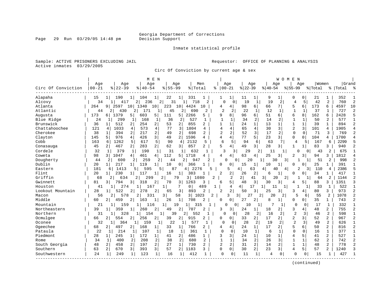Page 29 Run 03/29/05 14:48 pm

### Inmate statistical profile

Sample: ACTIVE PRISONERS EXCLUDING JAIL **Requestor:** OFFICE OF PLANNING & ANALYSIS Active inmates 03/29/2005

Circ Of Conviction by current age & sex

|                    |           |                                |                         | M E N       |                |                               |                       |                        |                |                |             |                |                      | WOMEN          |                |                |         |                |           |                |
|--------------------|-----------|--------------------------------|-------------------------|-------------|----------------|-------------------------------|-----------------------|------------------------|----------------|----------------|-------------|----------------|----------------------|----------------|----------------|----------------|---------|----------------|-----------|----------------|
|                    | Age       |                                | Age                     | Age         |                | Age                           |                       | Men                    |                | Age            |             | Age            |                      | Age            |                | Aqe            | Women   |                | Grand     |                |
| Circ Of Conviction | $00 - 21$ | $8$   22-39                    |                         | $8140 - 54$ |                | $8155 - 99$                   | % Total               |                        | ႜ              | $00 - 21$      | $ 22 - 39 $ |                | $8140 - 54$          |                | $8155 - 99$    |                | % Total |                | %   Total |                |
| Alapaha            | 15        | 190<br>$\frac{1}{2}$           |                         | 104         | $\mathbf{1}$   | 22<br>11                      | 331                   | -1                     |                | 1              | 11          | 1              | 9                    |                | 0              | 0              | 21      | 1              | 352       |                |
| Alcovy             | 34        |                                | $\overline{2}$<br>41    | 236         | 2              | 31                            | 718                   | $\overline{a}$         | $\Omega$       | 0              | 19          | 1              | 19                   | 2              | 4              | 5              | 42      | 2              | 760       | 2              |
| Atlanta            | 264       | 2597<br>9                      | 10                      | 1340        | 10<br>223      | 10 <sub>1</sub>               | 4424                  | 10                     | 4              | 4              | 98          | 6              | 66                   | 71             | 5              | 6              | 173     | 6              | 4597      | 10             |
| Atlantic           | 44        | 430<br>2                       | 2                       | 171         | 1              | 45                            | 690                   | 2                      | $\overline{a}$ | 2              | 22          | 1              | 12                   | 1              |                | 1              | 37      | 1              | 727       | 2              |
| Augusta            | 173       | 1379<br>6                      | 5                       | 603         | 111<br>5       | 5                             | 2266                  | 5                      | 9              | 8              | 96          | 6              | 51                   | 6              | $\epsilon$     | 8              | 162     | б              | 2428      | Ę              |
| Blue Ridge         | 24        | 299                            | 1                       | 168         | 1              | 36<br>2                       | 527                   |                        | 1              | -1             | 34          | 2              | 14                   | 2              | -1             | $\mathbf{1}$   | 50      | $\overline{a}$ | 577       |                |
| Brunswick          | 36        | 512<br>1                       | $\overline{2}$          | 254         | 2              | 53<br>2 <sup>1</sup>          | 855                   | 2                      |                | 1              | 24          | $\mathbf{1}$   | 13                   |                |                |                | 39      | $\mathbf{1}$   | 894       |                |
| Chattahoochee      | 121       | 1033<br>4                      | 4                       | 573         | $\overline{4}$ | 77<br>3                       | 1804                  | 4                      | 4              | $\overline{4}$ | 65          | $\overline{4}$ | 30                   | 3              | $\overline{2}$ | $\overline{3}$ | 101     | 4              | 1905      |                |
| Cherokee           | 38        | 394<br>$\mathbf{1}$            | 2                       | 217         | $\overline{a}$ | 49<br>2                       | 698                   | 2                      | $\overline{2}$ | $\overline{2}$ | 52          | 3              | 17                   | 2              | $\Omega$       | 0              | 71      | 3              | 769       | っ              |
| Clayton            | 145       | 976<br>5.                      | 4                       | 426         | 3 l            | 2<br>49                       | 1596                  | 4                      | 4              | 4              | 77          | 5              | 23                   | 31             | $\Omega$       | $\Omega$       | 104     | 4              | 1700      |                |
| Cobb               | 163       | 1262<br>6                      | 5                       | 617         | 5              | 90<br>4                       | 2132                  | $\sqrt{2}$             | 6              | 5              | 94          | 6              | 63                   |                | $\overline{4}$ | 5              | 167     | 6              | 2299      |                |
| Conasauga          | 45        | 2<br>467                       | 2                       | 283         | 2              | 62<br>$\overline{\mathsf{3}}$ | 857                   | 2                      | 5              | $\overline{4}$ | 49          | $\overline{3}$ | 28                   | 3              |                |                | 83      | 3              | 940       |                |
| Cordele            | 32        | 379<br>1                       | $\mathbf{1}$            | 190         | $\mathbf{1}$   | 31                            | $\mathbf{1}$<br>632   | $\mathbf{1}$           | 3              | 3              | 29          | $\overline{2}$ | 11                   | 1              | 0              | $\Omega$       | 43      | $\overline{a}$ | 675       |                |
| Coweta             | 98        | $\overline{3}$<br>1047         | 4 <sup>1</sup>          | 461         | 4 <br>112      | 5 <sup>1</sup>                | 1718                  | 4                      | 4              | 4              | 63          | 4              | 25                   | 3              | $\overline{2}$ | 3              | 94      | 3              | 1812      |                |
| Dougherty          | 44        | 600<br>2                       | 2                       | 259         | 2              | 44                            | 947<br>2 <sub>1</sub> | 2                      |                | 0<br>0         | 20          | 1              | 30                   | 31             |                |                | 51      | 2              | 998       |                |
| Dublin             | 20        | 217<br>1 <sup>1</sup>          | $\mathbf 1$             | 119         | 1              | 10<br>$\Omega$                | 366                   |                        | Ω              | 0              | 15          | 1              | 10                   |                | $\Omega$       |                | 25      | 1              | 391       |                |
| Eastern            | 181       | 1413<br>6                      |                         | 595         | 5              | 87                            | 2276<br>4             |                        |                | 5              | 4           | 63             | 4<br>40              | 41             |                | 3              | 110     | 4              | 2386      |                |
| Flint              | 20        | 230<br>-1 I                    |                         | 117         | 1              | 16<br>$\mathbf{1}$            | 383                   | -1                     | 2              | 2              | 26          | 2              | 6                    | $\mathbf{1}$   | <sup>0</sup>   | $\Omega$       | 34      | 1              | 417       |                |
| Griffin            | 68        | 21                             | 634<br>$\overline{2}$   | 299         | 2              | 79                            | 1080<br>3 I           | 2                      |                | $\overline{a}$ | 2           | 41             | $\overline{3}$<br>20 | $\overline{2}$ |                | 1              | 64      | 2              | 1144      |                |
| Gwinnett           | 81        | 794<br>$\overline{\mathbf{3}}$ | 3                       | 318         | 2              | 70<br>3 <sup>1</sup>          | 1263                  | 3                      | б              | 5              | 48          | 3              | 30                   | 3              | 4              | 5              | 88      | 3              | 1351      |                |
| Houston            | 41        | ı                              | 274<br>1                | 167         | 1              | 7                             | 0 <sup>1</sup>        | 489                    | 1              | 4              | 4           | 17             | 11                   | $\mathbf{1}$   |                | 1              | 33      | 1              | 522       |                |
| Lookout Mountain   | 28        | 522<br>1 <sup>1</sup>          | 2                       | 278         | 2              | 3<br>65                       | 893                   | 2                      | $\overline{a}$ | $\overline{a}$ | 50          | $\overline{3}$ | 25                   | $\overline{3}$ | κ              | 4              | 80      | 3              | 973       |                |
| Macon              | 56        | 2                              | 578<br>2                | 331         | 3              | 58                            | 3                     | $\overline{a}$<br>1023 |                | 3<br>3         | 27          | $\overline{a}$ | 20                   | 2              | $\sqrt{2}$     | 6              | 55      | 2              | 1078      |                |
| Middle             | 60        | 459<br>2                       | 2                       | 163         | 1              | $\mathbf{1}$<br>26            | 708                   |                        | O              | 0              | 27          | 2              | 8                    |                | 0              | 0              | 35      | 1              | 743       |                |
| Mountain           | 21        |                                | 159                     | 116         |                | 19                            | 315                   |                        |                | 0<br>$\Omega$  | 10          | $\mathbf 1$    |                      | 1              | 0              | 0              | 17      | 1              | 332       |                |
| Northeastern       | 39        | 359<br>$\mathbf{1}$            | $\mathbf{1}$            | 260         | 2              | 49<br>2                       | 707                   |                        | 3              | 3              | 24          | 1              | 18                   | 2              | 3              | $\overline{4}$ | 48      | 2              | 755       |                |
| Northern           | 31        | ı                              | 328<br>11               | 154         | $1\vert$       | 39                            | 552<br>21             | 1                      | $\Omega$       | 0              | 28          | 2              | 16                   | 2              | $\overline{a}$ | 3              | 46      | 2              | 598       |                |
| Ocmulgee           | 66        | 554<br>2                       | $\overline{2}$          | 256         | 2              | 39<br>2                       | 915                   | 2                      | 0              | 0              | 33          | $\overline{2}$ | 17                   | 2              | 2              | 3              | 52      | 2              | 967       |                |
| Oconee             | 32        | 364                            |                         | 159         | 1              | 22                            | 577                   | 1                      | $\Omega$       | $\Omega$       | 28          | 2              | 19                   | $\overline{2}$ | $\overline{2}$ | 3              | 49      | $\mathfrak{D}$ | 626       |                |
| Ogeechee           | 68        | 497<br>2                       | 2                       | 168         | 1              | 33<br>11                      | 766                   | 2                      | 4              | 4              | 24          | $\mathbf{1}$   | 17                   | 2              | 5              | 6              | 50      | 2              | 816       |                |
| Pataula            | 22        | 214<br>1                       | 1                       | 107         | $1\vert$       | 18                            | 361<br>1              | 1                      | $\Omega$       | $\Omega$       | 10          | $\mathbf{1}$   | 6                    | 1              | $\Omega$       | $\Omega$       | 16      | $\mathbf{1}$   | 377       |                |
| Piedmont           | 28        | 245<br>1 <sup>1</sup>          | 1 <sup>1</sup>          | 172         | 1              | 41<br>2 <sup>1</sup>          | 486                   | $\mathbf{1}$           | 3              | 3              | 24          | $\mathbf{1}$   | 10                   | $\mathbf{1}$   | $\overline{4}$ | 5              | 41      | $\overline{a}$ | 527       | $\mathbf{1}$   |
| Rome               | 34        | 400<br>$\mathbf{1}$            | 2                       | 208         | $\overline{2}$ | 38<br>2                       | 680                   | 2                      |                | $\mathbf{1}$   | 34          | 2              | 26                   | 3              | $\mathbf{1}$   | 1              | 62      | 2              | 742       | $\overline{c}$ |
| South Georgia      | 48        | $\overline{a}$<br>458          | $\overline{a}$          | 197         | 2 <sup>1</sup> | 27<br>$\mathbf{1}$            | 730                   | 2                      | $\overline{a}$ | $\overline{a}$ | 31          | 2              | 14                   | 2              | $\mathbf{1}$   | $\mathbf{1}$   | 48      | $\overline{a}$ | 778       |                |
| Southern           | 63        | $\overline{2}$<br>670          | $\overline{\mathbf{3}}$ | 393         | 3              | 57<br>2                       | 1183                  | 3                      | 0              | 0              | 30          | $\overline{2}$ | 23                   | 3              | $\overline{4}$ | 5              | 57      | $\overline{2}$ | 1240      |                |
| Southwestern       | 24        | $\mathbf{1}$<br>249            | $\mathbf{1}$            | 123         | $\mathbf{1}$   | 16<br>1                       | 412                   | 1                      | $\Omega$       | $\Omega$       | 11          | $\mathbf{1}$   | 4                    | $\Omega$       | $\Omega$       | $\Omega$       | 15      |                | 427       |                |
|                    |           |                                |                         |             |                |                               |                       |                        |                |                |             |                |                      |                |                |                |         |                |           |                |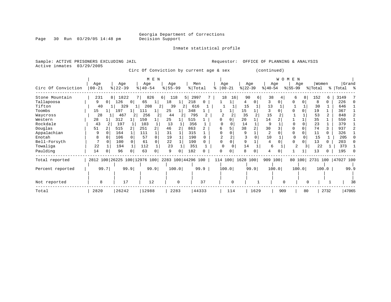Inmate statistical profile

Page 30 Run 03/29/05 14:48 pm

Sample: ACTIVE PRISONERS EXCLUDING JAIL **Requestor:** OFFICE OF PLANNING & ANALYSIS Active inmates 03/29/2005

Circ Of Conviction by current age & sex (continued)

|                    | Age                                             |          | Age       |     | Age           | M E N          | Age       |          | Men       |      | Age           |     | Age              |      |           | W O M<br>Age | E<br>N    | Age      | Women   |       | Grand                     |       |
|--------------------|-------------------------------------------------|----------|-----------|-----|---------------|----------------|-----------|----------|-----------|------|---------------|-----|------------------|------|-----------|--------------|-----------|----------|---------|-------|---------------------------|-------|
| Circ Of Conviction | $00 - 21$                                       |          | $ 22-39 $ |     | $8   40 - 54$ |                | $8 55-99$ |          | %   Total |      | $8   00 - 21$ |     | $ 22-39 $        |      | $ 40-54 $ |              | $ 55-99 $ |          | % Total |       | %   Total %               |       |
| Stone Mountain     | 231                                             | 8        | 1822      |     | 826           |                | 118<br>6  |          | 2997<br>5 |      | 18            | 16  | 90               | 6    | 38        |              | 6         | 8        | 152     | 6     | 3149                      |       |
| Tallapoosa         | 9                                               | $\Omega$ | 126       | 0 I | 65            | 1              | 18        |          | 218       | 0    |               |     |                  | 0    | 3         |              |           |          | 8       | 0.    | 226                       |       |
| Tifton             | 40                                              |          | 329       |     | 208           | $\overline{2}$ | 39        | 2        | 616       |      |               |     | 15               |      | 13        |              |           |          | 30      |       | 646                       |       |
| Toombs             | 15                                              |          | 197       |     | 111           |                | 25        |          | 348       |      |               |     | 15               |      |           |              |           |          | 19      |       | 367                       |       |
| Waycross           | 28                                              |          | 467       |     | 256           |                | 44        |          | 795       |      |               |     | 35               |      | 15        |              |           |          | 53      |       | 848                       |       |
| Western            | 28                                              |          | 312       |     | 150           |                | 25        |          | 515       |      |               | 0   | 20               |      | 14        |              |           |          | 35      |       | 550                       |       |
| Rockdale           | 43                                              |          | 197       |     | 103           |                | 13        |          | 356       |      |               |     | 14               |      | q         |              |           |          | 23      |       | 379                       |       |
| Douglas            | 51                                              |          | 515       |     | 251           |                | 46        |          | 863       |      | 6             |     | 38               |      | 30        |              |           |          | 74      |       | 937                       |       |
| Appalachian        |                                                 |          | 164       |     | 111           |                | 31        |          | 315       |      | U             |     | 9                |      | 2         |              | $\Omega$  |          | 11      | 0     | 326                       |       |
| Enotah             | 8                                               |          | 106       |     | 57            | $\Omega$       | 19        |          | 190       |      |               |     |                  |      | 10        |              |           |          | 15      |       | 205                       |       |
| Bell-Forsyth       |                                                 |          | 100       |     | 61            | $\Omega$       | 22        |          | 190       |      |               |     |                  |      | 4         |              | $\Omega$  |          | 13      | 0     | 203                       |       |
| Towaliga           | 22                                              |          | 194       |     | 112           |                | 23        |          | 351       |      |               |     | 14               |      | 6         |              |           | 3        | 22      |       | 373                       |       |
| Paulding           | 14                                              |          | 96        |     | 63            | 0              | 9         |          | 182       |      |               | 0   | 8                |      | 4         |              |           |          | 13      |       | 195                       |       |
| Total reported     | 2812 100 26225 100 12976 100 2283 100 44296 100 |          |           |     |               |                |           |          |           |      |               |     | 114 100 1628 100 |      | 909 100   |              |           |          |         |       | 80 100 2731 100 47027 100 |       |
| Percent reported   | 99.7                                            |          | 99.9      |     |               | 99.9           |           | 100.0    |           | 99.9 | 100.0         |     |                  | 99.9 |           | 100.0        |           | 100.0    |         | 100.0 |                           | 99.9  |
|                    |                                                 |          |           |     |               |                |           |          |           |      |               |     |                  |      |           |              |           |          |         |       |                           |       |
| Not reported       | 8                                               |          | 17        |     |               | 12             |           | $\Omega$ |           | 37   |               |     |                  |      |           | $\Omega$     |           | $\Omega$ |         |       |                           | 38    |
| Total              | 2820                                            |          | 26242     |     | 12988         |                |           | 2283     | 44333     |      |               | 114 |                  | 1629 |           | 909          |           | 80       |         | 2732  |                           | 47065 |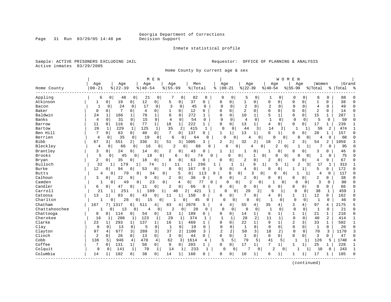Inmate statistical profile

Sample: ACTIVE PRISONERS EXCLUDING JAIL **Requestor:** OFFICE OF PLANNING & ANALYSIS Active inmates 03/29/2005

Home County by current age & sex

|               |                |                     |                      | M E N                |                     |              |                |              |                |                |                |                  |                | WOMEN          |                |              |              |                |           |            |
|---------------|----------------|---------------------|----------------------|----------------------|---------------------|--------------|----------------|--------------|----------------|----------------|----------------|------------------|----------------|----------------|----------------|--------------|--------------|----------------|-----------|------------|
|               | Age            | Age                 |                      | Age                  | Age                 |              | Men            |              | Age            |                | Age            |                  | Age            |                | Age            |              | Women        |                | Grand     |            |
| Home County   | $00 - 21$      | $8   22 - 39$       |                      | $8   40 - 54$        | $8155 - 99$         |              | % Total        | ిక           |                | $00 - 21$      | $ 22-39$       |                  | $ 40-54$       |                | $8155 - 99$    |              | % Total      |                | %   Total | ہ<br>ج     |
| Appling       | 6              | 0<br>48             | 0                    | 21                   | 0                   | 0            | 82             | 0            | 0              | 0              | 5              | 0                | -1             | 0              | 0              | 0            | 6            | 0              | 88        |            |
| Atkinson      | 1              | 19<br>0             | 0                    | 12<br>0              | 5                   | 0            | 37             | 0            | 0              | 0              | $\mathbf{1}$   | 0                | 0              | $\mathbf 0$    | $\Omega$       | $\mathbf 0$  | $\mathbf{1}$ | O              | 38        |            |
| Bacon         | $\mathbf{1}$   | 24<br>0             | 0                    | 17                   | 3<br>0              | 0            | 45             | 0            | $\Omega$       | $\mathbf 0$    | $\overline{2}$ | $\Omega$         | $\overline{2}$ | 0              | $\Omega$       | $\Omega$     | 4            | 0              | 49        | $\cap$     |
| Baker         | $\Omega$       | $\mathbf 0$<br>7    | $\Omega$             | $\overline{4}$<br>0  | 1                   | $\Omega$     | 12             | 0            | $\Omega$       | 0              | $\overline{2}$ | 0                | 0              | $\mathbf 0$    | $\mathbf{0}$   | $\Omega$     | 2            | 0              | 14        | ∩          |
| Baldwin       | 24             | 1<br>166            |                      | 76<br>1              | 6                   | $\Omega$     | 272            |              | $\Omega$       | $\Omega$       | 10             | 1                | 5              | $\mathbf{1}$   | $\Omega$       | $\Omega$     | 15           | 1              | 287       |            |
| Banks         | $\overline{4}$ | 31<br>$\Omega$      | 0                    | 15<br>$\mathbf 0$    | 4                   | $\Omega$     | 54             | $\Omega$     | $\Omega$       | $\Omega$       | 4              | $\Omega$         | $\mathbf{1}$   | $\Omega$       | $\Omega$       | $\Omega$     | 5            | $\Omega$       | 59        |            |
| Barrow        | 11             | $\mathbf 0$<br>116  | $\mathbf{0}$         | $\mathbf{1}$<br>77   | 18                  | 1            | 222            | $\mathbf{1}$ | $\Omega$       | 0              | 13             | $\mathbf{1}$     | 4              | 0              | $\mathbf 0$    | 0            | 17           | 1              | 239       |            |
| Bartow        | 26             | 229<br>$\mathbf 1$  | $\mathbf{1}$         | 125                  | 35<br>$\mathbf{1}$  | 2            | 415            | $\mathbf 1$  | $\overline{0}$ | 0              | 44             | 3                | 14             | $\overline{2}$ | $\mathbf{1}$   | 1            | 59           | 2              | 474       |            |
| Ben Hill      | 7              | $\mathbf 0$<br>83   | $\overline{0}$       | 40<br>$\overline{0}$ | 7                   | $\Omega$     | 137            | 0            | $\mathbf{1}$   | 1              | 13             | 1                | 6              | 1              | O              | $\Omega$     | 20           | 1              | 157       | $\cap$     |
| Berrien       | $\overline{4}$ | 0<br>35             | $\mathbf 0$          | 19                   | 0<br>6              | U            | 64             | <sup>0</sup> | $\Omega$       | 0              |                | 0                | $\Omega$       | $\mathbf{0}$   | O              | $\Omega$     | 4            | 0              | 68        | O          |
| <b>Bibb</b>   | 67             | 31<br>551           | $\overline{2}$       | 336                  | 3  <br>51           | 3            | 1005           | 3            | $\overline{c}$ | $\overline{a}$ | 32             | 2                | 18             | 2              | $\overline{2}$ | 3            | 54           | 2              | 1059      |            |
| Bleckley      | 4              | $\Omega$<br>66      | 0                    | 16                   | 0                   | 2<br>O       | 88             | U            |                | 0<br>0         |                | $\Omega$         | 2              | 0 <sup>1</sup> |                |              |              | 0              | 95        |            |
| Brantley      | 3              | $\mathbf 0$<br>24   | 0                    | 14<br>0              | 2                   | 0            | 43             | C            |                | 1              | $\mathbf{1}$   | 0                | 1              | $\mathbf 0$    | 0              | 0            | 3            | 0              | 46        |            |
| Brooks        | 5              | 0<br>45             | 0                    | 18                   | 0                   | 6            | 0              | 74<br>U      |                | 0              | 0              | $\mathbf{1}$     | 0<br>0         | $\overline{0}$ | O              | $\Omega$     |              | 0              | 75        |            |
| Bryan         | 2              | 35<br>$\circ$       | 0                    | 18<br>0              | 8                   | 0            | 63             | 0            | $\Omega$       | 0              | 2              | 0                | 2              | 0              | O              | 0            | 4            | U              | 67        |            |
| Bulloch       | 32             | 179<br>1            | 1                    | 74                   | 1                   | 11           | 1              | 296<br>1     |                | 1              | 1              | 9                | 1<br>5         | 1              | 2              | 3            | 17           | 1              | 313       |            |
| Burke         | 12             | 94<br>0             | 0                    | 53<br>$\Omega$       | 8                   | $\mathbf 0$  | 167            | 0            | $\cap$         | 0              | 4              | $\mathbf 0$      | O              | $\Omega$       | 1              |              | 5            | 0              | 172       |            |
| <b>Butts</b>  | 4              | 0                   | 70<br>$\overline{0}$ | 34                   | 0                   | 5            | $\mathbf 0$    | 0<br>113     |                | 0              | $\overline{0}$ | 3<br>$\mathbf 0$ | U              | 0              | 1              | -1           | 4            | $\mathbf 0$    | 117       | $\sqrt{ }$ |
| Calhoun       | 3              | 22<br>$\mathbf 0$   | 0                    | 9<br>0               | $\overline{2}$      | 0            | 36             | 0            | $\Omega$       | 0              | 2              | 0                | 0              | 0              | 0              | 0            | 2            | 0              | 38        |            |
| Camden        | 1              | $\Omega$            | 49<br>0              | 23                   | 0                   | 4            | 0 <sup>1</sup> | 77<br>0      |                | 0<br>0         | $\overline{2}$ | $\mathbf 0$      | $\mathbf{1}$   | 0              | $\Omega$       | $\mathbf 0$  | 3            | $\Omega$       | 80        |            |
| Candler       | 6              | 47<br>0             | 0                    | 0<br>11              | 2                   | 0            | 66             | 0            | $\Omega$       | 0              | 0              | 0                | 0              | $\Omega$       | 0              | 0            | 0            | 0              | 66        | $\cap$     |
| Carroll       | 21             | 251<br>$\mathbf{1}$ | $\mathbf{1}$         | 109                  | 1                   | 40           | 2<br>421       |              |                | 0              | 29             | 2                | Q              | $\mathbf{1}$   | 0              | 0            | 38           | 1              | 459       |            |
| Catoosa       | 13             | 83                  | 0                    | 43<br>0              | 11                  | $\mathbf{1}$ | 150            | 0            | $\Omega$       | 0              | 7              | 0                | 4              | 0              | 1              | $\mathbf 1$  | 12           | 0              | 162       | $\cap$     |
| Charlton      |                | $\Omega$            | 28<br>0              | 15                   | 0                   | $\Omega$     | 45             | 0            | 0              | $\circ$        | 0              | 0                | $\mathbf 1$    | 0              | $\mathbf 0$    | 0            | 1            | 0              | 46        |            |
| Chatham       | 167            | 1317                | 6                    | 511<br>4             | 83                  | 4            | 2078           | 5            | 4              | $\overline{4}$ | 55             | 4                | 35             | 4              | 3              | 4            | 97           | 4              | 2175      |            |
| Chattahoochee | 1              | 13<br>$\Omega$      | 0 <sup>1</sup>       | 4                    | $\overline{2}$<br>0 | 0            | 20             | $\Omega$     | $\mathbf 0$    | 0              | $\Omega$       | $\mathbf 0$      | $\mathbf{1}$   | 0              | $\mathbf 0$    | 0            | $\mathbf{1}$ | $\Omega$       | 21        | $\cap$     |
| Chattooga     | 8              | 114<br>$\mathbf 0$  | $\mathbf 0$          | 54<br>0              | 13                  | 1            | 189            | 0            | $\Omega$       | 0              | 14             | $\mathbf 1$      | 6              | 1              | $\mathbf{1}$   | $\mathbf{1}$ | 21           | $\mathbf{1}$   | 210       | $\cap$     |
| Cherokee      | 16             | 206<br>-1           | 1                    | 123                  | 29<br>1             | 1            | 374            | 1            | $\mathbf{1}$   | $\mathbf{1}$   | 28             | 2                | 11             | 1              | $\mathbf 0$    | $\mathbf 0$  | 40           | $\overline{2}$ | 414       |            |
| Clarke        | 23             | 293<br>1            | $\mathbf{1}$         | 137<br>$\mathbf{1}$  | 16                  | 1            | 469            | 1            | $\Omega$       | 0              | 22             | $\mathbf 1$      | 9              | 1              | $\overline{2}$ | 3            | 33           | $\mathbf{1}$   | 502       | -1         |
| Clay          | 0              | $\Omega$<br>13      | $\mathbf 0$          | $\Omega$<br>5        | $\mathbf{1}$        | $\Omega$     | 19             | $\Omega$     | $\Omega$       | $\Omega$       | $\mathbf{1}$   | $\Omega$         | $\mathbf 0$    | $\Omega$       | $\mathbf 0$    | $\Omega$     | -1           | 0              | 20        | $\cap$     |
| Clayton       | 97             | 677<br>4            | 3                    | 289                  | 3<br>37             | 2            | 1100           | 3            | $\overline{2}$ | 2              | 50             | 3                | 18             | 2              | $\Omega$       | 0            | 70           | 3              | 1170      |            |
| Clinch        | 2              | 26<br>$\Omega$      | 0                    | $\mathbf 0$<br>13    | 3                   | $\mathbf 0$  | 44             | $\Omega$     | $\Omega$       | 0              | 3              | $\Omega$         | $\mathbf 0$    | $\Omega$       | $\Omega$       | 0            | 3            | $\Omega$       | 47        | $\cap$     |
| Cobb          | 136            | 946<br>5            | 4                    | 470                  | 4<br>62             | 3            | 1614           | 4            | 5              | 5              | 79             | 5                | 41             | 5              | $\mathbf{1}$   | 1            | 126          | 5              | 1740      |            |
| Coffee        | 7              | 131<br>$\mathbf 0$  | $\mathbf{1}$         | 56<br>$\overline{0}$ | 9                   | $\mathbf 0$  | 203            | 1            | $\Omega$       | 0              | 17             | $\mathbf 1$      | 7              | 1              | 1              | $\mathbf{1}$ | 25           | 1              | 228       | -1         |
| Colquit       | 8              | 141<br>0            | 1                    | 70                   | $\mathbf{1}$<br>14  | -1           | 233            | $\mathbf{1}$ | 0              | $\Omega$       |                | 0                | 2              | $\Omega$       |                |              | 10           | 0              | 243       |            |
| Columbia      | 14             | 102<br>1            | 0                    | 38<br>$\overline{0}$ | 14                  | $\mathbf{1}$ | 168            | O            | $\Omega$       | 0              | 10             | 1                | 6              | 1              |                | $\mathbf{1}$ | 17           |                | 185       | $\cap$     |
|               |                |                     |                      |                      |                     |              |                |              |                |                |                |                  |                |                |                |              |              |                |           |            |

(continued)

Page 31 Run 03/29/05 14:48 pm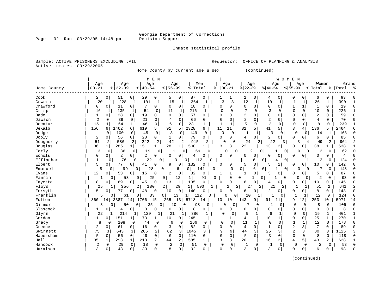Inmate statistical profile

Page 32 Run 03/29/05 14:48 pm

Active inmates 03/29/2005

Sample: ACTIVE PRISONERS EXCLUDING JAIL **Requestor:** OFFICE OF PLANNING & ANALYSIS

Home County by current age & sex (continued)

|             |                |                      | M E N               |                               |                      |                       |              |               |                |                    |                      | W O M          | E N                  |               |                |           |            |
|-------------|----------------|----------------------|---------------------|-------------------------------|----------------------|-----------------------|--------------|---------------|----------------|--------------------|----------------------|----------------|----------------------|---------------|----------------|-----------|------------|
|             | Age            | Age                  | Age                 |                               | Age                  | Men                   |              | Age           | Age            |                    | Age                  |                | Age                  | Women         |                |           | Grand      |
| Home County | $00 - 21$      | $8   22 - 39$        | $8   40 - 54$       | $8155 - 99$                   |                      | % Total               | ిక           | $00 - 21$     | $ 22-39$       |                    | $ 40-54$             | $8155 - 99$    |                      | % Total       |                | %   Total | ့          |
| Cook        | 2              | 0 <sup>1</sup><br>51 | 0<br>29             | 0<br>5                        | 0                    | 87<br>0               | 1            | 1             |                | 0                  | 4<br>0               | 0              | 0                    | 6             | 0              | 93        |            |
| Coweta      | 20             | 228<br>1             | 101<br>-1           | 15<br>1                       | $\mathbf{1}$         | 364<br>$\mathbf{1}$   | 3            | 3             | 12             | 1                  | 10<br>1              | $\mathbf{1}$   | $\mathbf{1}$         | 26            | $\mathbf{1}$   | 390       |            |
| Crawford    | 0              | 11<br>$\overline{0}$ | 7<br>0              | 0<br>0                        | 0                    | 18<br>0               | 0            | 0             | 0              | $\Omega$           | 0<br>O               |                | $\mathbf{1}$         | -1            | 0              | 19        | $\Omega$   |
| Crisp       | 16             | 135<br>1             | 54<br>1             | 0<br>11                       | 1                    | 216<br>1              | 0            | $\Omega$      | 7              | $\Omega$           | 3<br>$\Omega$        | $\Omega$       | $\mathbf 0$          | 10            | $\Omega$       | 226       |            |
| Dade        | $\mathbf{1}$   | 28<br>0              | 0<br>19             | 0<br>9                        | $\Omega$             | 57<br>$\Omega$        | O            | 0             | $\overline{2}$ | $\Omega$           | $\Omega$<br>$\Omega$ | $\Omega$       | $\Omega$             | 2             | 0              | 59        | $\bigcap$  |
| Dawson      | $\overline{2}$ | 39<br>O              | 21<br>0             | $\mathbf 0$<br>4              | $\Omega$             | 66<br>$\Omega$        | O            | $\Omega$      | $\overline{c}$ | $\Omega$           | 2<br>0               | $\Omega$       | 0                    | 4             | 0              | 70        | $\cap$     |
| Decatur     | 15             | 164<br>1             | 1<br>46             | $\mathbf 0$<br>6              | $\Omega$             | 231<br>1              |              | 1             | 5              | $\Omega$           | $\overline{2}$<br>0  | $\Omega$       | $\Omega$             | 8             | $\Omega$       | 239       |            |
| DeKalb      | 156            | 1462<br>6            | 6<br>619            | 5<br>91                       | 2328<br>5            | б                     | 11           | 11            | 81             | 5<br>41            | 5                    | 3              | 4                    | 136           | 5              | 2464      |            |
| Dodge       | $\mathbf{1}$   | 100<br>∩             | 45<br>0             | $\mathbf 0$<br>$\overline{3}$ | $\Omega$             | 149<br>$\Omega$       | $\Omega$     | $\Omega$      | 11             | 1                  | 3<br>$\Omega$        |                | $\Omega$<br>$\Omega$ | 14            | 1              | 163       |            |
| Dooly       | 2              | 56<br>$\Omega$       | $\mathbf{0}$<br>20  | 0<br>1                        | 0                    | 79<br>$\Omega$        | 0            | 0             | 4              | 0                  | 2<br>0               | $\Omega$       | 0                    | 6             | 0              | 85        | C          |
| Dougherty   | 51             | 580<br>2             | 2<br>242            | 2<br>42                       | 2                    | 915<br>$\overline{2}$ | 0            | $\Omega$      | 24             | 2                  | 22                   | 3              | 3                    | 49<br>4       | 2              | 964       |            |
| Douglas     | 36             | $1\vert$<br>285      | 151<br>11           | $1\vert$<br>28                | 1                    | 500                   | 3            | 3             | 22             | 13<br>1            | 2                    | $\Omega$       | 0                    | 38            |                | 538       |            |
| Early       | 3              | 36<br>0              | 0<br>19             | 0<br>$\mathbf 1$              | $\Omega$             | 59<br>0               |              | 0<br>$\Omega$ | 2              | $\Omega$           |                      | 0              | $\Omega$             | $\Omega$<br>3 | 0              | 62        |            |
| Echols      | 0              | $\overline{2}$<br>0  | 2<br>0              | 0<br>$\Omega$                 | $\Omega$             | 4<br>$\cap$           | O            | 0             | <sup>0</sup>   | 0                  | 0<br>0               | O              | $\Omega$             | O             | 0              | 4         | $\sqrt{ }$ |
| Effingham   | 11             | 76<br>0              | 22<br>$\Omega$      | 0                             | 3<br>0               | 112<br>0              |              |               | 6<br>1         | $\mathbf 0$        | 4                    | 0              |                      | 12            | 0              | 124       | O          |
| Elbert      | 5.             | 77<br>$\Omega$       | 41<br>$\Omega$      | 9<br>0                        | 0                    | 132<br>0              | 0            | 0             | 5              | $\Omega$           | 5<br>$\mathbf{1}$    | $\Omega$       | $\Omega$             | 10            | 0              | 142       |            |
| Emanuel     | 8              | $\Omega$<br>99       | 28<br>0             | 0 <sup>1</sup>                | 6<br>0               | 141                   | $\Omega$     | $\Omega$      | $\overline{0}$ | 6<br>0             |                      | 0              | ∩                    | 7<br>0        | 0              | 148       |            |
| Evans       | 12             | 53<br>O              | 15<br>$\Omega$      | 0<br>2                        | $\mathbf 0$          | 82<br>0               |              | 1             | $\mathbf{1}$   | 0                  | 3<br>0               | O              | 0                    | 5             | 0              | 87        |            |
| Fannin      | 1              | 53<br>$\Omega$       | 25<br>0             | $\overline{0}$                | 12<br>1              | 91                    | O            | $\Omega$      | $\Omega$<br>1  | $\Omega$           |                      | 0              | $\Omega$             | 2<br>0        | 0              | 93        |            |
| Fayette     | 8              | 69<br>$\Omega$       | 45<br>0             | 0<br>13                       | $\mathbf{1}$         | 135<br>0              | O            | 0             | 6              | 0                  | $\Omega$<br>4        | 0              | 0                    | 10            | 0              | 145       |            |
| Floyd       | 25             | 356                  | 2 <br>180           | $\overline{2}$                | 1 <sup>1</sup><br>29 | 590                   | -1           | 2<br>2        | 27             | 2                  | 21                   | 2 <sup>1</sup> | -1<br>1              | 51            | 2              | 641       | 2          |
| Forsyth     | 5              | 77<br>0              | 48<br>0             | 0<br>10                       | 0                    | 140<br>N              | U            | 0             | 6              | 0                  | 2<br>0               | 0              | 0                    | 8             | 0              | 148       | $\Omega$   |
| Franklin    | 5              | 61<br>0              | 0<br>33             | 0                             | 13<br>$\mathbf{1}$   | 112<br>$\Omega$       |              | 0<br>$\Omega$ | 10             | 1                  | -1                   | $\overline{0}$ | 1<br>$\mathbf{1}$    | 12            | $\Omega$       | 124       | $\Omega$   |
| Fulton      | 360            | 3387<br>14 I         | 14<br>1706          | 15<br>265                     | 13<br>5718           | 14                    | 10           | 10            | 143            | 9<br>91            | 11                   | 9              | 12                   | 253           | 10             | 5971      | 14         |
| Gilmer      | 3              | U<br>50              | 35<br>0             | 0<br>10                       | O                    | 98<br>$\Omega$        | <sup>0</sup> | <sup>0</sup>  | 7              | $\Omega$           | 1<br>$\Omega$        |                | 0<br>$\Omega$        | 8             | $\Omega$       | 106       | $\sqrt{ }$ |
| Glascock    | 1              | $\Omega$<br>4        | 0<br>3              | 0<br>0                        | $\Omega$             | 8<br>0                | 0            | 0             | 0              | 0                  | 0<br>0               | 0              | 0                    | 0             | 0              | 8         | C          |
| Glynn       | 22             | 214                  | 129<br>$\mathbf{1}$ | 21                            |                      | 386                   | $\Omega$     | 0             | 9              | 1                  | 6<br>1               | $\Omega$       | 0                    | 15            | 1              | 401       |            |
| Gordon      | 11             | 151<br>0             | 73<br>$\mathbf{1}$  | $\mathbf{1}$<br>10            | 0                    | 245<br>1              | 1            | 1             | 14             | 10<br>$\mathbf{1}$ | $\mathbf{1}$         | $\Omega$       | 0                    | 25            | $\mathbf{1}$   | 270       |            |
| Grady       | 8              | 108<br>$\Omega$      | 0<br>44             | $\mathbf{0}$<br>6             | 0                    | 166<br>$\Omega$       | $\Omega$     | $\Omega$      | 11             | $\mathbf{1}$       | $\Omega$<br>$\Omega$ | $\mathbf{1}$   | $\mathbf 1$          | 12            | $\Omega$       | 178       | $\Omega$   |
| Greene      | 2              | 0<br>61              | 16<br>0             | $\mathbf{0}$<br>3             | 0                    | 82<br>0               | 0            | 0             | $\overline{4}$ | 0                  | 1<br>0               | $\overline{2}$ | 3                    | 7             | 0              | 89        | $\cap$     |
| Gwinnett    | 75             | 643<br>3             | 265<br>3            | 2<br>62                       | 3<br>1045            | 3                     | 9            | 9             | 44             | 3<br>25            | 3                    | $\overline{2}$ | 3                    | 80            | 3              | 1125      |            |
| Habersham   | 5              | 56<br>$\Omega$       | $\Omega$<br>49      | 0<br>$\Omega$                 | 0                    | 110<br>0              | $\Omega$     | $\Omega$      | 5              | $\Omega$           | 3<br>$\Omega$        | $\Omega$       | $\Omega$             | 8             | $\Omega$       | 118       |            |
| Hall        | 35             | 293<br>1             | $\mathbf{1}$<br>213 | 2<br>44                       | 2                    | 585<br>1              | 3            | 3             | 20             | 1<br>16            | 2                    | 4              | 5                    | 43            | $\overline{a}$ | 628       |            |
| Hancock     | $\overline{a}$ | 29<br>0              | 0<br>18             | $\mathbf 0$<br>2              | 0                    | 51<br>0               | $\mathbf 0$  | $\mathbf 0$   |                | 0                  | 0<br>1               |                | $\mathbf 0$<br>0     | 2             | 0              | 53        |            |
| Haralson    | 3              | $\mathbf 0$<br>48    | 0<br>33             | 8<br>0                        | $\mathbf 0$          | 92<br>0               | $\Omega$     | 0             | 3              | 0                  | 3<br>0               | $\Omega$       | 0                    | 6             | <sup>0</sup>   | 98        | $\bigcap$  |
|             |                |                      |                     |                               |                      |                       |              |               |                |                    |                      |                |                      |               |                |           |            |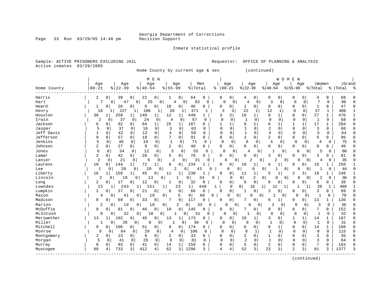Page 33 Run 03/29/05 14:48 pm

Inmate statistical profile

Active inmates 03/29/2005

Sample: ACTIVE PRISONERS EXCLUDING JAIL **Requestor:** OFFICE OF PLANNING & ANALYSIS

Home County by current age & sex (continued)

|             |                |                   |                      | M E N               |                     |                 |              |               |                |                |                            | W O M E      | N              |                |                |              |           |        |
|-------------|----------------|-------------------|----------------------|---------------------|---------------------|-----------------|--------------|---------------|----------------|----------------|----------------------------|--------------|----------------|----------------|----------------|--------------|-----------|--------|
|             | Age            | Age               | Age                  |                     | Age                 | Men             |              | Age           | Age            |                | Age                        |              | Age            |                | Women          |              | Grand     |        |
| Home County | $00 - 21$      | $8   22 - 39$     | $8140 - 54$          | $8155 - 99$         |                     | % Total         | ႜ            | $00 - 21$     | $ 22-39$       |                | $8 40-54$                  |              | $8 55-99$      |                | % Total        |              | %   Total | ু      |
| Harris      | 2              | 39<br>0           | 22<br>0 <sup>1</sup> | 0<br>1              | $\overline{0}$      | 64<br>0         | 0            | 0             | 4              | 0              | 0                          | 0            | 0              | 0              | 4              | 0            | 68        |        |
| Hart        | 7              | 47<br>0           | $\mathbf 0$<br>25    | 0                   | $\overline{4}$<br>0 | 83<br>0         |              | $\Omega$<br>0 | 4              | 0              | 3                          | $\mathbf 0$  | 0              | $\mathbf 0$    | 7              | $\Omega$     | 90        |        |
| Heard       | 1              | 26<br>0           | 0<br>9               | 0<br>10             | 0                   | 46<br>0         | 0            | 0             |                | $\overline{0}$ | 0                          | 0            | 0              | 0              | $\mathbf{1}$   | 0            | 47        |        |
| Henry       | 18             | 227<br>1          | 106<br>1             | 20<br>1             |                     | 371<br>1        |              | 3<br>3        | 22             | 1              | 12                         | 1            | $\Omega$       | 0              | 37             | $\mathbf{1}$ | 408       |        |
| Houston     | 30             | 258<br>1          | 149<br>1             | 12<br>1             | 1                   | 449<br>1        | 3            | 3             | 16             | 1              | 8<br>1                     |              | $\Omega$       | 0              | 27             | $\mathbf{1}$ | 476       |        |
| Irwin       | $\overline{2}$ | 37<br>$\Omega$    | 24<br>$\Omega$       | 0<br>4              | 0                   | 67<br>O         | $\Omega$     | $\Omega$      |                | $\Omega$       | $\mathbf 0$                | 0            | $\Omega$       | 0              |                | $\mathbf 0$  | 68        | C      |
| Jackson     | 6              | 92<br>O           | 64<br>0              | 1 <br>25            | 1                   | 187<br>O        |              |               | 9              | 1              | 6<br>$\mathbf{1}$          |              |                | $\mathbf{1}$   | 17             | $\mathbf{1}$ | 204       |        |
| Jasper      | 5              | 37<br>$\Omega$    | 18<br>$\Omega$       | $\Omega$<br>ζ       | $\Omega$            | 63<br>$\Omega$  | $\cap$       | $\Omega$      | 1              | $\Omega$       | $\overline{a}$<br>$\Omega$ |              | $\Omega$       | $\Omega$       | 3              | $\Omega$     | 66        |        |
| Jeff Davis  |                | 42<br>0           | 12<br>0              | $\mathbf 0$<br>4    | $\Omega$            | 59<br>$\Omega$  | $\Omega$     | $\Omega$      | $\mathbf{1}$   | $\Omega$       | $\overline{4}$<br>$\Omega$ |              | $\Omega$       | $\Omega$       | 5              | $\Omega$     | 64        |        |
| Jefferson   | 9              | 0<br>57           | 18<br>0              | 0<br>7              | $\mathbf 0$         | 91<br>0         | 0            | $\mathsf{O}$  | 3              | $\mathbf 0$    | $\overline{2}$             | 0            | 0              | 0              | 5              | 0            | 96        |        |
| Jenkins     | 5              | 0<br>46           | 19<br>0              | 0<br>$\mathbf 1$    | 0                   | 71<br>$\Omega$  | $\mathbf 0$  | 0             | $\Omega$       | 0              | 4                          | 0            | $\mathbf 0$    | 0              | 4              | $\mathbf 0$  | 75        |        |
| Johnson     | 2              | 27<br>0           | 9<br>$\overline{0}$  | 2<br>$\overline{0}$ | $\overline{0}$      | 40<br>0         | <sup>0</sup> | 0             | O              | 0              | $\mathbf 0$<br>0           |              | $\Omega$       | 0              | O              | 0            | 40        |        |
| Jones       | 6              | 0<br>34           | 12<br>0              | 3<br>0              | $\mathbf 0$         | 55<br>0         |              | 0<br>0        | 4              | 0              | 1                          | 0            | $\Omega$       | $\overline{0}$ | 5              | 0            | 60        |        |
| Lamar       | 3              | 42<br>0           | 28<br>$\overline{0}$ | 0<br>5              | 0                   | 78<br>0         | <sup>0</sup> | 0             |                | 0              | 3<br>$\Omega$              |              | $\cap$         | 0              | 3              | 0            | 81        | C      |
| Lanier      | $\overline{c}$ | 21<br>0           | 6<br>0               | 0                   | $\overline{c}$<br>0 | 31<br>U         |              | O<br>0        | 2              | 0              | 2                          | 0            | U              | $\Omega$       | 4              | $\mathbf 0$  | 35        |        |
| Laurens     | 10             | 144<br>0          | 72<br>$\mathbf{1}$   | 8<br>1              | 0                   | 234             | O            | 0             | 10             | $\mathbf{1}$   | 6<br>1                     |              | $\Omega$       | U              | 16             |              | 250       |        |
| Lee         | 1              | 20<br>0           | 20<br>0              | $\Omega$            | 2<br>0              | 43              | U            | 0             | $\Omega$       | $\Omega$<br>0  |                            | 0            | $\Omega$       | $\Omega$       | -1             | $\Omega$     | 44        |        |
| Liberty     | 16             | 158               | 45                   | 0<br>11             | 1                   | 230             | 0            | 0             | 11             | 1              | 5<br>1                     |              | 2              | 31             | 18             |              | 248       |        |
| Lincoln     | 2              | 18<br>0           | 13<br>0              | 0                   | 0<br>1              | 34              | 0            | $\mathbf 0$   | 0 <sup>1</sup> | 2<br>0         | 0                          | 0            | $\Omega$       | 0              | 2              | 0            | 36        |        |
| Long        | 2              | 17<br>0           | 12<br>0              | 0<br>1              | 0                   | 32<br>0         | $\Omega$     | 0             | 6              | $\mathbf 0$    | U<br>0                     |              | ∩              | 0              | 6              | 0            | 38        |        |
| Lowndes     | 23             | 243<br>1          | 151<br>1             | 1                   | 23                  | 1 <br>440       | 1            | 0             | 0<br>16        | 1              | 12                         | 1            |                |                | 29             | 1            | 469       |        |
| Lumpkin     | 2              | 37<br>0           | 21<br>0              | 0<br>6              | 0                   | 66<br>0         | $\Omega$     | 0             |                | 0              | 2<br>0                     |              | $\Omega$       | 0              | 3              | 0            | 69        |        |
| Macon       | 4              | 41<br>0           | 0<br>19              | 0                   | 5                   | 0<br>69         | 0            | O<br>0        | ∩              | 0              |                            | 0            | O              | $\Omega$       | $\overline{1}$ | 0            | 70        |        |
| Madison     | 8              | 69<br>0           | 0<br>33              | 0<br>7              | $\mathbf 0$         | 117<br>$\Omega$ | O            | 0             | 7              | 0              | 6                          | $\mathbf{1}$ | $\Omega$       | 0 <sup>1</sup> | 13             | 1            | 130       |        |
| Marion      | 2              | 19<br>0           | 0<br>10              | 0                   | $\Omega$<br>2       | 33              | $\Omega$     | O<br>$\Omega$ | U              | $\Omega$       | 3                          | 0            | $\Omega$       | $\Omega$       | 3              | $\Omega$     | 36        |        |
| McDuffie    | 8              | 81<br>0           | $\overline{0}$<br>46 | 0<br>10             | $\mathbf 0$         | 145<br>$\Omega$ | 0            | 0             |                | 0 <sup>1</sup> | 0                          | 0            | 0              | 0              | 7              | 0            | 152       |        |
| McIntosh    | 0              | 32<br>0           | 0 <sup>1</sup><br>18 | 0                   | 0                   | 51<br>0         |              | $\Omega$<br>0 |                | 0              | $\Omega$                   | 0            | $\mathbf 0$    | 0              | $\mathbf{1}$   | 0            | 52        |        |
| Meriwether  | 13             | 102<br>$1\vert$   | 0 <sup>1</sup><br>45 | 0<br>13             | 1                   | 173<br>0        | 0            | 0             | 10             | $\mathbf{1}$   | 3                          | 0            | 1              | 1              | 14             | 1            | 187       |        |
| Miller      | $\mathbf{1}$   | 20<br>0           | 8<br>0               | 0                   | $\mathbf{1}$<br>0   | 30<br>0         |              | $\Omega$<br>0 | $\Omega$       | $\Omega$       | $\mathbf{1}$               | $\Omega$     | $\mathbf 0$    | 0              | 1              | $\Omega$     | 31        | $\cap$ |
| Mitchell    | 9              | 106<br>0          | 51<br>$\circ$        | 0<br>8              | 0                   | 174<br>0        | $\Omega$     | 0             | 6              | $\Omega$       | 8<br>1                     |              | $\Omega$       | 0              | 14             | 1            | 188       | C      |
| Monroe      | 9              | 64<br>0           | 29<br>0              | 0<br>4              | 0                   | 106<br>0        | $\Omega$     | O             | 8              | 1              | $\mathbf{1}$               | 0            | $\Omega$       | 0              | q              | $\mathbf{0}$ | 115       |        |
| Montgomery  | 2              | 23<br>0           | 0<br>6               | 0<br>2              | 0                   | 33<br>0         | $\Omega$     | $\Omega$      | $\overline{2}$ | $\Omega$       | $\mathbf{1}$<br>O          |              | $\Omega$       | $\Omega$       | 3              | 0            | 36        |        |
| Morgan      | 5              | $\mathbf 0$<br>41 | 29<br>$\Omega$       | 6<br>$\Omega$       | $\mathbf 0$         | 81<br>0         | $\Omega$     | $\Omega$      | 2              | $\Omega$       | $\mathbf{1}$<br>$\Omega$   |              | $\Omega$       | $\Omega$       | 3              | $\Omega$     | 84        |        |
| Murray      | 8              | 0<br>93           | $\overline{0}$<br>41 | 0<br>14             | $\mathbf 1$         | 156<br>0        | 0            | 0             | 5              | $\Omega$       | $\sqrt{2}$<br>0            |              | $\mathbf 0$    | $\Omega$       | 7              | 0            | 163       |        |
| Muscogee    | 89             | 733<br>4          | 412<br>3             | 62<br>4             | 3                   | 1296<br>3       | 4            | 4             | 52             | 3              | 23                         | 3            | $\overline{2}$ | 3              | 81             | 3            | 1377      |        |
|             |                |                   |                      |                     |                     |                 |              |               |                |                |                            |              |                |                |                |              |           |        |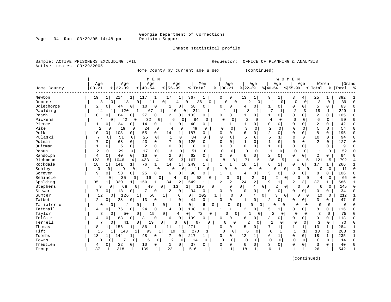Page 34 Run 03/29/05 14:48 pm

Inmate statistical profile

Active inmates 03/29/2005

Sample: ACTIVE PRISONERS EXCLUDING JAIL **Requestor:** OFFICE OF PLANNING & ANALYSIS

Home County by current age & sex (continued)

| Age<br>Age<br>Age<br>Age<br>Men<br>Age<br>Women<br>Age<br>Age<br>Age<br>$00 - 21$<br>$8   22 - 39$<br>$8   40 - 54$<br>$8155 - 99$<br>% Total<br>$00 - 21$<br>$ 22-39$<br>$8 40-54$<br>$8155 - 99$<br>Home County<br>% Total<br>Total<br>ႜ<br>ႜ<br>19<br>0<br>13<br>25<br>392<br>Newton<br>214<br>117<br>17<br>1<br>367<br>0<br>1<br>9<br>3<br>11<br>1<br>-1<br>4<br>1<br>$\mathbf 0$<br>$\overline{c}$<br>39<br>Oconee<br>3<br>$\Omega$<br>18<br>$\mathbf 0$<br>36<br>0<br>0<br>$\mathbf 0$<br>3<br>$\Omega$<br>$\Omega$<br>4<br>$\Omega$<br>$\Omega$<br>1<br>0<br>$\Omega$<br>11<br>Oglethorpe<br>5<br>63<br>44<br>$\Omega$<br>0<br>2<br>0 <sup>1</sup><br>58<br>$\Omega$<br>0<br>0<br>0<br>0<br>2<br>$\Omega$<br>10<br>0<br>4<br>0<br>0<br>1<br>Paulding<br>211<br>14<br>120<br>10<br>8<br>7<br>$\overline{c}$<br>3<br>18<br>$\mathbf{1}$<br>229<br>$\mathbf{1}$<br>67<br>$\mathbf{1}$<br>0 <sup>1</sup><br>$\mathbf{1}$<br>-1<br>-1<br>-1<br>Peach<br>2<br>10<br>27<br>103<br>0<br>$\Omega$<br>0<br>105<br>0<br>64<br>0<br>2<br>0<br>0<br>0<br>1<br>0<br>1<br>0<br>$\Omega$<br>0<br>Pickens<br>32<br>$\overline{c}$<br>42<br>6<br>84<br>$\mathbf 0$<br>0<br>0<br>4<br>$\Omega$<br>$\mathbf 0$<br>6<br>$\Omega$<br>90<br>4<br>0<br>0<br>0<br>0<br>0<br>0<br>Pierce<br>24<br>2<br>42<br>0<br>0<br>40<br>0<br>0<br>$\Omega$<br>$\Omega$<br>1<br>0<br>0<br>14<br>$\Omega$<br>1<br>1<br>$\Omega$<br>0<br>$\overline{c}$<br>5<br>Pike<br>$\overline{2}$<br>19<br>24<br>$\Omega$<br>3<br>$\Omega$<br>$\Omega$<br>54<br>$\Omega$<br>$\Omega$<br>49<br>$\Omega$<br>$\Omega$<br>$\Omega$<br>$\Omega$<br>0<br>0<br>4<br>∩<br>Polk<br>55<br>6<br>2<br>8<br>10<br>108<br>187<br>$\Omega$<br>$\Omega$<br>$\Omega$<br>195<br>0<br>0<br>O<br>0<br>$\Omega$<br>$\Omega$<br>0<br>14<br>1<br>O<br>5<br>5<br>Pulaski<br>25<br>$\Omega$<br>$\Omega$<br>84<br>$\Omega$<br>$\mathbf 0$<br>10<br>94<br>51<br>$\Omega$<br>$\mathbf{1}$<br>$\Omega$<br>$\mathbf 0$<br>$\Omega$<br>0<br>$\Omega$<br>1<br>$\Omega$<br>$1\,$<br>$\Omega$<br>43<br>0<br>125<br>0<br>$\mathbf{1}$<br>$\mathbf 0$<br>$\Omega$<br>$\Omega$<br>2<br>127<br>Putnam<br>0<br>68<br>7<br>0<br>0<br>0<br>0<br>O<br>5<br>2<br>$\mathbf{1}$<br>$\Omega$<br>$\mathbf 0$<br>$\Omega$<br>8<br>$\Omega$<br>$\Omega$<br>$\Omega$<br>0<br>$\mathbf 1$<br>$\Omega$<br>$\mathbf{1}$<br>9<br>Ouitman<br>$\Omega$<br>$\Omega$<br>$\Omega$<br>0<br>$\Omega$<br>0<br>$\overline{2}$<br>$\mathbf{1}$<br>52<br>Rabun<br>29<br>17<br>3<br>51<br>0<br>0<br>$\mathbf 0$<br>$\mathbf{1}$<br>$\Omega$<br>0<br>$\mathbf 0$<br>0<br>$\Omega$<br>0<br>$\Omega$<br>0<br>$\Omega$<br>0<br>$\overline{a}$<br>Randolph<br>$\Omega$<br>16<br>$\mathbf 0$<br>2<br>62<br>0<br>2<br>4<br>$\Omega$<br>40<br>$\Omega$<br>$\Omega$<br>U<br>$\Omega$<br>$\Omega$<br>$\Omega$<br>$\Omega$<br>$\Omega$<br>0<br>64<br>Richmond<br>1671<br>123<br>433<br>69<br>8<br>8<br>71<br>38<br>121<br>5<br>1792<br>5<br>1046<br>4<br>4<br>3<br>5<br>5<br>4<br>4<br>5<br>Rockdale<br>18<br>17<br>$1\vert$<br>141<br>76<br>$1\vert$<br>14<br>249<br>$\mathbf{1}$<br>10<br>6<br>$\Omega$<br>266<br>1 <sup>1</sup><br>-1<br>1<br>$\Omega$<br>1<br>1<br>Schley<br>$\mathfrak{D}$<br>$\Omega$<br>$\Omega$<br>9<br>0<br>11<br>$\Omega$<br>0<br>11<br>$\Omega$<br>$\Omega$<br>$\cap$<br>$\cap$<br>$\Omega$<br>$\Omega$<br>$\Omega$<br>$\Omega$<br>$\Omega$<br>$\cap$<br>$\Omega$<br>9<br>58<br>25<br>98<br>3<br>8<br>106<br>Screven<br>$\Omega$<br>0<br>0<br>6<br>$\Omega$<br>1<br>4<br>0<br>0<br>$\Omega$<br>O<br>0<br>0<br>Seminole<br>2<br>35<br>19<br>62<br>2<br>66<br>4<br>$\Omega$<br>0<br>0<br>$\Omega$<br>0<br>0<br>0<br>0<br>4<br>O<br>n<br>0<br>O<br>4<br>Spalding<br>2<br>35<br>330<br>150<br>34<br>2<br>549<br>2<br>2<br>24<br>9<br>$\mathbf{1}$<br>3<br>37<br>586<br>$1\vert$<br>1<br>$\mathbf{1}$<br>2<br>Stephens<br>9<br>49<br>139<br>$\Omega$<br>0<br>$\overline{2}$<br>145<br>68<br>0<br>13<br>4<br>$\overline{0}$<br>6<br>0<br>0<br>$\Omega$<br>$\Omega$<br>$\Omega$<br>$\Omega$<br>$1\vert$<br>0<br>7<br>18<br>0<br>0<br>34<br>Stewart<br>0<br>0<br>0<br>2<br>34<br>0<br>0<br>0<br>$\Omega$<br>$\Omega$<br>0<br>O<br>0<br>0<br>0<br>7<br>Sumter<br>12<br>126<br>58<br>$\mathbf 0$<br>202<br>0 <sup>1</sup><br>0<br>212<br>$\Omega$<br>1<br>1<br>6<br>$\mathbf{1}$<br>$\Omega$<br>3<br>0<br>U<br>$\Omega$<br>10<br>0 |            |
|----------------------------------------------------------------------------------------------------------------------------------------------------------------------------------------------------------------------------------------------------------------------------------------------------------------------------------------------------------------------------------------------------------------------------------------------------------------------------------------------------------------------------------------------------------------------------------------------------------------------------------------------------------------------------------------------------------------------------------------------------------------------------------------------------------------------------------------------------------------------------------------------------------------------------------------------------------------------------------------------------------------------------------------------------------------------------------------------------------------------------------------------------------------------------------------------------------------------------------------------------------------------------------------------------------------------------------------------------------------------------------------------------------------------------------------------------------------------------------------------------------------------------------------------------------------------------------------------------------------------------------------------------------------------------------------------------------------------------------------------------------------------------------------------------------------------------------------------------------------------------------------------------------------------------------------------------------------------------------------------------------------------------------------------------------------------------------------------------------------------------------------------------------------------------------------------------------------------------------------------------------------------------------------------------------------------------------------------------------------------------------------------------------------------------------------------------------------------------------------------------------------------------------------------------------------------------------------------------------------------------------------------------------------------------------------------------------------------------------------------------------------------------------------------------------------------------------------------------------------------------------------------------------------------------------------------------------------------------------------------------------------------------------------------------------------------------------------------------------------------------------------------------------------------------------------------------------------------------------------------------------------------------------------------------------------------------------------------------------------------------------------------------------------------------------------------------------------------------------------------------------------------------------------------------------------------------------------------------------------------------------------------------------------------------------------------------------------------------------------------------------------------------------------------------------------------------------------------------------------------------------------------------------------------------------------------------------------------------------------------------------------------------------------------------------------------------------------------------------------------------------------------------------------------------------------------------------------------------------------------------------------------------------------------------------------------------|------------|
|                                                                                                                                                                                                                                                                                                                                                                                                                                                                                                                                                                                                                                                                                                                                                                                                                                                                                                                                                                                                                                                                                                                                                                                                                                                                                                                                                                                                                                                                                                                                                                                                                                                                                                                                                                                                                                                                                                                                                                                                                                                                                                                                                                                                                                                                                                                                                                                                                                                                                                                                                                                                                                                                                                                                                                                                                                                                                                                                                                                                                                                                                                                                                                                                                                                                                                                                                                                                                                                                                                                                                                                                                                                                                                                                                                                                                                                                                                                                                                                                                                                                                                                                                                                                                                                                                                                            | Grand      |
|                                                                                                                                                                                                                                                                                                                                                                                                                                                                                                                                                                                                                                                                                                                                                                                                                                                                                                                                                                                                                                                                                                                                                                                                                                                                                                                                                                                                                                                                                                                                                                                                                                                                                                                                                                                                                                                                                                                                                                                                                                                                                                                                                                                                                                                                                                                                                                                                                                                                                                                                                                                                                                                                                                                                                                                                                                                                                                                                                                                                                                                                                                                                                                                                                                                                                                                                                                                                                                                                                                                                                                                                                                                                                                                                                                                                                                                                                                                                                                                                                                                                                                                                                                                                                                                                                                                            |            |
|                                                                                                                                                                                                                                                                                                                                                                                                                                                                                                                                                                                                                                                                                                                                                                                                                                                                                                                                                                                                                                                                                                                                                                                                                                                                                                                                                                                                                                                                                                                                                                                                                                                                                                                                                                                                                                                                                                                                                                                                                                                                                                                                                                                                                                                                                                                                                                                                                                                                                                                                                                                                                                                                                                                                                                                                                                                                                                                                                                                                                                                                                                                                                                                                                                                                                                                                                                                                                                                                                                                                                                                                                                                                                                                                                                                                                                                                                                                                                                                                                                                                                                                                                                                                                                                                                                                            |            |
|                                                                                                                                                                                                                                                                                                                                                                                                                                                                                                                                                                                                                                                                                                                                                                                                                                                                                                                                                                                                                                                                                                                                                                                                                                                                                                                                                                                                                                                                                                                                                                                                                                                                                                                                                                                                                                                                                                                                                                                                                                                                                                                                                                                                                                                                                                                                                                                                                                                                                                                                                                                                                                                                                                                                                                                                                                                                                                                                                                                                                                                                                                                                                                                                                                                                                                                                                                                                                                                                                                                                                                                                                                                                                                                                                                                                                                                                                                                                                                                                                                                                                                                                                                                                                                                                                                                            |            |
|                                                                                                                                                                                                                                                                                                                                                                                                                                                                                                                                                                                                                                                                                                                                                                                                                                                                                                                                                                                                                                                                                                                                                                                                                                                                                                                                                                                                                                                                                                                                                                                                                                                                                                                                                                                                                                                                                                                                                                                                                                                                                                                                                                                                                                                                                                                                                                                                                                                                                                                                                                                                                                                                                                                                                                                                                                                                                                                                                                                                                                                                                                                                                                                                                                                                                                                                                                                                                                                                                                                                                                                                                                                                                                                                                                                                                                                                                                                                                                                                                                                                                                                                                                                                                                                                                                                            | C          |
|                                                                                                                                                                                                                                                                                                                                                                                                                                                                                                                                                                                                                                                                                                                                                                                                                                                                                                                                                                                                                                                                                                                                                                                                                                                                                                                                                                                                                                                                                                                                                                                                                                                                                                                                                                                                                                                                                                                                                                                                                                                                                                                                                                                                                                                                                                                                                                                                                                                                                                                                                                                                                                                                                                                                                                                                                                                                                                                                                                                                                                                                                                                                                                                                                                                                                                                                                                                                                                                                                                                                                                                                                                                                                                                                                                                                                                                                                                                                                                                                                                                                                                                                                                                                                                                                                                                            |            |
|                                                                                                                                                                                                                                                                                                                                                                                                                                                                                                                                                                                                                                                                                                                                                                                                                                                                                                                                                                                                                                                                                                                                                                                                                                                                                                                                                                                                                                                                                                                                                                                                                                                                                                                                                                                                                                                                                                                                                                                                                                                                                                                                                                                                                                                                                                                                                                                                                                                                                                                                                                                                                                                                                                                                                                                                                                                                                                                                                                                                                                                                                                                                                                                                                                                                                                                                                                                                                                                                                                                                                                                                                                                                                                                                                                                                                                                                                                                                                                                                                                                                                                                                                                                                                                                                                                                            | $\sqrt{ }$ |
|                                                                                                                                                                                                                                                                                                                                                                                                                                                                                                                                                                                                                                                                                                                                                                                                                                                                                                                                                                                                                                                                                                                                                                                                                                                                                                                                                                                                                                                                                                                                                                                                                                                                                                                                                                                                                                                                                                                                                                                                                                                                                                                                                                                                                                                                                                                                                                                                                                                                                                                                                                                                                                                                                                                                                                                                                                                                                                                                                                                                                                                                                                                                                                                                                                                                                                                                                                                                                                                                                                                                                                                                                                                                                                                                                                                                                                                                                                                                                                                                                                                                                                                                                                                                                                                                                                                            | n          |
|                                                                                                                                                                                                                                                                                                                                                                                                                                                                                                                                                                                                                                                                                                                                                                                                                                                                                                                                                                                                                                                                                                                                                                                                                                                                                                                                                                                                                                                                                                                                                                                                                                                                                                                                                                                                                                                                                                                                                                                                                                                                                                                                                                                                                                                                                                                                                                                                                                                                                                                                                                                                                                                                                                                                                                                                                                                                                                                                                                                                                                                                                                                                                                                                                                                                                                                                                                                                                                                                                                                                                                                                                                                                                                                                                                                                                                                                                                                                                                                                                                                                                                                                                                                                                                                                                                                            | ∩          |
|                                                                                                                                                                                                                                                                                                                                                                                                                                                                                                                                                                                                                                                                                                                                                                                                                                                                                                                                                                                                                                                                                                                                                                                                                                                                                                                                                                                                                                                                                                                                                                                                                                                                                                                                                                                                                                                                                                                                                                                                                                                                                                                                                                                                                                                                                                                                                                                                                                                                                                                                                                                                                                                                                                                                                                                                                                                                                                                                                                                                                                                                                                                                                                                                                                                                                                                                                                                                                                                                                                                                                                                                                                                                                                                                                                                                                                                                                                                                                                                                                                                                                                                                                                                                                                                                                                                            |            |
|                                                                                                                                                                                                                                                                                                                                                                                                                                                                                                                                                                                                                                                                                                                                                                                                                                                                                                                                                                                                                                                                                                                                                                                                                                                                                                                                                                                                                                                                                                                                                                                                                                                                                                                                                                                                                                                                                                                                                                                                                                                                                                                                                                                                                                                                                                                                                                                                                                                                                                                                                                                                                                                                                                                                                                                                                                                                                                                                                                                                                                                                                                                                                                                                                                                                                                                                                                                                                                                                                                                                                                                                                                                                                                                                                                                                                                                                                                                                                                                                                                                                                                                                                                                                                                                                                                                            |            |
|                                                                                                                                                                                                                                                                                                                                                                                                                                                                                                                                                                                                                                                                                                                                                                                                                                                                                                                                                                                                                                                                                                                                                                                                                                                                                                                                                                                                                                                                                                                                                                                                                                                                                                                                                                                                                                                                                                                                                                                                                                                                                                                                                                                                                                                                                                                                                                                                                                                                                                                                                                                                                                                                                                                                                                                                                                                                                                                                                                                                                                                                                                                                                                                                                                                                                                                                                                                                                                                                                                                                                                                                                                                                                                                                                                                                                                                                                                                                                                                                                                                                                                                                                                                                                                                                                                                            |            |
|                                                                                                                                                                                                                                                                                                                                                                                                                                                                                                                                                                                                                                                                                                                                                                                                                                                                                                                                                                                                                                                                                                                                                                                                                                                                                                                                                                                                                                                                                                                                                                                                                                                                                                                                                                                                                                                                                                                                                                                                                                                                                                                                                                                                                                                                                                                                                                                                                                                                                                                                                                                                                                                                                                                                                                                                                                                                                                                                                                                                                                                                                                                                                                                                                                                                                                                                                                                                                                                                                                                                                                                                                                                                                                                                                                                                                                                                                                                                                                                                                                                                                                                                                                                                                                                                                                                            |            |
|                                                                                                                                                                                                                                                                                                                                                                                                                                                                                                                                                                                                                                                                                                                                                                                                                                                                                                                                                                                                                                                                                                                                                                                                                                                                                                                                                                                                                                                                                                                                                                                                                                                                                                                                                                                                                                                                                                                                                                                                                                                                                                                                                                                                                                                                                                                                                                                                                                                                                                                                                                                                                                                                                                                                                                                                                                                                                                                                                                                                                                                                                                                                                                                                                                                                                                                                                                                                                                                                                                                                                                                                                                                                                                                                                                                                                                                                                                                                                                                                                                                                                                                                                                                                                                                                                                                            |            |
|                                                                                                                                                                                                                                                                                                                                                                                                                                                                                                                                                                                                                                                                                                                                                                                                                                                                                                                                                                                                                                                                                                                                                                                                                                                                                                                                                                                                                                                                                                                                                                                                                                                                                                                                                                                                                                                                                                                                                                                                                                                                                                                                                                                                                                                                                                                                                                                                                                                                                                                                                                                                                                                                                                                                                                                                                                                                                                                                                                                                                                                                                                                                                                                                                                                                                                                                                                                                                                                                                                                                                                                                                                                                                                                                                                                                                                                                                                                                                                                                                                                                                                                                                                                                                                                                                                                            |            |
|                                                                                                                                                                                                                                                                                                                                                                                                                                                                                                                                                                                                                                                                                                                                                                                                                                                                                                                                                                                                                                                                                                                                                                                                                                                                                                                                                                                                                                                                                                                                                                                                                                                                                                                                                                                                                                                                                                                                                                                                                                                                                                                                                                                                                                                                                                                                                                                                                                                                                                                                                                                                                                                                                                                                                                                                                                                                                                                                                                                                                                                                                                                                                                                                                                                                                                                                                                                                                                                                                                                                                                                                                                                                                                                                                                                                                                                                                                                                                                                                                                                                                                                                                                                                                                                                                                                            |            |
|                                                                                                                                                                                                                                                                                                                                                                                                                                                                                                                                                                                                                                                                                                                                                                                                                                                                                                                                                                                                                                                                                                                                                                                                                                                                                                                                                                                                                                                                                                                                                                                                                                                                                                                                                                                                                                                                                                                                                                                                                                                                                                                                                                                                                                                                                                                                                                                                                                                                                                                                                                                                                                                                                                                                                                                                                                                                                                                                                                                                                                                                                                                                                                                                                                                                                                                                                                                                                                                                                                                                                                                                                                                                                                                                                                                                                                                                                                                                                                                                                                                                                                                                                                                                                                                                                                                            |            |
|                                                                                                                                                                                                                                                                                                                                                                                                                                                                                                                                                                                                                                                                                                                                                                                                                                                                                                                                                                                                                                                                                                                                                                                                                                                                                                                                                                                                                                                                                                                                                                                                                                                                                                                                                                                                                                                                                                                                                                                                                                                                                                                                                                                                                                                                                                                                                                                                                                                                                                                                                                                                                                                                                                                                                                                                                                                                                                                                                                                                                                                                                                                                                                                                                                                                                                                                                                                                                                                                                                                                                                                                                                                                                                                                                                                                                                                                                                                                                                                                                                                                                                                                                                                                                                                                                                                            |            |
|                                                                                                                                                                                                                                                                                                                                                                                                                                                                                                                                                                                                                                                                                                                                                                                                                                                                                                                                                                                                                                                                                                                                                                                                                                                                                                                                                                                                                                                                                                                                                                                                                                                                                                                                                                                                                                                                                                                                                                                                                                                                                                                                                                                                                                                                                                                                                                                                                                                                                                                                                                                                                                                                                                                                                                                                                                                                                                                                                                                                                                                                                                                                                                                                                                                                                                                                                                                                                                                                                                                                                                                                                                                                                                                                                                                                                                                                                                                                                                                                                                                                                                                                                                                                                                                                                                                            |            |
|                                                                                                                                                                                                                                                                                                                                                                                                                                                                                                                                                                                                                                                                                                                                                                                                                                                                                                                                                                                                                                                                                                                                                                                                                                                                                                                                                                                                                                                                                                                                                                                                                                                                                                                                                                                                                                                                                                                                                                                                                                                                                                                                                                                                                                                                                                                                                                                                                                                                                                                                                                                                                                                                                                                                                                                                                                                                                                                                                                                                                                                                                                                                                                                                                                                                                                                                                                                                                                                                                                                                                                                                                                                                                                                                                                                                                                                                                                                                                                                                                                                                                                                                                                                                                                                                                                                            |            |
|                                                                                                                                                                                                                                                                                                                                                                                                                                                                                                                                                                                                                                                                                                                                                                                                                                                                                                                                                                                                                                                                                                                                                                                                                                                                                                                                                                                                                                                                                                                                                                                                                                                                                                                                                                                                                                                                                                                                                                                                                                                                                                                                                                                                                                                                                                                                                                                                                                                                                                                                                                                                                                                                                                                                                                                                                                                                                                                                                                                                                                                                                                                                                                                                                                                                                                                                                                                                                                                                                                                                                                                                                                                                                                                                                                                                                                                                                                                                                                                                                                                                                                                                                                                                                                                                                                                            |            |
|                                                                                                                                                                                                                                                                                                                                                                                                                                                                                                                                                                                                                                                                                                                                                                                                                                                                                                                                                                                                                                                                                                                                                                                                                                                                                                                                                                                                                                                                                                                                                                                                                                                                                                                                                                                                                                                                                                                                                                                                                                                                                                                                                                                                                                                                                                                                                                                                                                                                                                                                                                                                                                                                                                                                                                                                                                                                                                                                                                                                                                                                                                                                                                                                                                                                                                                                                                                                                                                                                                                                                                                                                                                                                                                                                                                                                                                                                                                                                                                                                                                                                                                                                                                                                                                                                                                            |            |
|                                                                                                                                                                                                                                                                                                                                                                                                                                                                                                                                                                                                                                                                                                                                                                                                                                                                                                                                                                                                                                                                                                                                                                                                                                                                                                                                                                                                                                                                                                                                                                                                                                                                                                                                                                                                                                                                                                                                                                                                                                                                                                                                                                                                                                                                                                                                                                                                                                                                                                                                                                                                                                                                                                                                                                                                                                                                                                                                                                                                                                                                                                                                                                                                                                                                                                                                                                                                                                                                                                                                                                                                                                                                                                                                                                                                                                                                                                                                                                                                                                                                                                                                                                                                                                                                                                                            |            |
|                                                                                                                                                                                                                                                                                                                                                                                                                                                                                                                                                                                                                                                                                                                                                                                                                                                                                                                                                                                                                                                                                                                                                                                                                                                                                                                                                                                                                                                                                                                                                                                                                                                                                                                                                                                                                                                                                                                                                                                                                                                                                                                                                                                                                                                                                                                                                                                                                                                                                                                                                                                                                                                                                                                                                                                                                                                                                                                                                                                                                                                                                                                                                                                                                                                                                                                                                                                                                                                                                                                                                                                                                                                                                                                                                                                                                                                                                                                                                                                                                                                                                                                                                                                                                                                                                                                            | ∩          |
|                                                                                                                                                                                                                                                                                                                                                                                                                                                                                                                                                                                                                                                                                                                                                                                                                                                                                                                                                                                                                                                                                                                                                                                                                                                                                                                                                                                                                                                                                                                                                                                                                                                                                                                                                                                                                                                                                                                                                                                                                                                                                                                                                                                                                                                                                                                                                                                                                                                                                                                                                                                                                                                                                                                                                                                                                                                                                                                                                                                                                                                                                                                                                                                                                                                                                                                                                                                                                                                                                                                                                                                                                                                                                                                                                                                                                                                                                                                                                                                                                                                                                                                                                                                                                                                                                                                            |            |
| $\overline{0}$<br>0<br>2<br>28<br>47<br>Talbot<br>0<br>$\mathbf 0$<br>$\Omega$<br>2<br>$\Omega$<br>3<br>0<br>13<br>1<br>44<br>$\cap$<br>$\mathbf{1}$<br>0<br>$\Omega$<br>0<br>0                                                                                                                                                                                                                                                                                                                                                                                                                                                                                                                                                                                                                                                                                                                                                                                                                                                                                                                                                                                                                                                                                                                                                                                                                                                                                                                                                                                                                                                                                                                                                                                                                                                                                                                                                                                                                                                                                                                                                                                                                                                                                                                                                                                                                                                                                                                                                                                                                                                                                                                                                                                                                                                                                                                                                                                                                                                                                                                                                                                                                                                                                                                                                                                                                                                                                                                                                                                                                                                                                                                                                                                                                                                                                                                                                                                                                                                                                                                                                                                                                                                                                                                                            | C          |
| Taliaferro<br>$\overline{0}$<br>$\overline{0}$<br>0<br>$\mathbf 0$<br>0<br>$\Omega$<br>0<br>1<br>1<br>0<br>$\Omega$<br>0<br>$\Omega$<br>$\Omega$<br><sup>0</sup><br>$\Omega$<br>$\mathbf 0$<br>6<br>4<br>6<br>U                                                                                                                                                                                                                                                                                                                                                                                                                                                                                                                                                                                                                                                                                                                                                                                                                                                                                                                                                                                                                                                                                                                                                                                                                                                                                                                                                                                                                                                                                                                                                                                                                                                                                                                                                                                                                                                                                                                                                                                                                                                                                                                                                                                                                                                                                                                                                                                                                                                                                                                                                                                                                                                                                                                                                                                                                                                                                                                                                                                                                                                                                                                                                                                                                                                                                                                                                                                                                                                                                                                                                                                                                                                                                                                                                                                                                                                                                                                                                                                                                                                                                                            |            |
| Tattnall<br>76<br>$\mathbf 0$<br>116<br>$\Omega$<br>24<br>$\mathbf 0$<br>108<br>$\Omega$<br>1<br>0<br>0<br>8<br>4<br>0<br>4<br>2<br>5<br>1<br>0<br>0<br>-1                                                                                                                                                                                                                                                                                                                                                                                                                                                                                                                                                                                                                                                                                                                                                                                                                                                                                                                                                                                                                                                                                                                                                                                                                                                                                                                                                                                                                                                                                                                                                                                                                                                                                                                                                                                                                                                                                                                                                                                                                                                                                                                                                                                                                                                                                                                                                                                                                                                                                                                                                                                                                                                                                                                                                                                                                                                                                                                                                                                                                                                                                                                                                                                                                                                                                                                                                                                                                                                                                                                                                                                                                                                                                                                                                                                                                                                                                                                                                                                                                                                                                                                                                                 |            |
| 75<br>0<br> 0 <br>3<br>0<br>Taylor<br>3<br>50<br>0<br>15<br>72<br>0<br>0<br>2<br>0<br>$\Omega$<br>$\Omega$<br>4<br>$\Omega$<br>0 <sup>1</sup><br>1<br>0                                                                                                                                                                                                                                                                                                                                                                                                                                                                                                                                                                                                                                                                                                                                                                                                                                                                                                                                                                                                                                                                                                                                                                                                                                                                                                                                                                                                                                                                                                                                                                                                                                                                                                                                                                                                                                                                                                                                                                                                                                                                                                                                                                                                                                                                                                                                                                                                                                                                                                                                                                                                                                                                                                                                                                                                                                                                                                                                                                                                                                                                                                                                                                                                                                                                                                                                                                                                                                                                                                                                                                                                                                                                                                                                                                                                                                                                                                                                                                                                                                                                                                                                                                    |            |
| Telfair<br>$\Omega$<br>109<br>0<br>9<br>118<br>68<br>$\Omega$<br>31<br>0<br>6<br>0 <sup>1</sup><br>3<br>0<br>0<br>0<br>0<br>4<br>0<br>0<br>0<br>6                                                                                                                                                                                                                                                                                                                                                                                                                                                                                                                                                                                                                                                                                                                                                                                                                                                                                                                                                                                                                                                                                                                                                                                                                                                                                                                                                                                                                                                                                                                                                                                                                                                                                                                                                                                                                                                                                                                                                                                                                                                                                                                                                                                                                                                                                                                                                                                                                                                                                                                                                                                                                                                                                                                                                                                                                                                                                                                                                                                                                                                                                                                                                                                                                                                                                                                                                                                                                                                                                                                                                                                                                                                                                                                                                                                                                                                                                                                                                                                                                                                                                                                                                                          |            |
| Terrell<br>7<br>$\overline{2}$<br>3<br>70<br>19<br>67<br>$\Omega$<br>$\mathbf{1}$<br>$\mathbf 0$<br>$\Omega$<br>41<br>0<br>0<br>$\Omega$<br>$\overline{0}$<br>0<br>$\Omega$<br>O<br>0<br>0<br>0                                                                                                                                                                                                                                                                                                                                                                                                                                                                                                                                                                                                                                                                                                                                                                                                                                                                                                                                                                                                                                                                                                                                                                                                                                                                                                                                                                                                                                                                                                                                                                                                                                                                                                                                                                                                                                                                                                                                                                                                                                                                                                                                                                                                                                                                                                                                                                                                                                                                                                                                                                                                                                                                                                                                                                                                                                                                                                                                                                                                                                                                                                                                                                                                                                                                                                                                                                                                                                                                                                                                                                                                                                                                                                                                                                                                                                                                                                                                                                                                                                                                                                                            | $\sqrt{ }$ |
| Thomas<br>18<br>86<br>$\mathbf{1}$<br>271<br>0<br>5<br>7<br>13<br>284<br>1<br>156<br>11<br>$\Omega$<br>0<br>$\mathbf{1}$<br>1<br>1<br>1<br>1                                                                                                                                                                                                                                                                                                                                                                                                                                                                                                                                                                                                                                                                                                                                                                                                                                                                                                                                                                                                                                                                                                                                                                                                                                                                                                                                                                                                                                                                                                                                                                                                                                                                                                                                                                                                                                                                                                                                                                                                                                                                                                                                                                                                                                                                                                                                                                                                                                                                                                                                                                                                                                                                                                                                                                                                                                                                                                                                                                                                                                                                                                                                                                                                                                                                                                                                                                                                                                                                                                                                                                                                                                                                                                                                                                                                                                                                                                                                                                                                                                                                                                                                                                               |            |
| Tift<br>270<br>6<br>13<br>283<br>15<br>93<br>O<br>б<br>0<br>$\mathbf{1}$<br>1<br>$\mathbf{1}$<br>143<br>$\mathbf{1}$<br>19<br>1<br>0<br>1                                                                                                                                                                                                                                                                                                                                                                                                                                                                                                                                                                                                                                                                                                                                                                                                                                                                                                                                                                                                                                                                                                                                                                                                                                                                                                                                                                                                                                                                                                                                                                                                                                                                                                                                                                                                                                                                                                                                                                                                                                                                                                                                                                                                                                                                                                                                                                                                                                                                                                                                                                                                                                                                                                                                                                                                                                                                                                                                                                                                                                                                                                                                                                                                                                                                                                                                                                                                                                                                                                                                                                                                                                                                                                                                                                                                                                                                                                                                                                                                                                                                                                                                                                                  |            |
| Toombs<br>$\Omega$<br>18<br>$\mathbf{1}$<br>235<br>18<br>144<br>48<br>0<br>7<br>217<br>0<br>12<br>6<br>$1\vert$<br>$\Omega$<br>11<br>$\Omega$<br>0<br>1<br>1                                                                                                                                                                                                                                                                                                                                                                                                                                                                                                                                                                                                                                                                                                                                                                                                                                                                                                                                                                                                                                                                                                                                                                                                                                                                                                                                                                                                                                                                                                                                                                                                                                                                                                                                                                                                                                                                                                                                                                                                                                                                                                                                                                                                                                                                                                                                                                                                                                                                                                                                                                                                                                                                                                                                                                                                                                                                                                                                                                                                                                                                                                                                                                                                                                                                                                                                                                                                                                                                                                                                                                                                                                                                                                                                                                                                                                                                                                                                                                                                                                                                                                                                                               |            |
| 7<br>$\overline{2}$<br>$\mathbf 0$<br>0<br>5<br>$\mathbf 0$<br>$\mathbf 0$<br>$\Omega$<br>$\mathbf 0$<br>$\mathbf 0$<br>$\Omega$<br>$\mathbf 0$<br>$\Omega$<br>14<br>Towns<br>0<br>$\overline{0}$<br>14<br>0<br>0<br>$\mathbf 0$<br>0                                                                                                                                                                                                                                                                                                                                                                                                                                                                                                                                                                                                                                                                                                                                                                                                                                                                                                                                                                                                                                                                                                                                                                                                                                                                                                                                                                                                                                                                                                                                                                                                                                                                                                                                                                                                                                                                                                                                                                                                                                                                                                                                                                                                                                                                                                                                                                                                                                                                                                                                                                                                                                                                                                                                                                                                                                                                                                                                                                                                                                                                                                                                                                                                                                                                                                                                                                                                                                                                                                                                                                                                                                                                                                                                                                                                                                                                                                                                                                                                                                                                                      | $\cap$     |
| Treutlen<br>37<br>3<br>$\Omega$<br>40<br>0<br>0<br>$\mathbf 0$<br>3<br>0<br>22<br>0<br>10<br>0<br>0<br>0<br>0<br>0<br>4<br>0<br>1<br>0                                                                                                                                                                                                                                                                                                                                                                                                                                                                                                                                                                                                                                                                                                                                                                                                                                                                                                                                                                                                                                                                                                                                                                                                                                                                                                                                                                                                                                                                                                                                                                                                                                                                                                                                                                                                                                                                                                                                                                                                                                                                                                                                                                                                                                                                                                                                                                                                                                                                                                                                                                                                                                                                                                                                                                                                                                                                                                                                                                                                                                                                                                                                                                                                                                                                                                                                                                                                                                                                                                                                                                                                                                                                                                                                                                                                                                                                                                                                                                                                                                                                                                                                                                                     |            |
| 6<br>37<br>318<br>139<br>22<br>516<br>$\mathbf{1}$<br>18<br>$\mathbf{1}$<br>26<br>542<br>$\mathbf{1}$<br>1<br>$\mathbf{1}$<br>$\mathbf{1}$<br>1<br>$\mathbf{1}$<br>Troup<br>1<br>1<br>1                                                                                                                                                                                                                                                                                                                                                                                                                                                                                                                                                                                                                                                                                                                                                                                                                                                                                                                                                                                                                                                                                                                                                                                                                                                                                                                                                                                                                                                                                                                                                                                                                                                                                                                                                                                                                                                                                                                                                                                                                                                                                                                                                                                                                                                                                                                                                                                                                                                                                                                                                                                                                                                                                                                                                                                                                                                                                                                                                                                                                                                                                                                                                                                                                                                                                                                                                                                                                                                                                                                                                                                                                                                                                                                                                                                                                                                                                                                                                                                                                                                                                                                                    |            |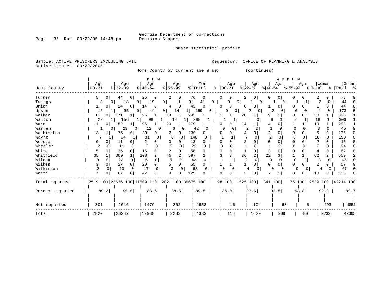Inmate statistical profile

Page 35 Run 03/29/05 14:48 pm

Sample: ACTIVE PRISONERS EXCLUDING JAIL **Requestor:** OFFICE OF PLANNING & ANALYSIS Active inmates 03/29/2005

Home County by current age & sex (continued)

|                  |                     |                                                 | M E N                |                      |                     |                          |                            | WOMEN                    |              |                      |                           |
|------------------|---------------------|-------------------------------------------------|----------------------|----------------------|---------------------|--------------------------|----------------------------|--------------------------|--------------|----------------------|---------------------------|
|                  | Age                 | Age                                             | Age                  | Age                  | Men                 | Age                      | Age                        | Age                      | Age          | Women                | Grand                     |
| Home County      | $00 - 21$           | $ 22-39 $                                       | $8   40 - 54$        | $8 55-99$            | % Total             | $8   00 - 21$            | $ 22-39 $<br>$ 40-54 $     | $ 55-99 $                | % Total      |                      | % Total %                 |
| Turner           | 5<br>$\Omega$       | 44<br>0                                         | 25<br>$\circ$        | 2<br>0 <sub>1</sub>  | 76<br>0             | $\mathbf{0}$<br>2<br>0   | $\overline{0}$<br>$\Omega$ | 0 <sup>1</sup>           | 0            | 0.                   | 78                        |
| Twiggs           | 3<br>$\Omega$       | 18<br>0 <sup>1</sup>                            | 19<br>$\overline{0}$ | 0                    | 41<br>0             | $\Omega$<br>0            | 0                          | $\Omega$                 |              | O                    | 44                        |
| Union            | 0                   | 24<br>$\Omega$                                  | 14<br>0              | $\mathbf{0}$<br>4    | 43<br>0             | $\overline{0}$<br>n<br>0 | 0                          | 0<br>0                   |              | 0                    | 44                        |
| Upson            | 16                  | 95<br>0 <sup>1</sup>                            | 44<br>0 <sup>1</sup> | 14                   | 169<br>0            | 0<br>01                  | 2<br>0                     | 2<br>0                   | ∩            | $\Omega$<br>4        | 173<br>n                  |
| Walker           | 8<br>$\mathbf{0}$   | 171<br>1                                        | 95<br>1              | 19<br>$1\vert$       | 293                 | 20                       | 1<br>q                     |                          | 0            | 30                   | 323                       |
| Walton           | 22                  | 156                                             | 98                   | 12                   | 288                 |                          | 6<br>0                     | 8                        |              | 18                   | 306                       |
| Ware             | 11<br>0             | 152<br>1                                        | 96<br>$\frac{1}{2}$  | 20<br>ı.             | 279                 | 14<br>0                  |                            |                          |              | 19                   | 298                       |
| Warren           | $\Omega$            | 23<br>$\overline{0}$                            | 12<br>$\mathbf{0}$   | 6                    | 42                  | 0<br>0                   | $\Omega$                   | <sup>0</sup><br>$\Omega$ | $\Omega$     | $\Omega$             | 45                        |
| Washington       | 13                  | 76<br>0                                         | 39<br>0              | 2<br>0               | 130<br>0            |                          | 2<br>0                     |                          | 0            | 0<br>6               | 136                       |
| Wayne            | 0                   | 94<br>$\Omega$                                  | 31<br>$\Omega$       | 8<br>$\Omega$        | 140<br><sup>0</sup> |                          |                            | ſ                        | $\Omega$     | 10<br>$\Omega$       | 150                       |
| Webster          | 0<br>0              | 11                                              |                      |                      | 13<br>O             |                          |                            |                          |              | O.                   | 15                        |
| Wheeler          | $\overline{a}$<br>0 | 11                                              | 6<br>$\Omega$        |                      | 22                  |                          | $\Omega$                   |                          |              | 2<br>U               | 24                        |
| White            |                     | 36<br>0                                         | 15<br>0              | O                    | 58<br>O             |                          | 0                          | 0                        |              | 0                    | 62                        |
| Whitfield        | 35                  | 309                                             | 208<br>2             | $\overline{2}$<br>45 | 597<br>2            | 36<br>3                  | 2<br>22                    | 3                        | $\mathbf{1}$ | 62<br>$\overline{a}$ | 659                       |
| Wilcox           | $\Omega$            | 22<br>$\Omega$                                  | $\Omega$<br>16       | 5                    | 43<br>0             |                          | $\Omega$                   | $\Omega$<br>$\Omega$     |              | κ<br>$\Omega$        | 46                        |
| Wilkes           | $\Omega$            | 27<br>$\Omega$                                  | 20<br>0              |                      | 55                  |                          | 0<br>$\Omega$              | 0                        |              | 2                    | 57                        |
| Wilkinson        | 3<br>$\Omega$       | 40<br>$\cap$                                    | 17<br>$\Omega$       | $\Omega$             | 63                  | $\Omega$                 | 4<br><sup>0</sup>          | $\Omega$<br>0            | $\Omega$     | 4<br>0               | 67                        |
| Worth            | $\overline{7}$      | 67                                              | 42<br>0              | 9<br>0               | 125                 |                          |                            | U                        |              | 10                   | 135                       |
| Total reported   |                     | 2519 100 23626 100 11509 100 2021 100 39675 100 |                      |                      |                     | 98 100 1525 100          |                            | 841 100                  |              |                      | 75 100 2539 100 42214 100 |
| Percent reported | 89.3                | 90.0                                            | 88.6                 | 88.5                 | 89.5                | 86.0                     | 93.6                       | 92.5                     | 93.8         | 92.9                 | 89.7                      |
| Not reported     | 301                 | 2616                                            | 1479                 | 262                  | 4658                | 16                       | 104                        | 68                       | 5            | 193                  | 4851                      |
| Total            | 2820                | 26242                                           | 12988                | 2283                 | 44333               | 114                      | 1629                       | 909                      | 80           | 2732                 | 47065                     |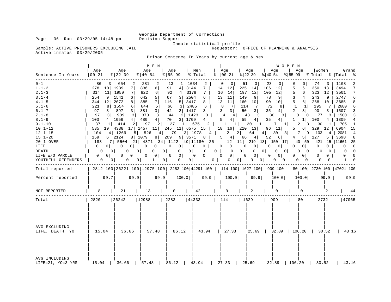Sample: ACTIVE PRISONERS EXCLUDING JAIL Active inmates 03/29/2005

Inmate statistical profile<br>Requestor: OFFICE OF PLANNING & ANALYSIS

Prison Sentence In Years by current age & sex

|                                                                                                                                                                                                                                                          |                                                                                                                                                                                                                                                         |                                                                                                                                                                                                                                                                                                                                               | M E N                                                                                                                                                                                                                                                                                                                                           |                                                                                                                                                                                                                                                               |                                                                                                                                                                                                                                                              |                                                                                                                                                                                                                                                 |                                                                                                                                                                                                                                                                                                                                                                                                                                                                                            | WOMEN                                                                                                                                                                                                                                                                 |                                                                                                                                                                                                                                                                                                                                                                           |                                                                                                                                                                                                                                                        |                                                                                                                                                                                                                                                                                |
|----------------------------------------------------------------------------------------------------------------------------------------------------------------------------------------------------------------------------------------------------------|---------------------------------------------------------------------------------------------------------------------------------------------------------------------------------------------------------------------------------------------------------|-----------------------------------------------------------------------------------------------------------------------------------------------------------------------------------------------------------------------------------------------------------------------------------------------------------------------------------------------|-------------------------------------------------------------------------------------------------------------------------------------------------------------------------------------------------------------------------------------------------------------------------------------------------------------------------------------------------|---------------------------------------------------------------------------------------------------------------------------------------------------------------------------------------------------------------------------------------------------------------|--------------------------------------------------------------------------------------------------------------------------------------------------------------------------------------------------------------------------------------------------------------|-------------------------------------------------------------------------------------------------------------------------------------------------------------------------------------------------------------------------------------------------|--------------------------------------------------------------------------------------------------------------------------------------------------------------------------------------------------------------------------------------------------------------------------------------------------------------------------------------------------------------------------------------------------------------------------------------------------------------------------------------------|-----------------------------------------------------------------------------------------------------------------------------------------------------------------------------------------------------------------------------------------------------------------------|---------------------------------------------------------------------------------------------------------------------------------------------------------------------------------------------------------------------------------------------------------------------------------------------------------------------------------------------------------------------------|--------------------------------------------------------------------------------------------------------------------------------------------------------------------------------------------------------------------------------------------------------|--------------------------------------------------------------------------------------------------------------------------------------------------------------------------------------------------------------------------------------------------------------------------------|
| Sentence In Years                                                                                                                                                                                                                                        | Age<br>$00 - 21$                                                                                                                                                                                                                                        | Aqe<br>$\frac{8}{22} - 39$                                                                                                                                                                                                                                                                                                                    | Aqe<br>$\frac{1}{6}$   40-54                                                                                                                                                                                                                                                                                                                    | Aqe<br>$8 55-99$                                                                                                                                                                                                                                              | Men<br>% Total                                                                                                                                                                                                                                               | Age<br>$8   00 - 21$                                                                                                                                                                                                                            | Age<br>$ 22-39$                                                                                                                                                                                                                                                                                                                                                                                                                                                                            | Age<br>$ 40-54 \t  55-99 \t  Total \t  Total \t  $                                                                                                                                                                                                                    | Aqe                                                                                                                                                                                                                                                                                                                                                                       | Women                                                                                                                                                                                                                                                  | Grand                                                                                                                                                                                                                                                                          |
| $0 - 1$<br>$1.1 - 2$<br>$2.1 - 3$<br>$3.1 - 4$<br>$4.1 - 5$<br>$5.1 - 6$<br>$6.1 - 7$<br>$7.1 - 8$<br>$8.1 - 9$<br>$9.1 - 10$<br>$10.1 - 12$<br>$12.1 - 15$<br>$15.1 - 20$<br>20.1-OVER<br>LIFE<br><b>DEATH</b><br>LIFE W/O PAROLE<br>YOUTHFUL OFFENDERS | 86<br>278 10 1939<br>11<br>314<br>254<br>9<br>344<br>12<br>8<br>221<br>$\frac{3}{ }$<br>97<br>3 <br>97<br>103<br>$1\vert$<br>37<br>535<br>104<br>159<br>183<br>$\Omega$<br>0 <sup>1</sup><br>$\Omega$<br>$\overline{0}$<br>$0$  <br>0<br>0 <sup>1</sup> | 3  654<br>2<br>7<br>1950<br>7 I<br>1541<br>6 <br>2072<br>8<br>1554<br>61<br>897<br>$3 \mid$<br>909<br>3 <br>4 1056<br>$4 \mid$<br>414<br>19 4338<br>17 1457<br>4   1269<br>6 2124<br>8 1079<br>7 5504<br>$\overline{0}$<br>$\circ$<br>0 <sup>1</sup><br>$\Omega$<br>0 <sup>1</sup><br>$\overline{0}$<br>0 <sup>1</sup><br>0<br>0 <sup>1</sup> | 281<br>2<br>836<br>6 <br>822<br>6 <br>642<br>5 <sup>1</sup><br>885<br>7 I<br>5 <sup>1</sup><br>644<br>3 <br>381<br>373<br>3 <br>480<br>$4 \mid$<br>2 197<br>2 <br>11<br>5  526<br>8 209<br>$\mathbf 0$<br>0 <sup>1</sup><br>$\Omega$<br>0 <sup>1</sup><br>$\begin{array}{c c} 0 & \end{array}$<br>$\mathbf 0$<br>$\mathbf{1}$<br>0 <sup>1</sup> | 13<br>$1 \mid$<br>91<br>4 <br>92<br>4   3178<br>67<br>3 <br>116<br>5   3417<br>3   2485<br>66<br>2 1417<br>42<br>44<br>70<br>3 1709<br>27<br>$4 \mid 79$<br>9 3571<br>$\mathbf{0}$<br> 0 <br>$\mathbf{0}$<br>0 <sup>1</sup><br>$\overline{0}$<br>$\mathbf{0}$ | 1034<br>3144<br>7<br>7<br>2504<br>6<br>8<br>6<br>3 <sup>1</sup><br>2 1423<br>3<br>$4 \mid$<br>$1 \mid 675$<br>$2 \mid$<br>3   1978 4  <br>8 <sup>1</sup><br>$\mathbf 0$<br>$0 \parallel$<br>$0$  <br>$0\qquad 0$<br>$\overline{0}$<br>$\mathbf{1}$<br>0<br>0 | $\Omega$<br>$\Omega$<br>14<br>12<br>16<br>14<br>13<br>11<br>11<br>13<br>8<br>71<br>3 <br>$\overline{3}$<br>$\overline{4}$<br>4 <br>5 <sup>7</sup><br>4 <br>$1 \quad 1$<br>$2^{\circ}$<br>$0 \qquad 0 \mid$<br>$\mathbf{0}$<br>$0 \qquad 0 \mid$ | 51<br>3<br>225<br>14<br>197<br>12<br>9<br>149<br>160<br>10<br>114<br>- 7 I<br>3 <br>50<br>$\overline{\phantom{0}}$ 3<br>43<br>59<br>4 <br>20<br>$\vert$ 1<br>245 11 6575 15   18 16 210 13<br>$2 \mid$<br>64<br>$5 \t4 \t66 \t4 \t52$<br>21   4371   34   1122   49   11180   25   12   11   219   13   150   17   140   50   121   15   11601   25<br> 0 <br>$\overline{0}$<br>$\overline{0}$<br>$\overline{0}$<br> 0 <br>$0 \qquad 0 \qquad 0 \qquad 0 \qquad 0 \qquad 0$<br>$0 \quad 0$ | 23<br>106<br>12<br>105<br>12 <br>78<br>9<br>90<br>10<br>72<br>8 <sup>1</sup><br>35<br>4 <br>30<br>3 <br>35<br>4 <br>$7 \quad 1$<br>$96 \quad 11$<br>$4 \mid$<br>$6 \mid$<br>0 <sup>1</sup><br>$\mathbf{0}$<br>$\Omega$<br>0<br>$0$  <br>0<br>$\overline{\phantom{0}}$ | U<br>$\Omega$<br>5<br>6<br>5<br>6  <br>3<br>4 <br>5<br>6<br>$\mathbf{1}$<br>$1\vert$<br>2<br>3 <br>0<br>$\mathbf{1}$<br>$1\vert$<br>2<br>3 <sup>1</sup><br>$5 -$<br>$6 \mid$<br>$30 \quad 3 \mid 7 \quad 9 \mid 103$<br>$4\degree$<br>5 127<br>$\mathbf{0}$<br>0 <sup>1</sup><br>$\Omega$<br>$\overline{0}$<br>0<br>$0$  <br>$\mathbf{0}$<br>$\overline{\phantom{0}}$ 0 1 | 74<br>3<br>350<br>13<br>323<br>12<br>243<br>- 9<br>268<br>10<br>195<br><b>7</b>  <br>90<br>$3-1$<br>0 77<br>100<br>$\overline{4}$<br>30<br>$1 \mid$<br>$5-1$<br>0<br>$\mathbf{0}$<br>$\Omega$<br>$\Omega$<br>$\mathbf{0}$<br>$\Omega$<br>0<br>$\Omega$ | 1108<br>2<br>3494<br>7<br>7<br>3501<br>б<br>2747<br>3685<br>8<br>6<br>2680<br>1507<br>3<br>3<br>3   1500<br>$\overline{4}$<br>1809<br>705<br>$\overline{\phantom{0}}$<br>329 12   6904 15<br>4   2081 4<br>3698<br>8<br>$\mathbf 0$<br>$\mathbf{0}$<br>$0 \quad 0$<br>$\Omega$ |
| Total reported                                                                                                                                                                                                                                           |                                                                                                                                                                                                                                                         |                                                                                                                                                                                                                                                                                                                                               |                                                                                                                                                                                                                                                                                                                                                 |                                                                                                                                                                                                                                                               |                                                                                                                                                                                                                                                              |                                                                                                                                                                                                                                                 | 2812 100   26221 100   12975 100   2283 100   44291 100   114 100   1627 100   909 100                                                                                                                                                                                                                                                                                                                                                                                                     |                                                                                                                                                                                                                                                                       |                                                                                                                                                                                                                                                                                                                                                                           |                                                                                                                                                                                                                                                        | 80 100 2730 100 47021 100                                                                                                                                                                                                                                                      |
| Percent reported                                                                                                                                                                                                                                         | 99.7                                                                                                                                                                                                                                                    | 99.9                                                                                                                                                                                                                                                                                                                                          | 99.9                                                                                                                                                                                                                                                                                                                                            | 100.0                                                                                                                                                                                                                                                         | 99.9                                                                                                                                                                                                                                                         | 100.0                                                                                                                                                                                                                                           | 99.9                                                                                                                                                                                                                                                                                                                                                                                                                                                                                       | 100.0                                                                                                                                                                                                                                                                 | 100.0                                                                                                                                                                                                                                                                                                                                                                     | 99.9                                                                                                                                                                                                                                                   | 99.9                                                                                                                                                                                                                                                                           |
| NOT REPORTED                                                                                                                                                                                                                                             | 8                                                                                                                                                                                                                                                       | 21                                                                                                                                                                                                                                                                                                                                            | 13                                                                                                                                                                                                                                                                                                                                              | $\mathbf{0}$                                                                                                                                                                                                                                                  | 42                                                                                                                                                                                                                                                           | 0                                                                                                                                                                                                                                               | 2                                                                                                                                                                                                                                                                                                                                                                                                                                                                                          | 0                                                                                                                                                                                                                                                                     | 0                                                                                                                                                                                                                                                                                                                                                                         | 2                                                                                                                                                                                                                                                      | 44                                                                                                                                                                                                                                                                             |
| Total                                                                                                                                                                                                                                                    | 2820                                                                                                                                                                                                                                                    | 26242                                                                                                                                                                                                                                                                                                                                         | 12988                                                                                                                                                                                                                                                                                                                                           | 2283                                                                                                                                                                                                                                                          | 44333                                                                                                                                                                                                                                                        | $\begin{array}{cc} \vert & 114 \end{array}$                                                                                                                                                                                                     | 1629                                                                                                                                                                                                                                                                                                                                                                                                                                                                                       | 909                                                                                                                                                                                                                                                                   | 80                                                                                                                                                                                                                                                                                                                                                                        | 2732                                                                                                                                                                                                                                                   | 47065                                                                                                                                                                                                                                                                          |
| AVG EXCLUDING<br>LIFE, DEATH, YO                                                                                                                                                                                                                         | 15.04                                                                                                                                                                                                                                                   | 36.66                                                                                                                                                                                                                                                                                                                                         | 57.48                                                                                                                                                                                                                                                                                                                                           | 86.12                                                                                                                                                                                                                                                         |                                                                                                                                                                                                                                                              |                                                                                                                                                                                                                                                 | 43.94   27.33   25.69   32.89   106.20                                                                                                                                                                                                                                                                                                                                                                                                                                                     |                                                                                                                                                                                                                                                                       |                                                                                                                                                                                                                                                                                                                                                                           | 30.52                                                                                                                                                                                                                                                  | 43.16                                                                                                                                                                                                                                                                          |
| AVG INCLUDING<br>LIFE=21, YO=3 YRS                                                                                                                                                                                                                       |                                                                                                                                                                                                                                                         | 15.04   36.66   57.48   86.12                                                                                                                                                                                                                                                                                                                 |                                                                                                                                                                                                                                                                                                                                                 |                                                                                                                                                                                                                                                               | 43.94                                                                                                                                                                                                                                                        | 27.33                                                                                                                                                                                                                                           | 25.69                                                                                                                                                                                                                                                                                                                                                                                                                                                                                      | 32.89                                                                                                                                                                                                                                                                 | 106.20                                                                                                                                                                                                                                                                                                                                                                    | 30.52                                                                                                                                                                                                                                                  | 43.16                                                                                                                                                                                                                                                                          |

Page 36 Run 03/29/05 14:48 pm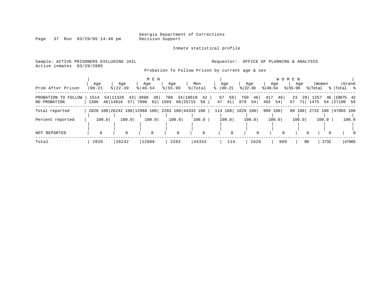Inmate statistical profile

Page 37 Run 03/29/05 14:48 pm

Sample: ACTIVE PRISONERS EXCLUDING JAIL **Requestor:** OFFICE OF PLANNING & ANALYSIS Active inmates 03/29/2005

Probation To Follow Prison by current age & sex

|                                     |                  |                                                 | M E N                       |                    |                                  |                      |                        | W O                    | M E N            |                           |                              |
|-------------------------------------|------------------|-------------------------------------------------|-----------------------------|--------------------|----------------------------------|----------------------|------------------------|------------------------|------------------|---------------------------|------------------------------|
| Prob After Prison                   | Aqe<br>$00 - 21$ | Aqe<br>$8   22 - 39$                            | Aqe<br>$8140 - 54$          | Aqe<br>$8155 - 99$ | Men<br>% Total                   | Age<br>$8   00 - 21$ | Aqe<br>$ 22-39 $       | Aqe<br>$ 40-54 $       | Aqe<br>$8 55-99$ | Women<br>% Total          | Grand<br>%  Total %          |
| PROBATION TO FOLLOW<br>NO PROBATION | 1514<br>1306     | 54 11326<br>43<br>46 14916<br>57                | 4998<br>38<br>7990<br>$62 $ | 780<br>1503        | 34 18618<br>42<br>66 25715<br>58 | 59<br>67<br>47<br>41 | 750<br>46<br>879<br>54 | 417<br>46<br>492<br>54 | 23<br>57 71      | 29 1257<br>1475           | 46   19875 42<br>54 27190 58 |
| Total reported                      |                  | 2820 100 26242 100 12988 100 2283 100 44333 100 |                             |                    |                                  | 114 100 1629 100     |                        | 909 100                |                  | 80 100 2732 100 47065 100 |                              |
| Percent reported                    | 100.0            | 100.0                                           | 100.0                       | 100.0              | 100.0                            | 100.0                | 100.0                  | 100.0                  | 100.0            | 100.0                     | 100.0                        |
| <b>NOT REPORTED</b>                 |                  |                                                 | $\Omega$                    | $\Omega$           | $\mathbf 0$                      | $\Omega$             | $\Omega$               |                        |                  | $\Omega$                  | $\Omega$                     |
| Total                               | 2820             | 26242                                           | 12988                       | 2283               | 44333                            | 114                  | 1629                   | 909                    | 80               | 2732                      | 47065                        |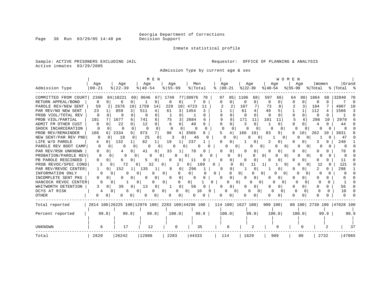Inmate statistical profile

Sample: ACTIVE PRISONERS EXCLUDING JAIL **Requestor:** OFFICE OF PLANNING & ANALYSIS Active inmates 03/29/2005

Admission Type by current age & sex

|                      |              |               | M E N                                           |                   |                |                      |                          | W O M E N            |               |                           |              |
|----------------------|--------------|---------------|-------------------------------------------------|-------------------|----------------|----------------------|--------------------------|----------------------|---------------|---------------------------|--------------|
|                      | Age          | Age           | Age                                             | Aqe               | Men            | Age                  | Aqe                      | Age                  | Aqe           | Women                     | Grand        |
| Admission Type       | $00 - 21$    | $8 22-39$     | $8140 - 54$                                     | $8155 - 99$       | % Total        | $ 00-21 $<br>⊱       | $ 22-39$                 | $ 40-54$             | $ 55-99$      | % Total                   | % Total %    |
| COMMITTED FROM COURT | 2360         | 84   18221    | 69 8646<br>67                                   | 1749              | 77 30976<br>70 | 97<br>85             | 1106<br>68               | 597<br>66            | 80<br>64      | 1864<br>68                | 32840<br>70  |
| RETURN APPEAL/BOND   | 0            | O<br>6        | 0                                               | $\Omega$<br>0     | 0              | $\Omega$<br>$\Omega$ | $\Omega$<br>0            | $\Omega$<br>$\Omega$ | 0<br>$\Omega$ | $\Omega$<br>U             | $\Omega$     |
| PAROLE REV/NEW SENT  | 59           | 2676<br>10    | 1759<br>14                                      | 229<br>10         | 4723<br>11     |                      | 107                      | 73                   |               | 184                       | 4907<br>10   |
| PAR REV/NO NEW SENT  | 23           | 859           | 511<br>4                                        | 61<br>3           | 1454           |                      | 61<br>4                  | 49                   |               | 112                       | 1566<br>3    |
| PROB VIOL/TOTAL REV  | 0            |               | $\Omega$<br>0                                   |                   |                | 0                    | O                        | $\Omega$             | 0             | $\Omega$                  |              |
| PROB VIOL/PARTIAL    | 191          | 1677<br>6     | 741<br>6                                        | 75<br>3           | 2684           | 8                    | 171<br>11                | 101<br>11            | 5<br>б.       | 286<br>10                 | 2970         |
| ADMIT FM OTHER CUST  | 0            | 22            | 12<br>0                                         | $\Omega$<br>6     | 40             | $\cap$               | κ<br>$\Omega$            |                      |               | 4                         | 44           |
| SHOCK INCARCERATION  | <sup>0</sup> | $\Omega$<br>n | $\Omega$<br>n                                   | n<br>O            | O              | ∩<br><sup>0</sup>    | $\Omega$                 | Ω                    | n             |                           |              |
| PROB REV/REMAINDER   | 166          | 2334<br>9     | 973<br>7                                        | 96<br>4           | 3569           |                      | 166<br>10                | 83<br>9              | 10            | 262<br>10                 | 3831         |
| NEW SENT/PAR REV PND | 0            | 18<br>O<br>0  | 25<br>0                                         |                   | 46             | O                    | 0                        | <sup>o</sup>         | O             |                           | 47           |
| LIFE W/O PAROLE      | 4            | 132           | 82<br>$\mathbf{1}$                              | 19                | 237            | 0                    | 0                        |                      |               |                           | 240          |
| PAROLE REV BOOT CAMP | $\Omega$     |               | 0<br>0                                          |                   |                |                      | 0<br>O                   | O                    | O             |                           | <sup>0</sup> |
| PAR REV/RSN UNKNOWN  | 0            | 0             | 41<br>0                                         | 33                | 78             | 0                    | 0                        | O                    | 0             |                           | 78           |
| PROBATION/PAROLE REV | O            |               | U<br>0                                          | 0.                | 0              |                      | 0                        | 01<br>$\Omega$       |               |                           | n            |
| PB PAROLE RESCINDED  | 0            |               | 0                                               |                   | 11             |                      | O                        |                      |               |                           | 11           |
| PROB REVOC/SPEC COND |              | 72            | 0<br>32                                         | 0                 | 0  <br>109     | O                    | 01<br>11                 | $\Omega$             | $\Omega$      | 12                        | 121          |
| PAR REV/REVOC CENTER |              | 152<br>0      | 135                                             | 8<br>0            | 296            | 0<br>n               | 0                        |                      |               |                           | 298          |
| INFORMATION ONLY     |              |               |                                                 | 0                 |                | 0                    | 01<br>0                  | 01<br>0              |               |                           |              |
| INCOMPLETE SENT PKG  | 0            |               | 0<br>O                                          | <sup>0</sup><br>0 | O              |                      | 0                        |                      |               |                           |              |
| HANCOCK REVOC CENTER |              | $\Omega$      | 0                                               | $\Omega$          | 01             | 0                    | 0<br>∩<br>$\Omega$       | O<br>$\Omega$        | 0<br>O        | 0                         |              |
| WHITWORTH DETENTION  |              | 39<br>0<br>O  | 13<br>0                                         | 0                 | 56             | 0                    | 0                        | 0                    | 0             | 0                         | 56           |
| DCYS AT RISK         |              | 0             | 0                                               | $\Omega$          | 10<br>0        | 0<br>0               | <sup>0</sup><br>$\Omega$ | U                    | O<br>$\Omega$ |                           | 10           |
| OTHER                | 0<br>0       | U<br>0        | O<br>0                                          | n<br>0            |                | O                    | 0                        | O<br>$\Omega$        | 0             |                           |              |
| Total reported       |              |               | 2814 100 26225 100 12976 100 2283 100 44298 100 |                   |                | 114 100 1627 100     |                          | 909 100              |               | 80 100 2730 100 47028 100 |              |
| Percent reported     | 99.8         | 99.9          | 99.9                                            | 100.0             | 99.9           | 100.0                | 99.9                     | 100.0                | 100.0         | 99.9                      | 99.9         |
|                      |              |               |                                                 |                   |                |                      |                          |                      |               |                           |              |
|                      |              |               |                                                 |                   |                |                      |                          |                      |               |                           |              |
| <b>UNKNOWN</b>       | 6            | 17            | 12                                              | 0                 | 35             | 0                    | 2                        | 0                    |               |                           | 37           |
| Total                | 2820         | 26242         | 12988                                           | 2283              | 44333          | 114                  | 1629                     | 909                  | 80            | 2732                      | 47065        |

Page 38 Run 03/29/05 14:48 pm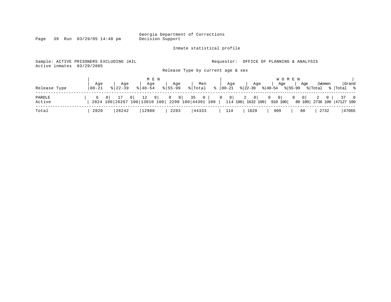Page 39 Run 03/29/05 14:48 pm

### Inmate statistical profile

Sample: ACTIVE PRISONERS EXCLUDING JAIL **Requestor:** OFFICE OF PLANNING & ANALYSIS

Active inmates 03/29/2005

Release Type by current age & sex

|                  | Age        | Age         | M E N<br>Age | Age         | Men   | Age | Age  | W O M E N<br>$ $ Age $ $ | Aqe<br>Women                                                                                                                                                                        | Grand |
|------------------|------------|-------------|--------------|-------------|-------|-----|------|--------------------------|-------------------------------------------------------------------------------------------------------------------------------------------------------------------------------------|-------|
| Release Type     | $ 00 - 21$ | $8122 - 39$ | $8140 - 54$  | $8155 - 99$ |       |     |      |                          | $ \cdot $ Total $ \cdot $ $ 00-21$ $ \cdot 22-39$ $ \cdot 40-54$ $ \cdot 55-99$ $ \cdot 70t$ al $ \cdot 70t$ al $ \cdot $                                                           |       |
| PAROLE<br>Active |            |             |              |             |       |     |      |                          | 6 0   17 0   12 0   0 0   35 0   0 0   2 0   0 0   0 0   2 0   37 0<br>2824 100 26267 100 13010 100 2290 100 44391 100   114 100 1632 100   910 100   80 100   2736 100   47127 100 |       |
| Total            | 2820       | 26242       | 12988        | 2283        | 44333 | 114 | 1629 | 909                      | 2732<br>80                                                                                                                                                                          | 47065 |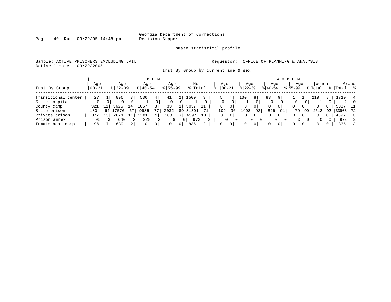Inmate statistical profile

Sample: ACTIVE PRISONERS EXCLUDING JAIL **Requestor:** OFFICE OF PLANNING & ANALYSIS Active inmates 03/29/2005

Inst By Group by current age & sex

|                     |            |    |               |                |               | M E N        |             |                |                       |                 |           |                |             |                   |           | W O M E N      |              |                |          |    |       |                  |
|---------------------|------------|----|---------------|----------------|---------------|--------------|-------------|----------------|-----------------------|-----------------|-----------|----------------|-------------|-------------------|-----------|----------------|--------------|----------------|----------|----|-------|------------------|
|                     | Aqe        |    | Age           |                | Age           |              | Age         |                | Men                   |                 | Age       |                | Aqe         |                   | Age       |                | Aqe          |                | Women    |    | Grand |                  |
| Inst By Group       | $100 - 21$ |    | $8$   22 – 39 |                | $8   40 - 54$ |              | $8155 - 99$ |                | % Total               |                 | $00 - 21$ |                | $ 22 - 39 $ |                   | $ 40-54 $ |                | $8155 - 99$  |                | % Total  |    | Total | $\approx$        |
|                     |            |    |               |                |               |              |             |                |                       |                 |           |                |             |                   |           |                |              |                |          |    |       |                  |
| Transitional center | 27         |    | 896           |                | 536           | 4            | 41          |                | 1500                  |                 |           | 4              | 130         | 8                 | 83        |                |              |                | 219      | 8  |       | 4                |
| State hospital      |            |    | 0             |                |               |              |             | 0              |                       |                 |           | 0              |             |                   | 0         | $\mathbf{0}$   | $\mathbf{0}$ | 0 <sup>1</sup> |          |    | 2     | $\left( \right)$ |
| County camp         | 321        |    | 3626          | $\perp$ 4'     | 1057          | 8            | 33          |                | 5037                  |                 | 0         |                |             | 0 <sup>1</sup>    | 0         | $\circ$        |              |                |          |    | 5037  | - 11             |
| State prison        | 1804       |    | 7570          | 67             | 9985          | 77           | 2032        |                | 89 31391              |                 | 109       | 96             | 1498        | 92                | 826       | 91             | 79           | 99             | 2512     | 92 | 33903 | 72               |
| Private prison      | 377        | 13 | 2871          |                | .181          | $\mathsf{Q}$ | 168         |                | 4597                  | 10 <sup>1</sup> | $\Omega$  | 0 <sup>1</sup> | 0           | $\mathbf{0}$      | 0         | 0 <sup>1</sup> |              | 0              | 0        |    | 4597  | 10               |
| Prison annex        | 95         |    | 640           | 2 <sup>1</sup> | 228           |              | 9           |                | 972<br>0 <sup>1</sup> | 2               | 0         | 0 <sup>1</sup> |             | $\mathbf{0}$<br>0 |           | 0<br>$\Omega$  | $\Omega$     | 0              | $\Omega$ | 0  | 972   | 2                |
| Inmate boot camp    | 196        |    | 639           | $\overline{2}$ | $\mathbf{0}$  | 0            | $\Omega$    | 0 <sup>1</sup> | 835                   |                 | 0         | 0 <sup>1</sup> | $\Omega$    | 0 <sup>1</sup>    | $\Omega$  | $\overline{0}$ |              | $\Omega$       | $\Omega$ | 0  | 835   | 2                |

Page 40 Run 03/29/05 14:48 pm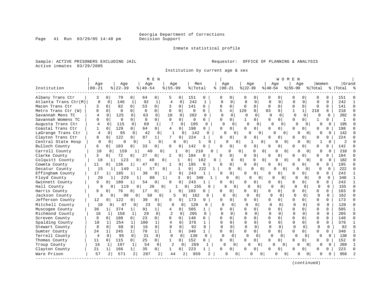Page 41 Run 03/29/05 14:48 pm

### Inmate statistical profile

Sample: ACTIVE PRISONERS EXCLUDING JAIL **Requestor:** OFFICE OF PLANNING & ANALYSIS Active inmates 03/29/2005

Institution by current age & sex

|                      |                |                |                      |                | M E N                |                |                |                       |                 |              |                |              |                |              | WOMEN                |              |              |              |          |               |              |
|----------------------|----------------|----------------|----------------------|----------------|----------------------|----------------|----------------|-----------------------|-----------------|--------------|----------------|--------------|----------------|--------------|----------------------|--------------|--------------|--------------|----------|---------------|--------------|
|                      | Age            |                | Age                  | Age            |                      | Age            |                | Men                   |                 |              | Age            | Age          |                |              | Aqe                  |              | Age          | Women        |          | Grand         |              |
| Institution          | $00 - 21$      |                | $8   22 - 39$        | $8140 - 54$    |                      | $8155 - 99$    |                | % Total               | ిక              |              | $00 - 21$      | $ 22-39$     |                | $ 40-54$     |                      | $ 55-99$     |              | % Total      |          | %   Total     |              |
| Albany Trans Ctr     | 3              | 0              | 79<br>0              | 64             | 0                    | 5              | 0              | 151                   | 0               |              | 0              | 0            | 0              | O            | 0                    | O            | U            | $\Omega$     | 0        | 151           |              |
| Atlanta Trans Ctr(M) | $\mathbf 0$    | $\mathbf 0$    | 146<br>$\mathbf{1}$  | 92             | $\mathbf{1}$         | 4              | $\mathbf 0$    | 242                   | $\mathbf{1}$    | $\Omega$     | $\mathbf 0$    | $\Omega$     | $\mathbf 0$    | $\Omega$     | $\Omega$             | $\Omega$     | $\Omega$     | $\cap$       | $\Omega$ | 242           |              |
| Macon Trans Ctr      | 3              | $\Omega$       | 82<br>$\Omega$       | 53             | $\Omega$             | 3              | $\Omega$       | 141                   | $\Omega$        | $\Omega$     | $\Omega$       | $\Omega$     | $\Omega$       | $\Omega$     | $\Omega$             | $\Omega$     | $\Omega$     | $\Omega$     | $\Omega$ | 141           | $\cap$       |
| Metro Trans Ctr (W)  | $\Omega$       | $\Omega$       | $\Omega$<br>$\Omega$ | $\Omega$       | $\Omega$             | $\Omega$       | 0              | $\Omega$              | $\Omega$        | 5            | $\overline{4}$ | 129          | 8              | 83           | 9                    | $\mathbf{1}$ | $\mathbf{1}$ | 218          | 8        | 218           | $\cap$       |
| Savannah Mens TC     |                | $\Omega$       | 125<br>$\Omega$      | 63             | $\Omega$             | 10             | $\Omega$       | 202                   | O               | $\cap$       | $\Omega$       | U            | $\Omega$       | $\cap$       | $\Omega$             | $\cap$       | $\Omega$     | $\Omega$     | $\Omega$ | 202           |              |
| Savannah Womens TC   | U              | $\Omega$       | $\Omega$<br>0        | $\Omega$       | 0                    | $\Omega$       | $\Omega$       | $\Omega$              | 0               | $\Omega$     | $\Omega$       | $\mathbf{1}$ | 0              | $\Omega$     | $\Omega$             | $\Omega$     | $\Omega$     | 1            | $\Omega$ | -1            |              |
| Augusta Trans Ctr    | 4              | $\Omega$       | 115<br>$\Omega$      | 69             | 1                    |                | $\Omega$       | 195                   | $\Omega$        | $\Omega$     | $\Omega$       | 0            | $\Omega$       | n            | 0                    | $\Omega$     | $\Omega$     | $\Omega$     | $\Omega$ | 195           |              |
| Coastal Trans Ctr    |                | $\Omega$       | 129<br>0             | 64             | 0 <sup>1</sup>       | 4              | $\Omega$       | 198                   | 0               | $\cap$       | $\circ$        | $\Omega$     | $\Omega$       | $\Omega$     | $\Omega$             | U            | $\Omega$     | $\Omega$     | 0        | 198           |              |
| LaGrange Trans Ctr   | $\overline{4}$ | $\Omega$       | 95                   | 42<br>$\Omega$ | 0                    | -1             | $\Omega$       | 142                   | $\Omega$        |              | ∩<br>$\circ$   | n            | 0              |              | <sup>0</sup><br>0    | U            | $\Omega$     | 0            | $\Omega$ | 142           |              |
| Clayton Trans Ctr    | 8              | $\Omega$       | 122<br>0             | 87             | 1                    | 7              | 0              | 224                   |                 | ∩            | $\Omega$       | U            | 0              | <sup>0</sup> | O                    | U            |              | $\Omega$     | 0        | 224           |              |
| Central State Hosp   | $\Omega$       | $\Omega$       | $\cap$               | $\Omega$       | 0                    | U              | 0              |                       | U               |              | U              | $\Omega$     | $\Omega$       |              | 0<br>$\Omega$        |              | $\Omega$     | 1            | $\Omega$ | $\mathcal{D}$ |              |
| Bulloch County       | 6              | $\Omega$       | 103<br>0             | 33             | 0                    | $\Omega$       | 0              | 142                   | $\Omega$        | U            | 0              | 0            | 0              | U            | 01                   | U            | 0            | $\Omega$     | 0        | 142           |              |
| Carroll County       | 10             | $\Omega$       | 159                  | 40             | $\Omega$             |                |                | $\Omega$<br>210       | U               |              | O              | $\Omega$     | O              | 0            | $\Omega$<br>$\Omega$ | O            | $\Omega$     | $\Omega$     | $\Omega$ | 210           |              |
| Clarke County        | 3              | $\overline{0}$ | 72<br>$\Omega$       | 27             | $\Omega$             | 2              | 0              | 104                   | $\mathbf 0$     | $\cap$       | 0              | $\Omega$     | $\Omega$       | U            | $\Omega$             | O            | 0            | $\Omega$     | $\Omega$ | 104           |              |
| Colquitt County      | 18             | 11             | 123                  | 0              | 40<br>$\Omega$       |                | $\mathbf{1}$   | 0 <sup>1</sup>        | 182<br>$\Omega$ |              | $\Omega$       | $\Omega$     | 0              | 0            | $\Omega$<br>$\Omega$ | ∩            | $\Omega$     | $\Omega$     | $\Omega$ | 182           |              |
| Coweta County        | 11             | 0 <sup>1</sup> | 136<br>1             | 47             | <sup>0</sup>         |                | 0              | 195                   | 0               |              | $\Omega$       | <sup>0</sup> | $\mathbf 0$    | U            | $\Omega$             | O            |              | $\Omega$     | 0        | 195           |              |
| Decatur County       | 15             | 1 <sup>1</sup> | 149                  |                | 57                   | 0              | $\mathbf{1}$   | $\Omega$              | 222<br>1        |              | $\Omega$       | 0            | $\Omega$<br>0  |              | $\Omega$<br>U        | U            | $\cap$       | <sup>0</sup> | $\Omega$ | 222           |              |
| Effingham County     | 17             | 1 <sup>1</sup> | 185<br>-1            | 39             | <sup>0</sup>         | 2              | $\mathbf 0$    | 243                   |                 | <sup>0</sup> | 0              | <sup>0</sup> | 0              | O            | 0                    | O            | 0            | $\Omega$     | 0        | 243           |              |
| Floyd County         | 20             | 1 <sup>1</sup> | 229                  |                | 88                   | 1              | 3              | 0  <br>340            |                 |              | $\Omega$<br>0  | 0            | $\Omega$       |              | 0                    | <sup>0</sup> | $\Omega$     | $\Omega$     | $\Omega$ | 340           | $\mathbf{1}$ |
| Gwinnett County      | 9              | $\Omega$       | 180<br>$1\vert$      | 54             | 0                    | $\Omega$       | $\Omega$       | 243                   |                 | ∩            | $\Omega$       | U            | $\overline{0}$ | U            | $\Omega$             | <sup>0</sup> | 0            | $\Omega$     | $\Omega$ | 243           | $\mathbf{1}$ |
| Hall County          | 9              | $\Omega$       | 119                  | 0 <sup>1</sup> | 26<br>$\overline{0}$ |                | -1             | 0 <sup>1</sup><br>155 | 0               |              | O<br>0         | U            | <sup>0</sup>   | $\cap$       | $\Omega$             | $\Omega$     | $\Omega$     | O            | $\Omega$ | 155           | $\Omega$     |
| Harris County        | 9              | 0              | 76<br>0              | 17             | 0                    | -1             | 0 I            | 103                   | $\Omega$        | O            |                |              | 0              | <sup>0</sup> | $\Omega$             | O            | 0            | $\Omega$     | $\Omega$ | 103           |              |
| Jackson County       | 8              | $\Omega$       | 99                   | 0<br>50        | 0                    | 5              | 0              | 162                   | 0               |              | $\Omega$       | $\cap$       | $\Omega$       | $\Omega$     | $\Omega$             | $\cap$       | $\Omega$     | $\Omega$     | $\Omega$ | 162           |              |
| Jefferson County     | 12             | $\Omega$       | 122<br>0             | 39             | 0                    | 0              | 0 <sup>1</sup> | 173                   | 0               | <sup>0</sup> | 0              | O            | 0              | $\Omega$     | 0                    | $\Omega$     | 0            | $\Omega$     | $\Omega$ | 173           | $\cap$       |
| Mitchell County      | 10             | $\mathbf{0}$   | 87                   | 23<br>0        | 0                    | $\Omega$       | 0              | 120                   | $\Omega$        | $\Omega$     | $\Omega$       |              | $\Omega$       | 0            | 0                    |              | $\Omega$     | 0            | $\Omega$ | 120           | $\cap$       |
| Muscogee County      | 36             | $1\vert$       | 374<br>$\mathbf 1$   | 91             | 1                    | 4              | $\mathbf 0$    | 505                   | 1               | $\cap$       | $\Omega$       | O            | 0              | $\Omega$     | $\mathbf 0$          | $\Omega$     | 0            | $\Omega$     | $\Omega$ | 505           | $\mathbf{1}$ |
| Richmond County      | 16             | 1              | 158<br>1             | 29             | $\mathbf 0$          | $\overline{2}$ | $\Omega$       | 205                   | 0               |              | $\Omega$       | O            | $\Omega$       | $\Omega$     | 0                    | $\cap$       | $\Omega$     | $\Omega$     | 0        | 205           | $\Omega$     |
| Screven County       | 9              | $\Omega$       | 108<br>0             | 23             | $\Omega$             | $\Omega$       | $\Omega$       | 140                   | 0               |              | $\Omega$       | $\Omega$     | 0              | $\Omega$     | $\Omega$             | $\Omega$     |              | $\Omega$     | $\Omega$ | 140           |              |
| Spalding County      | 18             | $\mathbf{1}$   | 254<br>$\mathbf{1}$  | 100            | $\mathbf{1}$         | 4              | $\Omega$       | 376                   | $\mathbf{1}$    | $\cap$       | 0              | $\Omega$     | $\Omega$       | $\Omega$     | $\Omega$             | $\Omega$     | $\Omega$     | $\Omega$     | $\Omega$ | 376           | $\mathbf{1}$ |
| Stewart County       | 8              | $\Omega$       | 68<br>$\Omega$       | 16             | $\Omega$             | $\Omega$       | $\Omega$       | 92                    | $\Omega$        | O            | $\Omega$       | $\Omega$     | $\Omega$       | $\Omega$     | $\Omega$             | O            | $\Omega$     | $\Omega$     | $\Omega$ | 92            | $\cap$       |
| Sumter County        | 24             | $1\vert$       | $\mathbf{1}$<br>245  | 70             | $\mathbf{1}$         | $\mathbf{1}$   | $\Omega$       | 340                   | $\mathbf{1}$    | $\Omega$     | $\Omega$       | $\Omega$     | $\Omega$       | $\Omega$     | $\Omega$             | $\Omega$     | 0            | $\Omega$     | $\Omega$ | 340           |              |
| Terrell County       | 4              | $\Omega$       | 95<br>$\Omega$       | 31             | $\Omega$             | $\Omega$       | $\Omega$       | 130                   | $\Omega$        | $\Omega$     | $\Omega$       | $\cap$       | $\Omega$       | $\Omega$     | $\Omega$             | $\Omega$     | $\Omega$     | $\Omega$     | $\Omega$ | 130           | $\cap$       |
| Thomas County        | 11             | 0              | 115<br>0             | 25             | 0                    | 1              | $\Omega$       | 152                   | 0               | $\Omega$     | $\Omega$       | $\Omega$     | $\Omega$       | $\Omega$     | $\Omega$             | <sup>0</sup> | 0            | $\Omega$     | $\Omega$ | 152           |              |
| Troup County         | 16             | 1              | 197<br>1             | 54             | $\Omega$             | $\overline{2}$ | $\Omega$       | 269                   | 1               |              | U<br>$\Omega$  | $\Omega$     | $\Omega$       | U            | $\Omega$             | O            | $\Omega$     | $\Omega$     | $\Omega$ | 269           |              |
| Clayton County       | 21             | $\mathbf{1}$   | 166<br>11            | 35             | 0                    | 1              | 0              | 223                   |                 | $\Omega$     | 0 <sup>1</sup> | U            | 0              | $\Omega$     | $\Omega$             | <sup>0</sup> | $\Omega$     | $\Omega$     | 0        | 223           |              |
| Ware Prison          | 57             | 2              | 571                  | 287<br>2       | 2                    | 44             | 2              | 959                   | 2               |              | U<br>0         |              | Λ<br>0         |              | $\Omega$             |              | 0            | 0            | O        | 959           |              |
|                      |                |                |                      |                |                      |                |                |                       |                 |              |                |              |                |              |                      |              |              |              |          |               |              |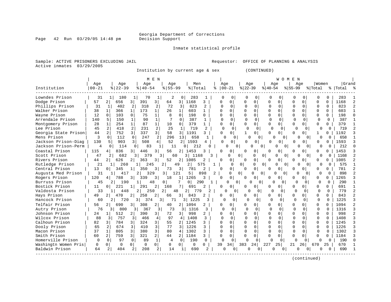Page  $42$  Run  $03/29/05$  14:48 pm

### Inmate statistical profile

Sample: ACTIVE PRISONERS EXCLUDING JAIL **Requestor:** OFFICE OF PLANNING & ANALYSIS Active inmates 03/29/2005

 Institution by current age & sex (CONTINUED) | M E N | W O M E N |

|                      | Age       | Age       | Age         | Age         |     | Men     |  | Age       |        | Age       |        | Age       |        |              | Age      | Women   |    | Grand      |    |
|----------------------|-----------|-----------|-------------|-------------|-----|---------|--|-----------|--------|-----------|--------|-----------|--------|--------------|----------|---------|----|------------|----|
| Institution          | $00 - 21$ | $8 22-39$ | $8140 - 54$ | $8155 - 99$ |     | % Total |  | $00 - 21$ |        | $ 22-39 $ |        | $ 40-54 $ |        | $8 55-99$    |          | % Total | °≈ | Total      | °≈ |
| Lowndes Prison       |           | 180       | 70          |             |     | 283     |  |           |        |           |        |           |        |              |          |         |    | 283        |    |
| Dodge Prison         | 57        | 656       | 391         | 64          |     | 168     |  |           |        |           |        |           |        |              |          |         |    | 168        |    |
| Phillips Prison      | 31        | 402       | 318         | 72          |     | 823     |  |           |        |           |        |           |        |              |          | 0       |    | 823        |    |
| Walker Prison        | 38        | 366       | 173         | 26          |     | 603     |  |           |        |           |        |           |        |              |          |         |    | 603        |    |
| Wayne Prison         | 12        | 103       | 75          | 8           |     | 198     |  |           |        |           |        |           |        |              |          |         |    | 198        |    |
| Arrendale Prison     | 140       | 150       | 90          |             |     | 387     |  |           |        |           |        |           |        |              |          |         |    | 387        |    |
| Montgomery Prison    | 28        | 254       | 87          | 10          |     | 379     |  |           |        |           |        |           |        |              | $\cap$   |         | 0  | 379        |    |
| Lee Prison           | 45        | 418       | 231         | 25          |     | 719     |  |           |        |           |        |           |        |              |          |         |    | 719        |    |
| Georgia State Prison | 44        | 752       | 337         | 58          |     | 1191    |  |           |        |           |        |           |        |              | $\Omega$ |         |    | 192        |    |
| Mens Prison          |           | 112       | 247         | 296         | 13' | 658     |  |           |        |           |        |           |        |              |          |         |    | 658        |    |
| $T = \frac{1}{2}$    | 120       | 002       | $F \cap Q$  | につ          | ◠   | 1502    |  |           | $\cap$ |           | $\cap$ |           | $\cap$ | <sup>n</sup> | $\cap$   | $\cap$  |    | $F \cap 2$ |    |

| Dodge Prison         | 57       |                | 656      |                | 391                   | 3              | 64             |                | 1168                  |                |   |          |                          |                |               |              |                          |              |               |              |              | 1168 |               |
|----------------------|----------|----------------|----------|----------------|-----------------------|----------------|----------------|----------------|-----------------------|----------------|---|----------|--------------------------|----------------|---------------|--------------|--------------------------|--------------|---------------|--------------|--------------|------|---------------|
| Phillips Prison      | 31       |                | 402      |                | 318                   | $\overline{2}$ | 72             | 3              | 823                   | $\mathbf{2}$   |   | ∩        | <sup>n</sup>             | U              | $\cap$        | ∩            |                          |              | $\Omega$      | n            | U            | 823  | 2             |
| Walker Prison        | 38       |                | 366      | $\mathbf{1}$   | 173                   | $\mathbf{1}$   | 26             | $\mathbf{1}$   | 603                   | $\mathbf{1}$   |   | U        | O.                       | $\cap$         | $\cap$        | $\cap$       | $\cap$                   | $\cap$       | $\cap$        | $\cap$       | <sup>n</sup> | 603  |               |
| Wayne Prison         | 12       |                | 103      | 0              | 75                    | $\mathbf{1}$   |                | $\Omega$       | 198                   | 0              |   | U        | 0                        |                | $\Omega$      | $\cap$       | $\cap$                   | $\Omega$     |               | $\cap$       | $\Omega$     | 198  |               |
| Arrendale Prison     | 140      |                | 150      |                | 90                    | $\mathbf 1$    |                | <sup>n</sup>   | 387                   |                |   | $\cap$   | $\Omega$                 |                | $\cap$        | $\Omega$     | $\Omega$                 | U            | $\Omega$      | $\Omega$     | $\cap$       | 387  |               |
| Montgomery Prison    | 28       |                | 254      | 1              | 87                    | 1 <sup>1</sup> | 10             | $\Omega$       | 379                   |                |   | U        | 0                        |                | $\Omega$      | U            | 0                        | $\cap$       |               | $\cap$       | n.           | 379  |               |
| Lee Prison           | 45       | 2              | 418      | 2              | 231                   | $\overline{2}$ | 25             | 1              | 719                   | $\overline{2}$ |   | $\Omega$ | $\Omega$                 |                | $\Omega$      | $\Omega$     |                          | $\Omega$     | $\Omega$      | $\Omega$     | $\Omega$     | 719  |               |
| Georgia State Prison | 44       | $\overline{a}$ | 752      | 3              | 337                   | 3 <sup>1</sup> | 58             | 3              | 1191                  | 3              |   |          | 0                        |                | $\Omega$      | 0            | $\Omega$                 | O            | 0             |              |              | 1192 |               |
| Mens Prison          | 3        | $\Omega$       | 112      | $\Omega$       | 247                   | 2              | 296            | 13             | 658                   |                |   | ∩        | $\Omega$                 | $\Omega$       | $\Omega$      | U            | $\Omega$                 |              | $\cap$        | $\Omega$     |              | 658  |               |
| Jackson Prison-Diag  | 130      | 5              | 903      |                | 508                   | 4              | 52             | 2 <sub>1</sub> | 1593                  |                |   | 0        | $\Omega$                 | U              | $\Omega$      | $\Omega$     | 0 l                      | <sup>0</sup> | $\Omega$      | 0            |              | 1593 |               |
| Jackson Prison-Perm  | 4        | $\Omega$       | 114      |                | 83                    |                | 11             |                | 212                   |                |   |          | n<br>0.                  |                |               | $\Omega$     | $\cap$                   |              | $\Omega$      | n            |              | 212  |               |
| Coastal Prison       | 115      |                | 836      | 3              | 446                   | 3              | 56             | 2 <sub>1</sub> | 1453                  |                |   |          | 0                        | U              | 0             | U            | $\Omega$                 | U            |               | U            |              | 1453 |               |
| Scott Prison         | 47       | 2              | 682      |                | 379                   | 3              | 60             |                | 3   1168              |                | 3 |          | $\Omega$<br><sup>n</sup> |                | U             | 0            | <sup>0</sup><br>$\Omega$ |              | U<br>$\Omega$ | 0            |              | 1168 |               |
| Rivers Prison        | 44       | $\overline{2}$ | 626      | $\overline{2}$ | 363                   | $\overline{3}$ | 52             | 2              | 1085                  |                |   | C        | 0                        | $\Omega$       | 0             | 0            | 0                        |              | 0             | $\Omega$     |              | 1085 |               |
| Rutledge Prison      | 21       |                | 260      |                | 245                   |                | 2              | 49             | 2                     | 575            |   |          | $\Omega$                 | $\overline{0}$ | U             | $\Omega$     | $\Omega$<br>$\Omega$     |              | $\Omega$      | <sup>0</sup> | 0            | 575  |               |
| Central Prison       | 13       | 0 <sup>1</sup> | 345      |                | 350                   | 3              | 73             | $\overline{3}$ | 781                   | 2              |   |          | 0                        | <sup>n</sup>   | $\mathbf 0$   | 0            | 0 <sup>1</sup>           | U            | 0             | 0            |              | 781  |               |
| Augusta Med Prison   | 31       |                | 417      |                | 2 <sup>1</sup><br>329 |                | 3 I            | 121            | 5                     | 898            | 2 |          | $\cap$<br>0 <sup>1</sup> |                | <sup>0</sup>  | $\bigcap$    | $\bigcap$                | U            | $\cap$        | <sup>0</sup> |              | 898  |               |
| Rogers Prison        | 120      | 4              | 788      | 3 I            | 339                   | 3              | 18             | 1              | 1265                  |                |   |          | 0                        | $\cap$         | $\Omega$      | n            |                          | U            | 0             | $\cap$       |              | 1265 |               |
| Burruss Prison       | 45       |                | 190      |                |                       | 48             | $\Omega$       | 7              | 0 <sup>1</sup>        | 290            |   |          | $\Omega$                 |                | $\Omega$<br>n |              | <sup>n</sup>             | <sup>0</sup> | $\Omega$      | $\Omega$     | U            | 290  |               |
| Bostick Prison       | 11       | 0 <sup>1</sup> | 221      |                | 291                   | 2              | 168            |                | 691                   |                |   | 0        | 0                        |                | 0             | U            | 0                        | $\cap$       | 0             | $\Omega$     |              | 691  |               |
| Valdosta Prison      | 33       |                | 448      |                | 2                     | 250            | 48<br>21       |                | 779<br>2 <sup>1</sup> |                |   | ∩        | 0                        | U              | $\Omega$      | n            |                          | $\Omega$     | $\Omega$      | $\Omega$     | $\cap$       | 779  |               |
| Hays Prison          | 49       | $\overline{2}$ | 470      | $\overline{2}$ | 258                   | 2              | 66             | 3 <sup>1</sup> | 843                   | 2              |   | U        | 0                        |                | $\Omega$      | <sup>n</sup> | $\Omega$                 | U            | 0             | $\Omega$     | $\cap$       | 843  | $\mathcal{D}$ |
| Hancock Prison       | 60       | 2 <sub>1</sub> | 720      |                | 31<br>374             | 3              | 71             |                | 1225<br>3 I           |                |   | O        | $\Omega$                 |                | $\Omega$      |              | $\Omega$                 | $\cap$       | $\Omega$      | $\Omega$     | $\Omega$     | 1225 |               |
| Telfair Prison       | 56       | 2 <sub>1</sub> | 690      | 3 I            | 308                   | $\overline{2}$ | 40             | 2 <sub>1</sub> | 1094                  | 2              |   | U        | 0                        |                | $\Omega$      | U            |                          | U            |               | $\Omega$     |              | 1094 |               |
| Autry Prison         | 76       | 3 I            | 800      |                | 367                   | 3              | 73             | 3 I            | 1316                  |                |   | $\cap$   | <sup>n</sup>             |                | $\cap$        | $\cap$       | U                        | $\cap$       | <sup>n</sup>  | $\Omega$     |              | 1316 | ঽ             |
| Johnson Prison       | 24       |                | 512      | 21             | 390                   | 3              | 72             | 3 I            | 998                   |                |   |          | 0.                       |                | $\Omega$      |              |                          | $\cap$       |               | $\cap$       |              | 998  |               |
| Wilcox Prison        | 88       | 3              | 757      |                | 466                   | $\overline{4}$ | 97             | 4              | 1408                  |                |   |          | ∩                        |                | $\cap$        | $\Omega$     |                          | $\Omega$     |               | $\Omega$     |              | 1408 |               |
| Calhoun Prison       | 82       | 3              | 784      | 3 I            | 324                   | $\overline{3}$ | 55             | 2              | 1245                  |                |   |          |                          |                | $\Omega$      | U            |                          | ∩            | U             | $\Omega$     | O.           | 1245 |               |
| Dooly Prison         | 65       | 2              | 674      | 3              | 410                   | $\mathcal{L}$  | 77             | $\mathcal{R}$  | 1226                  | 3              |   |          | 0                        |                | $\Omega$      | U            | $\Omega$                 | ∩            |               | $\Omega$     | <sup>n</sup> | 1226 | ર             |
| Macon Prison         | 37       | $\mathbf{1}$   | 805      | $\overline{3}$ | 380                   | 3              | 80             | $\overline{4}$ | 1302                  | 3              |   |          | 0                        |                | $\Omega$      | O            |                          | $\cap$       | $\Omega$      | $\Omega$     | <sup>n</sup> | 1302 |               |
| Smith Prison         | 60       | $\overline{2}$ | 759      | $\overline{3}$ | 321                   | 2 <sup>1</sup> | 44             | 2              | 1184                  | 3              |   | U        | 0                        |                | 0             |              | <sup>0</sup>             | O            |               |              |              | 1184 |               |
| Homerville Prison    | $\Omega$ | $\Omega$       | 97       | $\cap$         | 89                    | $\mathbf{1}$   | $\overline{4}$ | $\Omega$       | 190                   | $\Omega$       |   | $\cap$   |                          |                | $\Omega$      | ∩            | $\cap$                   | $\Omega$     |               |              | 0            | 190  |               |
| Washingtn Women Pris | $\Omega$ | $\Omega$       | $\Omega$ |                | $\Omega$              | $\Omega$       | $\Omega$       | $\Omega$       | $\Omega$              | 0              |   | 39       | 34                       | 383            | 24            | 227          | 25                       | 21           | 26            | 670          | 25           | 670  |               |
| Baldwin Prison       | 64       |                | 404      |                | 208                   | $\overline{2}$ | 14             |                | 690                   | 2              |   |          |                          |                |               |              |                          |              |               |              |              | 690  |               |
|                      |          |                |          |                |                       |                |                |                |                       |                |   |          |                          |                |               |              |                          |              |               |              |              |      |               |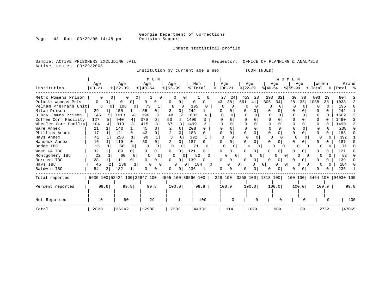Inmate statistical profile

Sample: ACTIVE PRISONERS EXCLUDING JAIL **Requestor:** OFFICE OF PLANNING & ANALYSIS

Active inmates 03/29/2005

Institution by current age & sex (CONTINUED)

|                      |                                                 |          |               |          |                       | M E N    |           |                |      |           |   |          |                |     |           |                |                           | W O M    | E N       |          |         |              |                            |          |
|----------------------|-------------------------------------------------|----------|---------------|----------|-----------------------|----------|-----------|----------------|------|-----------|---|----------|----------------|-----|-----------|----------------|---------------------------|----------|-----------|----------|---------|--------------|----------------------------|----------|
|                      | Age                                             |          | Age           |          | Age                   |          | Age       |                |      | Men       |   |          | Age            |     | Age       |                |                           | Age      |           | Age      |         | Women        |                            | Grand    |
| Institution          | $00 - 21$                                       |          | $8   22 - 39$ |          | $\frac{1}{6}$   40-54 |          | $8 55-99$ |                |      | %   Total |   |          | $ 00 - 21 $    |     | $ 22-39 $ |                | $ 40-54 $                 |          | $ 55-99 $ |          | % Total |              | % Total %                  |          |
| Metro Womens Prison  |                                                 |          |               |          |                       | U        |           |                |      |           |   |          | 27<br>24       |     | 453       | 28             | 293                       | 32       | 30        | 38       | 803     | 29           | 804                        |          |
| Pulaski Womens Pris  | 0                                               | $\Omega$ | 0             | $\Omega$ |                       |          |           | 0              | 0    |           |   | 43       | 38             | 661 |           | 41             | 306                       | 34       | 28        | 35       | 1038    | 38           | 1038                       |          |
| Pelham PreTrans Unit | 6                                               |          | 108           | $\Omega$ | 73                    |          | 8         | $\Omega$       | 195  |           |   | $\Omega$ |                |     |           |                | 0                         |          | O         |          |         | 0            | 195                        | $\Omega$ |
| Milan Prison         | 29                                              |          | 155           |          | 55                    | 0        |           | 0              | 242  |           |   | n        |                |     |           |                |                           |          |           |          |         |              | 242                        |          |
| D Ray James Prison   | 145                                             |          | 1013          |          | 396                   |          | 48        |                | 1602 |           | 4 |          |                |     |           |                |                           |          |           |          |         |              | 1602                       | 3        |
| Coffee Corr Facility | 127                                             |          | 940           |          | 370                   |          | 53        |                | 1490 |           |   |          |                |     |           |                |                           |          |           |          |         |              | 1490                       |          |
| Wheeler Corr Facilty | 104                                             |          | 913           |          | 415                   |          | 67        |                | 1499 |           |   |          |                |     |           |                |                           |          |           |          |         |              | 1499                       |          |
| Ware Annex           | 21                                              |          | 140           |          | 45                    | 0        | 2         |                | 208  |           |   |          |                |     |           |                |                           |          |           |          |         |              | 208                        |          |
| Phillips Annex       | 17                                              |          | 121           |          | 43                    | 0        |           |                | 183  |           |   |          |                |     |           |                |                           |          | U         |          |         |              | 183                        |          |
| Hays Annex           | 41                                              |          | 258           |          | 90                    |          |           |                | 392  |           |   | $\Omega$ |                |     |           | 0              | $\Omega$                  | $\cap$   | $\Omega$  |          |         |              | 392                        |          |
| Hancock Annex        | 16                                              |          | 119           |          | 50                    | 0        |           | 0              | 187  | 0         |   |          |                |     |           |                |                           |          |           |          |         |              | 187                        |          |
| Dodge IBC            | 15                                              |          | 56            |          |                       |          |           |                |      | 71        |   |          |                | 0   |           | 0              |                           |          |           | $\Omega$ |         |              | 71                         |          |
| West GA IBC          | 32                                              |          | 89            |          |                       |          |           |                | 121  |           |   |          |                |     |           | 0              |                           | 01       |           |          |         |              | 121                        |          |
| Montgomery IBC       | 22                                              |          | 60            |          | $\Omega$              |          | ∩         |                |      | 82        |   |          |                | 01  |           |                | 0                         |          | $\Omega$  |          |         |              | 82                         |          |
| Burruss IBC          | 28                                              |          | 111           |          | <sup>0</sup>          | $\Omega$ | 0         | $\circ$        | 139  | $\Omega$  |   | ∩        |                |     |           | 0 <sup>1</sup> | U                         | $\Omega$ |           |          |         |              | 139                        |          |
| Hays IBC             | 45                                              |          | 139           |          | $\Omega$              | 0        |           | 0              | 0    | 184       |   |          |                | 01  |           | 0              | $\overline{0}$            | 0        | 0         | 0        |         |              | 184                        |          |
| Baldwin IBC          | 54                                              |          | 182           |          |                       | 0        | 0         | 0 <sup>1</sup> | 236  |           |   | O        | 0 <sup>1</sup> |     |           | 0 <sup>1</sup> |                           |          |           |          |         |              | 236                        |          |
| Total reported       | 5630 100 52424 100 25947 100 4565 100 88566 100 |          |               |          |                       |          |           |                |      |           |   |          |                |     |           |                | 228 100 3258 100 1818 100 |          |           |          |         |              | 160 100 5464 100 94030 100 |          |
| Percent reported     |                                                 | 99.6     |               | 99.8     |                       | 99.8     |           | 100.0          |      | 99.8      |   |          | 100.0          |     |           | 100.0          |                           | 100.0    |           | 100.0    |         | 100.0        |                            | 99.8     |
| Not Reported         | 10                                              |          | 60            |          | 29                    |          |           |                |      | 100       |   |          |                |     |           | $\cap$         |                           |          |           | U        |         | <sup>0</sup> |                            | 100      |
| Total                | 2820                                            |          | 26242         |          | 12988                 |          |           | 2283           |      | 44333     |   |          | 114            |     |           | 1629           |                           | 909      |           | 80       |         | 2732         |                            | 47065    |

Page 43 Run 03/29/05 14:48 pm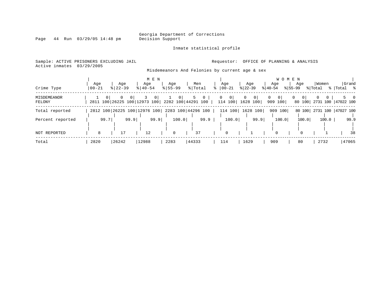Inmate statistical profile

Page 44 Run 03/29/05 14:48 pm

### Sample: ACTIVE PRISONERS EXCLUDING JAIL **Requestor:** OFFICE OF PLANNING & ANALYSIS Active inmates 03/29/2005

Misdemeanors And Felonies by current age & sex

| Crime Type            | Age<br>$00 - 21$ | Aqe<br>$8 22-39$                                           | M E N<br>Age<br>$8140 - 54$ | Age<br>$8155 - 99$ | Men<br>% Total      | Age<br>$ 00 - 21$                         | Aqe<br>$ 22-39 $               | W O M E N<br>Age<br>$ 40-54 $ | Women<br>Aqe<br>$ 55-99 $<br>% Total                 | Grand<br>% Total %              |
|-----------------------|------------------|------------------------------------------------------------|-----------------------------|--------------------|---------------------|-------------------------------------------|--------------------------------|-------------------------------|------------------------------------------------------|---------------------------------|
| MISDEMEANOR<br>FELONY |                  | $\overline{0}$<br>$\Omega$<br>2811 100 26225 100 12973 100 | 0 <sup>1</sup>              | 2282 100 44291 100 | 5<br>$\overline{0}$ | $\overline{0}$<br>$\mathbf{0}$<br>114 100 | 0 <br>$\mathbf{0}$<br>1628 100 | 0<br> 0 <br>909 100           | $\overline{0}$<br>$\Omega$<br>$\mathbf{0}$<br>80 100 | $\Omega$<br>2731 100  47022 100 |
| Total reported        |                  | 2812 100 26225 100 12976 100                               |                             |                    | 2283 100 44296 100  | 114 100                                   | 1628 100                       | 909 100                       | 80 100                                               | 2731 100   47027 100            |
| Percent reported      | 99.7             | 99.9                                                       | 99.9                        | 100.0              | 99.9                | 100.0                                     | 99.9                           | 100.0                         | 100.0<br>100.0                                       | 99.9                            |
| <b>NOT REPORTED</b>   | 8                | 17                                                         | 12                          | $\mathbf 0$        | 37                  | 0                                         |                                | $\Omega$                      | $\Omega$                                             | 38                              |
| Total                 | 2820             | 26242                                                      | 12988                       | 2283               | 44333               | 114                                       | 1629                           | 909                           | 80<br>2732                                           | 47065                           |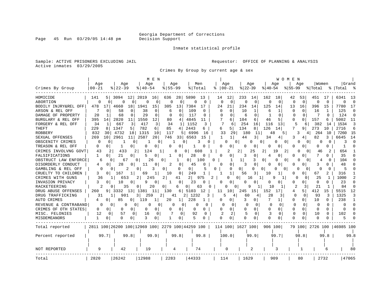Inmate statistical profile

Sample: ACTIVE PRISONERS EXCLUDING JAIL **Requestor:** OFFICE OF PLANNING & ANALYSIS Active inmates 03/29/2005

Crimes By Group by current age & sex

|                      |                        |                                                 | M E N              |                      |                       |                            |                 |                    | WOMEN                   |                       |                 |          |
|----------------------|------------------------|-------------------------------------------------|--------------------|----------------------|-----------------------|----------------------------|-----------------|--------------------|-------------------------|-----------------------|-----------------|----------|
| Crimes By Group      | Age<br>$00 - 21$       | Age<br>$8$   22-39                              | Age<br>$8140 - 54$ | Age<br>$8155 - 99$   | Men<br>% Total        | Age<br>$00 - 21$           | Age<br>$ 22-39$ | Age<br>$8140 - 54$ | Age<br>$8 55-99$        | Women<br>% Total<br>⊱ | Grand<br> Total | ം ക      |
|                      |                        |                                                 |                    |                      |                       |                            |                 |                    |                         |                       |                 |          |
| HOMICIDE             | 5<br>141               | 12<br>3094                                      | 2019<br>16         | 28<br>636            | 5890<br>13            | 14<br>12                   | 233<br>14       | 162<br>18          | 42<br>53                | 451<br>17             | 6341            | -13      |
| ABORTION             | 0<br>0                 | 0<br>0                                          | 0<br>0             | $\Omega$<br>$\Omega$ | 0<br>0                | $\Omega$<br>$\mathbf 0$    | 0<br>0          | $\mathbf 0$<br>0   | $\mathbf 0$<br>$\Omega$ | $\Omega$<br>$\Omega$  | $\Omega$        | $\Omega$ |
| BODILY INJRY&REL OFF | 478<br>17              | 4660<br>18                                      | 1941<br>15         | 305<br>13            | 7384<br>17            | 24<br>21                   | 234<br>14       | 125<br>14          | 13<br>16                | 396<br>15             | 7780            | 17       |
| ARSON & REL OFF      | $\Omega$               | 58<br>0                                         | 38<br>0            | 0<br>6               | 109<br>0              | 0<br>$\Omega$              | 10<br>1         | 6<br>1             | 0<br>0                  | 16                    | 125             | $\Omega$ |
| DAMAGE OF PROPERTY   | 20                     | 68<br><sup>0</sup>                              | 29<br>$\Omega$     | U<br>$\Omega$        | 117<br>U              | 0                          | $\Omega$<br>6   | $\mathbf{1}$<br>n  | C<br>0                  | $\cap$                | 124             | $\Omega$ |
| BURGLARY & REL OFF   | 395<br>14              | 2820<br>11                                      | 1550<br>12         | 80<br>4              | 4845<br>11            | 6                          | 104<br>6        | 46<br>5            | 0<br>0                  | 157                   | 5002            | -11      |
| FORGERY & REL OFF    | 34<br>1                | 667<br>3                                        | 417<br>3           | 1<br>34              | 1152<br>3             | 7<br>6                     | 254<br>16       | 116<br>13          | 5<br>6                  | 382<br>14             | 1534            | -3       |
| <b>THEFT</b>         | 229<br>8               | 1347<br>5                                       | 782<br>6           | 85<br>4              | 2443<br>6             | 6<br>5                     | 134<br>8        | 126<br>14          | 7<br>9                  | 273<br>10             | 2716            | 6        |
| <b>ROBBERY</b>       | 832<br>30              | 4732<br>18                                      | 1315<br>10         | 117<br>5             | 6996<br>16            | 33<br>29                   | 180<br>11       | 5<br>48            | 3<br>4                  | 264<br>10             | 7260            | 15       |
| SEXUAL OFFENSES      | 269<br>10 <sub>1</sub> | 2961<br>11                                      | 2587<br>20         | 746<br>331           | 6563<br>15            | -1                         | 3<br>44         | 34<br>4            | 3                       | 82<br>3               | 6645            | 14       |
| OBSCENITY CRIMES     | O<br><sup>0</sup>      |                                                 | 0                  | 0                    | 3                     | n                          |                 | 0<br>$\Omega$<br>O | 0<br>O                  | U<br>0                | 3               | $\cap$   |
| TREASON & REL OFF    | 0<br>0                 | 0<br>1                                          | 0<br>0             | 0<br>0               | 0                     | 0                          | 0<br>0          | 0                  | 0<br>0                  | $\Omega$              |                 |          |
| CRIMES INVOLVNG GOVT | 43                     | 433                                             | 124<br>1           | 8                    | 0<br>608              | 2                          | 25<br>2         | 19<br>2<br>2       | 0<br>$\Omega$           | 46<br>2               | 654             |          |
| FALSIFICATIONS       | 1<br>$\Omega$          | 21<br>0                                         | 5<br>0             | $\mathbf{1}$<br>0    | 28<br>$\Omega$        | 0                          | 3<br>0          | 0<br>4             | 0<br>U                  |                       | 35              |          |
| OBSTRUCT LAW ENFORCE | 6                      | 0<br>67                                         | 26<br>0            | 0<br>-1              | 100<br>0 I            | -1<br>0                    | 1<br>3          | $\Omega$<br>0<br>0 | 0<br>$\Omega$           | 4<br>O                | 104             | $\cap$   |
| DISORDERLY CONDUCT   | 4<br>$\Omega$          | 28                                              | 11<br>0            | 2<br>0               | 45<br>0               | 0                          | 0<br>3          | U<br>0             | U                       | 3                     | 48              |          |
| GAMBLING & REL OFF   | 0                      | O<br>2                                          | 0<br>3             | 0<br>0               | 0                     | N<br>0                     | 0<br>$\Omega$   | O<br>$\Omega$      | n<br>$\Omega$           | U<br>O                | 5               |          |
| CRUELTY TO CHILDREN  | 3<br>$\Omega$          | 167<br>-1                                       | 69<br>1            | 10<br>0              | 249                   |                            | 56<br>3         | 10                 | 0<br>0                  | 67<br>2               | 316             |          |
| CRIMES WITH GUNS     | 36                     | 653                                             | 245<br>$2\vert$    | 2<br>41              | 2 <sub>1</sub><br>975 | O                          | 0<br>16<br>-1   | 9<br>1             | U<br>$\Omega$           | 25<br>-1              | 1000            |          |
| INVASION PRIVACY     | 3<br>$\Omega$          | 10<br>0                                         | 9<br>0             | 0<br>1               | 23<br>O               | O                          | U<br>0          | N<br>O             | U<br>0                  | $\Omega$<br>0         | 23              | n        |
| RACKETEERING         | $\mathfrak{D}$         | 35<br>O                                         | 20<br>0            | 6<br>0               | 0<br>63               | O                          | 9               | 10                 | 2<br>3                  | 21                    | 84              |          |
| DRUG ABUSE OFFENSES  | 9  <br>260             | 13 <sup>1</sup><br>3332                         | 1381<br>11         | 130<br>6             | 5103<br>12            | 11<br>10                   | 245<br>15       | 152                | 5.<br>4                 | 412<br>15             | 5515            | 12       |
| DRUG TRAFFICKING     | 31                     | 901<br>$\mathbf{1}$                             | 259<br>3 I         | 2 <sub>1</sub><br>41 | 2 1232<br>3           | ҕ                          | 60              | 28<br>3            | $\Omega$<br>0           | 93<br>3               | 1325            | 3        |
| AUTO CRIMES          | 0                      | 85<br>0 <sup>1</sup>                            | 119                | 20<br>1              | 228                   | 0<br>0                     | 3<br>0          | 7<br>1             | 0<br>0                  | 10<br>0               | 238             | 1        |
| REVENUE & CONTRABAND | $\Omega$               | 0 <sup>1</sup><br>0<br>0                        | 0<br>0             | 0<br>0               | 0<br>0                | 0<br>$\Omega$              | C<br>0          | $\Omega$<br>0      | 0<br>0                  | $\Omega$<br>0         |                 | $\cap$   |
| CRIMES OF OTH STATES | 0<br>$\Omega$          | $\Omega$<br>0                                   | 0<br>0             | 0<br>O               | 0<br>0                | $\Omega$<br>$\overline{0}$ | O<br>$\Omega$   | $\Omega$<br>0      | O<br>0                  | $\Omega$<br>$\Omega$  | $\Omega$        | n        |
| MISC. FELONIES       | 12<br>0                | 57<br>0                                         | 16<br>0            | 0                    | 92<br>0               | 2                          | 5<br>$\Omega$   | 3<br>$\Omega$      | $\Omega$<br>$\Omega$    | 10<br>0               | 102             |          |
| MISDEMEANORS         | 1<br>0                 | U<br>0                                          | 3                  | -1<br>0              | 5<br><sup>0</sup>     | $\cap$<br>0                | $\Omega$<br>0   | $\cap$             | U<br>0                  | ∩                     | 5               |          |
| Total reported       |                        | 2811 100 26200 100 12969 100 2279 100 44259 100 |                    |                      |                       | 114 100 1627 100           |                 | 906 100            | 79 100                  | 2726 100   46985 100  |                 |          |
|                      |                        |                                                 |                    |                      |                       |                            |                 |                    |                         |                       |                 |          |
| Percent reported     | 99.7                   | 99.8                                            | 99.9               | 99.8                 | 99.8                  | 100.0                      | 99.9            | 99.7               | 98.8                    | 99.8                  |                 | 99.8     |
|                      |                        |                                                 |                    |                      |                       |                            |                 |                    |                         |                       |                 |          |
| NOT REPORTED         | 9                      | 42                                              | 19                 | 4                    | 74                    | 0                          | 2               | 3                  |                         | 6                     |                 | 80       |
| Total                | 2820                   | 26242                                           | 12988              | 2283                 | 44333                 | 114                        | 1629            | 909                | 80                      | 2732                  | 47065           |          |

Page 45 Run 03/29/05 14:48 pm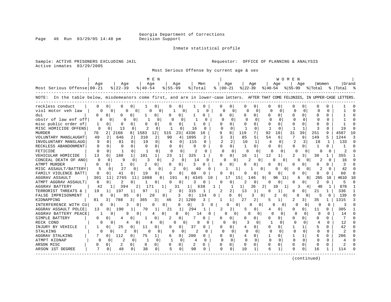Page 46 Run 03/29/05 14:48 pm

### Inmate statistical profile

Sample: ACTIVE PRISONERS EXCLUDING JAIL **Requestor:** OFFICE OF PLANNING & ANALYSIS Active inmates 03/29/2005

Most Serious Offense by current age & sex

|                                                                                                                                   |              |                     | M E N                    |                          |                              |                         |              |                    |                      | W O M E N            |                      |              |              |           |    |
|-----------------------------------------------------------------------------------------------------------------------------------|--------------|---------------------|--------------------------|--------------------------|------------------------------|-------------------------|--------------|--------------------|----------------------|----------------------|----------------------|--------------|--------------|-----------|----|
|                                                                                                                                   | Aqe          | Aqe                 | Aqe                      | Aqe                      | Men                          |                         | Age          | Age                | Aqe                  |                      | Aqe                  | Women        |              | Grand     |    |
| Most Serious Offense 00-21                                                                                                        |              | $ 22-39 $           | $8140 - 54$              | $8155 - 99$              | % Total                      | $8   00 - 21$           |              | $ 22-39 $          | $ 40-54 $            | $ 55-99 $            |                      | % Total      |              | %   Total |    |
| NOTE: In the table below, misdemeanors come first, and are in lower-case letters. AFTER THAT COME FELONIES, IN UPPER-CASE LETTERS |              |                     |                          |                          |                              |                         |              |                    |                      |                      |                      |              |              |           |    |
| reckless conduct                                                                                                                  |              | $\Omega$<br>O       | 0                        | 0<br>0<br>0              |                              | Ω                       | 0            | 0                  | <sup>0</sup><br>0    | O                    |                      | U            | O            |           |    |
| viol motor yeh law                                                                                                                |              | 0<br>O              | 0                        | $\Omega$                 | <sup>0</sup>                 | O                       | $\Omega$     | $\Omega$           | ∩                    | $\Omega$<br>C        | 0                    |              | ∩            |           |    |
| dui                                                                                                                               |              |                     |                          | 0<br>$\Omega$            |                              | Ω                       | 0            | $\Omega$           | 0<br>U               | U                    | 0                    |              | U            |           |    |
| obstr of law enf off                                                                                                              | U            | 0                   | 0                        | $\Omega$<br>0            | O                            | U<br><sup>n</sup>       | O            | $\Omega$<br>C      | $\Omega$             | O.                   | $\Omega$             |              | U            |           |    |
| misc public order of                                                                                                              | 1            | $\Omega$<br>U       | 0<br><sup>0</sup>        | O<br>U<br>O              | 0                            |                         | $\Omega$     |                    | O                    |                      | $\Omega$             |              | U            |           |    |
| MISC HOMICIDE OFFENS                                                                                                              | $\Omega$     | 13<br>$\Omega$      | $\Omega$                 | $\Omega$<br>-1           | 16<br>$\Omega$<br>O          | $\Omega$                | $\Omega$     | $\Omega$           | ∩                    |                      | $\mathbf{1}$         |              | ∩            | 19        |    |
| <b>MURDER</b>                                                                                                                     | 70           | 2168<br>2           | 8<br>1583<br>12          | 515<br>23                | 4336<br>10                   | q                       | 8<br>119     | 7                  | 92<br>10             | 31                   | 39                   | 251          | 9            | 4587      | 10 |
| VOLUNTARY MANSLAUGHT                                                                                                              | 49           | 2<br>646            | 310<br>2                 | 2<br>90<br>4             | 1095<br>2.                   |                         | 3            | 5<br>85            | 54<br>6              |                      | 9                    | 149          | 5            | 1244      |    |
| INVOLUNTARY MANSLAUG                                                                                                              |              | $\Omega$<br>81      | $\Omega$<br>19           | $\Omega$<br>6            | 115<br>0                     | $\overline{\mathbf{c}}$ | 2            | 10                 | $\overline{4}$       | O.<br>2              | 3                    | 18           | 1.           | 133       |    |
| RECKLESS ABANDONMENT                                                                                                              | <sup>0</sup> | $\Omega$<br>O       | $\Omega$<br><sup>0</sup> | $\Omega$<br>O<br>O       | $\Omega$<br>0                | $\Omega$                | $\Omega$     | <sup>0</sup><br>1  | <sup>0</sup>         | <sup>0</sup>         | 0                    | $\mathbf{1}$ | 0            |           |    |
| FETICIDE                                                                                                                          | <sup>0</sup> | $\Omega$<br>-1      | 0                        | $\Omega$<br>$\cap$       | <sup>o</sup><br><sup>0</sup> | $\Omega$                | $\Omega$     | $\Omega$           | O                    | $\Omega$             | $\Omega$<br>$\Omega$ | O            | n            | 2         |    |
| VEHICULAR HOMICIDE                                                                                                                | 13           | 188<br>0            | 101<br>1                 | 1<br>23                  | 325                          |                         | 0            | 16<br>1            | 12<br>$\mathbf{1}$   | 2                    | 3                    | 30           |              | 355       |    |
| CONCEAL DEATH OF ANO                                                                                                              | $\Omega$     | $\Omega$<br>9       | $\Omega$                 | $\Omega$<br>2            | 14                           | ∩                       | <sup>0</sup> | $\Omega$           |                      | $\Omega$             | 0<br>0               | 2            | $\Omega$     | 16        |    |
| ATMPT MURDER                                                                                                                      | 0            | U<br>1              | 2<br>$\Omega$            | 0<br>U<br>$\Omega$       | ζ<br>U                       |                         | 0            | 0                  | U                    |                      | 0                    |              | U            | 3         |    |
| MISC ASSAULT/BATTERY                                                                                                              | 5            | 27<br><sup>0</sup>  |                          | 2<br>O                   | 40                           | O                       |              | O                  |                      |                      | $\Omega$             |              |              | 42        |    |
| FAMILY VIOLENCE BATT                                                                                                              | $\Omega$     | 41<br>0             | 19<br>0                  | <sup>0</sup><br>0<br>U   | 60                           |                         | O            |                    | <sup>0</sup>         |                      |                      | 0            | U            | 60        |    |
| <b>AGGRAV ASSAULT</b>                                                                                                             | 301          | 2765<br>11          | 1088<br>11               | 8<br>191                 | 8<br>43<br>45                |                         | 15           | 146                | 9<br>96              | 11                   | 8<br>6               | 265          | 10           | 4610      |    |
| ATMPT AGGRAV ASSAULT                                                                                                              | $\Omega$     | 2<br>0              | 0                        | 0<br>0<br>0              | 3                            |                         | 0            | 0                  | <sup>0</sup><br>0    | $\left( \right)$     | $\Omega$             | 2            | 0            | 5         |    |
| <b>AGGRAV BATTERY</b>                                                                                                             | 42           | 394                 | 2.<br>171                | 31                       | 638                          |                         | 1<br>1       | 26                 | 10                   |                      | 4                    | 40           |              | 678       |    |
| TERRORIST THREATS &                                                                                                               | 19           | $\mathbf{1}$<br>197 | 97<br>1                  | 2<br>$\Omega$            | 315                          |                         | 2            | 13                 | 6                    |                      | 0                    | 21           |              | 336       |    |
| FALSE IMPRISONMENT                                                                                                                | 8            | 95<br>0             | 28<br>0                  | 3<br>0                   | 0<br>134                     | O                       | 0<br>0       | 3                  |                      | O                    | n                    | 5            | 0            | 139       |    |
| KIDNAPPING                                                                                                                        | 81           | 3<br>788            | 3<br>365                 | 2<br>3<br>46             | 1280<br>3                    |                         |              | 27                 | 5                    | 2                    | 3                    | 35           |              | 1315      |    |
| INTERFERENCE WITH CU                                                                                                              |              | 3                   | 0<br>0                   | 0<br>0                   | 01<br>3                      | ∩                       | 0            |                    | U                    |                      | U                    | O            |              | 3         |    |
| AGGRAV ASSAULT POLCE                                                                                                              | 13           | 190<br>0            | 70                       | 21                       | 294                          | 2                       | 2            | C                  | 4                    | O                    | 0                    | 11           | U            | 305       |    |
| AGGRAV BATTERY PEACE                                                                                                              |              | 9                   | $\Omega$<br>4            | $\Omega$<br>0            | $\Omega$                     | O                       | 0            | 0                  |                      | $\Omega$<br>$\Omega$ | ∩                    | $\Omega$     | <sup>0</sup> | 14        |    |
| SIMPLE BATTERY                                                                                                                    | 0            | O<br>4              | 0<br>1                   | 0<br>0 <sup>1</sup><br>2 |                              | O                       | 0            | 0                  | O.<br>0              | O                    | 0                    | U            | 0            |           |    |
| RECK COND                                                                                                                         | <sup>0</sup> | 4<br>0              | $\Omega$<br>4            | $\Omega$<br>O            | 8<br>$\Omega$                | O<br><sup>0</sup>       | n            | $\Omega$           |                      | $\Omega$<br>$\Omega$ | $\Omega$             | 4            | $\Omega$     | 12        |    |
| INJURY BY VEHICLE                                                                                                                 |              | 25<br>0             | 0<br>11                  | 0<br>O<br>0              | 37<br>0                      |                         | 0            | $\Omega$           | <sup>0</sup><br>0    |                      | 1                    | 5            | 0            | 42        |    |
| STALKING                                                                                                                          |              | 2<br>$\Omega$       | O<br>O                   | 0<br><sup>0</sup>        | O<br>2                       |                         | <sup>0</sup> | 0                  | <sup>0</sup>         | $\Omega$             | $\Omega$             | O            |              | 2         |    |
| AGGRAV STALKING                                                                                                                   |              | 112<br>0            | 0<br>75                  | 1<br>0<br>6              | 200<br>O                     |                         | 0            | 0                  | O                    |                      | 1                    | 6            | O            | 206       |    |
| ATMPT KIDNAP                                                                                                                      | U            | ∩                   | $\Omega$                 | 0<br>-1                  | 0<br><sup>0</sup>            | U                       | <sup>0</sup> | $\Omega$<br>∩      | $\Omega$<br>$\Omega$ | $\Omega$             | 0                    | $\cap$       | <sup>0</sup> |           |    |
| ARSON MISC                                                                                                                        |              | 2<br>$\Omega$       | $\Omega$<br>0            | 0<br>$\Omega$            | 2<br>O                       |                         | 0            | 0<br>$\Omega$      | $\Omega$<br>0        | O                    | 0                    | $\Omega$     | U            | 2         |    |
| ARSON 1ST DEGREE                                                                                                                  |              | 48                  | 0<br>38                  | 5<br>$\Omega$<br>0       | 98                           | $\Omega$                | 0            | $\mathbf{1}$<br>10 | 6                    |                      | 0                    | 16           |              | 114       |    |
|                                                                                                                                   |              |                     |                          |                          |                              |                         |              |                    |                      |                      |                      |              |              |           |    |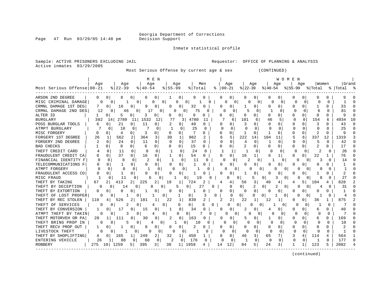Page 47 Run 03/29/05 14:48 pm

Inmate statistical profile

Active inmates 03/29/2005

Sample: ACTIVE PRISONERS EXCLUDING JAIL **Requestor:** OFFICE OF PLANNING & ANALYSIS

Most Serious Offense by current age & sex (CONTINUED)

|                            |              |                     |                           | M E N                |                       |          |                      |                            |                      | W O M E N            |                          |                 |
|----------------------------|--------------|---------------------|---------------------------|----------------------|-----------------------|----------|----------------------|----------------------------|----------------------|----------------------|--------------------------|-----------------|
|                            | Aqe          | Aqe                 | Aqe                       | Aqe                  | Men                   |          | Aqe                  | Age                        | Age                  | Age                  | Women                    | <b>Grand</b>    |
| Most Serious Offense 00-21 |              | $ 22-39$            | $8140 - 54$               | $8155 - 99$          | % Total               | ႜ        | $ 00-21$             | $ 22-39 $                  | $ 40-54 $            | $ 55-99$             | % Total                  | %   Total       |
| ARSON 2ND DEGREE           | 0            | 0 I<br>8            | 0<br>$\Omega$             | 0                    | 0<br>9                | 0        | 0                    | 0<br>0                     | 0                    | U<br>0               | <sup>0</sup>             |                 |
| MISC CRIMINAL DAMAGE       |              | 0                   | 0                         | 0<br>0<br>Ω          | 0                     | 0        | 0<br>O               | 0<br>0                     | $\Omega$<br>0        | 0<br><sup>0</sup>    | U<br>$\Omega$            |                 |
| CRMNL DAMAGE 1ST DEG       |              | 0<br>16             | O<br>9                    | 0                    | O<br>32               |          | 0<br>O               | 0                          | U<br>$\Omega$        | O<br>0               | U                        | 33<br>n         |
| CRMNL DAMAGE 2ND DEG       | 12           | 0<br>46             | 0 <sup>1</sup><br>17      | U<br>$\Omega$        | 75<br>0 l             |          | U<br>$\Omega$        | 5<br>$\Omega$              | -1<br>∩              | $\Omega$<br>$\Omega$ | 6<br>U                   | 81<br>∩         |
| ALTER ID                   |              | 5<br>0              | 0<br>3                    | 0<br>0               | 0<br>9                | 0        | n                    | U<br>O                     | O<br>O               | O<br>0               | $\Omega$<br><sup>o</sup> | Q<br>$\Omega$   |
| <b>BURGLARY</b>            | 382          | 2789<br>14          | 1532<br>11                | 12<br>77             | 4780<br>3             | 11       | 6                    | 101<br>6                   | 5<br>46              | $\Omega$             | 154<br>6                 | 4934<br>10      |
| POSS BURGLAR TOOLS         | 6            | 21<br>0             | 11<br>0                   | 0                    | 40                    | O        | 0                    | O                          | U<br>C               | O                    |                          | 43<br>n         |
| ATMPT BURGLARY             |              | 10<br>C             | <sup>0</sup>              | -1<br>$\Omega$       | 25<br>O               | U        | $\Omega$<br>$\Omega$ | U                          | $\Omega$<br>∩        | $\Omega$<br>$\cap$   | $\cap$                   | 25              |
| MISC FORGERY               | <sup>0</sup> | O<br>4              | 3<br>0                    | $\Omega$<br>0        | 7<br>O                | $\Omega$ | $\Omega$<br>$\Omega$ | -1<br>O                    |                      | U<br>$\Omega$        | 2<br><sup>0</sup>        | q               |
| FORGERY 1ST DEGREE         | 26           | 562                 | 2<br>364                  | 3<br>30              | 982<br>$\mathbf{1}$   |          | 5<br>6               | 222<br>14                  | 104<br>11            | 6<br>5               | 337<br>12                | 1319            |
| FORGERY 2ND DEGREE         | 2            | 24<br>0             | $\Omega$<br>11            | $\Omega$<br>$\Omega$ | $\Omega$<br>37        | 0        | $\Omega$<br>N        | $\Omega$<br>$\overline{4}$ | $\Omega$<br>1        | 0<br>O               | 5<br>0                   | 42              |
| <b>BAD CHECKS</b>          |              | $\Omega$<br>8       | 0<br>6                    | 0 <sup>1</sup><br>O  | 0<br>15               | 0        | $\Omega$<br>$\Omega$ | 2<br>0                     | Ω<br>$\Omega$        | 0<br>O               | 2                        | 17              |
| THEFT CREDIT CARD          |              | $\Omega$<br>11      | $\Omega$<br>8             | $\Omega$             | 24<br>$\Omega$        | $\Omega$ | $\mathbf{1}$<br>ı    | $\Omega$                   | $\Omega$             | $\Omega$<br>U        | 2                        | 26<br>0         |
| FRAUDULENT CREDIT CA       | 0            | 37<br>0             | $\Omega$<br>16            | 0                    | 54<br>$\Omega$        | $\Omega$ | O<br>0               | 16<br>1                    | 6<br>1               | 0<br>0               | 22                       | 76              |
| FINANCIAL IDENTITY F       | O            | $\Omega$<br>8       | $\mathcal{D}$<br>$\Omega$ | $\Omega$<br>-1       | $\Omega$<br>11        | U        | n<br>$\Omega$        | $\mathcal{D}$<br>0         | <sup>0</sup>         | O                    | 3<br><sup>o</sup>        | 14<br>0         |
| TELECOMMUNICATIONS F       | O            | U<br>1              | 0<br>O                    | 0<br>$\Omega$        | 0                     | U        | 0<br>U               | ∩<br>0                     | $\Omega$<br>$\Omega$ | U<br>O               | O                        |                 |
| ATMPT FORGERY              |              | $\Omega$            |                           | $\Omega$             | 0                     |          | 0                    | U                          | 0                    |                      | O                        |                 |
| FRAUDULENT ACCESS CO       | U            |                     | U<br>0                    | U<br>O               | O                     |          | U<br>O               | 0                          | O<br>$\Omega$        | O                    |                          |                 |
| MISC FRAUD                 |              | 11                  |                           | U                    | 19<br><sup>n</sup>    | n        | $\Omega$             | 5                          | 0<br>3               | $\Omega$             |                          | 27              |
| THEFT BY TAKING            | 67           | 413<br>2 I          | 225                       | 2<br>19              | 724                   |          | 4                    | 56<br>3                    | 40                   | 5.<br>4              | 104                      | 828             |
| THEFT BY DECEPTION         | O            | 14<br>O             | 8<br>0                    | 5<br>0               | $\Omega$<br>27        | U        | 0                    | $\Omega$<br>2              | 2<br>0               | $\Omega$<br>0<br>U   | 4<br>U                   | 31              |
| THEFT BY EXTORTION         | 0            | 0<br>O              |                           | 0<br>O               | 0                     | O        | 0<br>0               | $\mathbf 0$<br>0           | 0<br>0               | 0<br>0               | 0<br>O                   |                 |
| THEFT OF LOST PROPER       |              | O                   | O                         | 0                    | 0<br>1                | 3        | 0                    | $\Omega$<br>U              | $\Omega$             | 0<br>$\Omega$<br>0   | Ω                        | 4               |
| THEFT BY REC STOLEN        | 110          | 526<br>4            | 181                       | 22<br>1              | 1<br>839              |          | 2                    | 22<br>1                    | 12                   | 0<br>0               | 36                       | 875             |
| THEFT OF SERVICES          |              | 2<br>O              | O                         | 0<br>4               | $\Omega$<br>$\Omega$  | 6<br>U   | $\Omega$<br>0        | O                          | 0                    | 0                    | $\Omega$                 |                 |
| THEFT BY CONVERSION        | 1            | 17<br>0             | 0<br>15                   | 0<br>1               | $\Omega$<br>34        |          | 0<br>n               | 0                          | 0<br>4               | O<br>0               | 6<br><sup>n</sup>        | 40              |
| ATMPT THEFT BY TAKIN       | <sup>0</sup> | 3<br>O              | 0                         | 0<br><sup>0</sup>    | 7<br>0                | $\Omega$ | U<br>$\Omega$        | U<br>0                     | $\Omega$<br>n        | $\cap$<br>$\Omega$   | O<br>$\Omega$            |                 |
| THEFT MOTORVEH OR PA       | 20           | 111<br>$\mathbf{1}$ | 0<br>30                   | 0<br>2               | 0 <sup>1</sup><br>163 | O        | 0<br>$\Box$          | 0                          | 0                    | O<br>0               | 6<br>0                   | 169<br>n        |
| THEFT BRING PROP IN        |              |                     | 0                         | 0                    | 10                    | 0        | O                    | U<br>$\Omega$              | U<br>$\Omega$        | n<br>$\Omega$        |                          | 10              |
| THEFT RECV PROP OUT        |              | O                   | O                         | O                    | 2                     | Ω        | 0                    | U<br>O                     | 0<br>0               | O                    |                          |                 |
| LIVESTOCK THEFT            | <sup>0</sup> | 0                   | 0                         | n<br>O               |                       | U        | U<br>O               | U<br>0                     | $\Omega$<br>$\Omega$ | $\Omega$<br>$\Omega$ | ∩<br>U                   |                 |
| THEFT BY SHOPLIFTING       | 4            | $\Omega$<br>165     | 249                       | 2<br>32              | 450<br>1              |          | 0<br>0               | 3<br>46                    | 65<br>7              | 3<br>4               | 114<br>4                 | 564             |
| ENTERING VEHICLE           | 26           | 88                  | 0<br>60                   | 0<br>2               | 176<br>0              | 0        | $\Omega$<br>0        | $\Omega$                   | $\Omega$<br>$\Omega$ | $\Omega$<br>0        | 0<br>-1                  | 177<br>$\Omega$ |
| <b>ROBBERY</b>             | 275          | 1259<br>10 I        | 5 I<br>395                | 3 I<br>30            | 1959<br>1             | 14       | 12                   | 5.<br>84                   | 3<br>24              |                      | 123                      | 2082            |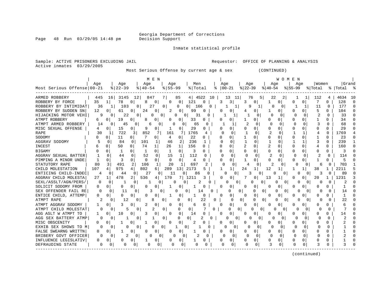Page 48 Run 03/29/05 14:48 pm

Inmate statistical profile

Sample: ACTIVE PRISONERS EXCLUDING JAIL **Requestor:** OFFICE OF PLANNING & ANALYSIS Active inmates 03/29/2005

Most Serious Offense by current age & sex (CONTINUED)

|                            |              |                |                    | M E N               |                     |                 |          |          |                       |                   |                |              |          | WOMEN          |              |              |                |              |           |          |
|----------------------------|--------------|----------------|--------------------|---------------------|---------------------|-----------------|----------|----------|-----------------------|-------------------|----------------|--------------|----------|----------------|--------------|--------------|----------------|--------------|-----------|----------|
|                            | Age          |                | Age                | Age                 | Age                 |                 | Men      |          | Age                   |                   | Age            |              | Age      |                | Age          |              | Women          |              | Grand     |          |
| Most Serious Offense 00-21 |              | $ 22-39$       |                    | $\frac{8}{40} - 54$ | $8155 - 99$         |                 | % Total  |          | $\frac{1}{6}$   00-21 |                   | $ 22-39$       |              | $ 40-54$ |                | $ 55-99$     |              | % Total        |              | %   Total |          |
| ARMED ROBBERY              | 445          | 16             | 3145<br>12         | 847                 | 7 I                 | 85              | 4   4522 | 10       |                       | 13<br>11          | 76             | 5            | 22       | $\overline{2}$ |              | 1            | 112            | 4            | 4634      | - 10     |
| ROBBERY BY FORCE           | 35           | 1 <sup>1</sup> | 78<br>$\Omega$     | 8<br>0              | <sup>0</sup>        | 0               | 121      | N        | 3                     | 3                 |                | 0            |          | O              | n            | $\Omega$     | 7              | 0            | 128       | $\Gamma$ |
| ROBBERY BY INTIMIDAT       | 36           | 1              | 103                | 27<br>0             | 0                   | O               | 166<br>0 | 0        |                       |                   | ۹              |              | ∩        | 0              | ד            |              | 11             | $\Omega$     | 177       | $\cap$   |
| ROBBERY BY SUDDEN SN       | 12           | U              | 0<br>61            | 24<br>0             | 2                   | 0               | 99       |          |                       | 0                 |                | $\Omega$     |          | U              |              | $\Omega$     | 5              | 0            | 104       | ∩        |
| HIJACKING MOTOR VEHI       | q            | 0              | 22                 | 0<br>Ω              | 0                   | 0               | 31       | O        |                       |                   |                |              | ∩        | O              | $\Omega$     | n            | $\overline{c}$ | U            | 33        |          |
| ATMPT ROBBERY              | 6            | $\Omega$       | 19<br><sup>0</sup> | 8<br>O              | <sup>0</sup>        | 0               | 33       | O        |                       | U                 |                | O            | U        | O              | <sup>0</sup> |              |                |              | 34        |          |
| ATMPT ARMED ROBBERY        | 14           | $\Omega$       | 45<br>$\Omega$     | 6                   | 0                   | O               | 65       | U        |                       | 1                 |                | $\Omega$     |          | U              | $\cap$       | ∩            | 3              | U            | 68        |          |
| MISC SEXUAL OFFENSE        | 4            | 0              | 15<br>0            | 9                   | 0                   | $\Omega$        | 29       | O        |                       | 0                 |                | <sup>0</sup> | U        | O              | $\Omega$     | <sup>0</sup> | O              | O            | 29        |          |
| <b>RAPE</b>                | 30           | 1              | 722<br>3           | 852                 | 7<br>161            | 7               | 1765     | 4        | ∩                     | <sup>0</sup>      |                | U            | 2        | O              | -1           | 1            | 4              | O            | 1769      |          |
| SODOMY                     |              | 0              | 11<br>0            | 0                   | 4                   | 0               | 22       | 0        | n                     | 0                 |                | 0            | 0        | 0              | 0            | $\Omega$     |                | O            | 23        |          |
| AGGRAV SODOMY              |              | 0              | 84<br>0            | 101                 | 1<br>46             | 2               | 236      |          |                       | $\Omega$          |                | $\Omega$     |          | O              |              | 1            |                | U            | 239       |          |
| <b>INCEST</b>              |              | $\Omega$       | 50<br>0            | 74<br>$\mathbf{1}$  | 26                  | 1               | 156      | O        | ∩                     | 0                 | $\overline{2}$ | $\Omega$     | 2        | ∩              | $\Omega$     | <sup>0</sup> | 4              | 0            | 160       |          |
| <b>BIGAMY</b>              |              | 0              | 1<br>0             |                     | 0                   | $\Omega$        | 3        | 0        |                       | 0                 | 0              | $\Omega$     | 0        | 0              | 0            |              | 0              | 0            | 3         |          |
| AGGRAV SEXUAL BATTER       |              | $\Omega$       | $\Omega$<br>44     | 52                  | $\Omega$<br>15      | 1               | 112      | $\Omega$ | $\cap$                | $\Omega$          | $\Omega$       | $\Omega$     | 2        | <sup>0</sup>   | $\Omega$     | $\Omega$     | $\mathcal{D}$  | ∩            | 114       |          |
| PIMPING A MINOR UNDE       | -1           | 0              | 3<br>0             | 0                   | 0<br>$\Omega$       | 0               | 4        | 0        |                       | 0                 |                | O            | U        |                | ∩            |              |                | U            |           |          |
| STATUTORY RAPE             | 80           | 3              | 491<br>2           | 106                 | 20<br>1             | 1               | 697      |          |                       | O                 | 4              |              |          | U              |              |              | 6              | O            | 703       |          |
| CHILD MOLESTATION          | 107          | 975            |                    | 802                 | 289<br>6            | 13 <sup>1</sup> | 2173     |          |                       |                   | 24             |              | 12       |                |              |              | 38             |              | 2211      |          |
| ENTICING CHILD-INDEC       | 4            |                | O<br>44            | 21                  | 11<br>0             | <sup>0</sup>    | 86       |          |                       | O                 | 3              |              |          | O              |              |              | 3              | O            | 89        |          |
| AGGRAV CHILD MOLESTA       | 27           | 478            | 2                  | 536                 | 170<br>4            |                 | 1211     | 3        |                       | 0                 |                |              | 13       |                | n            |              | 20             |              | 1231      |          |
| SEXL/ASSLT/AGN/PERS/       | 0            | n              | $\Omega$           |                     | 0                   | O               |          | O        | U                     | 0                 | N              |              |          | 0              | U            |              | O              | O            |           |          |
| SOLICIT SODOMY FROM        | 0            | O              | 0<br>0             | $\Omega$<br>0       | 1                   | 0               | -1       |          | 0                     | 0                 | O              | 0            | 0        | 0              | O            | O            | O              | O            |           |          |
| SEX OFFENDER FAIL RE       | 0            | 0              | 0<br>11            | 3                   | 0                   | 0               | 14       | O        |                       | 0<br>0            |                | 0<br>0       | O        | 0              | O            | O            | 0              | O            | 14        |          |
| ENTICE CHILD, ATTEMP       | 0            | O              | 0<br>0             | 0                   | 1                   | 0               | -1       | O        |                       | 0                 |                | $\Omega$     | U        | 0              |              |              | O              | N            |           |          |
| ATMPT RAPE                 |              | 0              | 12                 | 8<br>0              | 0                   | <sup>0</sup>    | 0        | 22<br>O  |                       | $\Omega$          | 0              | 0<br>0       | O        | O              | O            |              | O              | O            | 22        |          |
| ATMPT AGGRAV SODOMY        |              | 0              | 0                  | $\mathbf 0$         | $\cap$              | 0               | 6        |          |                       | 0                 |                | $\Omega$     | O        | 0              |              |              |                | U            | 6         |          |
| ATMPT CHILD MOLESTAT       |              | O              | 5                  | 2.<br>0             | $\Omega$            | 0               | 0        | 0        |                       | U<br><sup>n</sup> | 0              | $\Omega$     |          |                | O            |              |                | O            |           |          |
| AGG ASLT W ATMPT TO        |              | 0              | 10<br>0            | 0                   | n                   | 0               | 14       |          | U                     | 0                 |                | 0            | Ω        | O              | n            |              |                | 0            | 14        |          |
| AGG SEX BATTERY ATMP       |              | O              |                    | 0                   | <sup>0</sup>        |                 | 0        | N        | O                     | 0                 | O              | $\Omega$     | Λ        | O              | U            | ∩            |                | <sup>0</sup> |           |          |
| MISC OBSCENITY             | U            | 0              |                    | 0                   |                     | $\Omega$        | 2        |          | O                     | U                 |                | 0            | N        | O              | <sup>0</sup> |              | U              |              |           |          |
| EXHIB SEX SHOWS TO M       |              | O              |                    | 0                   | $\Omega$            | 0               |          | U        |                       | 0                 | Ω              |              | n        | O              | ∩            | U            | 0              | O            |           |          |
| FALSE SWEARNG WRITTN       | <sup>0</sup> |                | 0                  | 0<br>U              | U                   | <sup>0</sup>    |          |          |                       | 0                 |                | $\Omega$     | O.       |                | U            |              | U              | U            |           |          |
| BRIBERY GOVT OFFICER       |              | 0              | 2<br>0             |                     | 0                   | $\Omega$        |          | $\Omega$ | O                     | $\Omega$          | O              | $\Omega$     | $\Omega$ | $\Omega$       | $\Omega$     | <sup>n</sup> | O              | $\Omega$     |           |          |
| INFLUENCE LEGISLATIV       | 0            | O              | 0                  |                     | 0<br>O              | $\Omega$        |          | 0        |                       | 0                 |                | 0            | 0        | N              | O            | 0            |                | N            |           |          |
| DEFRAUDING STATE           | 0            | 0              | 0                  | O                   | $\overline{0}$<br>O | 0               | O        |          | O                     |                   | O              | 0            |          | 0              | O            | 0            | 3              | O            | 3         |          |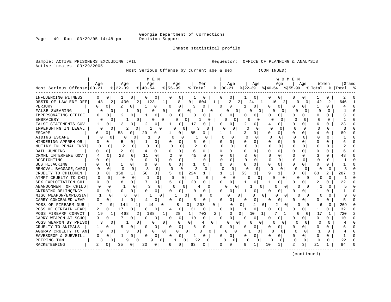Georgia Department of Corrections

Page 49 Run 03/29/05 14:48 pm

Inmate statistical profile

Sample: ACTIVE PRISONERS EXCLUDING JAIL **Requestor:** OFFICE OF PLANNING & ANALYSIS Active inmates 03/29/2005

Most Serious Offense by current age & sex (CONTINUED)

| Grand<br>Age<br>Aqe<br>Men<br>  Women<br>Aqe<br>Aqe<br>Aqe<br>Age<br>Aqe<br>Aqe<br>Most Serious Offense 00-21<br>$ \frac{1}{22-39} \cdot \frac{1}{8} 40-54 \cdot \frac{1}{8} 55-99$<br>$8$   22-39<br>$8   40 - 54$<br>$8   00 - 21$<br>% Total<br>%   Total<br>$8155 - 99$<br>% Total<br>0<br>0<br>0 <sup>1</sup><br>0<br>0<br>0<br>0<br>1<br>0<br>0<br>0<br>0 <sup>1</sup><br>2<br>0<br>0<br>$\overline{2}$<br>2<br>43<br>2<br>430<br>123<br>8<br>0<br>604<br>2<br>24<br>16<br>2<br>42<br>2<br>646<br>1<br>$\Omega$<br>0<br>-1 I<br>2<br>$\Omega$<br>0<br>0<br>N<br>0<br>$\Omega$<br>3<br>O<br>0<br><sup>0</sup><br>U<br>0<br>0<br>0<br>0<br>$\Omega$<br>1<br>$\Omega$<br>0<br>0<br>O<br>$\Omega$<br>1<br>$\Omega$<br>0<br>O<br>O<br>$\Omega$<br>∩<br>0<br>U<br>$\Omega$<br>$\Omega$<br>0<br>0<br>0<br>$\Omega$<br>0<br>0<br>$\Omega$<br>3<br>O<br>3<br>U<br>U<br>O<br>U<br>U<br>U<br>0<br>$\Omega$<br>0<br>0<br>0<br>O<br>$\Omega$<br>$\Omega$<br>O<br><sup>0</sup><br>O<br>1<br>$\Omega$<br>O<br>$\Omega$<br>0<br>13<br>0<br>23<br>0<br>2<br>0<br>17<br>0<br>2<br>O<br>0<br>U<br>0<br>6<br>2<br>U<br>O<br>$\Omega$<br>O<br>3<br>O<br>∩<br>C<br>U<br>n<br>0<br>0<br>$\Omega$<br>U<br>$\Omega$<br><sup>0</sup><br>O<br>$\Omega$<br>58<br>$\cap$<br>$\Omega$<br>89<br>6<br>O<br>20<br>0<br>$\Omega$<br>85<br>O<br>0<br>U<br>0<br>0<br>4<br>$\Omega$<br>$\cap$<br>$\Omega$<br>$\Omega$<br>$\Omega$<br>$\cap$<br>$\cap$<br>O<br>U<br>$\Omega$<br>U<br>∩<br>$\Omega$<br>∩<br>0<br>U<br>$\cap$<br>0<br><sup>0</sup><br>0<br>0<br>5<br>0<br>0<br>N<br>O<br>$\Omega$<br>U<br>0<br>б<br>0<br>U<br>0<br><sup>0</sup><br>$\overline{2}$<br>$\Omega$<br>$\Omega$<br>$\Omega$<br>0<br>$\Omega$<br>$\Omega$<br>$\Omega$<br>$\Omega$<br><sup>0</sup><br>$\Omega$<br>0<br>0<br>2<br>$\Omega$<br>U<br>$\Omega$<br>U<br>$\Omega$<br>$\overline{2}$<br>$\Omega$<br>0<br>$\Omega$<br>0<br>0<br>U<br>$\Omega$<br>$\Omega$<br>0<br>0<br>$\Omega$<br>O<br>O<br>U<br>U<br>6<br>4<br>6<br>O<br>28<br>$\Omega$<br>$\Omega$<br>2<br>45<br>$\Omega$<br>U<br>$\Omega$<br>11<br>$\Omega$<br>$\Omega$<br>3<br>$\Omega$<br>$\Omega$<br>$\Omega$<br>48<br>O<br>O<br>$\Omega$<br>O<br>$\Omega$<br>$\Omega$<br>$\mathbf{1}$<br>0<br>$\Omega$<br>$\Omega$<br>0<br>U<br>O<br>$\Omega$<br><sup>0</sup><br>Ω<br>U<br>-1<br>O<br>U<br>$\mathbf{1}$<br>$\mathbf 0$<br>$\mathbf{1}$<br>0<br>0<br>0<br>O<br>0<br>0<br>U<br>0<br>0<br>$\Omega$<br>O<br>$\Omega$<br>0<br>0<br>0<br>$\Omega$<br>$\Omega$<br>O<br>$\Omega$<br><sup>0</sup><br>3<br>0<br>O<br>3<br>0<br>$\Omega$<br>0<br>$\Omega$<br>U<br>$\Omega$<br>0<br>U<br>3<br>$\Omega$<br>158<br>58<br>5<br>224<br>53<br>q<br>$\overline{2}$<br>287<br>$\Omega$<br>1<br>3<br>0<br>63<br>3<br>1<br>0<br>1<br>n<br>$\Omega$<br>0<br>$\cap$<br>$\cap$<br>O<br>$\Omega$<br>$\Omega$<br>0<br>$\Omega$<br>0<br>-1<br>U<br>0<br>U<br>0<br>U<br>$\Omega$<br>N<br>0<br><sup>0</sup><br>5<br>2<br>22<br><sup>0</sup><br>8<br>0<br>20<br>O<br>0<br>0<br>O<br>O<br>U<br>-1<br>U<br>U<br>O<br>0<br>3<br>0<br>0<br>O<br>0<br>$\Omega$<br>n<br>O<br>0<br>0<br>$\Omega$<br>U<br><sup>0</sup><br>0<br>0<br>0<br>$\Omega$<br>U<br>0<br>0<br>$\Omega$<br>$\Omega$<br>O<br>O<br>U<br>$\Omega$<br>6<br>0<br>0<br>0<br>9<br>U<br>O<br>0<br>$\Omega$<br>0<br>$\Omega$<br>O<br>q<br>0<br>O<br>5<br>0<br>0<br>0<br>$\Omega$<br>0<br>0<br>0<br>0<br>0<br>0<br>$\Omega$<br>0<br>0<br>0<br>1<br>5<br>0<br>0<br>O<br>203<br>209<br>$\overline{0}$<br>$\Omega$<br>$\Omega$<br>144<br>1<br>$\Omega$<br>8<br>01<br>0<br>$\Omega$<br>2<br>0<br>$\Omega$<br>∩<br>44<br>4<br>6<br>17<br>0<br>0<br>32<br>2<br>01<br>0<br>8<br>$\Omega$<br>0<br>31<br>0<br>0<br>0<br>$\Omega$<br>$\Omega$<br>1<br>0<br>4<br>0<br>720<br>2<br>188<br>28<br>1 <sup>1</sup><br>703<br>2<br>$\Omega$<br>19<br>468<br>1<br>$\Omega$<br>10<br>$\Omega$<br>17<br>1<br>O<br>1<br>1<br>$\mathbf 0$<br>3<br>0<br>$\Omega$<br>0<br>10<br>$\Omega$<br>0<br>10<br>0<br>0<br>O<br>0<br>0<br>0<br>0<br>O<br>0<br>0<br>3<br>$\Omega$<br>$\Omega$<br>0<br>0<br>0<br>0<br>4<br>0<br>U<br>0<br>O<br>∩<br>O<br>$\Omega$<br>U<br><sup>0</sup><br>1<br>0<br>0<br>0<br>0<br>0<br>$\Omega$<br>$\Omega$<br>0<br>O<br>U<br>0<br>O<br>0<br>$\Omega$<br>0<br>6<br>6<br>3<br>$\Omega$<br>0<br>3<br>$\Omega$<br>0<br>$\Omega$<br>$\Omega$<br>$\Omega$<br>$\Omega$<br>n<br>01<br>U<br>$\Omega$<br>1<br>0<br>∩<br>$\Omega$<br><sup>0</sup><br>0<br>0<br>$\Omega$<br>0<br>0<br>0<br>0<br>0<br>0<br>$\Omega$<br>O<br>0<br>O<br>0<br>U<br>O<br>O<br>22<br>ς<br>9<br>22<br><sup>0</sup><br>$\Omega$<br>$\Omega$<br>q<br>0<br><sup>o</sup><br>0<br>0<br>O<br><sup>0</sup><br>O<br>O<br>O<br>$\mathfrak{D}$<br>21<br>84<br>2<br>20<br>0<br>10<br>3.<br>35<br>0<br>0<br>6<br>63<br>O<br>N<br>0 |                       |  |  | M E N |  |  |  |  | WOMEN |  |  |  |
|--------------------------------------------------------------------------------------------------------------------------------------------------------------------------------------------------------------------------------------------------------------------------------------------------------------------------------------------------------------------------------------------------------------------------------------------------------------------------------------------------------------------------------------------------------------------------------------------------------------------------------------------------------------------------------------------------------------------------------------------------------------------------------------------------------------------------------------------------------------------------------------------------------------------------------------------------------------------------------------------------------------------------------------------------------------------------------------------------------------------------------------------------------------------------------------------------------------------------------------------------------------------------------------------------------------------------------------------------------------------------------------------------------------------------------------------------------------------------------------------------------------------------------------------------------------------------------------------------------------------------------------------------------------------------------------------------------------------------------------------------------------------------------------------------------------------------------------------------------------------------------------------------------------------------------------------------------------------------------------------------------------------------------------------------------------------------------------------------------------------------------------------------------------------------------------------------------------------------------------------------------------------------------------------------------------------------------------------------------------------------------------------------------------------------------------------------------------------------------------------------------------------------------------------------------------------------------------------------------------------------------------------------------------------------------------------------------------------------------------------------------------------------------------------------------------------------------------------------------------------------------------------------------------------------------------------------------------------------------------------------------------------------------------------------------------------------------------------------------------------------------------------------------------------------------------------------------------------------------------------------------------------------------------------------------------------------------------------------------------------------------------------------------------------------------------------------------------------------------------------------------------------------------------------------------------------------------------------------------------------------------------------------------------------------------------------------------------------------------------------------------------------------------------------------------------------------------------------------------------------------------------------------------------------------------------------------------------------------------------------------------------------------------------------------------------------------------------------------------------------------------------------------------------------------------------------------------------------------------------------------------------------------------------------------------------------------------------------------------------------------------------------------------------------------------------------------------------------------------------------------------------------------------------------------------------------------------------------------------------------------------------------------------------------------------------------------------------|-----------------------|--|--|-------|--|--|--|--|-------|--|--|--|
|                                                                                                                                                                                                                                                                                                                                                                                                                                                                                                                                                                                                                                                                                                                                                                                                                                                                                                                                                                                                                                                                                                                                                                                                                                                                                                                                                                                                                                                                                                                                                                                                                                                                                                                                                                                                                                                                                                                                                                                                                                                                                                                                                                                                                                                                                                                                                                                                                                                                                                                                                                                                                                                                                                                                                                                                                                                                                                                                                                                                                                                                                                                                                                                                                                                                                                                                                                                                                                                                                                                                                                                                                                                                                                                                                                                                                                                                                                                                                                                                                                                                                                                                                                                                                                                                                                                                                                                                                                                                                                                                                                                                                                                                                                              |                       |  |  |       |  |  |  |  |       |  |  |  |
|                                                                                                                                                                                                                                                                                                                                                                                                                                                                                                                                                                                                                                                                                                                                                                                                                                                                                                                                                                                                                                                                                                                                                                                                                                                                                                                                                                                                                                                                                                                                                                                                                                                                                                                                                                                                                                                                                                                                                                                                                                                                                                                                                                                                                                                                                                                                                                                                                                                                                                                                                                                                                                                                                                                                                                                                                                                                                                                                                                                                                                                                                                                                                                                                                                                                                                                                                                                                                                                                                                                                                                                                                                                                                                                                                                                                                                                                                                                                                                                                                                                                                                                                                                                                                                                                                                                                                                                                                                                                                                                                                                                                                                                                                                              |                       |  |  |       |  |  |  |  |       |  |  |  |
|                                                                                                                                                                                                                                                                                                                                                                                                                                                                                                                                                                                                                                                                                                                                                                                                                                                                                                                                                                                                                                                                                                                                                                                                                                                                                                                                                                                                                                                                                                                                                                                                                                                                                                                                                                                                                                                                                                                                                                                                                                                                                                                                                                                                                                                                                                                                                                                                                                                                                                                                                                                                                                                                                                                                                                                                                                                                                                                                                                                                                                                                                                                                                                                                                                                                                                                                                                                                                                                                                                                                                                                                                                                                                                                                                                                                                                                                                                                                                                                                                                                                                                                                                                                                                                                                                                                                                                                                                                                                                                                                                                                                                                                                                                              | INFLUENCING WITNESS   |  |  |       |  |  |  |  |       |  |  |  |
|                                                                                                                                                                                                                                                                                                                                                                                                                                                                                                                                                                                                                                                                                                                                                                                                                                                                                                                                                                                                                                                                                                                                                                                                                                                                                                                                                                                                                                                                                                                                                                                                                                                                                                                                                                                                                                                                                                                                                                                                                                                                                                                                                                                                                                                                                                                                                                                                                                                                                                                                                                                                                                                                                                                                                                                                                                                                                                                                                                                                                                                                                                                                                                                                                                                                                                                                                                                                                                                                                                                                                                                                                                                                                                                                                                                                                                                                                                                                                                                                                                                                                                                                                                                                                                                                                                                                                                                                                                                                                                                                                                                                                                                                                                              | OBSTR OF LAW ENF OFF  |  |  |       |  |  |  |  |       |  |  |  |
|                                                                                                                                                                                                                                                                                                                                                                                                                                                                                                                                                                                                                                                                                                                                                                                                                                                                                                                                                                                                                                                                                                                                                                                                                                                                                                                                                                                                                                                                                                                                                                                                                                                                                                                                                                                                                                                                                                                                                                                                                                                                                                                                                                                                                                                                                                                                                                                                                                                                                                                                                                                                                                                                                                                                                                                                                                                                                                                                                                                                                                                                                                                                                                                                                                                                                                                                                                                                                                                                                                                                                                                                                                                                                                                                                                                                                                                                                                                                                                                                                                                                                                                                                                                                                                                                                                                                                                                                                                                                                                                                                                                                                                                                                                              | PERJURY               |  |  |       |  |  |  |  |       |  |  |  |
|                                                                                                                                                                                                                                                                                                                                                                                                                                                                                                                                                                                                                                                                                                                                                                                                                                                                                                                                                                                                                                                                                                                                                                                                                                                                                                                                                                                                                                                                                                                                                                                                                                                                                                                                                                                                                                                                                                                                                                                                                                                                                                                                                                                                                                                                                                                                                                                                                                                                                                                                                                                                                                                                                                                                                                                                                                                                                                                                                                                                                                                                                                                                                                                                                                                                                                                                                                                                                                                                                                                                                                                                                                                                                                                                                                                                                                                                                                                                                                                                                                                                                                                                                                                                                                                                                                                                                                                                                                                                                                                                                                                                                                                                                                              | <b>FALSE SWEARING</b> |  |  |       |  |  |  |  |       |  |  |  |
|                                                                                                                                                                                                                                                                                                                                                                                                                                                                                                                                                                                                                                                                                                                                                                                                                                                                                                                                                                                                                                                                                                                                                                                                                                                                                                                                                                                                                                                                                                                                                                                                                                                                                                                                                                                                                                                                                                                                                                                                                                                                                                                                                                                                                                                                                                                                                                                                                                                                                                                                                                                                                                                                                                                                                                                                                                                                                                                                                                                                                                                                                                                                                                                                                                                                                                                                                                                                                                                                                                                                                                                                                                                                                                                                                                                                                                                                                                                                                                                                                                                                                                                                                                                                                                                                                                                                                                                                                                                                                                                                                                                                                                                                                                              | IMPERSONATING OFFICE  |  |  |       |  |  |  |  |       |  |  |  |
|                                                                                                                                                                                                                                                                                                                                                                                                                                                                                                                                                                                                                                                                                                                                                                                                                                                                                                                                                                                                                                                                                                                                                                                                                                                                                                                                                                                                                                                                                                                                                                                                                                                                                                                                                                                                                                                                                                                                                                                                                                                                                                                                                                                                                                                                                                                                                                                                                                                                                                                                                                                                                                                                                                                                                                                                                                                                                                                                                                                                                                                                                                                                                                                                                                                                                                                                                                                                                                                                                                                                                                                                                                                                                                                                                                                                                                                                                                                                                                                                                                                                                                                                                                                                                                                                                                                                                                                                                                                                                                                                                                                                                                                                                                              | <b>EMBRACERY</b>      |  |  |       |  |  |  |  |       |  |  |  |
|                                                                                                                                                                                                                                                                                                                                                                                                                                                                                                                                                                                                                                                                                                                                                                                                                                                                                                                                                                                                                                                                                                                                                                                                                                                                                                                                                                                                                                                                                                                                                                                                                                                                                                                                                                                                                                                                                                                                                                                                                                                                                                                                                                                                                                                                                                                                                                                                                                                                                                                                                                                                                                                                                                                                                                                                                                                                                                                                                                                                                                                                                                                                                                                                                                                                                                                                                                                                                                                                                                                                                                                                                                                                                                                                                                                                                                                                                                                                                                                                                                                                                                                                                                                                                                                                                                                                                                                                                                                                                                                                                                                                                                                                                                              | FALSE STATEMENTS GOV  |  |  |       |  |  |  |  |       |  |  |  |
|                                                                                                                                                                                                                                                                                                                                                                                                                                                                                                                                                                                                                                                                                                                                                                                                                                                                                                                                                                                                                                                                                                                                                                                                                                                                                                                                                                                                                                                                                                                                                                                                                                                                                                                                                                                                                                                                                                                                                                                                                                                                                                                                                                                                                                                                                                                                                                                                                                                                                                                                                                                                                                                                                                                                                                                                                                                                                                                                                                                                                                                                                                                                                                                                                                                                                                                                                                                                                                                                                                                                                                                                                                                                                                                                                                                                                                                                                                                                                                                                                                                                                                                                                                                                                                                                                                                                                                                                                                                                                                                                                                                                                                                                                                              | IMPERSNTNG IN LEGAL   |  |  |       |  |  |  |  |       |  |  |  |
|                                                                                                                                                                                                                                                                                                                                                                                                                                                                                                                                                                                                                                                                                                                                                                                                                                                                                                                                                                                                                                                                                                                                                                                                                                                                                                                                                                                                                                                                                                                                                                                                                                                                                                                                                                                                                                                                                                                                                                                                                                                                                                                                                                                                                                                                                                                                                                                                                                                                                                                                                                                                                                                                                                                                                                                                                                                                                                                                                                                                                                                                                                                                                                                                                                                                                                                                                                                                                                                                                                                                                                                                                                                                                                                                                                                                                                                                                                                                                                                                                                                                                                                                                                                                                                                                                                                                                                                                                                                                                                                                                                                                                                                                                                              | <b>ESCAPE</b>         |  |  |       |  |  |  |  |       |  |  |  |
|                                                                                                                                                                                                                                                                                                                                                                                                                                                                                                                                                                                                                                                                                                                                                                                                                                                                                                                                                                                                                                                                                                                                                                                                                                                                                                                                                                                                                                                                                                                                                                                                                                                                                                                                                                                                                                                                                                                                                                                                                                                                                                                                                                                                                                                                                                                                                                                                                                                                                                                                                                                                                                                                                                                                                                                                                                                                                                                                                                                                                                                                                                                                                                                                                                                                                                                                                                                                                                                                                                                                                                                                                                                                                                                                                                                                                                                                                                                                                                                                                                                                                                                                                                                                                                                                                                                                                                                                                                                                                                                                                                                                                                                                                                              | AIDING ESCAPE         |  |  |       |  |  |  |  |       |  |  |  |
|                                                                                                                                                                                                                                                                                                                                                                                                                                                                                                                                                                                                                                                                                                                                                                                                                                                                                                                                                                                                                                                                                                                                                                                                                                                                                                                                                                                                                                                                                                                                                                                                                                                                                                                                                                                                                                                                                                                                                                                                                                                                                                                                                                                                                                                                                                                                                                                                                                                                                                                                                                                                                                                                                                                                                                                                                                                                                                                                                                                                                                                                                                                                                                                                                                                                                                                                                                                                                                                                                                                                                                                                                                                                                                                                                                                                                                                                                                                                                                                                                                                                                                                                                                                                                                                                                                                                                                                                                                                                                                                                                                                                                                                                                                              | HINDERING APPREH OR   |  |  |       |  |  |  |  |       |  |  |  |
|                                                                                                                                                                                                                                                                                                                                                                                                                                                                                                                                                                                                                                                                                                                                                                                                                                                                                                                                                                                                                                                                                                                                                                                                                                                                                                                                                                                                                                                                                                                                                                                                                                                                                                                                                                                                                                                                                                                                                                                                                                                                                                                                                                                                                                                                                                                                                                                                                                                                                                                                                                                                                                                                                                                                                                                                                                                                                                                                                                                                                                                                                                                                                                                                                                                                                                                                                                                                                                                                                                                                                                                                                                                                                                                                                                                                                                                                                                                                                                                                                                                                                                                                                                                                                                                                                                                                                                                                                                                                                                                                                                                                                                                                                                              | MUTINY IN PENAL INST  |  |  |       |  |  |  |  |       |  |  |  |
|                                                                                                                                                                                                                                                                                                                                                                                                                                                                                                                                                                                                                                                                                                                                                                                                                                                                                                                                                                                                                                                                                                                                                                                                                                                                                                                                                                                                                                                                                                                                                                                                                                                                                                                                                                                                                                                                                                                                                                                                                                                                                                                                                                                                                                                                                                                                                                                                                                                                                                                                                                                                                                                                                                                                                                                                                                                                                                                                                                                                                                                                                                                                                                                                                                                                                                                                                                                                                                                                                                                                                                                                                                                                                                                                                                                                                                                                                                                                                                                                                                                                                                                                                                                                                                                                                                                                                                                                                                                                                                                                                                                                                                                                                                              | <b>BAIL JUMPING</b>   |  |  |       |  |  |  |  |       |  |  |  |
|                                                                                                                                                                                                                                                                                                                                                                                                                                                                                                                                                                                                                                                                                                                                                                                                                                                                                                                                                                                                                                                                                                                                                                                                                                                                                                                                                                                                                                                                                                                                                                                                                                                                                                                                                                                                                                                                                                                                                                                                                                                                                                                                                                                                                                                                                                                                                                                                                                                                                                                                                                                                                                                                                                                                                                                                                                                                                                                                                                                                                                                                                                                                                                                                                                                                                                                                                                                                                                                                                                                                                                                                                                                                                                                                                                                                                                                                                                                                                                                                                                                                                                                                                                                                                                                                                                                                                                                                                                                                                                                                                                                                                                                                                                              | CRMNL INTERFERE GOVT  |  |  |       |  |  |  |  |       |  |  |  |
|                                                                                                                                                                                                                                                                                                                                                                                                                                                                                                                                                                                                                                                                                                                                                                                                                                                                                                                                                                                                                                                                                                                                                                                                                                                                                                                                                                                                                                                                                                                                                                                                                                                                                                                                                                                                                                                                                                                                                                                                                                                                                                                                                                                                                                                                                                                                                                                                                                                                                                                                                                                                                                                                                                                                                                                                                                                                                                                                                                                                                                                                                                                                                                                                                                                                                                                                                                                                                                                                                                                                                                                                                                                                                                                                                                                                                                                                                                                                                                                                                                                                                                                                                                                                                                                                                                                                                                                                                                                                                                                                                                                                                                                                                                              | DOGFIGHTING           |  |  |       |  |  |  |  |       |  |  |  |
|                                                                                                                                                                                                                                                                                                                                                                                                                                                                                                                                                                                                                                                                                                                                                                                                                                                                                                                                                                                                                                                                                                                                                                                                                                                                                                                                                                                                                                                                                                                                                                                                                                                                                                                                                                                                                                                                                                                                                                                                                                                                                                                                                                                                                                                                                                                                                                                                                                                                                                                                                                                                                                                                                                                                                                                                                                                                                                                                                                                                                                                                                                                                                                                                                                                                                                                                                                                                                                                                                                                                                                                                                                                                                                                                                                                                                                                                                                                                                                                                                                                                                                                                                                                                                                                                                                                                                                                                                                                                                                                                                                                                                                                                                                              | BUS HIJACKING         |  |  |       |  |  |  |  |       |  |  |  |
|                                                                                                                                                                                                                                                                                                                                                                                                                                                                                                                                                                                                                                                                                                                                                                                                                                                                                                                                                                                                                                                                                                                                                                                                                                                                                                                                                                                                                                                                                                                                                                                                                                                                                                                                                                                                                                                                                                                                                                                                                                                                                                                                                                                                                                                                                                                                                                                                                                                                                                                                                                                                                                                                                                                                                                                                                                                                                                                                                                                                                                                                                                                                                                                                                                                                                                                                                                                                                                                                                                                                                                                                                                                                                                                                                                                                                                                                                                                                                                                                                                                                                                                                                                                                                                                                                                                                                                                                                                                                                                                                                                                                                                                                                                              | REMOVAL BAGGAGE, CARG |  |  |       |  |  |  |  |       |  |  |  |
|                                                                                                                                                                                                                                                                                                                                                                                                                                                                                                                                                                                                                                                                                                                                                                                                                                                                                                                                                                                                                                                                                                                                                                                                                                                                                                                                                                                                                                                                                                                                                                                                                                                                                                                                                                                                                                                                                                                                                                                                                                                                                                                                                                                                                                                                                                                                                                                                                                                                                                                                                                                                                                                                                                                                                                                                                                                                                                                                                                                                                                                                                                                                                                                                                                                                                                                                                                                                                                                                                                                                                                                                                                                                                                                                                                                                                                                                                                                                                                                                                                                                                                                                                                                                                                                                                                                                                                                                                                                                                                                                                                                                                                                                                                              | CRUELTY TO CHILDREN   |  |  |       |  |  |  |  |       |  |  |  |
|                                                                                                                                                                                                                                                                                                                                                                                                                                                                                                                                                                                                                                                                                                                                                                                                                                                                                                                                                                                                                                                                                                                                                                                                                                                                                                                                                                                                                                                                                                                                                                                                                                                                                                                                                                                                                                                                                                                                                                                                                                                                                                                                                                                                                                                                                                                                                                                                                                                                                                                                                                                                                                                                                                                                                                                                                                                                                                                                                                                                                                                                                                                                                                                                                                                                                                                                                                                                                                                                                                                                                                                                                                                                                                                                                                                                                                                                                                                                                                                                                                                                                                                                                                                                                                                                                                                                                                                                                                                                                                                                                                                                                                                                                                              | ATMPT CRUELTY TO CHI  |  |  |       |  |  |  |  |       |  |  |  |
|                                                                                                                                                                                                                                                                                                                                                                                                                                                                                                                                                                                                                                                                                                                                                                                                                                                                                                                                                                                                                                                                                                                                                                                                                                                                                                                                                                                                                                                                                                                                                                                                                                                                                                                                                                                                                                                                                                                                                                                                                                                                                                                                                                                                                                                                                                                                                                                                                                                                                                                                                                                                                                                                                                                                                                                                                                                                                                                                                                                                                                                                                                                                                                                                                                                                                                                                                                                                                                                                                                                                                                                                                                                                                                                                                                                                                                                                                                                                                                                                                                                                                                                                                                                                                                                                                                                                                                                                                                                                                                                                                                                                                                                                                                              | SEX EXPLOITATION CHI  |  |  |       |  |  |  |  |       |  |  |  |
|                                                                                                                                                                                                                                                                                                                                                                                                                                                                                                                                                                                                                                                                                                                                                                                                                                                                                                                                                                                                                                                                                                                                                                                                                                                                                                                                                                                                                                                                                                                                                                                                                                                                                                                                                                                                                                                                                                                                                                                                                                                                                                                                                                                                                                                                                                                                                                                                                                                                                                                                                                                                                                                                                                                                                                                                                                                                                                                                                                                                                                                                                                                                                                                                                                                                                                                                                                                                                                                                                                                                                                                                                                                                                                                                                                                                                                                                                                                                                                                                                                                                                                                                                                                                                                                                                                                                                                                                                                                                                                                                                                                                                                                                                                              | ABANDONMENT OF CHILD  |  |  |       |  |  |  |  |       |  |  |  |
|                                                                                                                                                                                                                                                                                                                                                                                                                                                                                                                                                                                                                                                                                                                                                                                                                                                                                                                                                                                                                                                                                                                                                                                                                                                                                                                                                                                                                                                                                                                                                                                                                                                                                                                                                                                                                                                                                                                                                                                                                                                                                                                                                                                                                                                                                                                                                                                                                                                                                                                                                                                                                                                                                                                                                                                                                                                                                                                                                                                                                                                                                                                                                                                                                                                                                                                                                                                                                                                                                                                                                                                                                                                                                                                                                                                                                                                                                                                                                                                                                                                                                                                                                                                                                                                                                                                                                                                                                                                                                                                                                                                                                                                                                                              | CNTRBTNG DELINOENCY   |  |  |       |  |  |  |  |       |  |  |  |
|                                                                                                                                                                                                                                                                                                                                                                                                                                                                                                                                                                                                                                                                                                                                                                                                                                                                                                                                                                                                                                                                                                                                                                                                                                                                                                                                                                                                                                                                                                                                                                                                                                                                                                                                                                                                                                                                                                                                                                                                                                                                                                                                                                                                                                                                                                                                                                                                                                                                                                                                                                                                                                                                                                                                                                                                                                                                                                                                                                                                                                                                                                                                                                                                                                                                                                                                                                                                                                                                                                                                                                                                                                                                                                                                                                                                                                                                                                                                                                                                                                                                                                                                                                                                                                                                                                                                                                                                                                                                                                                                                                                                                                                                                                              | MISC WEAPON/EXPLOSIV  |  |  |       |  |  |  |  |       |  |  |  |
|                                                                                                                                                                                                                                                                                                                                                                                                                                                                                                                                                                                                                                                                                                                                                                                                                                                                                                                                                                                                                                                                                                                                                                                                                                                                                                                                                                                                                                                                                                                                                                                                                                                                                                                                                                                                                                                                                                                                                                                                                                                                                                                                                                                                                                                                                                                                                                                                                                                                                                                                                                                                                                                                                                                                                                                                                                                                                                                                                                                                                                                                                                                                                                                                                                                                                                                                                                                                                                                                                                                                                                                                                                                                                                                                                                                                                                                                                                                                                                                                                                                                                                                                                                                                                                                                                                                                                                                                                                                                                                                                                                                                                                                                                                              | CARRY CONCEALED WEAP  |  |  |       |  |  |  |  |       |  |  |  |
|                                                                                                                                                                                                                                                                                                                                                                                                                                                                                                                                                                                                                                                                                                                                                                                                                                                                                                                                                                                                                                                                                                                                                                                                                                                                                                                                                                                                                                                                                                                                                                                                                                                                                                                                                                                                                                                                                                                                                                                                                                                                                                                                                                                                                                                                                                                                                                                                                                                                                                                                                                                                                                                                                                                                                                                                                                                                                                                                                                                                                                                                                                                                                                                                                                                                                                                                                                                                                                                                                                                                                                                                                                                                                                                                                                                                                                                                                                                                                                                                                                                                                                                                                                                                                                                                                                                                                                                                                                                                                                                                                                                                                                                                                                              | POSS OF FIREARM DUR   |  |  |       |  |  |  |  |       |  |  |  |
|                                                                                                                                                                                                                                                                                                                                                                                                                                                                                                                                                                                                                                                                                                                                                                                                                                                                                                                                                                                                                                                                                                                                                                                                                                                                                                                                                                                                                                                                                                                                                                                                                                                                                                                                                                                                                                                                                                                                                                                                                                                                                                                                                                                                                                                                                                                                                                                                                                                                                                                                                                                                                                                                                                                                                                                                                                                                                                                                                                                                                                                                                                                                                                                                                                                                                                                                                                                                                                                                                                                                                                                                                                                                                                                                                                                                                                                                                                                                                                                                                                                                                                                                                                                                                                                                                                                                                                                                                                                                                                                                                                                                                                                                                                              | POSS OF CERTAIN WEAP  |  |  |       |  |  |  |  |       |  |  |  |
|                                                                                                                                                                                                                                                                                                                                                                                                                                                                                                                                                                                                                                                                                                                                                                                                                                                                                                                                                                                                                                                                                                                                                                                                                                                                                                                                                                                                                                                                                                                                                                                                                                                                                                                                                                                                                                                                                                                                                                                                                                                                                                                                                                                                                                                                                                                                                                                                                                                                                                                                                                                                                                                                                                                                                                                                                                                                                                                                                                                                                                                                                                                                                                                                                                                                                                                                                                                                                                                                                                                                                                                                                                                                                                                                                                                                                                                                                                                                                                                                                                                                                                                                                                                                                                                                                                                                                                                                                                                                                                                                                                                                                                                                                                              | POSS FIREARM CONVCT   |  |  |       |  |  |  |  |       |  |  |  |
|                                                                                                                                                                                                                                                                                                                                                                                                                                                                                                                                                                                                                                                                                                                                                                                                                                                                                                                                                                                                                                                                                                                                                                                                                                                                                                                                                                                                                                                                                                                                                                                                                                                                                                                                                                                                                                                                                                                                                                                                                                                                                                                                                                                                                                                                                                                                                                                                                                                                                                                                                                                                                                                                                                                                                                                                                                                                                                                                                                                                                                                                                                                                                                                                                                                                                                                                                                                                                                                                                                                                                                                                                                                                                                                                                                                                                                                                                                                                                                                                                                                                                                                                                                                                                                                                                                                                                                                                                                                                                                                                                                                                                                                                                                              | CARRY WEAPON AT SCHO  |  |  |       |  |  |  |  |       |  |  |  |
|                                                                                                                                                                                                                                                                                                                                                                                                                                                                                                                                                                                                                                                                                                                                                                                                                                                                                                                                                                                                                                                                                                                                                                                                                                                                                                                                                                                                                                                                                                                                                                                                                                                                                                                                                                                                                                                                                                                                                                                                                                                                                                                                                                                                                                                                                                                                                                                                                                                                                                                                                                                                                                                                                                                                                                                                                                                                                                                                                                                                                                                                                                                                                                                                                                                                                                                                                                                                                                                                                                                                                                                                                                                                                                                                                                                                                                                                                                                                                                                                                                                                                                                                                                                                                                                                                                                                                                                                                                                                                                                                                                                                                                                                                                              | POSS WEAPON BY PRISO  |  |  |       |  |  |  |  |       |  |  |  |
|                                                                                                                                                                                                                                                                                                                                                                                                                                                                                                                                                                                                                                                                                                                                                                                                                                                                                                                                                                                                                                                                                                                                                                                                                                                                                                                                                                                                                                                                                                                                                                                                                                                                                                                                                                                                                                                                                                                                                                                                                                                                                                                                                                                                                                                                                                                                                                                                                                                                                                                                                                                                                                                                                                                                                                                                                                                                                                                                                                                                                                                                                                                                                                                                                                                                                                                                                                                                                                                                                                                                                                                                                                                                                                                                                                                                                                                                                                                                                                                                                                                                                                                                                                                                                                                                                                                                                                                                                                                                                                                                                                                                                                                                                                              | CRUELTY TO ANIMALS    |  |  |       |  |  |  |  |       |  |  |  |
|                                                                                                                                                                                                                                                                                                                                                                                                                                                                                                                                                                                                                                                                                                                                                                                                                                                                                                                                                                                                                                                                                                                                                                                                                                                                                                                                                                                                                                                                                                                                                                                                                                                                                                                                                                                                                                                                                                                                                                                                                                                                                                                                                                                                                                                                                                                                                                                                                                                                                                                                                                                                                                                                                                                                                                                                                                                                                                                                                                                                                                                                                                                                                                                                                                                                                                                                                                                                                                                                                                                                                                                                                                                                                                                                                                                                                                                                                                                                                                                                                                                                                                                                                                                                                                                                                                                                                                                                                                                                                                                                                                                                                                                                                                              | AGGRAV CRUELTY TO AN  |  |  |       |  |  |  |  |       |  |  |  |
|                                                                                                                                                                                                                                                                                                                                                                                                                                                                                                                                                                                                                                                                                                                                                                                                                                                                                                                                                                                                                                                                                                                                                                                                                                                                                                                                                                                                                                                                                                                                                                                                                                                                                                                                                                                                                                                                                                                                                                                                                                                                                                                                                                                                                                                                                                                                                                                                                                                                                                                                                                                                                                                                                                                                                                                                                                                                                                                                                                                                                                                                                                                                                                                                                                                                                                                                                                                                                                                                                                                                                                                                                                                                                                                                                                                                                                                                                                                                                                                                                                                                                                                                                                                                                                                                                                                                                                                                                                                                                                                                                                                                                                                                                                              | EAVESDROP & SURVEILL  |  |  |       |  |  |  |  |       |  |  |  |
|                                                                                                                                                                                                                                                                                                                                                                                                                                                                                                                                                                                                                                                                                                                                                                                                                                                                                                                                                                                                                                                                                                                                                                                                                                                                                                                                                                                                                                                                                                                                                                                                                                                                                                                                                                                                                                                                                                                                                                                                                                                                                                                                                                                                                                                                                                                                                                                                                                                                                                                                                                                                                                                                                                                                                                                                                                                                                                                                                                                                                                                                                                                                                                                                                                                                                                                                                                                                                                                                                                                                                                                                                                                                                                                                                                                                                                                                                                                                                                                                                                                                                                                                                                                                                                                                                                                                                                                                                                                                                                                                                                                                                                                                                                              | PEEPING TOM           |  |  |       |  |  |  |  |       |  |  |  |
|                                                                                                                                                                                                                                                                                                                                                                                                                                                                                                                                                                                                                                                                                                                                                                                                                                                                                                                                                                                                                                                                                                                                                                                                                                                                                                                                                                                                                                                                                                                                                                                                                                                                                                                                                                                                                                                                                                                                                                                                                                                                                                                                                                                                                                                                                                                                                                                                                                                                                                                                                                                                                                                                                                                                                                                                                                                                                                                                                                                                                                                                                                                                                                                                                                                                                                                                                                                                                                                                                                                                                                                                                                                                                                                                                                                                                                                                                                                                                                                                                                                                                                                                                                                                                                                                                                                                                                                                                                                                                                                                                                                                                                                                                                              | RACKETEERING          |  |  |       |  |  |  |  |       |  |  |  |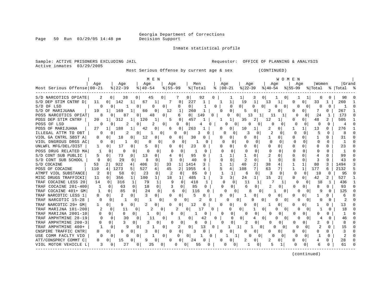Page 50 Run 03/29/05 14:48 pm

### Inmate statistical profile

Active inmates 03/29/2005

Sample: ACTIVE PRISONERS EXCLUDING JAIL **Requestor:** OFFICE OF PLANNING & ANALYSIS

Most Serious Offense by current age & sex (CONTINUED)

| Most Serious Offense 00-21                  | Age      | Age<br>$ 22-39$                             | M E N<br>Age<br>$\frac{1}{6}$   40-54 | Age<br>$8 55-99$                | Men<br>% Total        | Age<br>$8   00 - 21$ | Age<br>$ 22-39$               | W O M E N<br>Age<br>$ 40-54$               | Age<br>$ 55-99$                  | Women<br>% Total         | Grand<br>%   Total          |
|---------------------------------------------|----------|---------------------------------------------|---------------------------------------|---------------------------------|-----------------------|----------------------|-------------------------------|--------------------------------------------|----------------------------------|--------------------------|-----------------------------|
|                                             |          |                                             |                                       |                                 |                       |                      |                               |                                            |                                  |                          |                             |
| S/D NARCOTICS OPIATE                        | 2        | 0 <sup>1</sup><br>38                        | $\circ$<br>45                         | 01                              | 92<br>0 <sub>1</sub>  | 0                    | 11<br>3<br>19                 | $\mathbf{0}$<br>0                          |                                  | 33                       | 98                          |
| S/D DEP STIM CNTRF D<br>S/D OF LSD          | 11<br>0  | 142<br>0 <sup>1</sup><br>$\mathbf{0}$<br>-1 | 67<br>1<br>0                          | 7<br>0<br>0<br>0                | 227<br>1<br>$\circ$   | 1<br>1<br>0<br>0     | $\mathbf 1$<br>$\Omega$<br>0  | 13<br>1<br>0 <sup>1</sup><br>0<br>0        | 0<br>0<br>0<br>0                 | 0<br>$\Omega$            | 260<br>-1<br>$\Omega$       |
| S/D OF MARIJUANA                            | 19       | $1\vert$<br>169                             | 0<br>60<br>O                          | 12                              | 260<br>1              | 0<br>U               | 0<br>5                        | 0                                          | 0 <sup>1</sup><br>U              | $\Omega$                 | 267                         |
| POSS NARCOTICS OPIAT                        | 8        | 87<br>0                                     | 48<br>0                               | $\Omega$<br>6                   | 0 <sup>1</sup><br>149 | 0<br>0               | 13<br>0                       | 11<br>$\mathbf{1}$<br>1                    | O<br>$\Omega$                    | 24<br>1                  | 173<br>$\Omega$             |
| POSS DEP STIM CNTRF                         | 20       | 312<br>1 <sup>1</sup>                       | 120<br>1<br>1                         | 5<br>$\Omega$                   | 457                   | 1                    | 2<br>35                       | 12                                         | $\Omega$<br>O                    | 48<br>2                  | 505                         |
| POSS OF LSD                                 |          | 2<br>0                                      | 0<br>2                                | 0<br>0                          | 0                     | 0<br>O.              | 0<br>O                        | 0<br>$\Omega$<br>$\Omega$                  | U<br>0                           | $\Omega$<br>0            | $\Omega$<br>$\overline{4}$  |
| POSS OF MARIJUANA                           | 27       | 188                                         | 42                                    | 0<br>6                          | 263                   | 0<br>0               | 10<br>1                       | 2<br>0                                     |                                  | 13<br>$\Omega$           | 276                         |
| ILLEGAL ATTM TO OBT                         | O        | O                                           | $\Omega$<br>1                         | $\Omega$<br>U                   | 0<br>3                | O                    | $\Omega$<br>3<br>$\Omega$     | $\overline{2}$<br><sup>0</sup>             | $\Omega$<br>$\Omega$             | 5<br>$\Omega$            | 8<br>$\Omega$               |
| VIOL GA CNTRL SBST A                        | 0        | 18<br>0                                     | 12<br>$\Omega$<br>0                   | $\Omega$<br>$\Omega$            | 30<br>0               | 0<br>O               | $\Omega$<br>0                 | 1<br>0                                     | $\Omega$<br>$\Omega$             | 1<br>$\Omega$            | 31<br>$\Omega$              |
| VIOL DNGROUS DRGS AC                        | 0        | 0<br>1                                      | 0 <sup>1</sup><br>0                   | 0<br><sup>0</sup>               | 0                     | 0<br>$\Omega$        | 0<br>0<br>O                   | 0<br>0                                     | $\Omega$<br>$\Omega$             | $\Omega$<br>0            | $\mathbf{1}$<br>0           |
| UNLWFL MFG/DEL/DIST                         | 1        | 17<br>01                                    | 5<br>0<br>0                           | $\Omega$<br>01                  | 23<br>0               | 0                    | $\Omega$<br>$\Omega$          | $\Omega$<br>$\Omega$                       | $\Omega$<br>0                    | 0<br>$\Omega$            | 23<br>$\Omega$              |
| POSS DRUG RELATED MA                        | 1        | 0<br>0                                      | 0<br>0                                | 0<br>$\Omega$<br>$\Omega$       | 1<br>0                | O                    | 0<br>$\Omega$<br><sup>0</sup> | 0<br>0                                     | $\Omega$<br>0                    | <sup>0</sup><br>0        | O<br>-1                     |
| S/D CONT SUB PUBLIC                         | 5        | 73<br>0                                     | 0<br>13<br>0                          | $\Omega$                        | 95<br>$\Omega$        | 1                    | 0                             | $\overline{2}$<br>$\Omega$                 | $\Omega$<br>Ω                    | 4<br>$\Omega$            | 99<br><sup>0</sup>          |
| S/D CONT SUB SCHOOL                         | $\Omega$ | 29<br>0                                     | 8<br>$\Omega$<br>$\Omega$             | 3<br>0                          | 40<br>$\Omega$        | $\cap$<br>$\Omega$   | 2<br>$\Omega$                 | 0                                          | $\Omega$<br>0                    | 3<br>$\Omega$            | 43<br>U                     |
| S/D COCAINE                                 | 53       | 2 <sup>1</sup><br>922                       | 406<br>3<br>4                         | 33<br>1 <sup>1</sup>            | 1414<br>3             | $\mathbf{1}$         | $\overline{a}$<br>40          | 38<br>4                                    | $\mathbf{1}$                     | 80<br>3                  | 1494<br>κ                   |
| POSS OF COCAINE<br>110                      |          | 1273<br>4                                   | 5<br>527<br>4                         | 45<br>2                         | 1955<br>4             | 5<br>4               | 7<br>108                      | 7<br>63                                    | $\mathbf{1}$                     | 177<br>6                 | 2132                        |
| ATMPT VIOL SUBSTANCE                        | 2        | $\Omega$<br>58                              | 23<br>0                               | 0<br>2<br>$\Omega$              | 85<br>0               | 1                    | $\mathbf 0$<br>6              | 3<br>$\mathbf 0$                           | 0<br>O                           | 10<br>$\Omega$           | 95<br>$\Omega$              |
| MISC DRUGS TRAFFICKI                        | 11       | $\Omega$<br>356                             | $1\vert$<br>100                       | 18<br>1                         | 485<br>1              | 3<br>3               | 24<br>1                       | $\overline{a}$<br>15                       | U<br>0 <sup>1</sup>              | 42<br>$\overline{2}$     | 527                         |
| TRAF COCAINE LESS 20                        | 14       | 316<br>$\Omega$                             | 79<br>1                               | $\mathbf{1}$<br>0               | 418                   | 1<br>∩               | $\Omega$<br>11<br>-1          |                                            | <sup>0</sup><br>$\Omega$         | 1<br>18                  | 436                         |
| TRAF COCAINE 201-400                        |          | 63<br>$\Omega$                              | $\Omega$<br>18                        | 3<br>$\Omega$<br>$\Omega$       | 85<br>0               | O                    | $\Omega$<br>6<br>0            | 2<br>0                                     | O<br>0                           | 8<br>O.                  | 93<br><sup>0</sup>          |
| TRAF COCAINE 401+ GM                        | -1       | 85<br>$\mathbf 0$                           | $\Omega$<br>24                        | 0<br>6                          | 116<br>$\Omega$       | 0<br><sup>n</sup>    | 0<br>8                        | 0<br>0                                     | $\Omega$<br>0                    | 9                        | 125<br>$\Omega$<br>$\Omega$ |
| TRAF NARCOTIC LESS 1                        | 0        | 2<br>$\Omega$                               | 3<br>01<br>$\Omega$                   | $\Omega$<br>$\Omega$            | 5<br>0                | 0<br>$\Omega$        | 0                             | $\Omega$<br>0                              | $\mathbf{0}$<br>0                | 0                        | 6                           |
| TRAF NARCOTIC 15-28                         | 0        | 0                                           | 0                                     | 0<br>$\Omega$                   | 0                     | O<br>O               | 0<br>$\Omega$                 | 0<br>0<br>0                                | $\Omega$<br>0                    | O                        | 0                           |
| TRAF NARCOTIC 29+ GM                        |          | 9<br>0 I                                    | 2<br>0<br>0                           | $\Omega$<br>$\Omega$            | 12<br>0               | 0<br>0               | 0<br>$\Omega$                 | 0                                          | 0 <sup>1</sup><br>0              | $\Omega$                 | 13                          |
| TRAF MARIJNA 101-200                        |          | 11<br>0                                     | $\Omega$                              | 2<br>0                          | 17<br>$\Omega$        | U<br>U               | 1<br>0                        | 0<br>O<br>$\Omega$                         | $\Omega$<br>$\Omega$             |                          | 18<br>O                     |
| TRAF MARIJNA 2001-10                        | U        | $\Omega$<br>0                               | 0 <sup>1</sup>                        | 0<br>O<br>$\Omega$              | O                     | $\Omega$             | 0<br>0<br>O                   | O<br>0                                     | 0  <br>n                         | U<br>0                   | 1<br>∩                      |
| TRAF AMPHTMINE 28-19                        | $\Omega$ | 30<br>0                                     | 0<br>11                               | 0                               | 0<br>42               | 0                    | $\Omega$<br>0<br>4            | 0<br>0<br>$\Omega$                         | O<br>$\Omega$                    | 4                        | 0<br>46                     |
| TRAF AMPHTMINE 200-3                        | O        | κ<br>0<br>q                                 | 0                                     | $\Omega$<br>O                   | $\Omega$<br>б         | O<br>O               | 2                             | O                                          | O<br>0                           | 2<br>$\Omega$            | 8<br>O                      |
| TRAF AMPHTMINE 400+<br>CNSPIRE TRAFFIC CNTR | U        | O<br><sup>0</sup>                           | 0                                     | 2<br>0<br>$\Omega$              | 0<br>13<br>3<br>0     | 0<br>0<br>O          | $1\vert$                      | $\mathbf{0}$<br>0<br>0                     | O<br>$\Omega$<br>O               | $\Omega$                 | 15<br>3<br>$\cap$           |
| USE COMM FACLTY VIO                         | O        | O<br>$\Omega$<br>O                          | 0<br>3<br>0                           | $\Omega$<br>0 <sup>1</sup><br>0 | $\mathbf 0$<br>1      | $\Omega$             | 0<br>0<br>1<br>0              | 0<br>$\Omega$<br>$\Omega$<br>O<br>$\Omega$ | $\Omega$<br>$\Omega$<br>$\Omega$ | 0<br>$\Omega$<br>-1<br>0 | $\overline{2}$<br>$\Omega$  |
| ATT/CONSPRCY COMMT C                        | 0        | 15<br>0                                     | 0<br>1<br>$\mathbf 0$<br>0<br>9       | 0<br>0                          | 24<br>0               | 0                    | 0<br>2                        | 2<br>0                                     | 0<br>$\mathbf{0}$                | 4<br>0                   | 28<br>$\Omega$              |
| VIOL MOTOR VEHICLE L                        |          | 27<br>$\mathbf{0}$                          | 25<br>$\overline{0}$                  | 0 I<br>$\Omega$                 | 0 <sup>1</sup><br>55  | 0                    | $\mathbf{0}$                  | 5<br>0                                     | $\Omega$                         | 6                        | 61                          |
|                                             |          |                                             |                                       |                                 |                       |                      |                               |                                            |                                  |                          |                             |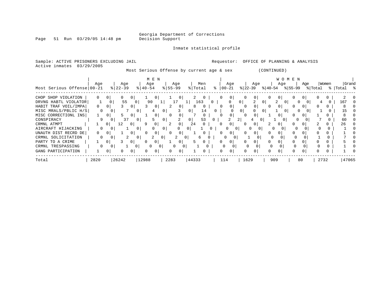Page 51 Run 03/29/05 14:48 pm

Inmate statistical profile

| Sample: ACTIVE PRISONERS EXCLUDING JAIL<br>Active inmates<br>03/29/2005 |                |                |                  |                |                           |                |                                           |                |                |                |             | Requestor:                   |                |                |                |                |                |          | OFFICE OF PLANNING & ANALYSIS |      |              |                                                                                                        |                  |
|-------------------------------------------------------------------------|----------------|----------------|------------------|----------------|---------------------------|----------------|-------------------------------------------|----------------|----------------|----------------|-------------|------------------------------|----------------|----------------|----------------|----------------|----------------|----------|-------------------------------|------|--------------|--------------------------------------------------------------------------------------------------------|------------------|
|                                                                         |                |                |                  |                |                           |                | Most Serious Offense by current age & sex |                |                |                |             |                              |                |                | (CONTINUED)    |                |                |          |                               |      |              |                                                                                                        |                  |
| Most Serious Offense 00-21                                              | Age            |                | Age<br>$8 22-39$ |                | M E N<br>Age<br>$ 40-54 $ |                | Age<br>$8 55-99$                          |                | Men<br>% Total |                |             | Age<br>$\frac{1}{6}$   00-21 |                | Age            |                | Age            | W O M E N      |          | Age                           |      | Women        | $ \frac{1}{22-39} \cdot \frac{1}{10-54} \cdot \frac{1}{55-99} \cdot \frac{1}{100a1} \cdot \frac{1}{5}$ | Grand            |
| CHOP SHOP VIOLATION                                                     |                | 0 <sup>1</sup> |                  | 0              | 0                         |                | U                                         |                | $\overline{0}$ |                |             | $\mathbf{0}$                 |                | 0 <sub>1</sub> | 0              |                |                |          |                               |      |              |                                                                                                        |                  |
| DRVNG HABTL VIOLATOR                                                    | 1              | $\mathbf{0}$   | 55               | U              | 90                        |                | 17                                        | -11            | 163            | 0 <sub>1</sub> |             | 0                            | 0 <sup>1</sup> | 2              | 0 <sup>1</sup> |                | - 0 I          |          | () I                          |      |              | 167                                                                                                    | $\left( \right)$ |
| HABIT TRAF VOIL/IMPA                                                    | $\overline{0}$ | 0 <sup>1</sup> |                  | $\mathbf{0}$   | 0 <sup>1</sup>            |                | 2<br>0 <sup>1</sup>                       | 8              | $\overline{0}$ |                | 0           | $\overline{0}$               |                | 0 <sup>1</sup> | $\Omega$       | 0 <sub>1</sub> |                | 0        | 0 I                           |      |              |                                                                                                        |                  |
| MISC MRALS/PBLIC H/S                                                    | $\mathbf{0}$   |                |                  |                |                           | 0 <sup>1</sup> | 3                                         |                | 14             | $\overline{0}$ |             |                              | 0 <sup>1</sup> |                | 0              |                | 0 <sup>1</sup> |          |                               |      |              | 15                                                                                                     |                  |
| MISC CORRECTIONL INS                                                    |                | 0 <sub>1</sub> | 5.               | $\circ$        | 0 <sup>1</sup>            |                | $\overline{0}$<br>$\Omega$                |                | $\overline{0}$ |                |             | 0                            |                | 0 <sup>1</sup> |                | 0 <sub>1</sub> |                |          | 01                            |      |              |                                                                                                        |                  |
| CONSPIRACY                                                              | 9              |                | 37               | 0 <sup>1</sup> | 5                         | 0              | 2                                         | $\circ$        | 53             | $\mathbf{0}$   |             | 2                            | 2 <sub>1</sub> |                | 0              |                | 0 <sup>1</sup> | 0        |                               |      |              | 60                                                                                                     |                  |
| CRMNL ATMPT                                                             |                | 0              | 12               | $\overline{0}$ | -9<br>0                   |                | 0 <sup>1</sup><br>2                       | 24             |                |                | $\Omega$    | 0                            | 0              | 0              | 2              | 01             |                |          |                               |      |              | 26                                                                                                     |                  |
| AIRCRAFT HIJACKING                                                      | 0              |                | 1                | 0 <sup>1</sup> | 0                         | 0 <sup>1</sup> | 0                                         | 0 <sub>1</sub> |                |                |             | 0<br>0                       |                | 0<br>0         |                | 0              |                | 0        |                               |      | $\Omega$     |                                                                                                        |                  |
| UNAUTH DIST RECRD DE                                                    | 0              |                |                  | 0              | 0                         |                | 0                                         |                |                |                |             | 0                            | 0              | 0              | 0              | $\circ$        |                | 0        |                               |      |              |                                                                                                        |                  |
| CRMNL SOLICITATION                                                      | 0              | $\Omega$       | 2                | 0 <sup>1</sup> | 2                         | 0 <sup>1</sup> | 2                                         | 0 I            | 6              |                | 0           | $\overline{0}$               |                |                | $\Omega$       |                |                |          |                               |      |              |                                                                                                        |                  |
| PARTY TO A CRIME                                                        |                | $\overline{0}$ |                  | $\overline{0}$ | $\mathbf{0}$              |                | 0 <sup>1</sup>                            | 5              | $\Omega$       |                | 0           | 0                            | $\mathbf{0}$   | 0              | 0              | $\circ$        |                | 0        | 0                             |      |              |                                                                                                        |                  |
| CRMNL TRESPASSING                                                       | 0              | 0              |                  | 0 <sup>1</sup> | $\mathbf{0}$              | 0 <sup>1</sup> | 0                                         | 0 <sup>1</sup> |                |                | $\mathbf 0$ | 0                            | $\Omega$       | $\overline{0}$ | $\Omega$       | $\Omega$       |                | $\Omega$ |                               |      | <sup>0</sup> |                                                                                                        |                  |
| GANG PARTICIPATION                                                      |                | 0 <sup>1</sup> |                  | 0              | 0                         |                |                                           |                | $\Omega$       |                | 0           | 0                            | 0              | 0 <sup>1</sup> | 0              | $\Omega$       |                | 0        | 0 <sup>1</sup>                |      |              |                                                                                                        |                  |
| Total                                                                   | 2820           |                | 26242            | 12988          |                           |                | 2283                                      | 44333          |                |                | 114         |                              | 1629           |                |                | 909            |                | 80       |                               | 2732 |              | 47065                                                                                                  |                  |